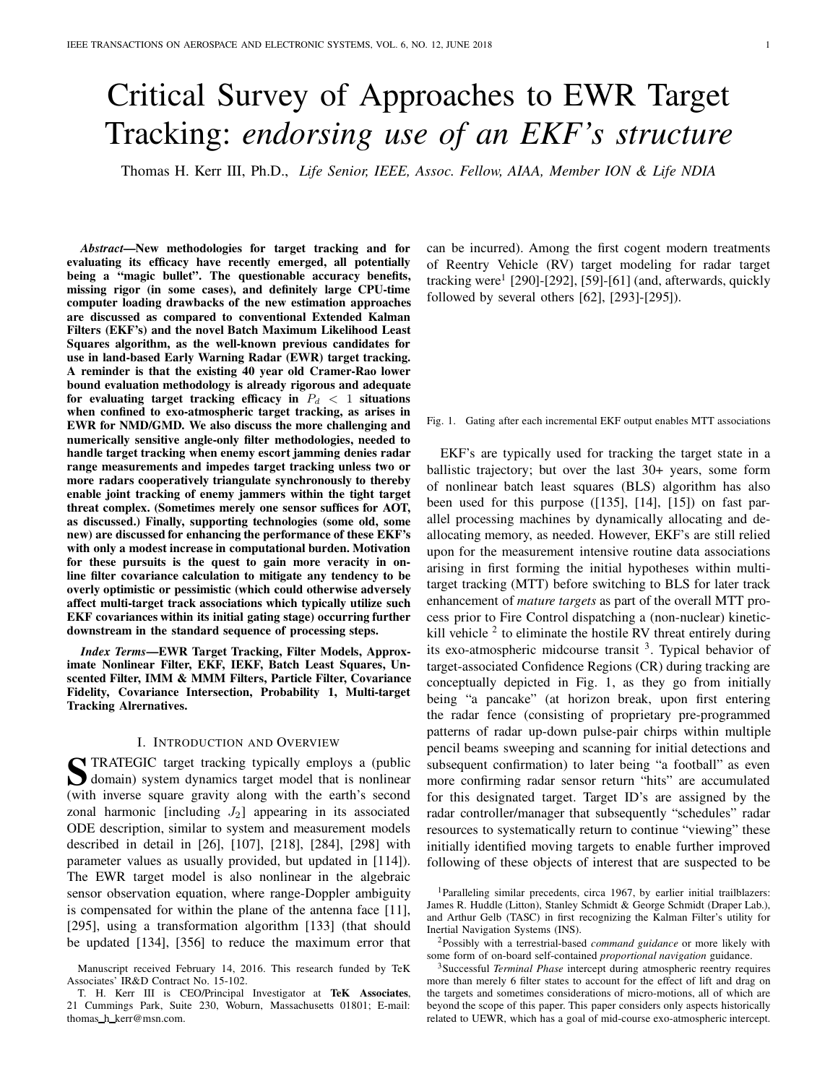# Critical Survey of Approaches to EWR Target Tracking: endorsing use of an EKF's structure

Thomas H. Kerr III, Ph.D., Life Senior, IEEE, Assoc. Fellow, AIAA, Member ION & Life NDIA

Abstract—New methodologies for target tracking and for evaluating its efficacy have recently emerged, all potentially being a "magic bullet". The questionable accuracy benefits, missing rigor (in some cases), and definitely large CPU-time computer loading drawbacks of the new estimation approaches are discussed as compared to conventional Extended Kalman Filters (EKF's) and the novel Batch Maximum Likelihood Least Squares algorithm, as the well-known previous candidates for use in land-based Early Warning Radar (EWR) target tracking. A reminder is that the existing 40 year old Cramer-Rao lower bound evaluation methodology is already rigorous and adequate for evaluating target tracking efficacy in  $P_d < 1$  situations when confined to exo-atmospheric target tracking, as arises in EWR for NMD/GMD. We also discuss the more challenging and numerically sensitive angle-only filter methodologies, needed to handle target tracking when enemy escort jamming denies radar range measurements and impedes target tracking unless two or more radars cooperatively triangulate synchronously to thereby enable joint tracking of enemy jammers within the tight target threat complex. (Sometimes merely one sensor suffices for AOT, as discussed.) Finally, supporting technologies (some old, some new) are discussed for enhancing the performance of these EKF's with only a modest increase in computational burden. Motivation for these pursuits is the quest to gain more veracity in online filter covariance calculation to mitigate any tendency to be overly optimistic or pessimistic (which could otherwise adversely affect multi-target track associations which typically utilize such EKF covariances within its initial gating stage) occurring further downstream in the standard sequence of processing steps.

Index Terms—EWR Target Tracking, Filter Models, Approximate Nonlinear Filter, EKF, IEKF, Batch Least Squares, Unscented Filter, IMM & MMM Filters, Particle Filter, Covariance Fidelity, Covariance Intersection, Probability 1, Multi-target Tracking Alrernatives.

## I. INTRODUCTION AND OVERVIEW

S TRATEGIC target tracking typically employs a (public<br>domain) system dynamics target model that is nonlinear<br>(with immers around around) along with the explicit second domain) system dynamics target model that is nonlinear (with inverse square gravity along with the earth's second zonal harmonic [including  $J_2$ ] appearing in its associated ODE description, similar to system and measurement models described in detail in [26], [107], [218], [284], [298] with parameter values as usually provided, but updated in [114]). The EWR target model is also nonlinear in the algebraic sensor observation equation, where range-Doppler ambiguity is compensated for within the plane of the antenna face [11], [295], using a transformation algorithm [133] (that should be updated [134], [356] to reduce the maximum error that

can be incurred). Among the first cogent modern treatments of Reentry Vehicle (RV) target modeling for radar target tracking were<sup>1</sup> [290]-[292], [59]-[61] (and, afterwards, quickly followed by several others [62], [293]-[295]).

#### Fig. 1. Gating after each incremental EKF output enables MTT associations

EKF's are typically used for tracking the target state in a ballistic trajectory; but over the last 30+ years, some form of nonlinear batch least squares (BLS) algorithm has also been used for this purpose ([135], [14], [15]) on fast parallel processing machines by dynamically allocating and deallocating memory, as needed. However, EKF's are still relied upon for the measurement intensive routine data associations arising in first forming the initial hypotheses within multitarget tracking (MTT) before switching to BLS for later track enhancement of mature targets as part of the overall MTT process prior to Fire Control dispatching a (non-nuclear) kinetickill vehicle  $2$  to eliminate the hostile RV threat entirely during its exo-atmospheric midcourse transit <sup>3</sup>. Typical behavior of target-associated Confidence Regions (CR) during tracking are conceptually depicted in Fig. 1, as they go from initially being "a pancake" (at horizon break, upon first entering the radar fence (consisting of proprietary pre-programmed patterns of radar up-down pulse-pair chirps within multiple pencil beams sweeping and scanning for initial detections and subsequent confirmation) to later being "a football" as even more confirming radar sensor return "hits" are accumulated for this designated target. Target ID's are assigned by the radar controller/manager that subsequently "schedules" radar resources to systematically return to continue "viewing" these initially identified moving targets to enable further improved following of these objects of interest that are suspected to be

Manuscript received February 14, 2016. This research funded by TeK Associates' IR&D Contract No. 15-102.

T. H. Kerr III is CEO/Principal Investigator at TeK Associates, 21 Cummings Park, Suite 230, Woburn, Massachusetts 01801; E-mail: thomas h kerr@msn.com.

<sup>&</sup>lt;sup>1</sup>Paralleling similar precedents, circa 1967, by earlier initial trailblazers: James R. Huddle (Litton), Stanley Schmidt & George Schmidt (Draper Lab.), and Arthur Gelb (TASC) in first recognizing the Kalman Filter's utility for Inertial Navigation Systems (INS).

<sup>&</sup>lt;sup>2</sup>Possibly with a terrestrial-based *command guidance* or more likely with some form of on-board self-contained proportional navigation guidance.

<sup>&</sup>lt;sup>3</sup>Successful Terminal Phase intercept during atmospheric reentry requires more than merely 6 filter states to account for the effect of lift and drag on the targets and sometimes considerations of micro-motions, all of which are beyond the scope of this paper. This paper considers only aspects historically related to UEWR, which has a goal of mid-course exo-atmospheric intercept.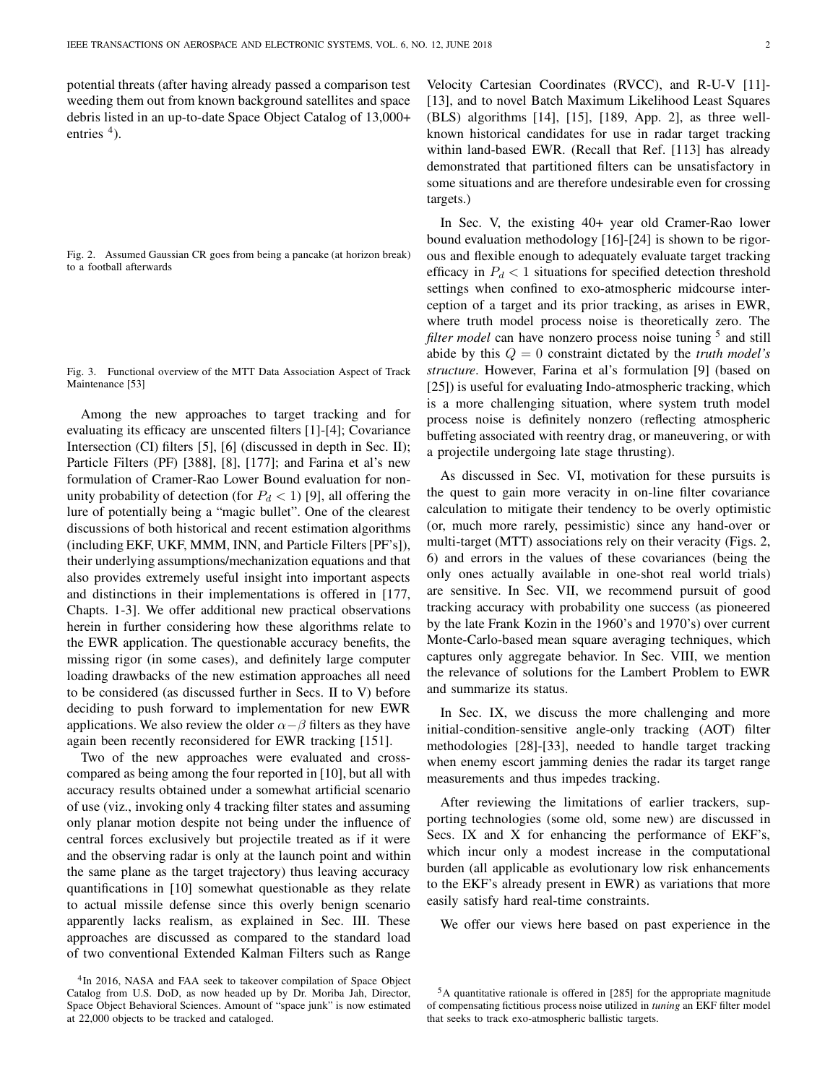potential threats (after having already passed a comparison test weeding them out from known background satellites and space debris listed in an up-to-date Space Object Catalog of 13,000+ entries  $<sup>4</sup>$ ).</sup>

Fig. 2. Assumed Gaussian CR goes from being a pancake (at horizon break) to a football afterwards

Fig. 3. Functional overview of the MTT Data Association Aspect of Track Maintenance [53]

Among the new approaches to target tracking and for evaluating its efficacy are unscented filters [1]-[4]; Covariance Intersection (CI) filters [5], [6] (discussed in depth in Sec. II); Particle Filters (PF) [388], [8], [177]; and Farina et al's new formulation of Cramer-Rao Lower Bound evaluation for nonunity probability of detection (for  $P_d < 1$ ) [9], all offering the lure of potentially being a "magic bullet". One of the clearest discussions of both historical and recent estimation algorithms (including EKF, UKF, MMM, INN, and Particle Filters [PF's]), their underlying assumptions/mechanization equations and that also provides extremely useful insight into important aspects and distinctions in their implementations is offered in [177, Chapts. 1-3]. We offer additional new practical observations herein in further considering how these algorithms relate to the EWR application. The questionable accuracy benefits, the missing rigor (in some cases), and definitely large computer loading drawbacks of the new estimation approaches all need to be considered (as discussed further in Secs. II to V) before deciding to push forward to implementation for new EWR applications. We also review the older  $\alpha-\beta$  filters as they have again been recently reconsidered for EWR tracking [151].

Two of the new approaches were evaluated and crosscompared as being among the four reported in [10], but all with accuracy results obtained under a somewhat artificial scenario of use (viz., invoking only 4 tracking filter states and assuming only planar motion despite not being under the influence of central forces exclusively but projectile treated as if it were and the observing radar is only at the launch point and within the same plane as the target trajectory) thus leaving accuracy quantifications in [10] somewhat questionable as they relate to actual missile defense since this overly benign scenario apparently lacks realism, as explained in Sec. III. These approaches are discussed as compared to the standard load of two conventional Extended Kalman Filters such as Range

<sup>4</sup>In 2016, NASA and FAA seek to takeover compilation of Space Object Catalog from U.S. DoD, as now headed up by Dr. Moriba Jah, Director, Space Object Behavioral Sciences. Amount of "space junk" is now estimated at 22,000 objects to be tracked and cataloged.

Velocity Cartesian Coordinates (RVCC), and R-U-V [11]- [13], and to novel Batch Maximum Likelihood Least Squares (BLS) algorithms [14], [15], [189, App. 2], as three wellknown historical candidates for use in radar target tracking within land-based EWR. (Recall that Ref. [113] has already demonstrated that partitioned filters can be unsatisfactory in some situations and are therefore undesirable even for crossing targets.)

In Sec. V, the existing 40+ year old Cramer-Rao lower bound evaluation methodology [16]-[24] is shown to be rigorous and flexible enough to adequately evaluate target tracking efficacy in  $P_d < 1$  situations for specified detection threshold settings when confined to exo-atmospheric midcourse interception of a target and its prior tracking, as arises in EWR, where truth model process noise is theoretically zero. The filter model can have nonzero process noise tuning <sup>5</sup> and still abide by this  $Q = 0$  constraint dictated by the *truth model's* structure. However, Farina et al's formulation [9] (based on [25]) is useful for evaluating Indo-atmospheric tracking, which is a more challenging situation, where system truth model process noise is definitely nonzero (reflecting atmospheric buffeting associated with reentry drag, or maneuvering, or with a projectile undergoing late stage thrusting).

As discussed in Sec. VI, motivation for these pursuits is the quest to gain more veracity in on-line filter covariance calculation to mitigate their tendency to be overly optimistic (or, much more rarely, pessimistic) since any hand-over or multi-target (MTT) associations rely on their veracity (Figs. 2, 6) and errors in the values of these covariances (being the only ones actually available in one-shot real world trials) are sensitive. In Sec. VII, we recommend pursuit of good tracking accuracy with probability one success (as pioneered by the late Frank Kozin in the 1960's and 1970's) over current Monte-Carlo-based mean square averaging techniques, which captures only aggregate behavior. In Sec. VIII, we mention the relevance of solutions for the Lambert Problem to EWR and summarize its status.

In Sec. IX, we discuss the more challenging and more initial-condition-sensitive angle-only tracking (AOT) filter methodologies [28]-[33], needed to handle target tracking when enemy escort jamming denies the radar its target range measurements and thus impedes tracking.

After reviewing the limitations of earlier trackers, supporting technologies (some old, some new) are discussed in Secs. IX and X for enhancing the performance of EKF's, which incur only a modest increase in the computational burden (all applicable as evolutionary low risk enhancements to the EKF's already present in EWR) as variations that more easily satisfy hard real-time constraints.

We offer our views here based on past experience in the

<sup>&</sup>lt;sup>5</sup>A quantitative rationale is offered in [285] for the appropriate magnitude of compensating fictitious process noise utilized in tuning an EKF filter model that seeks to track exo-atmospheric ballistic targets.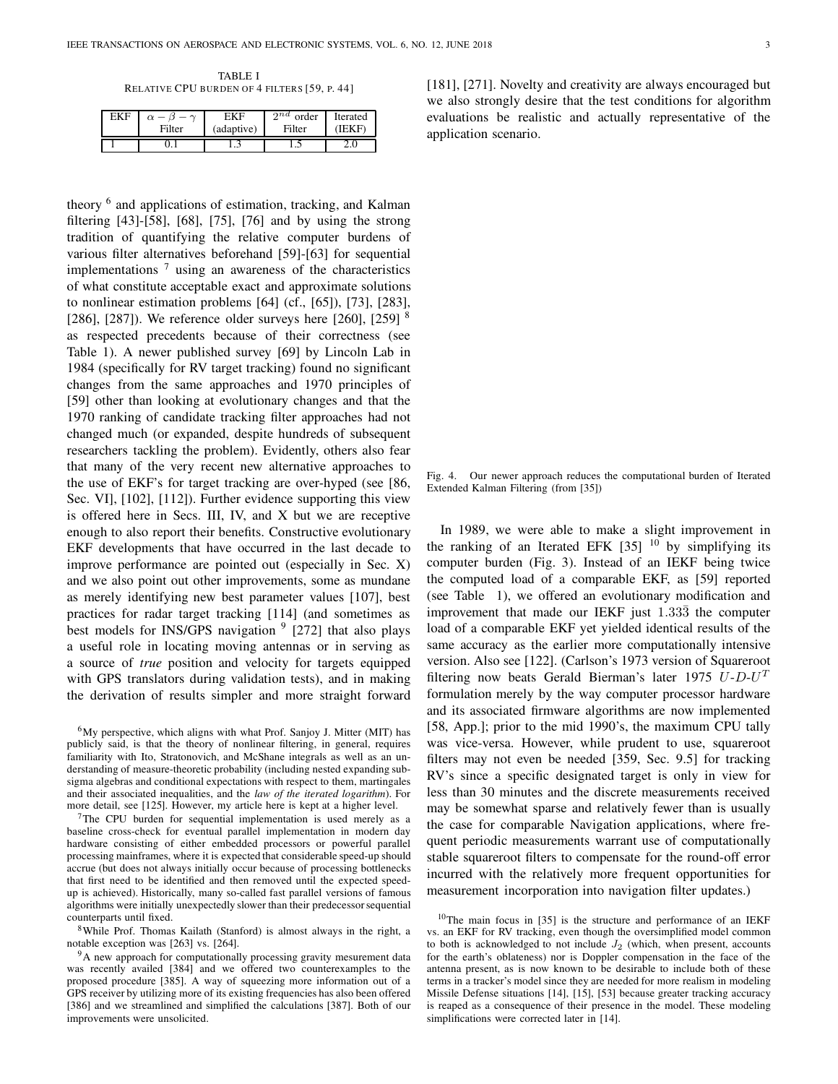TABLE I RELATIVE CPU BURDEN OF 4 FILTERS [59, P. 44]

| FKF |        | FK H       | $\alpha$<br>order | <b>Iterated</b> |
|-----|--------|------------|-------------------|-----------------|
|     | Filter | (adaptive) | Filter            |                 |
|     |        | .          | .                 | ے ۔             |

theory <sup>6</sup> and applications of estimation, tracking, and Kalman filtering [43]-[58], [68], [75], [76] and by using the strong tradition of quantifying the relative computer burdens of various filter alternatives beforehand [59]-[63] for sequential implementations  $<sup>7</sup>$  using an awareness of the characteristics</sup> of what constitute acceptable exact and approximate solutions to nonlinear estimation problems [64] (cf., [65]), [73], [283], [286], [287]). We reference older surveys here [260], [259]  $\frac{8}{3}$ as respected precedents because of their correctness (see Table 1). A newer published survey [69] by Lincoln Lab in 1984 (specifically for RV target tracking) found no significant changes from the same approaches and 1970 principles of [59] other than looking at evolutionary changes and that the 1970 ranking of candidate tracking filter approaches had not changed much (or expanded, despite hundreds of subsequent researchers tackling the problem). Evidently, others also fear that many of the very recent new alternative approaches to the use of EKF's for target tracking are over-hyped (see [86, Sec. VI], [102], [112]). Further evidence supporting this view is offered here in Secs. III, IV, and X but we are receptive enough to also report their benefits. Constructive evolutionary EKF developments that have occurred in the last decade to improve performance are pointed out (especially in Sec. X) and we also point out other improvements, some as mundane as merely identifying new best parameter values [107], best practices for radar target tracking [114] (and sometimes as best models for INS/GPS navigation <sup>9</sup> [272] that also plays a useful role in locating moving antennas or in serving as a source of true position and velocity for targets equipped with GPS translators during validation tests), and in making the derivation of results simpler and more straight forward

<sup>6</sup>My perspective, which aligns with what Prof. Sanjoy J. Mitter (MIT) has publicly said, is that the theory of nonlinear filtering, in general, requires familiarity with Ito, Stratonovich, and McShane integrals as well as an understanding of measure-theoretic probability (including nested expanding subsigma algebras and conditional expectations with respect to them, martingales and their associated inequalities, and the law of the iterated logarithm). For more detail, see [125]. However, my article here is kept at a higher level.

<sup>7</sup>The CPU burden for sequential implementation is used merely as a baseline cross-check for eventual parallel implementation in modern day hardware consisting of either embedded processors or powerful parallel processing mainframes, where it is expected that considerable speed-up should accrue (but does not always initially occur because of processing bottlenecks that first need to be identified and then removed until the expected speedup is achieved). Historically, many so-called fast parallel versions of famous algorithms were initially unexpectedly slower than their predecessor sequential counterparts until fixed.

<sup>8</sup>While Prof. Thomas Kailath (Stanford) is almost always in the right, a notable exception was [263] vs. [264].

<sup>9</sup>A new approach for computationally processing gravity mesurement data was recently availed [384] and we offered two counterexamples to the proposed procedure [385]. A way of squeezing more information out of a GPS receiver by utilizing more of its existing frequencies has also been offered [386] and we streamlined and simplified the calculations [387]. Both of our improvements were unsolicited.

[181], [271]. Novelty and creativity are always encouraged but we also strongly desire that the test conditions for algorithm evaluations be realistic and actually representative of the application scenario.

Fig. 4. Our newer approach reduces the computational burden of Iterated Extended Kalman Filtering (from [35])

In 1989, we were able to make a slight improvement in the ranking of an Iterated EFK  $[35]$  <sup>10</sup> by simplifying its computer burden (Fig. 3). Instead of an IEKF being twice the computed load of a comparable EKF, as [59] reported (see Table 1), we offered an evolutionary modification and improvement that made our IEKF just  $1.33\overline{3}$  the computer load of a comparable EKF yet yielded identical results of the same accuracy as the earlier more computationally intensive version. Also see [122]. (Carlson's 1973 version of Squareroot filtering now beats Gerald Bierman's later 1975  $U$ - $D$ - $U<sup>T</sup>$ formulation merely by the way computer processor hardware and its associated firmware algorithms are now implemented [58, App.]; prior to the mid 1990's, the maximum CPU tally was vice-versa. However, while prudent to use, squareroot filters may not even be needed [359, Sec. 9.5] for tracking RV's since a specific designated target is only in view for less than 30 minutes and the discrete measurements received may be somewhat sparse and relatively fewer than is usually the case for comparable Navigation applications, where frequent periodic measurements warrant use of computationally stable squareroot filters to compensate for the round-off error incurred with the relatively more frequent opportunities for measurement incorporation into navigation filter updates.)

 $10$ The main focus in [35] is the structure and performance of an IEKF vs. an EKF for RV tracking, even though the oversimplified model common to both is acknowledged to not include  $J_2$  (which, when present, accounts for the earth's oblateness) nor is Doppler compensation in the face of the antenna present, as is now known to be desirable to include both of these terms in a tracker's model since they are needed for more realism in modeling Missile Defense situations [14], [15], [53] because greater tracking accuracy is reaped as a consequence of their presence in the model. These modeling simplifications were corrected later in [14].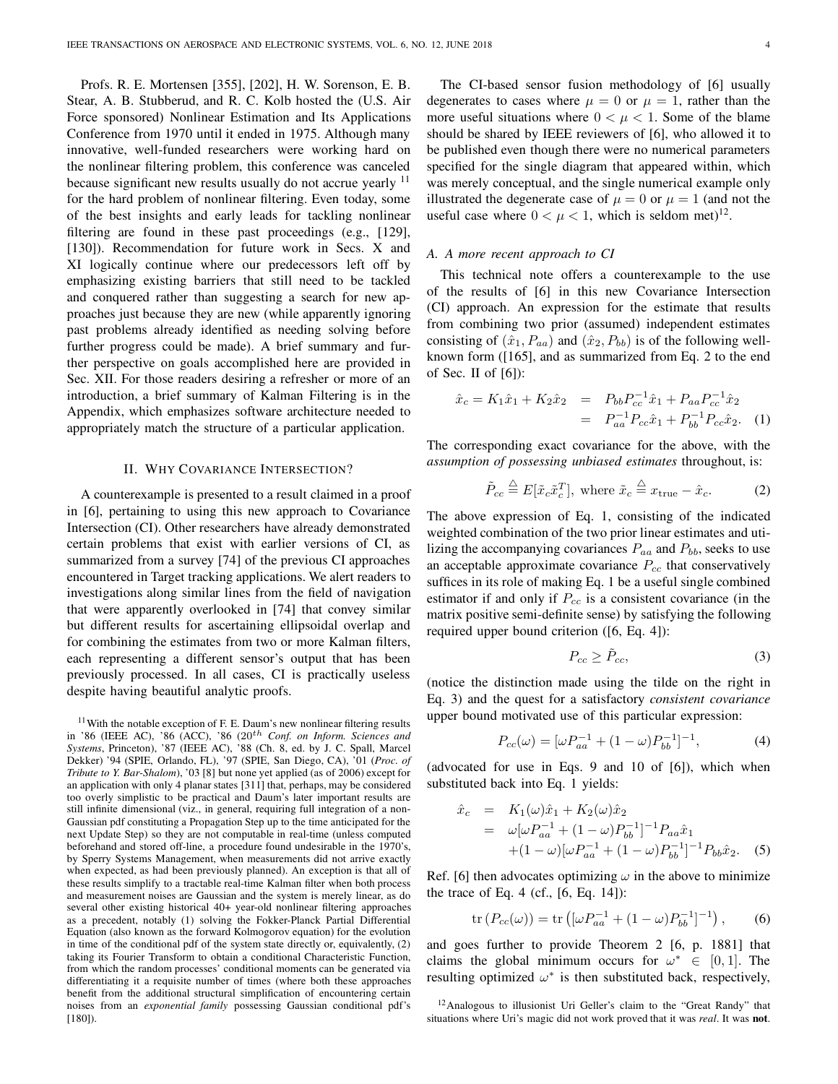Profs. R. E. Mortensen [355], [202], H. W. Sorenson, E. B. Stear, A. B. Stubberud, and R. C. Kolb hosted the (U.S. Air Force sponsored) Nonlinear Estimation and Its Applications Conference from 1970 until it ended in 1975. Although many innovative, well-funded researchers were working hard on the nonlinear filtering problem, this conference was canceled because significant new results usually do not accrue yearly  $\frac{11}{11}$ for the hard problem of nonlinear filtering. Even today, some of the best insights and early leads for tackling nonlinear filtering are found in these past proceedings (e.g., [129], [130]). Recommendation for future work in Secs. X and XI logically continue where our predecessors left off by emphasizing existing barriers that still need to be tackled and conquered rather than suggesting a search for new approaches just because they are new (while apparently ignoring past problems already identified as needing solving before further progress could be made). A brief summary and further perspective on goals accomplished here are provided in Sec. XII. For those readers desiring a refresher or more of an introduction, a brief summary of Kalman Filtering is in the Appendix, which emphasizes software architecture needed to appropriately match the structure of a particular application.

#### II. WHY COVARIANCE INTERSECTION?

A counterexample is presented to a result claimed in a proof in [6], pertaining to using this new approach to Covariance Intersection (CI). Other researchers have already demonstrated certain problems that exist with earlier versions of CI, as summarized from a survey [74] of the previous CI approaches encountered in Target tracking applications. We alert readers to investigations along similar lines from the field of navigation that were apparently overlooked in [74] that convey similar but different results for ascertaining ellipsoidal overlap and for combining the estimates from two or more Kalman filters, each representing a different sensor's output that has been previously processed. In all cases, CI is practically useless despite having beautiful analytic proofs.

 $11$ With the notable exception of F. E. Daum's new nonlinear filtering results in '86 (IEEE AC), '86 (ACC), '86  $(20<sup>th</sup>$  Conf. on Inform. Sciences and Systems, Princeton), '87 (IEEE AC), '88 (Ch. 8, ed. by J. C. Spall, Marcel Dekker) '94 (SPIE, Orlando, FL), '97 (SPIE, San Diego, CA), '01 (Proc. of Tribute to Y. Bar-Shalom), '03 [8] but none yet applied (as of 2006) except for an application with only 4 planar states [311] that, perhaps, may be considered too overly simplistic to be practical and Daum's later important results are still infinite dimensional (viz., in general, requiring full integration of a non-Gaussian pdf constituting a Propagation Step up to the time anticipated for the next Update Step) so they are not computable in real-time (unless computed beforehand and stored off-line, a procedure found undesirable in the 1970's, by Sperry Systems Management, when measurements did not arrive exactly when expected, as had been previously planned). An exception is that all of these results simplify to a tractable real-time Kalman filter when both process and measurement noises are Gaussian and the system is merely linear, as do several other existing historical 40+ year-old nonlinear filtering approaches as a precedent, notably (1) solving the Fokker-Planck Partial Differential Equation (also known as the forward Kolmogorov equation) for the evolution in time of the conditional pdf of the system state directly or, equivalently, (2) taking its Fourier Transform to obtain a conditional Characteristic Function, from which the random processes' conditional moments can be generated via differentiating it a requisite number of times (where both these approaches benefit from the additional structural simplification of encountering certain noises from an exponential family possessing Gaussian conditional pdf's [180]).

The CI-based sensor fusion methodology of [6] usually degenerates to cases where  $\mu = 0$  or  $\mu = 1$ , rather than the more useful situations where  $0 < \mu < 1$ . Some of the blame should be shared by IEEE reviewers of [6], who allowed it to be published even though there were no numerical parameters specified for the single diagram that appeared within, which was merely conceptual, and the single numerical example only illustrated the degenerate case of  $\mu = 0$  or  $\mu = 1$  (and not the useful case where  $0 < \mu < 1$ , which is seldom met)<sup>12</sup>.

## A. A more recent approach to CI

This technical note offers a counterexample to the use of the results of [6] in this new Covariance Intersection (CI) approach. An expression for the estimate that results from combining two prior (assumed) independent estimates consisting of  $(\hat{x}_1, P_{aa})$  and  $(\hat{x}_2, P_{bb})$  is of the following wellknown form ([165], and as summarized from Eq. 2 to the end of Sec. II of  $[6]$ :

$$
\hat{x}_c = K_1 \hat{x}_1 + K_2 \hat{x}_2 = P_{bb} P_{cc}^{-1} \hat{x}_1 + P_{aa} P_{cc}^{-1} \hat{x}_2 \n= P_{aa}^{-1} P_{cc} \hat{x}_1 + P_{bb}^{-1} P_{cc} \hat{x}_2.
$$
 (1)

The corresponding exact covariance for the above, with the assumption of possessing unbiased estimates throughout, is:

$$
\tilde{P}_{cc} \stackrel{\triangle}{=} E[\tilde{x}_c \tilde{x}_c^T], \text{ where } \tilde{x}_c \stackrel{\triangle}{=} x_{\text{true}} - \hat{x}_c. \tag{2}
$$

The above expression of Eq. 1, consisting of the indicated weighted combination of the two prior linear estimates and utilizing the accompanying covariances  $P_{aa}$  and  $P_{bb}$ , seeks to use an acceptable approximate covariance  $P_{cc}$  that conservatively suffices in its role of making Eq. 1 be a useful single combined estimator if and only if  $P_{cc}$  is a consistent covariance (in the matrix positive semi-definite sense) by satisfying the following required upper bound criterion ([6, Eq. 4]):

$$
P_{cc} \ge \tilde{P}_{cc},\tag{3}
$$

(notice the distinction made using the tilde on the right in Eq. 3) and the quest for a satisfactory consistent covariance upper bound motivated use of this particular expression:

$$
P_{cc}(\omega) = [\omega P_{aa}^{-1} + (1 - \omega)P_{bb}^{-1}]^{-1},
$$
\n(4)

(advocated for use in Eqs. 9 and 10 of [6]), which when substituted back into Eq. 1 yields:

$$
\hat{x}_c = K_1(\omega)\hat{x}_1 + K_2(\omega)\hat{x}_2
$$
\n
$$
= \omega[\omega P_{aa}^{-1} + (1 - \omega)P_{bb}^{-1}]^{-1}P_{aa}\hat{x}_1
$$
\n
$$
+ (1 - \omega)[\omega P_{aa}^{-1} + (1 - \omega)P_{bb}^{-1}]^{-1}P_{bb}\hat{x}_2.
$$
\n(5)

Ref. [6] then advocates optimizing  $\omega$  in the above to minimize the trace of Eq. 4 (cf.,  $[6, Eq. 14]$ ):

$$
\text{tr}\left(P_{cc}(\omega)\right) = \text{tr}\left([\omega P_{aa}^{-1} + (1 - \omega)P_{bb}^{-1}]^{-1}\right),\tag{6}
$$

and goes further to provide Theorem 2 [6, p. 1881] that claims the global minimum occurs for  $\omega^* \in [0,1]$ . The resulting optimized  $\omega^*$  is then substituted back, respectively,

 $12A$ nalogous to illusionist Uri Geller's claim to the "Great Randy" that situations where Uri's magic did not work proved that it was *real*. It was **not**.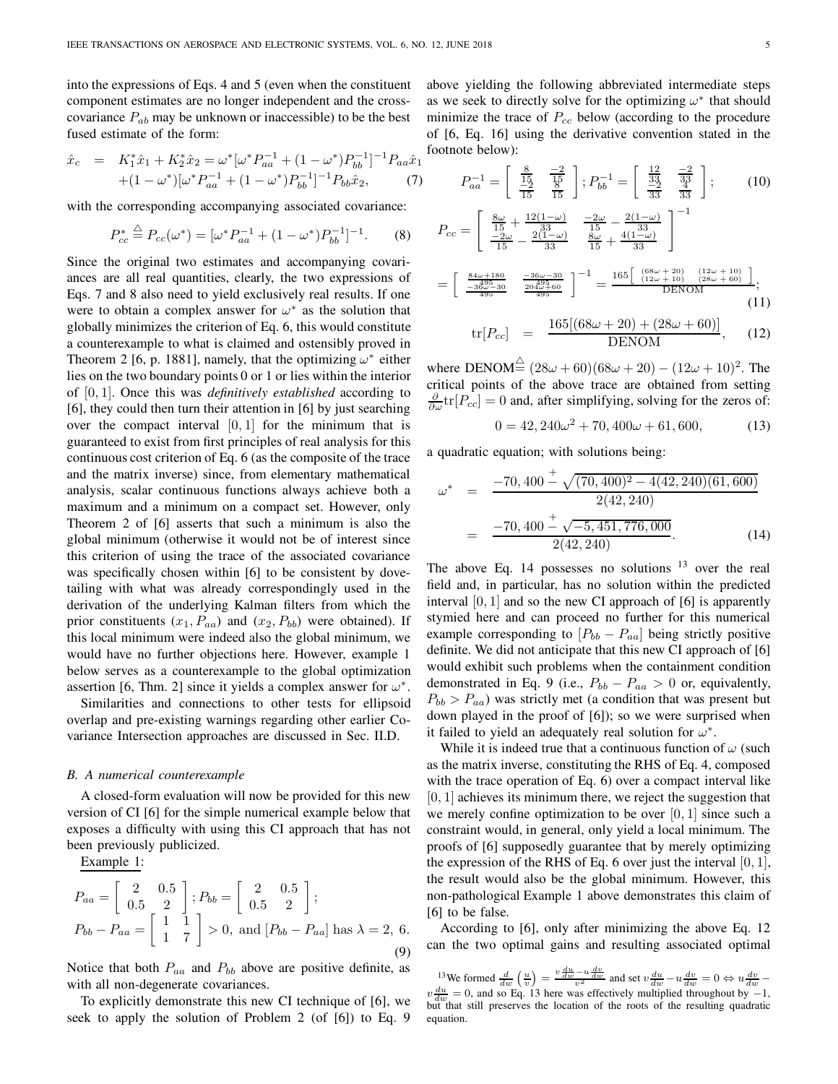into the expressions of Eqs. 4 and 5 (even when the constituent component estimates are no longer independent and the crosscovariance  $P_{ab}$  may be unknown or inaccessible) to be the best fused estimate of the form:

$$
\hat{x}_c = K_1^* \hat{x}_1 + K_2^* \hat{x}_2 = \omega^* [\omega^* P_{aa}^{-1} + (1 - \omega^*) P_{bb}^{-1}]^{-1} P_{aa} \hat{x}_1 \n+ (1 - \omega^*) [\omega^* P_{aa}^{-1} + (1 - \omega^*) P_{bb}^{-1}]^{-1} P_{bb} \hat{x}_2,
$$
\n(7)

with the corresponding accompanying associated covariance:

$$
P_{cc}^* \stackrel{\triangle}{=} P_{cc}(\omega^*) = [\omega^* P_{aa}^{-1} + (1 - \omega^*) P_{bb}^{-1}]^{-1}.
$$
 (8)

Since the original two estimates and accompanying covariances are all real quantities, clearly, the two expressions of Eqs. 7 and 8 also need to yield exclusively real results. If one were to obtain a complex answer for  $\omega^*$  as the solution that globally minimizes the criterion of Eq. 6, this would constitute a counterexample to what is claimed and ostensibly proved in Theorem 2 [6, p. 1881], namely, that the optimizing  $\omega^*$  either lies on the two boundary points 0 or 1 or lies within the interior of  $[0, 1]$ . Once this was *definitively established* according to [6], they could then turn their attention in [6] by just searching over the compact interval  $[0, 1]$  for the minimum that is guaranteed to exist from first principles of real analysis for this continuous cost criterion of Eq. 6 (as the composite of the trace and the matrix inverse) since, from elementary mathematical analysis, scalar continuous functions always achieve both a maximum and a minimum on a compact set. However, only Theorem 2 of [6] asserts that such a minimum is also the global minimum (otherwise it would not be of interest since this criterion of using the trace of the associated covariance was specifically chosen within [6] to be consistent by dovetailing with what was already correspondingly used in the derivation of the underlying Kalman filters from which the prior constituents  $(x_1, P_{aa})$  and  $(x_2, P_{bb})$  were obtained). If this local minimum were indeed also the global minimum, we would have no further objections here. However, example 1 below serves as a counterexample to the global optimization assertion [6, Thm. 2] since it yields a complex answer for  $\omega^*$ .

Similarities and connections to other tests for ellipsoid overlap and pre-existing warnings regarding other earlier Covariance Intersection approaches are discussed in Sec. II.D.

#### B. A numerical counterexample

A closed-form evaluation will now be provided for this new version of CI [6] for the simple numerical example below that exposes a difficulty with using this CI approach that has not been previously publicized.

Example 1:

$$
P_{aa} = \begin{bmatrix} 2 & 0.5 \\ 0.5 & 2 \end{bmatrix}; P_{bb} = \begin{bmatrix} 2 & 0.5 \\ 0.5 & 2 \end{bmatrix};
$$
  
\n
$$
P_{bb} - P_{aa} = \begin{bmatrix} 1 & 1 \\ 1 & 7 \end{bmatrix} > 0, \text{ and } [P_{bb} - P_{aa}] \text{ has } \lambda = 2, 6.
$$
  
\n(9)

Notice that both  $P_{aa}$  and  $P_{bb}$  above are positive definite, as with all non-degenerate covariances.

To explicitly demonstrate this new CI technique of [6], we seek to apply the solution of Problem 2 (of [6]) to Eq. 9 above yielding the following abbreviated intermediate steps as we seek to directly solve for the optimizing  $\omega^*$  that should minimize the trace of  $P_{cc}$  below (according to the procedure of [6, Eq. 16] using the derivative convention stated in the footnote below):

$$
P_{aa}^{-1} = \begin{bmatrix} \frac{8}{15} & \frac{-2}{15} \\ \frac{-2}{15} & \frac{8}{15} \end{bmatrix}; P_{bb}^{-1} = \begin{bmatrix} \frac{12}{33} & \frac{-2}{32} \\ \frac{-2}{33} & \frac{4}{33} \end{bmatrix};
$$
(10)

$$
P_{cc} = \begin{bmatrix} \frac{8\omega}{15} + \frac{12(1-\omega)}{33} & \frac{-2\omega}{15} - \frac{2(1-\omega)}{33} \\ \frac{-2\omega}{15} - \frac{2(1-\omega)}{33} & \frac{8\omega}{15} + \frac{4(1-\omega)}{33} \end{bmatrix}^{-1}
$$

$$
= \begin{bmatrix} \frac{84\omega + 180}{395} & \frac{-36\omega - 30}{2945} \\ \frac{-365}{495} & \frac{2045}{495} \end{bmatrix}^{-1} = \frac{165 \begin{bmatrix} (68\omega + 20) & (12\omega + 10) \\ (12\omega + 10) & (28\omega + 60) \end{bmatrix}}{\text{DENOM}};
$$
(11)

$$
\text{tr}[P_{cc}] = \frac{165[(68\omega + 20) + (28\omega + 60)]}{\text{DENOM}}, \quad (12)
$$

where  $\text{DENOM}^{\triangle} (28\omega + 60)(68\omega + 20) - (12\omega + 10)^2$ . The critical points of the above trace are obtained from setting  $\frac{\partial}{\partial \omega}$ tr $[P_{cc}] = 0$  and, after simplifying, solving for the zeros of:

$$
0 = 42,240\omega^2 + 70,400\omega + 61,600,\tag{13}
$$

a quadratic equation; with solutions being:

$$
\omega^* = \frac{-70,400 \frac{+}{2} \sqrt{(70,400)^2 - 4(42,240)(61,600)}}{2(42,240)}
$$

$$
= \frac{-70,400 \frac{+}{2} \sqrt{-5,451,776,000}}{2(42,240)}.
$$
(14)

The above Eq. 14 possesses no solutions  $13$  over the real field and, in particular, has no solution within the predicted interval  $[0, 1]$  and so the new CI approach of  $[6]$  is apparently stymied here and can proceed no further for this numerical example corresponding to  $[P_{bb} - P_{aa}]$  being strictly positive definite. We did not anticipate that this new CI approach of [6] would exhibit such problems when the containment condition demonstrated in Eq. 9 (i.e.,  $P_{bb} - P_{aa} > 0$  or, equivalently,  $P_{bb} > P_{aa}$ ) was strictly met (a condition that was present but down played in the proof of [6]); so we were surprised when it failed to yield an adequately real solution for  $\omega^*$ .

While it is indeed true that a continuous function of  $\omega$  (such as the matrix inverse, constituting the RHS of Eq. 4, composed with the trace operation of Eq. 6) over a compact interval like  $[0, 1]$  achieves its minimum there, we reject the suggestion that we merely confine optimization to be over  $[0, 1]$  since such a constraint would, in general, only yield a local minimum. The proofs of [6] supposedly guarantee that by merely optimizing the expression of the RHS of Eq. 6 over just the interval  $[0, 1]$ , the result would also be the global minimum. However, this non-pathological Example 1 above demonstrates this claim of [6] to be false.

According to [6], only after minimizing the above Eq. 12 can the two optimal gains and resulting associated optimal

<sup>13</sup>We formed  $\frac{d}{dw} \left( \frac{u}{v} \right) = \frac{v \frac{du}{dw} - u \frac{dv}{dw}}{v^2}$  and set  $v \frac{du}{dw} - u \frac{dv}{dw} = 0 \Leftrightarrow u \frac{dv}{dw} - v \frac{dv}{dw}$  $v \frac{du}{dw} = 0$ , and so Eq. 13 here was effectively multiplied throughout by  $-1$ , but that still preserves the location of the roots of the resulting quadratic equation.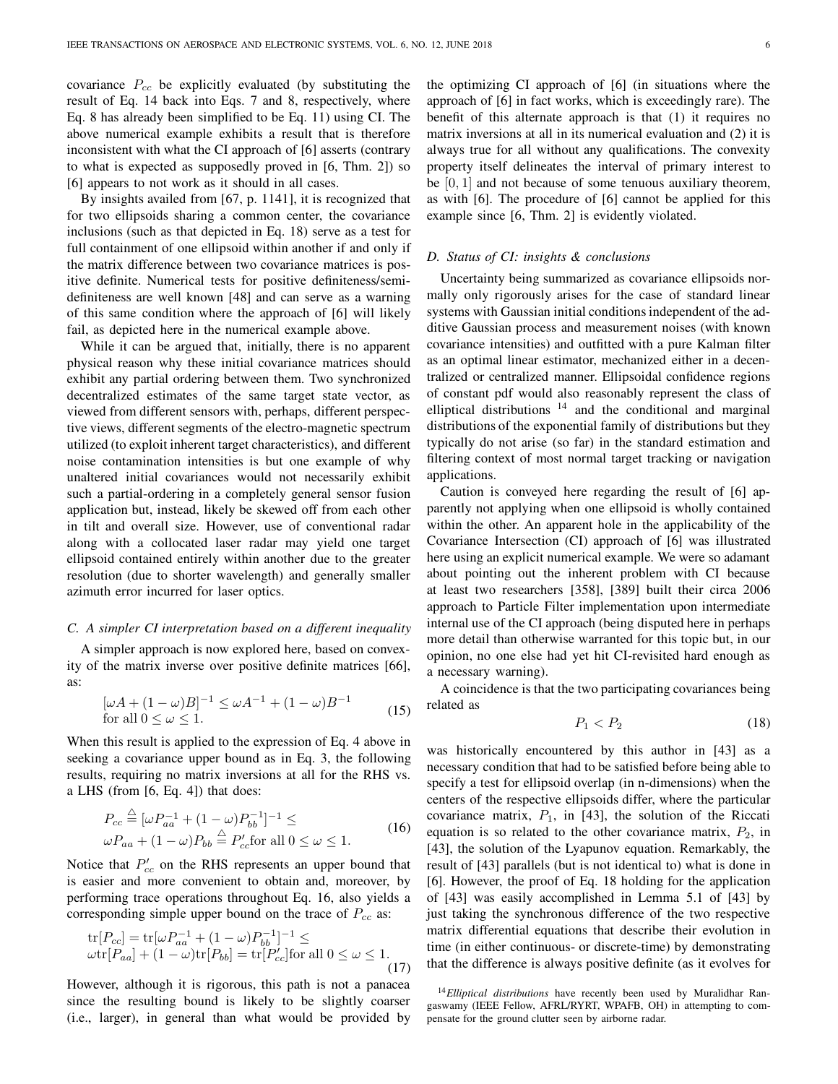covariance  $P_{cc}$  be explicitly evaluated (by substituting the result of Eq. 14 back into Eqs. 7 and 8, respectively, where Eq. 8 has already been simplified to be Eq. 11) using CI. The above numerical example exhibits a result that is therefore inconsistent with what the CI approach of [6] asserts (contrary to what is expected as supposedly proved in [6, Thm. 2]) so [6] appears to not work as it should in all cases.

By insights availed from [67, p. 1141], it is recognized that for two ellipsoids sharing a common center, the covariance inclusions (such as that depicted in Eq. 18) serve as a test for full containment of one ellipsoid within another if and only if the matrix difference between two covariance matrices is positive definite. Numerical tests for positive definiteness/semidefiniteness are well known [48] and can serve as a warning of this same condition where the approach of [6] will likely fail, as depicted here in the numerical example above.

While it can be argued that, initially, there is no apparent physical reason why these initial covariance matrices should exhibit any partial ordering between them. Two synchronized decentralized estimates of the same target state vector, as viewed from different sensors with, perhaps, different perspective views, different segments of the electro-magnetic spectrum utilized (to exploit inherent target characteristics), and different noise contamination intensities is but one example of why unaltered initial covariances would not necessarily exhibit such a partial-ordering in a completely general sensor fusion application but, instead, likely be skewed off from each other in tilt and overall size. However, use of conventional radar along with a collocated laser radar may yield one target ellipsoid contained entirely within another due to the greater resolution (due to shorter wavelength) and generally smaller azimuth error incurred for laser optics.

## C. A simpler CI interpretation based on a different inequality

A simpler approach is now explored here, based on convexity of the matrix inverse over positive definite matrices [66], as:

$$
[\omega A + (1 - \omega)B]^{-1} \le \omega A^{-1} + (1 - \omega)B^{-1}
$$
  
for all  $0 \le \omega \le 1$ . (15)

When this result is applied to the expression of Eq. 4 above in seeking a covariance upper bound as in Eq. 3, the following results, requiring no matrix inversions at all for the RHS vs. a LHS (from [6, Eq. 4]) that does:

$$
P_{cc} \stackrel{\triangle}{=} [\omega P_{aa}^{-1} + (1 - \omega) P_{bb}^{-1}]^{-1} \le
$$
  
 
$$
\omega P_{aa} + (1 - \omega) P_{bb} \stackrel{\triangle}{=} P_{cc}' \text{for all } 0 \le \omega \le 1.
$$
 (16)

Notice that  $P_{cc}$  on the RHS represents an upper bound that is easier and more convenient to obtain and, moreover, by performing trace operations throughout Eq. 16, also yields a corresponding simple upper bound on the trace of  $P_{cc}$  as:

tr[
$$
P_{cc}
$$
] = tr[ $\omega P_{aa}^{-1}$  + (1 -  $\omega$ ) $P_{bb}^{-1}$ ]<sup>-1</sup>  $\le$   
\n $\omega$ tr[ $P_{aa}$ ] + (1 -  $\omega$ )tr[ $P_{bb}$ ] = tr[ $P'_{cc}$ ] for all  $0 \le \omega \le 1$ . (17)

However, although it is rigorous, this path is not a panacea since the resulting bound is likely to be slightly coarser (i.e., larger), in general than what would be provided by the optimizing CI approach of [6] (in situations where the approach of [6] in fact works, which is exceedingly rare). The benefit of this alternate approach is that (1) it requires no matrix inversions at all in its numerical evaluation and (2) it is always true for all without any qualifications. The convexity property itself delineates the interval of primary interest to be [0, 1] and not because of some tenuous auxiliary theorem, as with [6]. The procedure of [6] cannot be applied for this example since [6, Thm. 2] is evidently violated.

# D. Status of CI: insights & conclusions

Uncertainty being summarized as covariance ellipsoids normally only rigorously arises for the case of standard linear systems with Gaussian initial conditions independent of the additive Gaussian process and measurement noises (with known covariance intensities) and outfitted with a pure Kalman filter as an optimal linear estimator, mechanized either in a decentralized or centralized manner. Ellipsoidal confidence regions of constant pdf would also reasonably represent the class of elliptical distributions  $14$  and the conditional and marginal distributions of the exponential family of distributions but they typically do not arise (so far) in the standard estimation and filtering context of most normal target tracking or navigation applications.

Caution is conveyed here regarding the result of [6] apparently not applying when one ellipsoid is wholly contained within the other. An apparent hole in the applicability of the Covariance Intersection (CI) approach of [6] was illustrated here using an explicit numerical example. We were so adamant about pointing out the inherent problem with CI because at least two researchers [358], [389] built their circa 2006 approach to Particle Filter implementation upon intermediate internal use of the CI approach (being disputed here in perhaps more detail than otherwise warranted for this topic but, in our opinion, no one else had yet hit CI-revisited hard enough as a necessary warning).

A coincidence is that the two participating covariances being related as

$$
P_1 < P_2 \tag{18}
$$

was historically encountered by this author in [43] as a necessary condition that had to be satisfied before being able to specify a test for ellipsoid overlap (in n-dimensions) when the centers of the respective ellipsoids differ, where the particular covariance matrix,  $P_1$ , in [43], the solution of the Riccati equation is so related to the other covariance matrix,  $P_2$ , in [43], the solution of the Lyapunov equation. Remarkably, the result of [43] parallels (but is not identical to) what is done in [6]. However, the proof of Eq. 18 holding for the application of [43] was easily accomplished in Lemma 5.1 of [43] by just taking the synchronous difference of the two respective matrix differential equations that describe their evolution in time (in either continuous- or discrete-time) by demonstrating that the difference is always positive definite (as it evolves for

 $14$  Elliptical distributions have recently been used by Muralidhar Rangaswamy (IEEE Fellow, AFRL/RYRT, WPAFB, OH) in attempting to compensate for the ground clutter seen by airborne radar.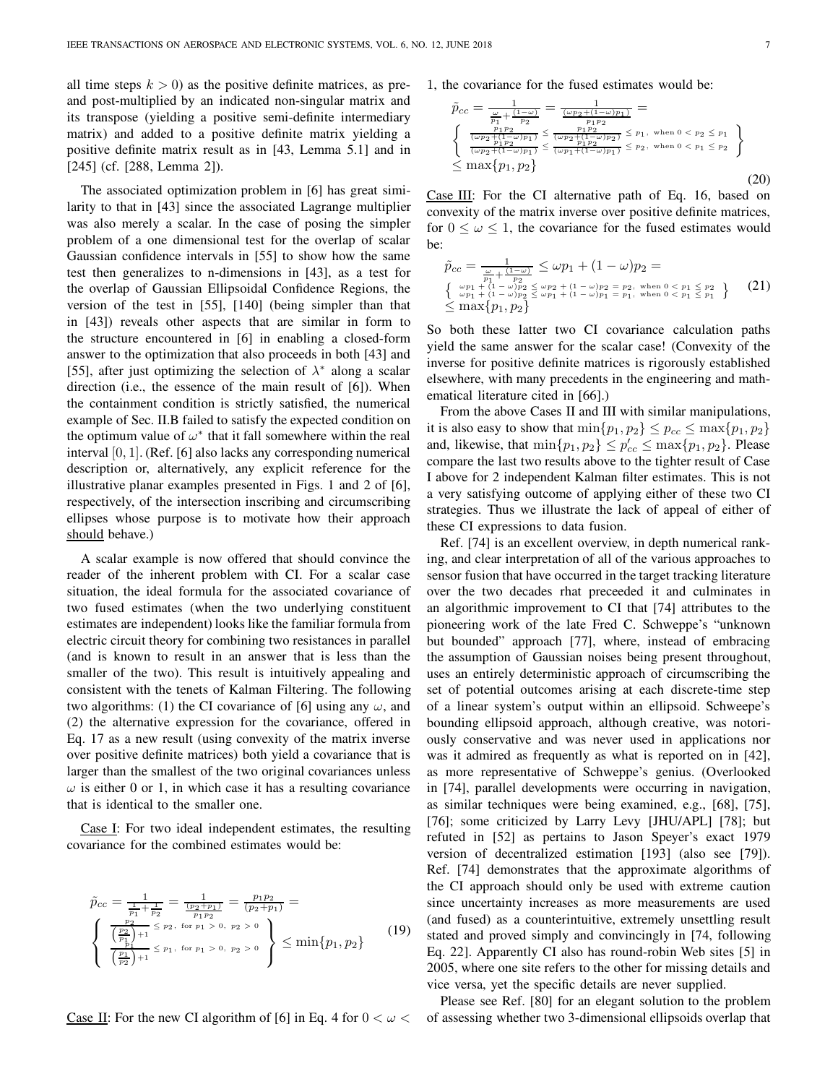all time steps  $k > 0$ ) as the positive definite matrices, as preand post-multiplied by an indicated non-singular matrix and its transpose (yielding a positive semi-definite intermediary matrix) and added to a positive definite matrix yielding a positive definite matrix result as in [43, Lemma 5.1] and in [245] (cf. [288, Lemma 2]).

The associated optimization problem in [6] has great similarity to that in [43] since the associated Lagrange multiplier was also merely a scalar. In the case of posing the simpler problem of a one dimensional test for the overlap of scalar Gaussian confidence intervals in [55] to show how the same test then generalizes to n-dimensions in [43], as a test for the overlap of Gaussian Ellipsoidal Confidence Regions, the version of the test in [55], [140] (being simpler than that in [43]) reveals other aspects that are similar in form to the structure encountered in [6] in enabling a closed-form answer to the optimization that also proceeds in both [43] and [55], after just optimizing the selection of  $\lambda^*$  along a scalar direction (i.e., the essence of the main result of [6]). When the containment condition is strictly satisfied, the numerical example of Sec. II.B failed to satisfy the expected condition on the optimum value of  $\omega^*$  that it fall somewhere within the real interval [0, 1]. (Ref. [6] also lacks any corresponding numerical description or, alternatively, any explicit reference for the illustrative planar examples presented in Figs. 1 and 2 of [6], respectively, of the intersection inscribing and circumscribing ellipses whose purpose is to motivate how their approach should behave.)

A scalar example is now offered that should convince the reader of the inherent problem with CI. For a scalar case situation, the ideal formula for the associated covariance of two fused estimates (when the two underlying constituent estimates are independent) looks like the familiar formula from electric circuit theory for combining two resistances in parallel (and is known to result in an answer that is less than the smaller of the two). This result is intuitively appealing and consistent with the tenets of Kalman Filtering. The following two algorithms: (1) the CI covariance of [6] using any  $\omega$ , and (2) the alternative expression for the covariance, offered in Eq. 17 as a new result (using convexity of the matrix inverse over positive definite matrices) both yield a covariance that is larger than the smallest of the two original covariances unless  $\omega$  is either 0 or 1, in which case it has a resulting covariance that is identical to the smaller one.

Case I: For two ideal independent estimates, the resulting covariance for the combined estimates would be:

$$
\tilde{p}_{cc} = \frac{1}{\frac{1}{p_1} + \frac{1}{p_2}} = \frac{1}{\frac{(p_2 + p_1)}{p_1 p_2}} = \frac{p_1 p_2}{(p_2 + p_1)} =
$$
\n
$$
\begin{cases}\n\frac{p_2}{\left(\frac{p_2}{p_1}\right) + 1} \leq p_2, \text{ for } p_1 > 0, \ p_2 > 0 \\
\frac{p_1}{\left(\frac{p_1}{p_2}\right) + 1} \leq p_1, \text{ for } p_1 > 0, \ p_2 > 0\n\end{cases} \geq \min\{p_1, p_2\}
$$
\n(19)

Case II: For the new CI algorithm of [6] in Eq. 4 for  $0 < \omega <$ 

1, the covariance for the fused estimates would be:

$$
\tilde{p}_{cc} = \frac{1}{\frac{\omega}{p_1} + \frac{(1-\omega)}{p_2}} = \frac{1}{\frac{(\omega p_2 + (1-\omega)p_1)}{p_1 p_2}} = \frac{\frac{p_1 p_2}{p_1 p_2}}{\frac{p_1 p_2}{(p_2 + (1-\omega)p_1)} \le \frac{p_1 p_2}{(p_2 + (1-\omega)p_1)} \le p_1, \text{ when } 0 < p_2 \le p_1} \left\{ \frac{\frac{p_1 p_2}{(p_2 + (1-\omega)p_1)} \le \frac{p_1 p_2}{(p_2 + (1-\omega)p_1)} \le p_2, \text{ when } 0 < p_1 \le p_2} {\frac{p_1 p_2}{(p_2 + (1-\omega)p_1)} \le p_2, \text{ when } 0 < p_1 \le p_2} \right\} \tag{20}
$$

Case III: For the CI alternative path of Eq. 16, based on convexity of the matrix inverse over positive definite matrices, for  $0 \leq \omega \leq 1$ , the covariance for the fused estimates would be:

$$
\tilde{p}_{cc} = \frac{1}{\frac{\omega p_1 + (1 - \omega)}{p_2}} \le \omega p_1 + (1 - \omega)p_2 =
$$
\n
$$
\left\{ \begin{array}{l} \omega p_1 + (1 - \omega)p_2 \le \omega p_2 + (1 - \omega)p_2 = p_2, \text{ when } 0 < p_1 \le p_2\\ \omega p_1 + (1 - \omega)p_2 \le \omega p_1 + (1 - \omega)p_1 = p_1, \text{ when } 0 < p_1 \le p_1\\ \le \max\{p_1, p_2\} \end{array} \right\}
$$
\n(21)

So both these latter two CI covariance calculation paths yield the same answer for the scalar case! (Convexity of the inverse for positive definite matrices is rigorously established elsewhere, with many precedents in the engineering and mathematical literature cited in [66].)

From the above Cases II and III with similar manipulations, it is also easy to show that  $\min\{p_1, p_2\} \leq p_{cc} \leq \max\{p_1, p_2\}$ and, likewise, that  $\min\{p_1, p_2\} \leq p'_{cc} \leq \max\{p_1, p_2\}$ . Please compare the last two results above to the tighter result of Case I above for 2 independent Kalman filter estimates. This is not a very satisfying outcome of applying either of these two CI strategies. Thus we illustrate the lack of appeal of either of these CI expressions to data fusion.

Ref. [74] is an excellent overview, in depth numerical ranking, and clear interpretation of all of the various approaches to sensor fusion that have occurred in the target tracking literature over the two decades rhat preceeded it and culminates in an algorithmic improvement to CI that [74] attributes to the pioneering work of the late Fred C. Schweppe's "unknown but bounded" approach [77], where, instead of embracing the assumption of Gaussian noises being present throughout, uses an entirely deterministic approach of circumscribing the set of potential outcomes arising at each discrete-time step of a linear system's output within an ellipsoid. Schweepe's bounding ellipsoid approach, although creative, was notoriously conservative and was never used in applications nor was it admired as frequently as what is reported on in [42], as more representative of Schweppe's genius. (Overlooked in [74], parallel developments were occurring in navigation, as similar techniques were being examined, e.g., [68], [75], [76]; some criticized by Larry Levy [JHU/APL] [78]; but refuted in [52] as pertains to Jason Speyer's exact 1979 version of decentralized estimation [193] (also see [79]). Ref. [74] demonstrates that the approximate algorithms of the CI approach should only be used with extreme caution since uncertainty increases as more measurements are used (and fused) as a counterintuitive, extremely unsettling result stated and proved simply and convincingly in [74, following Eq. 22]. Apparently CI also has round-robin Web sites [5] in 2005, where one site refers to the other for missing details and vice versa, yet the specific details are never supplied.

Please see Ref. [80] for an elegant solution to the problem of assessing whether two 3-dimensional ellipsoids overlap that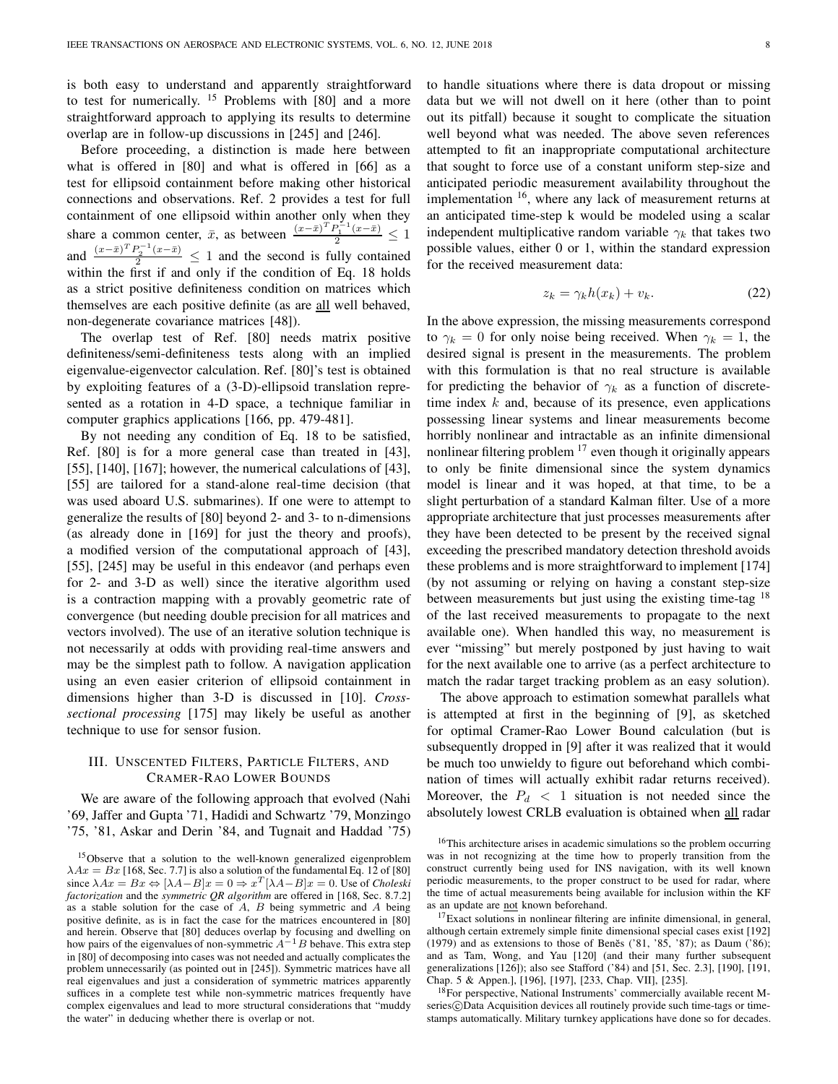is both easy to understand and apparently straightforward to test for numerically.  $15$  Problems with [80] and a more straightforward approach to applying its results to determine overlap are in follow-up discussions in [245] and [246].

Before proceeding, a distinction is made here between what is offered in [80] and what is offered in [66] as a test for ellipsoid containment before making other historical connections and observations. Ref. 2 provides a test for full containment of one ellipsoid within another only when they share a common center,  $\bar{x}$ , as between  $\frac{(x-\bar{x})^T P_1^{-1}(x-\bar{x})}{2} \leq 1$ and  $\frac{(x-\bar{x})^T P_2^{-1}(x-\bar{x})}{2} \leq 1$  and the second is fully contained within the first if and only if the condition of Eq. 18 holds as a strict positive definiteness condition on matrices which themselves are each positive definite (as are all well behaved, non-degenerate covariance matrices [48]).

The overlap test of Ref. [80] needs matrix positive definiteness/semi-definiteness tests along with an implied eigenvalue-eigenvector calculation. Ref. [80]'s test is obtained by exploiting features of a (3-D)-ellipsoid translation represented as a rotation in 4-D space, a technique familiar in computer graphics applications [166, pp. 479-481].

By not needing any condition of Eq. 18 to be satisfied, Ref. [80] is for a more general case than treated in [43], [55], [140], [167]; however, the numerical calculations of [43], [55] are tailored for a stand-alone real-time decision (that was used aboard U.S. submarines). If one were to attempt to generalize the results of [80] beyond 2- and 3- to n-dimensions (as already done in [169] for just the theory and proofs), a modified version of the computational approach of [43], [55], [245] may be useful in this endeavor (and perhaps even for 2- and 3-D as well) since the iterative algorithm used is a contraction mapping with a provably geometric rate of convergence (but needing double precision for all matrices and vectors involved). The use of an iterative solution technique is not necessarily at odds with providing real-time answers and may be the simplest path to follow. A navigation application using an even easier criterion of ellipsoid containment in dimensions higher than 3-D is discussed in [10]. Crosssectional processing [175] may likely be useful as another technique to use for sensor fusion.

# III. UNSCENTED FILTERS, PARTICLE FILTERS, AND CRAMER-RAO LOWER BOUNDS

We are aware of the following approach that evolved (Nahi '69, Jaffer and Gupta '71, Hadidi and Schwartz '79, Monzingo '75, '81, Askar and Derin '84, and Tugnait and Haddad '75) to handle situations where there is data dropout or missing data but we will not dwell on it here (other than to point out its pitfall) because it sought to complicate the situation well beyond what was needed. The above seven references attempted to fit an inappropriate computational architecture that sought to force use of a constant uniform step-size and anticipated periodic measurement availability throughout the implementation  $16$ , where any lack of measurement returns at an anticipated time-step k would be modeled using a scalar independent multiplicative random variable  $\gamma_k$  that takes two possible values, either 0 or 1, within the standard expression for the received measurement data:

$$
z_k = \gamma_k h(x_k) + v_k. \tag{22}
$$

In the above expression, the missing measurements correspond to  $\gamma_k = 0$  for only noise being received. When  $\gamma_k = 1$ , the desired signal is present in the measurements. The problem with this formulation is that no real structure is available for predicting the behavior of  $\gamma_k$  as a function of discretetime index  $k$  and, because of its presence, even applications possessing linear systems and linear measurements become horribly nonlinear and intractable as an infinite dimensional nonlinear filtering problem  $17$  even though it originally appears to only be finite dimensional since the system dynamics model is linear and it was hoped, at that time, to be a slight perturbation of a standard Kalman filter. Use of a more appropriate architecture that just processes measurements after they have been detected to be present by the received signal exceeding the prescribed mandatory detection threshold avoids these problems and is more straightforward to implement [174] (by not assuming or relying on having a constant step-size between measurements but just using the existing time-tag <sup>18</sup> of the last received measurements to propagate to the next available one). When handled this way, no measurement is ever "missing" but merely postponed by just having to wait for the next available one to arrive (as a perfect architecture to match the radar target tracking problem as an easy solution).

The above approach to estimation somewhat parallels what is attempted at first in the beginning of [9], as sketched for optimal Cramer-Rao Lower Bound calculation (but is subsequently dropped in [9] after it was realized that it would be much too unwieldy to figure out beforehand which combination of times will actually exhibit radar returns received). Moreover, the  $P_d < 1$  situation is not needed since the absolutely lowest CRLB evaluation is obtained when all radar

<sup>16</sup>This architecture arises in academic simulations so the problem occurring was in not recognizing at the time how to properly transition from the construct currently being used for INS navigation, with its well known periodic measurements, to the proper construct to be used for radar, where the time of actual measurements being available for inclusion within the KF as an update are not known beforehand.

<sup>18</sup>For perspective, National Instruments' commercially available recent Mseries C)Data Acquisition devices all routinely provide such time-tags or timestamps automatically. Military turnkey applications have done so for decades.

<sup>&</sup>lt;sup>15</sup>Observe that a solution to the well-known generalized eigenproblem  $\lambda Ax = Bx$  [168, Sec. 7.7] is also a solution of the fundamental Eq. 12 of [80] since  $\lambda Ax = Bx \Leftrightarrow [\lambda A - B]x = 0 \Rightarrow x^T [\lambda A - B]x = 0$ . Use of *Choleski* factorization and the symmetric QR algorithm are offered in [168, Sec. 8.7.2] as a stable solution for the case of  $A$ ,  $B$  being symmetric and  $A$  being positive definite, as is in fact the case for the matrices encountered in [80] and herein. Observe that [80] deduces overlap by focusing and dwelling on<br>how pairs of the eigenvalues of non-symmetric  $A^{-1}B$  behave. This extra step in [80] of decomposing into cases was not needed and actually complicates the problem unnecessarily (as pointed out in [245]). Symmetric matrices have all real eigenvalues and just a consideration of symmetric matrices apparently suffices in a complete test while non-symmetric matrices frequently have complex eigenvalues and lead to more structural considerations that "muddy the water" in deducing whether there is overlap or not.

<sup>&</sup>lt;sup>17</sup>Exact solutions in nonlinear filtering are infinite dimensional, in general, although certain extremely simple finite dimensional special cases exist [192] (1979) and as extensions to those of Beněs ('81, '85, '87); as Daum ('86); and as Tam, Wong, and Yau [120] (and their many further subsequent generalizations [126]); also see Stafford ('84) and [51, Sec. 2.3], [190], [191, Chap. 5 & Appen.], [196], [197], [233, Chap. VII], [235].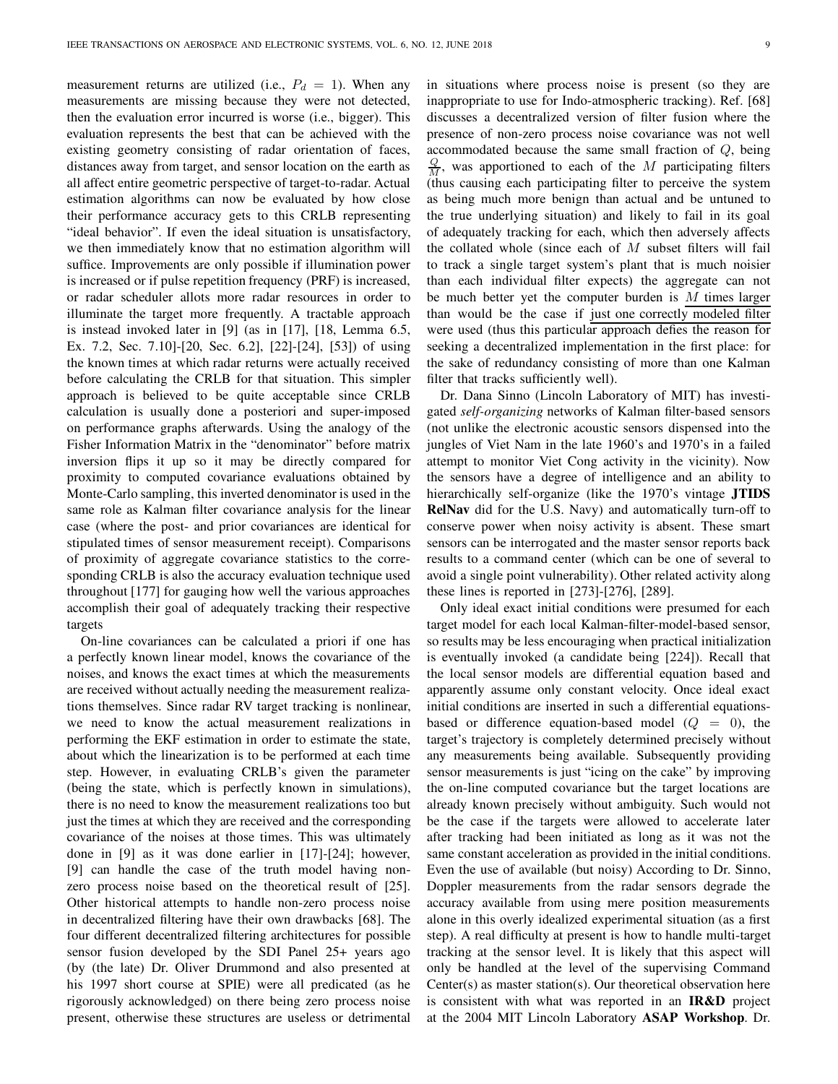measurement returns are utilized (i.e.,  $P_d = 1$ ). When any measurements are missing because they were not detected, then the evaluation error incurred is worse (i.e., bigger). This evaluation represents the best that can be achieved with the existing geometry consisting of radar orientation of faces, distances away from target, and sensor location on the earth as all affect entire geometric perspective of target-to-radar. Actual estimation algorithms can now be evaluated by how close their performance accuracy gets to this CRLB representing "ideal behavior". If even the ideal situation is unsatisfactory, we then immediately know that no estimation algorithm will suffice. Improvements are only possible if illumination power is increased or if pulse repetition frequency (PRF) is increased, or radar scheduler allots more radar resources in order to illuminate the target more frequently. A tractable approach is instead invoked later in [9] (as in [17], [18, Lemma 6.5, Ex. 7.2, Sec. 7.10]-[20, Sec. 6.2], [22]-[24], [53]) of using the known times at which radar returns were actually received before calculating the CRLB for that situation. This simpler approach is believed to be quite acceptable since CRLB calculation is usually done a posteriori and super-imposed on performance graphs afterwards. Using the analogy of the Fisher Information Matrix in the "denominator" before matrix inversion flips it up so it may be directly compared for proximity to computed covariance evaluations obtained by Monte-Carlo sampling, this inverted denominator is used in the same role as Kalman filter covariance analysis for the linear case (where the post- and prior covariances are identical for stipulated times of sensor measurement receipt). Comparisons of proximity of aggregate covariance statistics to the corresponding CRLB is also the accuracy evaluation technique used throughout [177] for gauging how well the various approaches accomplish their goal of adequately tracking their respective targets

On-line covariances can be calculated a priori if one has a perfectly known linear model, knows the covariance of the noises, and knows the exact times at which the measurements are received without actually needing the measurement realizations themselves. Since radar RV target tracking is nonlinear, we need to know the actual measurement realizations in performing the EKF estimation in order to estimate the state, about which the linearization is to be performed at each time step. However, in evaluating CRLB's given the parameter (being the state, which is perfectly known in simulations), there is no need to know the measurement realizations too but just the times at which they are received and the corresponding covariance of the noises at those times. This was ultimately done in [9] as it was done earlier in [17]-[24]; however, [9] can handle the case of the truth model having nonzero process noise based on the theoretical result of [25]. Other historical attempts to handle non-zero process noise in decentralized filtering have their own drawbacks [68]. The four different decentralized filtering architectures for possible sensor fusion developed by the SDI Panel 25+ years ago (by (the late) Dr. Oliver Drummond and also presented at his 1997 short course at SPIE) were all predicated (as he rigorously acknowledged) on there being zero process noise present, otherwise these structures are useless or detrimental

in situations where process noise is present (so they are inappropriate to use for Indo-atmospheric tracking). Ref. [68] discusses a decentralized version of filter fusion where the presence of non-zero process noise covariance was not well accommodated because the same small fraction of  $Q$ , being  $\frac{Q}{M}$ , was apportioned to each of the M participating filters (thus causing each participating filter to perceive the system as being much more benign than actual and be untuned to the true underlying situation) and likely to fail in its goal of adequately tracking for each, which then adversely affects the collated whole (since each of  $M$  subset filters will fail to track a single target system's plant that is much noisier than each individual filter expects) the aggregate can not be much better yet the computer burden is  $M$  times larger than would be the case if just one correctly modeled filter were used (thus this particular approach defies the reason for seeking a decentralized implementation in the first place: for the sake of redundancy consisting of more than one Kalman filter that tracks sufficiently well).

Dr. Dana Sinno (Lincoln Laboratory of MIT) has investigated self-organizing networks of Kalman filter-based sensors (not unlike the electronic acoustic sensors dispensed into the jungles of Viet Nam in the late 1960's and 1970's in a failed attempt to monitor Viet Cong activity in the vicinity). Now the sensors have a degree of intelligence and an ability to hierarchically self-organize (like the 1970's vintage **JTIDS** RelNav did for the U.S. Navy) and automatically turn-off to conserve power when noisy activity is absent. These smart sensors can be interrogated and the master sensor reports back results to a command center (which can be one of several to avoid a single point vulnerability). Other related activity along these lines is reported in [273]-[276], [289].

Only ideal exact initial conditions were presumed for each target model for each local Kalman-filter-model-based sensor, so results may be less encouraging when practical initialization is eventually invoked (a candidate being [224]). Recall that the local sensor models are differential equation based and apparently assume only constant velocity. Once ideal exact initial conditions are inserted in such a differential equationsbased or difference equation-based model  $(Q = 0)$ , the target's trajectory is completely determined precisely without any measurements being available. Subsequently providing sensor measurements is just "icing on the cake" by improving the on-line computed covariance but the target locations are already known precisely without ambiguity. Such would not be the case if the targets were allowed to accelerate later after tracking had been initiated as long as it was not the same constant acceleration as provided in the initial conditions. Even the use of available (but noisy) According to Dr. Sinno, Doppler measurements from the radar sensors degrade the accuracy available from using mere position measurements alone in this overly idealized experimental situation (as a first step). A real difficulty at present is how to handle multi-target tracking at the sensor level. It is likely that this aspect will only be handled at the level of the supervising Command Center(s) as master station(s). Our theoretical observation here is consistent with what was reported in an IR&D project at the 2004 MIT Lincoln Laboratory ASAP Workshop. Dr.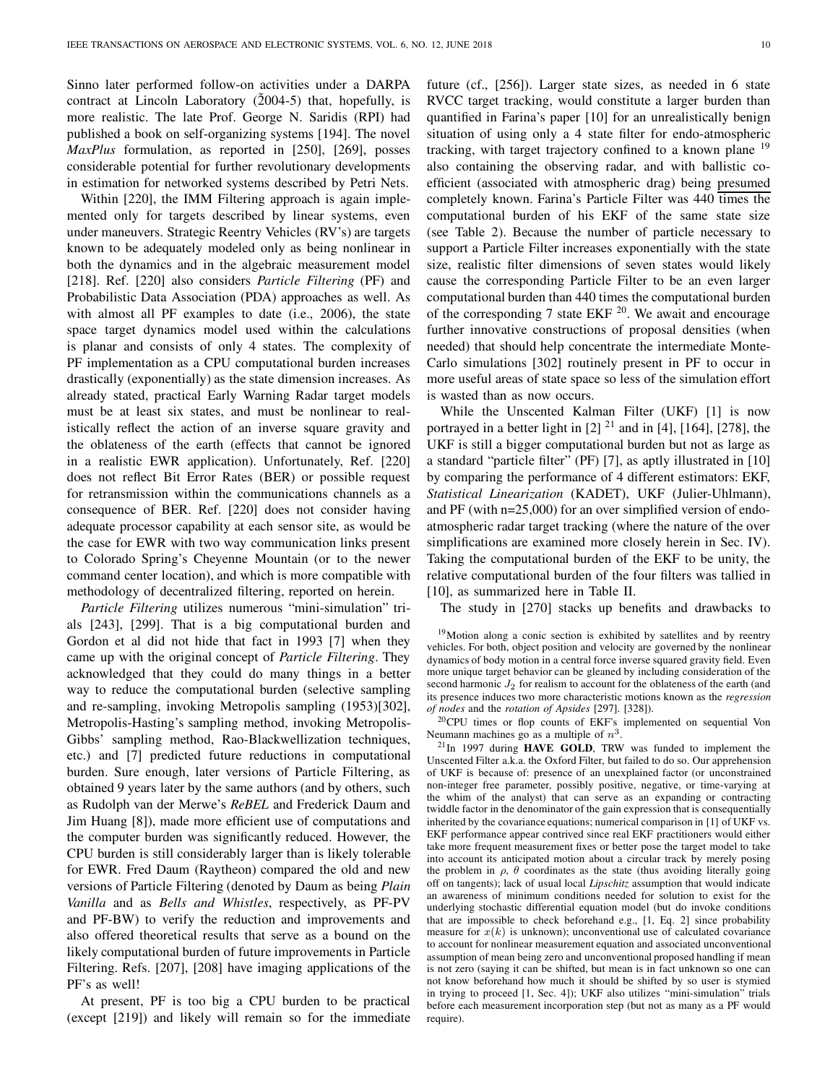Sinno later performed follow-on activities under a DARPA contract at Lincoln Laboratory  $(2004-5)$  that, hopefully, is more realistic. The late Prof. George N. Saridis (RPI) had published a book on self-organizing systems [194]. The novel MaxPlus formulation, as reported in [250], [269], posses considerable potential for further revolutionary developments in estimation for networked systems described by Petri Nets.

Within [220], the IMM Filtering approach is again implemented only for targets described by linear systems, even under maneuvers. Strategic Reentry Vehicles (RV's) are targets known to be adequately modeled only as being nonlinear in both the dynamics and in the algebraic measurement model [218]. Ref. [220] also considers Particle Filtering (PF) and Probabilistic Data Association (PDA) approaches as well. As with almost all PF examples to date (i.e., 2006), the state space target dynamics model used within the calculations is planar and consists of only 4 states. The complexity of PF implementation as a CPU computational burden increases drastically (exponentially) as the state dimension increases. As already stated, practical Early Warning Radar target models must be at least six states, and must be nonlinear to realistically reflect the action of an inverse square gravity and the oblateness of the earth (effects that cannot be ignored in a realistic EWR application). Unfortunately, Ref. [220] does not reflect Bit Error Rates (BER) or possible request for retransmission within the communications channels as a consequence of BER. Ref. [220] does not consider having adequate processor capability at each sensor site, as would be the case for EWR with two way communication links present to Colorado Spring's Cheyenne Mountain (or to the newer command center location), and which is more compatible with methodology of decentralized filtering, reported on herein.

Particle Filtering utilizes numerous "mini-simulation" trials [243], [299]. That is a big computational burden and Gordon et al did not hide that fact in 1993 [7] when they came up with the original concept of Particle Filtering. They acknowledged that they could do many things in a better way to reduce the computational burden (selective sampling and re-sampling, invoking Metropolis sampling (1953)[302], Metropolis-Hasting's sampling method, invoking Metropolis-Gibbs' sampling method, Rao-Blackwellization techniques, etc.) and [7] predicted future reductions in computational burden. Sure enough, later versions of Particle Filtering, as obtained 9 years later by the same authors (and by others, such as Rudolph van der Merwe's ReBEL and Frederick Daum and Jim Huang [8]), made more efficient use of computations and the computer burden was significantly reduced. However, the CPU burden is still considerably larger than is likely tolerable for EWR. Fred Daum (Raytheon) compared the old and new versions of Particle Filtering (denoted by Daum as being Plain Vanilla and as Bells and Whistles, respectively, as PF-PV and PF-BW) to verify the reduction and improvements and also offered theoretical results that serve as a bound on the likely computational burden of future improvements in Particle Filtering. Refs. [207], [208] have imaging applications of the PF's as well!

At present, PF is too big a CPU burden to be practical (except [219]) and likely will remain so for the immediate future (cf., [256]). Larger state sizes, as needed in 6 state RVCC target tracking, would constitute a larger burden than quantified in Farina's paper [10] for an unrealistically benign situation of using only a 4 state filter for endo-atmospheric tracking, with target trajectory confined to a known plane <sup>19</sup> also containing the observing radar, and with ballistic coefficient (associated with atmospheric drag) being presumed completely known. Farina's Particle Filter was 440 times the computational burden of his EKF of the same state size (see Table 2). Because the number of particle necessary to support a Particle Filter increases exponentially with the state size, realistic filter dimensions of seven states would likely cause the corresponding Particle Filter to be an even larger computational burden than 440 times the computational burden of the corresponding 7 state EKF  $^{20}$ . We await and encourage further innovative constructions of proposal densities (when needed) that should help concentrate the intermediate Monte-Carlo simulations [302] routinely present in PF to occur in more useful areas of state space so less of the simulation effort is wasted than as now occurs.

While the Unscented Kalman Filter (UKF) [1] is now portrayed in a better light in  $[2]$ <sup>21</sup> and in  $[4]$ ,  $[164]$ ,  $[278]$ , the UKF is still a bigger computational burden but not as large as a standard "particle filter" (PF) [7], as aptly illustrated in [10] by comparing the performance of 4 different estimators: EKF, Statistical Linearization (KADET), UKF (Julier-Uhlmann), and PF (with n=25,000) for an over simplified version of endoatmospheric radar target tracking (where the nature of the over simplifications are examined more closely herein in Sec. IV). Taking the computational burden of the EKF to be unity, the relative computational burden of the four filters was tallied in [10], as summarized here in Table II.

The study in [270] stacks up benefits and drawbacks to

<sup>19</sup>Motion along a conic section is exhibited by satellites and by reentry vehicles. For both, object position and velocity are governed by the nonlinear dynamics of body motion in a central force inverse squared gravity field. Even more unique target behavior can be gleaned by including consideration of the second harmonic  $J_2$  for realism to account for the oblateness of the earth (and its presence induces two more characteristic motions known as the regression of nodes and the rotation of Apsides [297]. [328]).

<sup>20</sup>CPU times or flop counts of EKF's implemented on sequential Von Neumann machines go as a multiple of  $n^3$ .

 $^{21}$ In 1997 during HAVE GOLD, TRW was funded to implement the Unscented Filter a.k.a. the Oxford Filter, but failed to do so. Our apprehension of UKF is because of: presence of an unexplained factor (or unconstrained non-integer free parameter, possibly positive, negative, or time-varying at the whim of the analyst) that can serve as an expanding or contracting twiddle factor in the denominator of the gain expression that is consequentially inherited by the covariance equations; numerical comparison in [1] of UKF vs. EKF performance appear contrived since real EKF practitioners would either take more frequent measurement fixes or better pose the target model to take into account its anticipated motion about a circular track by merely posing the problem in  $\rho$ ,  $\theta$  coordinates as the state (thus avoiding literally going off on tangents); lack of usual local Lipschitz assumption that would indicate an awareness of minimum conditions needed for solution to exist for the underlying stochastic differential equation model (but do invoke conditions that are impossible to check beforehand e.g., [1, Eq. 2] since probability measure for  $x(k)$  is unknown); unconventional use of calculated covariance to account for nonlinear measurement equation and associated unconventional assumption of mean being zero and unconventional proposed handling if mean is not zero (saying it can be shifted, but mean is in fact unknown so one can not know beforehand how much it should be shifted by so user is stymied in trying to proceed [1, Sec. 4]); UKF also utilizes "mini-simulation" trials before each measurement incorporation step (but not as many as a PF would require).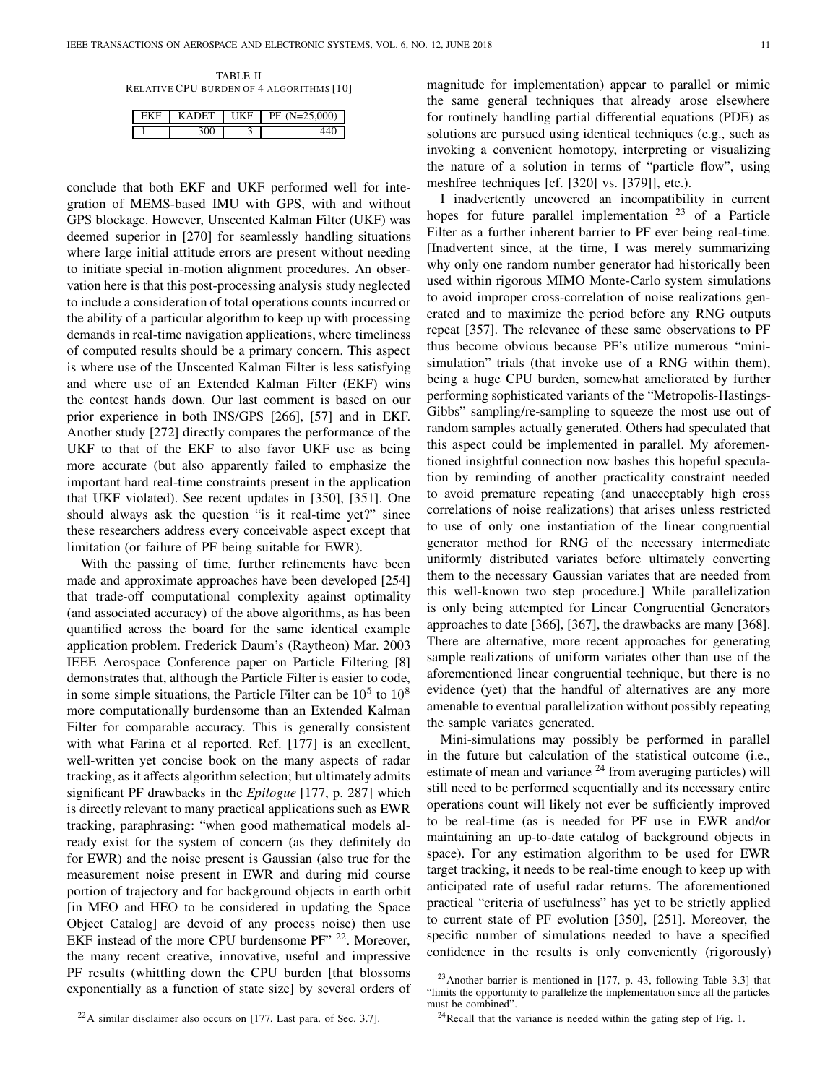TABLE II RELATIVE CPU BURDEN OF 4 ALGORITHMS [10]

|   | īΚ<br>Е |  |
|---|---------|--|
| ີ |         |  |

conclude that both EKF and UKF performed well for integration of MEMS-based IMU with GPS, with and without GPS blockage. However, Unscented Kalman Filter (UKF) was deemed superior in [270] for seamlessly handling situations where large initial attitude errors are present without needing to initiate special in-motion alignment procedures. An observation here is that this post-processing analysis study neglected to include a consideration of total operations counts incurred or the ability of a particular algorithm to keep up with processing demands in real-time navigation applications, where timeliness of computed results should be a primary concern. This aspect is where use of the Unscented Kalman Filter is less satisfying and where use of an Extended Kalman Filter (EKF) wins the contest hands down. Our last comment is based on our prior experience in both INS/GPS [266], [57] and in EKF. Another study [272] directly compares the performance of the UKF to that of the EKF to also favor UKF use as being more accurate (but also apparently failed to emphasize the important hard real-time constraints present in the application that UKF violated). See recent updates in [350], [351]. One should always ask the question "is it real-time yet?" since these researchers address every conceivable aspect except that limitation (or failure of PF being suitable for EWR).

With the passing of time, further refinements have been made and approximate approaches have been developed [254] that trade-off computational complexity against optimality (and associated accuracy) of the above algorithms, as has been quantified across the board for the same identical example application problem. Frederick Daum's (Raytheon) Mar. 2003 IEEE Aerospace Conference paper on Particle Filtering [8] demonstrates that, although the Particle Filter is easier to code, in some simple situations, the Particle Filter can be  $10^5$  to  $10^8$ more computationally burdensome than an Extended Kalman Filter for comparable accuracy. This is generally consistent with what Farina et al reported. Ref. [177] is an excellent, well-written yet concise book on the many aspects of radar tracking, as it affects algorithm selection; but ultimately admits significant PF drawbacks in the *Epilogue* [177, p. 287] which is directly relevant to many practical applications such as EWR tracking, paraphrasing: "when good mathematical models already exist for the system of concern (as they definitely do for EWR) and the noise present is Gaussian (also true for the measurement noise present in EWR and during mid course portion of trajectory and for background objects in earth orbit [in MEO and HEO to be considered in updating the Space Object Catalog] are devoid of any process noise) then use EKF instead of the more CPU burdensome PF" <sup>22</sup>. Moreover, the many recent creative, innovative, useful and impressive PF results (whittling down the CPU burden [that blossoms exponentially as a function of state size] by several orders of

<sup>22</sup>A similar disclaimer also occurs on [177, Last para. of Sec. 3.7].

magnitude for implementation) appear to parallel or mimic the same general techniques that already arose elsewhere for routinely handling partial differential equations (PDE) as solutions are pursued using identical techniques (e.g., such as invoking a convenient homotopy, interpreting or visualizing the nature of a solution in terms of "particle flow", using meshfree techniques [cf. [320] vs. [379]], etc.).

I inadvertently uncovered an incompatibility in current hopes for future parallel implementation  $23$  of a Particle Filter as a further inherent barrier to PF ever being real-time. [Inadvertent since, at the time, I was merely summarizing why only one random number generator had historically been used within rigorous MIMO Monte-Carlo system simulations to avoid improper cross-correlation of noise realizations generated and to maximize the period before any RNG outputs repeat [357]. The relevance of these same observations to PF thus become obvious because PF's utilize numerous "minisimulation" trials (that invoke use of a RNG within them), being a huge CPU burden, somewhat ameliorated by further performing sophisticated variants of the "Metropolis-Hastings-Gibbs" sampling/re-sampling to squeeze the most use out of random samples actually generated. Others had speculated that this aspect could be implemented in parallel. My aforementioned insightful connection now bashes this hopeful speculation by reminding of another practicality constraint needed to avoid premature repeating (and unacceptably high cross correlations of noise realizations) that arises unless restricted to use of only one instantiation of the linear congruential generator method for RNG of the necessary intermediate uniformly distributed variates before ultimately converting them to the necessary Gaussian variates that are needed from this well-known two step procedure.] While parallelization is only being attempted for Linear Congruential Generators approaches to date [366], [367], the drawbacks are many [368]. There are alternative, more recent approaches for generating sample realizations of uniform variates other than use of the aforementioned linear congruential technique, but there is no evidence (yet) that the handful of alternatives are any more amenable to eventual parallelization without possibly repeating the sample variates generated.

Mini-simulations may possibly be performed in parallel in the future but calculation of the statistical outcome (i.e., estimate of mean and variance  $24$  from averaging particles) will still need to be performed sequentially and its necessary entire operations count will likely not ever be sufficiently improved to be real-time (as is needed for PF use in EWR and/or maintaining an up-to-date catalog of background objects in space). For any estimation algorithm to be used for EWR target tracking, it needs to be real-time enough to keep up with anticipated rate of useful radar returns. The aforementioned practical "criteria of usefulness" has yet to be strictly applied to current state of PF evolution [350], [251]. Moreover, the specific number of simulations needed to have a specified confidence in the results is only conveniently (rigorously)

 $23$ Another barrier is mentioned in [177, p. 43, following Table 3.3] that "limits the opportunity to parallelize the implementation since all the particles must be combined".

 $24$ Recall that the variance is needed within the gating step of Fig. 1.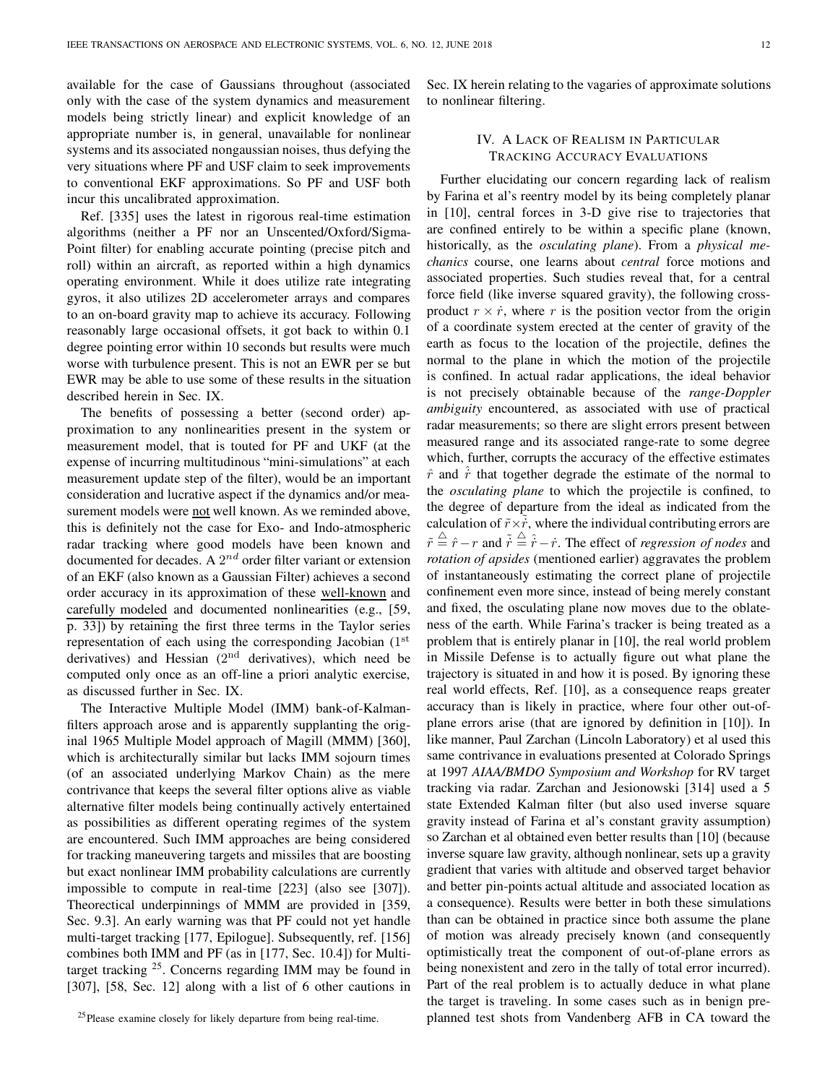available for the case of Gaussians throughout (associated only with the case of the system dynamics and measurement models being strictly linear) and explicit knowledge of an appropriate number is, in general, unavailable for nonlinear systems and its associated nongaussian noises, thus defying the very situations where PF and USF claim to seek improvements to conventional EKF approximations. So PF and USF both incur this uncalibrated approximation.

Ref. [335] uses the latest in rigorous real-time estimation algorithms (neither a PF nor an Unscented/Oxford/Sigma-Point filter) for enabling accurate pointing (precise pitch and roll) within an aircraft, as reported within a high dynamics operating environment. While it does utilize rate integrating gyros, it also utilizes 2D accelerometer arrays and compares to an on-board gravity map to achieve its accuracy. Following reasonably large occasional offsets, it got back to within 0.1 degree pointing error within 10 seconds but results were much worse with turbulence present. This is not an EWR per se but EWR may be able to use some of these results in the situation described herein in Sec. IX.

The benefits of possessing a better (second order) approximation to any nonlinearities present in the system or measurement model, that is touted for PF and UKF (at the expense of incurring multitudinous "mini-simulations" at each measurement update step of the filter), would be an important consideration and lucrative aspect if the dynamics and/or measurement models were not well known. As we reminded above, this is definitely not the case for Exo- and Indo-atmospheric radar tracking where good models have been known and documented for decades. A  $2^{nd}$  order filter variant or extension of an EKF (also known as a Gaussian Filter) achieves a second order accuracy in its approximation of these well-known and carefully modeled and documented nonlinearities (e.g., [59, p. 33]) by retaining the first three terms in the Taylor series representation of each using the corresponding Jacobian (1st derivatives) and Hessian  $(2<sup>nd</sup>$  derivatives), which need be computed only once as an off-line a priori analytic exercise, as discussed further in Sec. IX.

The Interactive Multiple Model (IMM) bank-of-Kalmanfilters approach arose and is apparently supplanting the original 1965 Multiple Model approach of Magill (MMM) [360], which is architecturally similar but lacks IMM sojourn times (of an associated underlying Markov Chain) as the mere contrivance that keeps the several filter options alive as viable alternative filter models being continually actively entertained as possibilities as different operating regimes of the system are encountered. Such IMM approaches are being considered for tracking maneuvering targets and missiles that are boosting but exact nonlinear IMM probability calculations are currently impossible to compute in real-time [223] (also see [307]). Theorectical underpinnings of MMM are provided in [359, Sec. 9.3]. An early warning was that PF could not yet handle multi-target tracking [177, Epilogue]. Subsequently, ref. [156] combines both IMM and PF (as in [177, Sec. 10.4]) for Multitarget tracking  $25$ . Concerns regarding IMM may be found in [307], [58, Sec. 12] along with a list of 6 other cautions in

Sec. IX herein relating to the vagaries of approximate solutions to nonlinear filtering.

## IV. A LACK OF REALISM IN PARTICULAR TRACKING ACCURACY EVALUATIONS

Further elucidating our concern regarding lack of realism by Farina et al's reentry model by its being completely planar in [10], central forces in 3-D give rise to trajectories that are confined entirely to be within a specific plane (known, historically, as the *osculating plane*). From a *physical me*chanics course, one learns about central force motions and associated properties. Such studies reveal that, for a central force field (like inverse squared gravity), the following crossproduct  $r \times \dot{r}$ , where r is the position vector from the origin of a coordinate system erected at the center of gravity of the earth as focus to the location of the projectile, defines the normal to the plane in which the motion of the projectile is confined. In actual radar applications, the ideal behavior is not precisely obtainable because of the range-Doppler ambiguity encountered, as associated with use of practical radar measurements; so there are slight errors present between measured range and its associated range-rate to some degree which, further, corrupts the accuracy of the effective estimates  $\hat{r}$  and  $\hat{r}$  that together degrade the estimate of the normal to the osculating plane to which the projectile is confined, to the degree of departure from the ideal as indicated from the calculation of  $\tilde{r} \times \tilde{r}$ , where the individual contributing errors are  $\tilde{r} \stackrel{\triangle}{=} \hat{r} - r$  and  $\tilde{r} \stackrel{\triangle}{=} \hat{r} - \hat{r}$ . The effect of *regression of nodes* and rotation of apsides (mentioned earlier) aggravates the problem of instantaneously estimating the correct plane of projectile confinement even more since, instead of being merely constant and fixed, the osculating plane now moves due to the oblateness of the earth. While Farina's tracker is being treated as a problem that is entirely planar in [10], the real world problem in Missile Defense is to actually figure out what plane the trajectory is situated in and how it is posed. By ignoring these real world effects, Ref. [10], as a consequence reaps greater accuracy than is likely in practice, where four other out-ofplane errors arise (that are ignored by definition in [10]). In like manner, Paul Zarchan (Lincoln Laboratory) et al used this same contrivance in evaluations presented at Colorado Springs at 1997 AIAA/BMDO Symposium and Workshop for RV target tracking via radar. Zarchan and Jesionowski [314] used a 5 state Extended Kalman filter (but also used inverse square gravity instead of Farina et al's constant gravity assumption) so Zarchan et al obtained even better results than [10] (because inverse square law gravity, although nonlinear, sets up a gravity gradient that varies with altitude and observed target behavior and better pin-points actual altitude and associated location as a consequence). Results were better in both these simulations than can be obtained in practice since both assume the plane of motion was already precisely known (and consequently optimistically treat the component of out-of-plane errors as being nonexistent and zero in the tally of total error incurred). Part of the real problem is to actually deduce in what plane the target is traveling. In some cases such as in benign preplanned test shots from Vandenberg AFB in CA toward the

<sup>&</sup>lt;sup>25</sup>Please examine closely for likely departure from being real-time.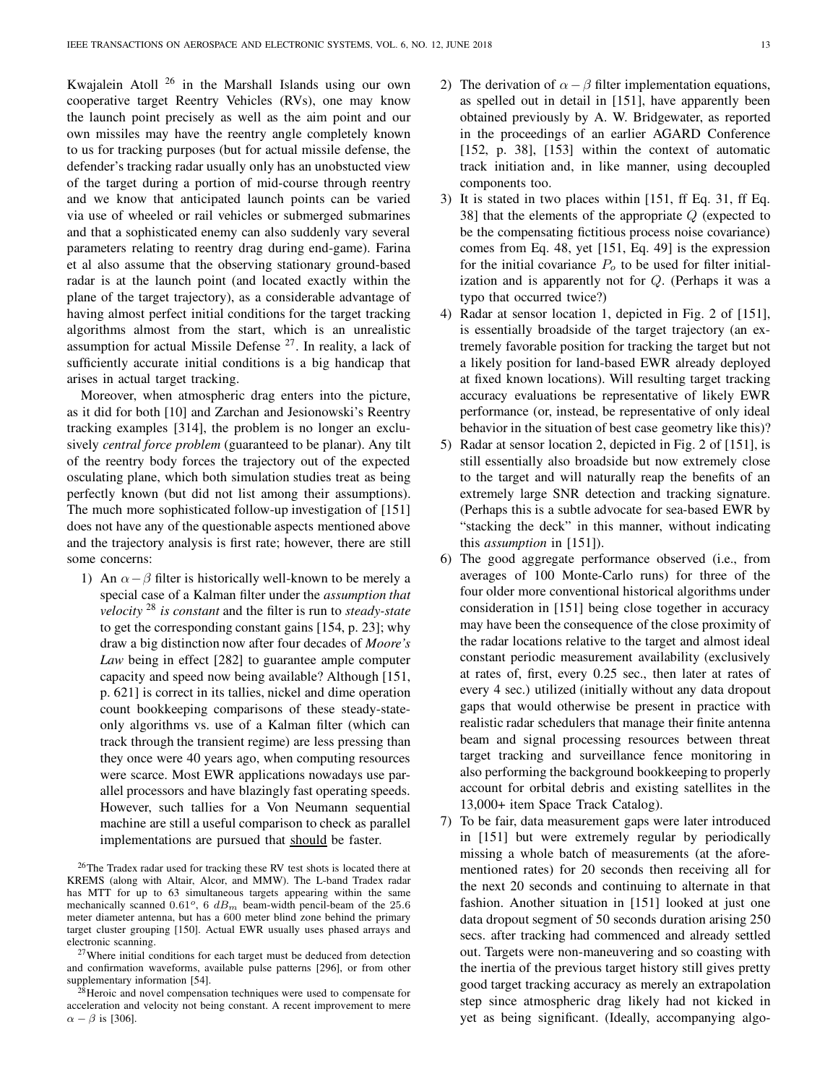Kwajalein Atoll <sup>26</sup> in the Marshall Islands using our own cooperative target Reentry Vehicles (RVs), one may know the launch point precisely as well as the aim point and our own missiles may have the reentry angle completely known to us for tracking purposes (but for actual missile defense, the defender's tracking radar usually only has an unobstucted view of the target during a portion of mid-course through reentry and we know that anticipated launch points can be varied via use of wheeled or rail vehicles or submerged submarines and that a sophisticated enemy can also suddenly vary several parameters relating to reentry drag during end-game). Farina et al also assume that the observing stationary ground-based radar is at the launch point (and located exactly within the plane of the target trajectory), as a considerable advantage of having almost perfect initial conditions for the target tracking algorithms almost from the start, which is an unrealistic assumption for actual Missile Defense  $27$ . In reality, a lack of sufficiently accurate initial conditions is a big handicap that arises in actual target tracking.

Moreover, when atmospheric drag enters into the picture, as it did for both [10] and Zarchan and Jesionowski's Reentry tracking examples [314], the problem is no longer an exclusively *central force problem* (guaranteed to be planar). Any tilt of the reentry body forces the trajectory out of the expected osculating plane, which both simulation studies treat as being perfectly known (but did not list among their assumptions). The much more sophisticated follow-up investigation of [151] does not have any of the questionable aspects mentioned above and the trajectory analysis is first rate; however, there are still some concerns:

1) An  $\alpha - \beta$  filter is historically well-known to be merely a special case of a Kalman filter under the assumption that velocity  $^{28}$  is constant and the filter is run to steady-state to get the corresponding constant gains [154, p. 23]; why draw a big distinction now after four decades of Moore's Law being in effect [282] to guarantee ample computer capacity and speed now being available? Although [151, p. 621] is correct in its tallies, nickel and dime operation count bookkeeping comparisons of these steady-stateonly algorithms vs. use of a Kalman filter (which can track through the transient regime) are less pressing than they once were 40 years ago, when computing resources were scarce. Most EWR applications nowadays use parallel processors and have blazingly fast operating speeds. However, such tallies for a Von Neumann sequential machine are still a useful comparison to check as parallel implementations are pursued that should be faster.

<sup>26</sup>The Tradex radar used for tracking these RV test shots is located there at KREMS (along with Altair, Alcor, and MMW). The L-band Tradex radar has MTT for up to 63 simultaneous targets appearing within the same mechanically scanned 0.61<sup>o</sup>, 6  $dB_m$  beam-width pencil-beam of the 25.6 meter diameter antenna, but has a 600 meter blind zone behind the primary target cluster grouping [150]. Actual EWR usually uses phased arrays and electronic scanning.

 $27$ Where initial conditions for each target must be deduced from detection and confirmation waveforms, available pulse patterns [296], or from other supplementary information [54].

<sup>28</sup>Heroic and novel compensation techniques were used to compensate for acceleration and velocity not being constant. A recent improvement to mere  $\alpha - \beta$  is [306].

- 2) The derivation of  $\alpha \beta$  filter implementation equations, as spelled out in detail in [151], have apparently been obtained previously by A. W. Bridgewater, as reported in the proceedings of an earlier AGARD Conference [152, p. 38], [153] within the context of automatic track initiation and, in like manner, using decoupled components too.
- 3) It is stated in two places within [151, ff Eq. 31, ff Eq. 38] that the elements of the appropriate  $Q$  (expected to be the compensating fictitious process noise covariance) comes from Eq. 48, yet [151, Eq. 49] is the expression for the initial covariance  $P<sub>o</sub>$  to be used for filter initialization and is apparently not for Q. (Perhaps it was a typo that occurred twice?)
- 4) Radar at sensor location 1, depicted in Fig. 2 of [151], is essentially broadside of the target trajectory (an extremely favorable position for tracking the target but not a likely position for land-based EWR already deployed at fixed known locations). Will resulting target tracking accuracy evaluations be representative of likely EWR performance (or, instead, be representative of only ideal behavior in the situation of best case geometry like this)?
- 5) Radar at sensor location 2, depicted in Fig. 2 of [151], is still essentially also broadside but now extremely close to the target and will naturally reap the benefits of an extremely large SNR detection and tracking signature. (Perhaps this is a subtle advocate for sea-based EWR by "stacking the deck" in this manner, without indicating this assumption in [151]).
- 6) The good aggregate performance observed (i.e., from averages of 100 Monte-Carlo runs) for three of the four older more conventional historical algorithms under consideration in [151] being close together in accuracy may have been the consequence of the close proximity of the radar locations relative to the target and almost ideal constant periodic measurement availability (exclusively at rates of, first, every 0.25 sec., then later at rates of every 4 sec.) utilized (initially without any data dropout gaps that would otherwise be present in practice with realistic radar schedulers that manage their finite antenna beam and signal processing resources between threat target tracking and surveillance fence monitoring in also performing the background bookkeeping to properly account for orbital debris and existing satellites in the 13,000+ item Space Track Catalog).
- 7) To be fair, data measurement gaps were later introduced in [151] but were extremely regular by periodically missing a whole batch of measurements (at the aforementioned rates) for 20 seconds then receiving all for the next 20 seconds and continuing to alternate in that fashion. Another situation in [151] looked at just one data dropout segment of 50 seconds duration arising 250 secs. after tracking had commenced and already settled out. Targets were non-maneuvering and so coasting with the inertia of the previous target history still gives pretty good target tracking accuracy as merely an extrapolation step since atmospheric drag likely had not kicked in yet as being significant. (Ideally, accompanying algo-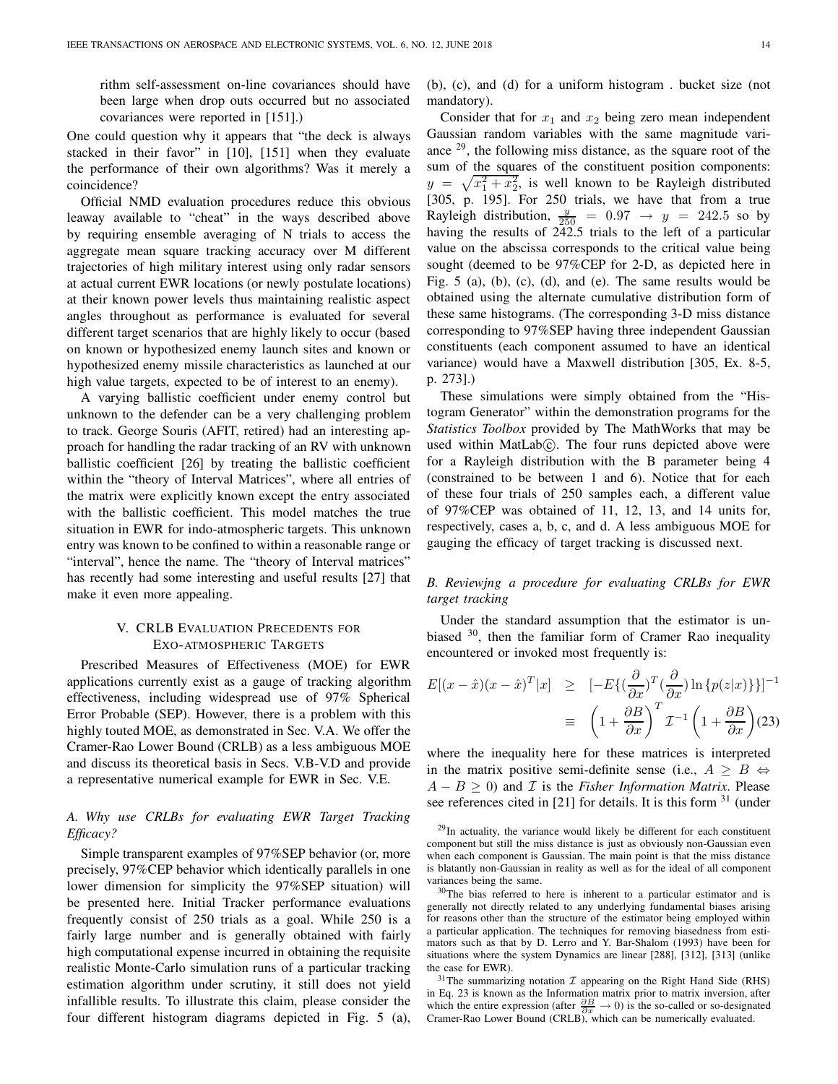rithm self-assessment on-line covariances should have been large when drop outs occurred but no associated covariances were reported in [151].)

One could question why it appears that "the deck is always stacked in their favor" in [10], [151] when they evaluate the performance of their own algorithms? Was it merely a coincidence?

Official NMD evaluation procedures reduce this obvious leaway available to "cheat" in the ways described above by requiring ensemble averaging of N trials to access the aggregate mean square tracking accuracy over M different trajectories of high military interest using only radar sensors at actual current EWR locations (or newly postulate locations) at their known power levels thus maintaining realistic aspect angles throughout as performance is evaluated for several different target scenarios that are highly likely to occur (based on known or hypothesized enemy launch sites and known or hypothesized enemy missile characteristics as launched at our high value targets, expected to be of interest to an enemy).

A varying ballistic coefficient under enemy control but unknown to the defender can be a very challenging problem to track. George Souris (AFIT, retired) had an interesting approach for handling the radar tracking of an RV with unknown ballistic coefficient [26] by treating the ballistic coefficient within the "theory of Interval Matrices", where all entries of the matrix were explicitly known except the entry associated with the ballistic coefficient. This model matches the true situation in EWR for indo-atmospheric targets. This unknown entry was known to be confined to within a reasonable range or "interval", hence the name. The "theory of Interval matrices" has recently had some interesting and useful results [27] that make it even more appealing.

# V. CRLB EVALUATION PRECEDENTS FOR EXO-ATMOSPHERIC TARGETS

Prescribed Measures of Effectiveness (MOE) for EWR applications currently exist as a gauge of tracking algorithm effectiveness, including widespread use of 97% Spherical Error Probable (SEP). However, there is a problem with this highly touted MOE, as demonstrated in Sec. V.A. We offer the Cramer-Rao Lower Bound (CRLB) as a less ambiguous MOE and discuss its theoretical basis in Secs. V.B-V.D and provide a representative numerical example for EWR in Sec. V.E.

# A. Why use CRLBs for evaluating EWR Target Tracking Efficacy?

Simple transparent examples of 97%SEP behavior (or, more precisely, 97%CEP behavior which identically parallels in one lower dimension for simplicity the 97%SEP situation) will be presented here. Initial Tracker performance evaluations frequently consist of 250 trials as a goal. While 250 is a fairly large number and is generally obtained with fairly high computational expense incurred in obtaining the requisite realistic Monte-Carlo simulation runs of a particular tracking estimation algorithm under scrutiny, it still does not yield infallible results. To illustrate this claim, please consider the four different histogram diagrams depicted in Fig. 5 (a),

(b), (c), and (d) for a uniform histogram . bucket size (not mandatory).

Consider that for  $x_1$  and  $x_2$  being zero mean independent Gaussian random variables with the same magnitude variance <sup>29</sup>, the following miss distance, as the square root of the sum of the squares of the constituent position components:  $y = \sqrt{x_1^2 + x_2^2}$ , is well known to be Rayleigh distributed [305, p. 195]. For 250 trials, we have that from a true Rayleigh distribution,  $\frac{y}{250}$  = 0.97  $\rightarrow$  y = 242.5 so by having the results of 242.5 trials to the left of a particular value on the abscissa corresponds to the critical value being sought (deemed to be 97%CEP for 2-D, as depicted here in Fig. 5 (a), (b), (c), (d), and (e). The same results would be obtained using the alternate cumulative distribution form of these same histograms. (The corresponding 3-D miss distance corresponding to 97%SEP having three independent Gaussian constituents (each component assumed to have an identical variance) would have a Maxwell distribution [305, Ex. 8-5, p. 273].)

These simulations were simply obtained from the "Histogram Generator" within the demonstration programs for the Statistics Toolbox provided by The MathWorks that may be used within MatLab $\circ$ . The four runs depicted above were for a Rayleigh distribution with the B parameter being 4 (constrained to be between 1 and 6). Notice that for each of these four trials of 250 samples each, a different value of 97%CEP was obtained of 11, 12, 13, and 14 units for, respectively, cases a, b, c, and d. A less ambiguous MOE for gauging the efficacy of target tracking is discussed next.

# B. Reviewjng a procedure for evaluating CRLBs for EWR target tracking

Under the standard assumption that the estimator is unbiased <sup>30</sup>, then the familiar form of Cramer Rao inequality encountered or invoked most frequently is:

$$
E[(x - \hat{x})(x - \hat{x})^T | x] \geq [-E\{(\frac{\partial}{\partial x})^T (\frac{\partial}{\partial x}) \ln \{p(z|x)\} \}]^{-1}
$$

$$
\equiv \left(1 + \frac{\partial B}{\partial x}\right)^T \mathcal{I}^{-1} \left(1 + \frac{\partial B}{\partial x}\right) (23)
$$

where the inequality here for these matrices is interpreted in the matrix positive semi-definite sense (i.e.,  $A > B \Leftrightarrow$  $A - B > 0$ ) and *I* is the *Fisher Information Matrix*. Please see references cited in [21] for details. It is this form  $31$  (under

 $29$ In actuality, the variance would likely be different for each constituent component but still the miss distance is just as obviously non-Gaussian even when each component is Gaussian. The main point is that the miss distance is blatantly non-Gaussian in reality as well as for the ideal of all component variances being the same.

<sup>30</sup>The bias referred to here is inherent to a particular estimator and is generally not directly related to any underlying fundamental biases arising for reasons other than the structure of the estimator being employed within a particular application. The techniques for removing biasedness from estimators such as that by D. Lerro and Y. Bar-Shalom (1993) have been for situations where the system Dynamics are linear [288], [312], [313] (unlike the case for EWR).

 $31$ The summarizing notation  $I$  appearing on the Right Hand Side (RHS) in Eq. 23 is known as the Information matrix prior to matrix inversion, after which the entire expression (after  $\frac{\partial B}{\partial x} \to 0$ ) is the so-called or so-designated Cramer-Rao Lower Bound (CRLB), which can be numerically evaluated.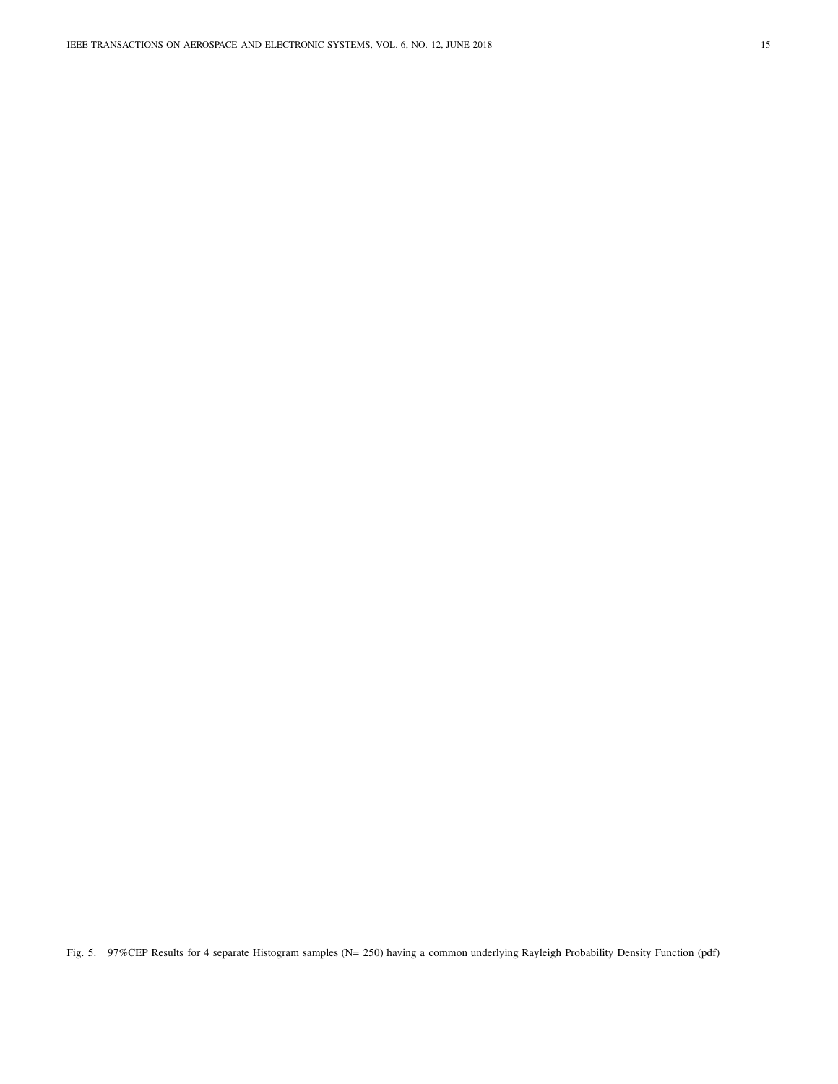Fig. 5. 97%CEP Results for 4 separate Histogram samples (N= 250) having a common underlying Rayleigh Probability Density Function (pdf)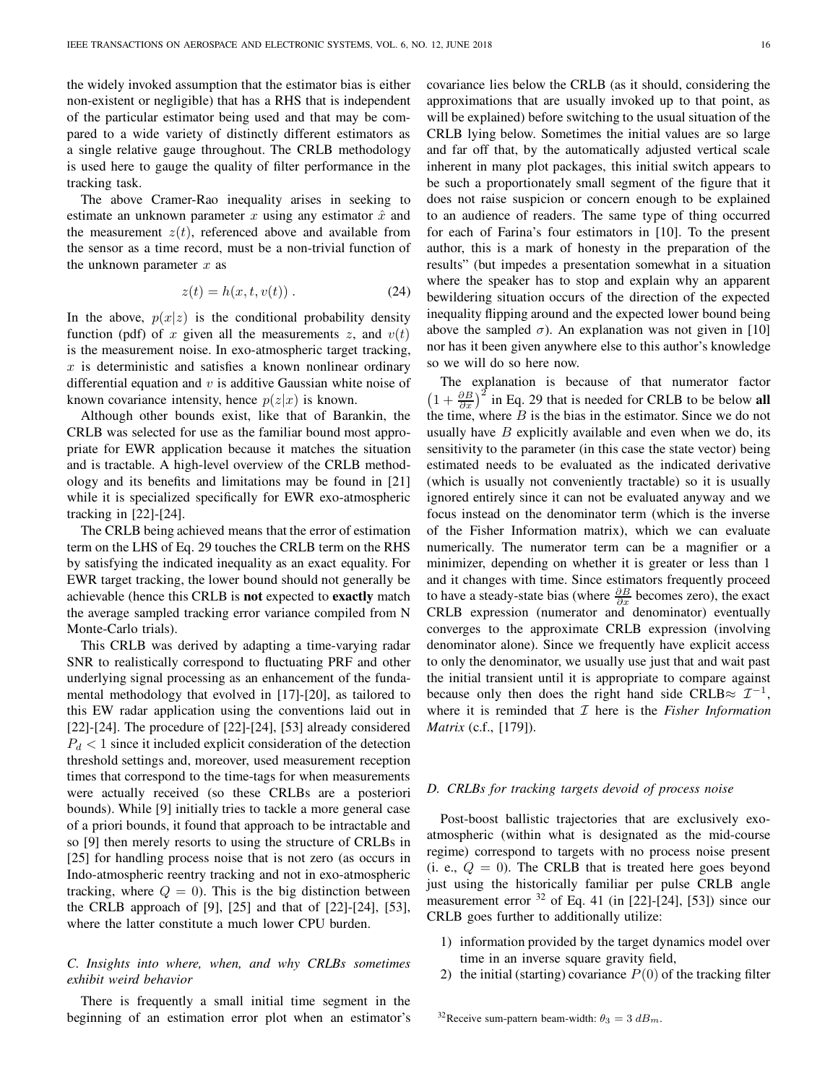the widely invoked assumption that the estimator bias is either non-existent or negligible) that has a RHS that is independent of the particular estimator being used and that may be compared to a wide variety of distinctly different estimators as a single relative gauge throughout. The CRLB methodology is used here to gauge the quality of filter performance in the tracking task.

The above Cramer-Rao inequality arises in seeking to estimate an unknown parameter x using any estimator  $\hat{x}$  and the measurement  $z(t)$ , referenced above and available from the sensor as a time record, must be a non-trivial function of the unknown parameter  $x$  as

$$
z(t) = h(x, t, v(t))
$$
 (24)

In the above,  $p(x|z)$  is the conditional probability density function (pdf) of x given all the measurements z, and  $v(t)$ is the measurement noise. In exo-atmospheric target tracking,  $x$  is deterministic and satisfies a known nonlinear ordinary differential equation and  $v$  is additive Gaussian white noise of known covariance intensity, hence  $p(z|x)$  is known.

Although other bounds exist, like that of Barankin, the CRLB was selected for use as the familiar bound most appropriate for EWR application because it matches the situation and is tractable. A high-level overview of the CRLB methodology and its benefits and limitations may be found in [21] while it is specialized specifically for EWR exo-atmospheric tracking in [22]-[24].

The CRLB being achieved means that the error of estimation term on the LHS of Eq. 29 touches the CRLB term on the RHS by satisfying the indicated inequality as an exact equality. For EWR target tracking, the lower bound should not generally be achievable (hence this CRLB is not expected to exactly match the average sampled tracking error variance compiled from N Monte-Carlo trials).

This CRLB was derived by adapting a time-varying radar SNR to realistically correspond to fluctuating PRF and other underlying signal processing as an enhancement of the fundamental methodology that evolved in [17]-[20], as tailored to this EW radar application using the conventions laid out in [22]-[24]. The procedure of [22]-[24], [53] already considered  $P_d$  < 1 since it included explicit consideration of the detection threshold settings and, moreover, used measurement reception times that correspond to the time-tags for when measurements were actually received (so these CRLBs are a posteriori bounds). While [9] initially tries to tackle a more general case of a priori bounds, it found that approach to be intractable and so [9] then merely resorts to using the structure of CRLBs in [25] for handling process noise that is not zero (as occurs in Indo-atmospheric reentry tracking and not in exo-atmospheric tracking, where  $Q = 0$ ). This is the big distinction between the CRLB approach of [9], [25] and that of [22]-[24], [53], where the latter constitute a much lower CPU burden.

# C. Insights into where, when, and why CRLBs sometimes exhibit weird behavior

There is frequently a small initial time segment in the beginning of an estimation error plot when an estimator's covariance lies below the CRLB (as it should, considering the approximations that are usually invoked up to that point, as will be explained) before switching to the usual situation of the CRLB lying below. Sometimes the initial values are so large and far off that, by the automatically adjusted vertical scale inherent in many plot packages, this initial switch appears to be such a proportionately small segment of the figure that it does not raise suspicion or concern enough to be explained to an audience of readers. The same type of thing occurred for each of Farina's four estimators in [10]. To the present author, this is a mark of honesty in the preparation of the results" (but impedes a presentation somewhat in a situation where the speaker has to stop and explain why an apparent bewildering situation occurs of the direction of the expected inequality flipping around and the expected lower bound being above the sampled  $\sigma$ ). An explanation was not given in [10] nor has it been given anywhere else to this author's knowledge so we will do so here now.

The explanation is because of that numerator factor  $\left(1 + \frac{\partial B}{\partial x}\right)^2$  in Eq. 29 that is needed for CRLB to be below all the time, where  $B$  is the bias in the estimator. Since we do not usually have  $B$  explicitly available and even when we do, its sensitivity to the parameter (in this case the state vector) being estimated needs to be evaluated as the indicated derivative (which is usually not conveniently tractable) so it is usually ignored entirely since it can not be evaluated anyway and we focus instead on the denominator term (which is the inverse of the Fisher Information matrix), which we can evaluate numerically. The numerator term can be a magnifier or a minimizer, depending on whether it is greater or less than 1 and it changes with time. Since estimators frequently proceed to have a steady-state bias (where  $\frac{\partial B}{\partial x}$  becomes zero), the exact CRLB expression (numerator and denominator) eventually converges to the approximate CRLB expression (involving denominator alone). Since we frequently have explicit access to only the denominator, we usually use just that and wait past the initial transient until it is appropriate to compare against because only then does the right hand side CRLB≈  $\mathcal{I}^{-1}$ , where it is reminded that  $I$  here is the *Fisher Information* Matrix (c.f., [179]).

# D. CRLBs for tracking targets devoid of process noise

Post-boost ballistic trajectories that are exclusively exoatmospheric (within what is designated as the mid-course regime) correspond to targets with no process noise present (i. e.,  $Q = 0$ ). The CRLB that is treated here goes beyond just using the historically familiar per pulse CRLB angle measurement error  $32$  of Eq. 41 (in [22]-[24], [53]) since our CRLB goes further to additionally utilize:

- 1) information provided by the target dynamics model over time in an inverse square gravity field,
- 2) the initial (starting) covariance  $P(0)$  of the tracking filter

<sup>&</sup>lt;sup>32</sup>Receive sum-pattern beam-width:  $\theta_3 = 3 \ dB_m$ .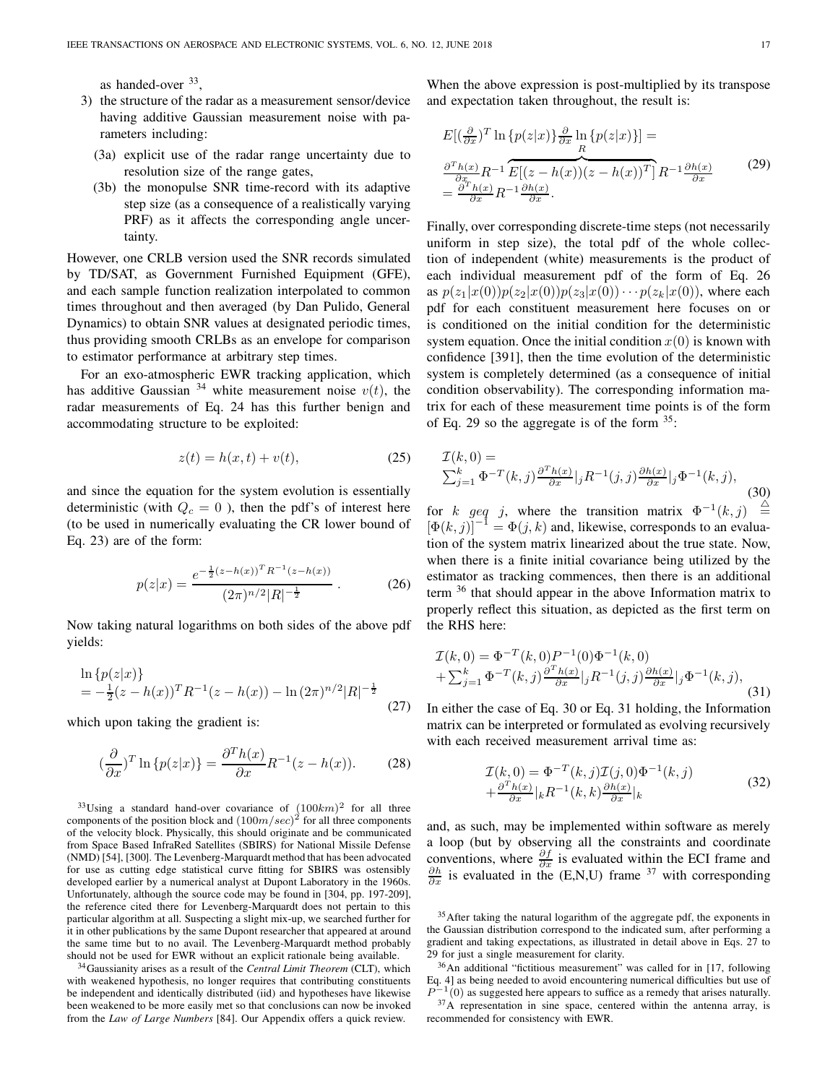as handed-over <sup>33</sup>,

- 3) the structure of the radar as a measurement sensor/device having additive Gaussian measurement noise with parameters including:
	- (3a) explicit use of the radar range uncertainty due to resolution size of the range gates,
	- (3b) the monopulse SNR time-record with its adaptive step size (as a consequence of a realistically varying PRF) as it affects the corresponding angle uncertainty.

However, one CRLB version used the SNR records simulated by TD/SAT, as Government Furnished Equipment (GFE), and each sample function realization interpolated to common times throughout and then averaged (by Dan Pulido, General Dynamics) to obtain SNR values at designated periodic times, thus providing smooth CRLBs as an envelope for comparison to estimator performance at arbitrary step times.

For an exo-atmospheric EWR tracking application, which has additive Gaussian <sup>34</sup> white measurement noise  $v(t)$ , the radar measurements of Eq. 24 has this further benign and accommodating structure to be exploited:

$$
z(t) = h(x, t) + v(t),\tag{25}
$$

and since the equation for the system evolution is essentially deterministic (with  $Q_c = 0$ ), then the pdf's of interest here (to be used in numerically evaluating the CR lower bound of Eq. 23) are of the form:

$$
p(z|x) = \frac{e^{-\frac{1}{2}(z - h(x))^T R^{-1} (z - h(x))}}{(2\pi)^{n/2} |R|^{-\frac{1}{2}}}.
$$
 (26)

Now taking natural logarithms on both sides of the above pdf yields:

$$
\ln \{p(z|x)\}\
$$
  
=  $-\frac{1}{2}(z - h(x))^T R^{-1}(z - h(x)) - \ln (2\pi)^{n/2} |R|^{-\frac{1}{2}}$  (27)

which upon taking the gradient is:

$$
\left(\frac{\partial}{\partial x}\right)^T \ln \{p(z|x)\} = \frac{\partial^T h(x)}{\partial x} R^{-1}(z - h(x)).\tag{28}
$$

<sup>33</sup>Using a standard hand-over covariance of  $(100km)^2$  for all three components of the position block and  $(100m/sec)^2$  for all three components of the velocity block. Physically, this should originate and be communicated from Space Based InfraRed Satellites (SBIRS) for National Missile Defense (NMD) [54], [300]. The Levenberg-Marquardt method that has been advocated for use as cutting edge statistical curve fitting for SBIRS was ostensibly developed earlier by a numerical analyst at Dupont Laboratory in the 1960s. Unfortunately, although the source code may be found in [304, pp. 197-209], the reference cited there for Levenberg-Marquardt does not pertain to this particular algorithm at all. Suspecting a slight mix-up, we searched further for it in other publications by the same Dupont researcher that appeared at around the same time but to no avail. The Levenberg-Marquardt method probably should not be used for EWR without an explicit rationale being available.

 $34$ Gaussianity arises as a result of the Central Limit Theorem (CLT), which with weakened hypothesis, no longer requires that contributing constituents be independent and identically distributed (iid) and hypotheses have likewise been weakened to be more easily met so that conclusions can now be invoked from the Law of Large Numbers [84]. Our Appendix offers a quick review.

When the above expression is post-multiplied by its transpose and expectation taken throughout, the result is:

$$
E\left[\left(\frac{\partial}{\partial x}\right)^{T} \ln \left\{p(z|x)\right\} \frac{\partial}{\partial x} \ln \left\{p(z|x)\right\}\right] =
$$
  

$$
\frac{\partial^{T} h(x)}{\partial x} R^{-1} \overbrace{E\left[\left(z - h(x)\right)\left(z - h(x)\right)^{T}\right]}^{T} R^{-1} \frac{\partial h(x)}{\partial x}
$$
  

$$
= \frac{\partial^{T} h(x)}{\partial x} R^{-1} \frac{\partial h(x)}{\partial x}.
$$
 (29)

Finally, over corresponding discrete-time steps (not necessarily uniform in step size), the total pdf of the whole collection of independent (white) measurements is the product of each individual measurement pdf of the form of Eq. 26 as  $p(z_1|x(0))p(z_2|x(0))p(z_3|x(0))\cdots p(z_k|x(0))$ , where each pdf for each constituent measurement here focuses on or is conditioned on the initial condition for the deterministic system equation. Once the initial condition  $x(0)$  is known with confidence [391], then the time evolution of the deterministic system is completely determined (as a consequence of initial condition observability). The corresponding information matrix for each of these measurement time points is of the form of Eq. 29 so the aggregate is of the form  $35$ :

$$
\mathcal{I}(k,0) = \sum_{j=1}^{k} \Phi^{-T}(k,j) \frac{\partial^{T} h(x)}{\partial x}|_{j} R^{-1}(j,j) \frac{\partial h(x)}{\partial x}|_{j} \Phi^{-1}(k,j),
$$
\n
$$
\text{or } k \text{ and } j \text{ where the transition matrix } \Phi^{-1}(k,j) \stackrel{\triangle}{=} \{0\}.
$$

for k geq j, where the transition matrix  $\Phi^{-1}(k, j) \stackrel{\triangle}{=} [\Phi(k, j)]^{-1} = \Phi(j, k)$  and, likewise, corresponds to an evaluation of the system matrix linearized about the true state. Now, when there is a finite initial covariance being utilized by the estimator as tracking commences, then there is an additional term <sup>36</sup> that should appear in the above Information matrix to properly reflect this situation, as depicted as the first term on the RHS here:

$$
\mathcal{I}(k,0) = \Phi^{-T}(k,0)P^{-1}(0)\Phi^{-1}(k,0) \n+ \sum_{j=1}^{k} \Phi^{-T}(k,j) \frac{\partial^{T} h(x)}{\partial x}|_{j} R^{-1}(j,j) \frac{\partial h(x)}{\partial x}|_{j} \Phi^{-1}(k,j),
$$
\n(31)

In either the case of Eq. 30 or Eq. 31 holding, the Information matrix can be interpreted or formulated as evolving recursively with each received measurement arrival time as:

$$
\mathcal{I}(k,0) = \Phi^{-T}(k,j)\mathcal{I}(j,0)\Phi^{-1}(k,j) \n+ \frac{\partial^{T}h(x)}{\partial x}|_{k}R^{-1}(k,k)\frac{\partial h(x)}{\partial x}|_{k}
$$
\n(32)

and, as such, may be implemented within software as merely a loop (but by observing all the constraints and coordinate conventions, where  $\frac{\partial f}{\partial x}$  is evaluated within the ECI frame and  $\frac{\partial h}{\partial x}$  is evaluated in the (E,N,U) frame <sup>37</sup> with corresponding

<sup>36</sup>An additional "fictitious measurement" was called for in [17, following Eq. 4] as being needed to avoid encountering numerical difficulties but use of  $P^{-1}(0)$  as suggested here appears to suffice as a remedy that arises naturally.

<sup>37</sup>A representation in sine space, centered within the antenna array, is recommended for consistency with EWR.

<sup>&</sup>lt;sup>35</sup> After taking the natural logarithm of the aggregate pdf, the exponents in the Gaussian distribution correspond to the indicated sum, after performing a gradient and taking expectations, as illustrated in detail above in Eqs. 27 to 29 for just a single measurement for clarity.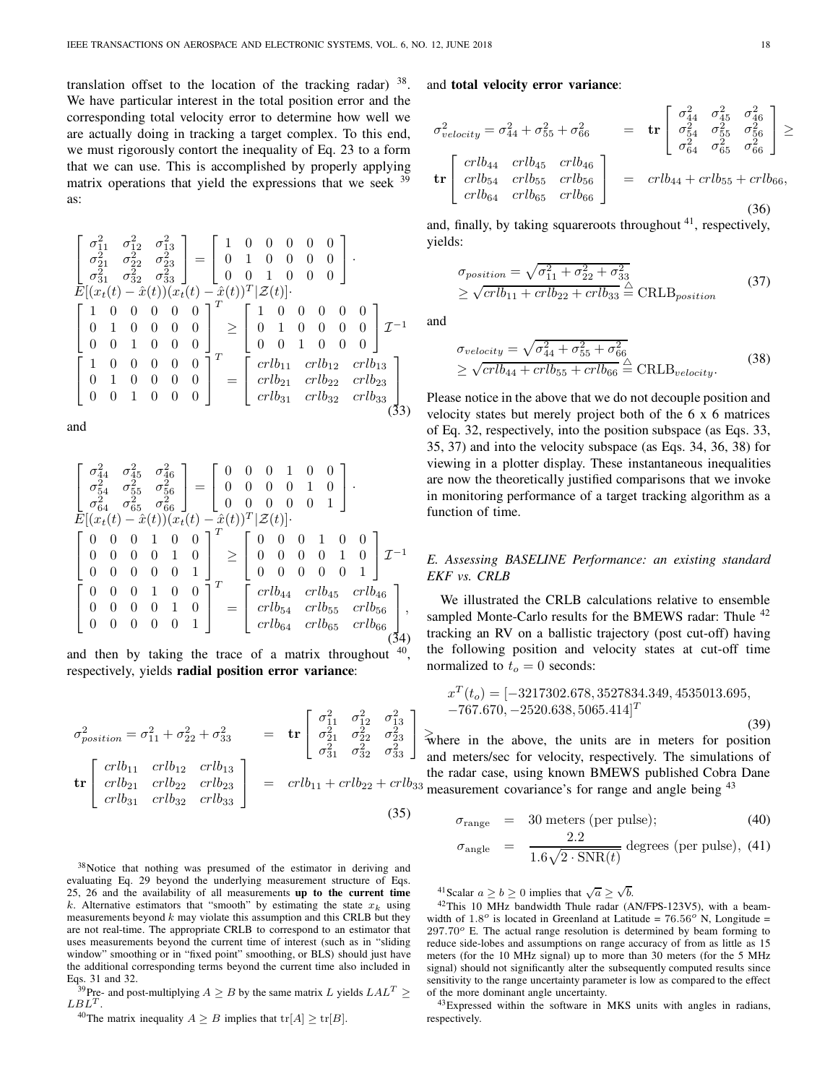translation offset to the location of the tracking radar)  $38$ . We have particular interest in the total position error and the corresponding total velocity error to determine how well we are actually doing in tracking a target complex. To this end, we must rigorously contort the inequality of Eq. 23 to a form that we can use. This is accomplished by properly applying matrix operations that yield the expressions that we seek  $39$ as:

$$
\begin{bmatrix}\n\sigma_{11}^2 & \sigma_{12}^2 & \sigma_{13}^2 \\
\sigma_{21}^2 & \sigma_{22}^2 & \sigma_{23}^2 \\
\sigma_{31}^2 & \sigma_{32}^2 & \sigma_{33}^2\n\end{bmatrix} = \begin{bmatrix}\n1 & 0 & 0 & 0 & 0 & 0 \\
0 & 1 & 0 & 0 & 0 & 0 \\
0 & 0 & 1 & 0 & 0 & 0 \\
0 & 0 & 1 & 0 & 0 & 0\n\end{bmatrix}.
$$
\n
$$
E[(x_t(t) - \hat{x}(t)) (x_t(t) - \hat{x}(t))^T | \mathcal{Z}(t)].
$$
\n
$$
\begin{bmatrix}\n1 & 0 & 0 & 0 & 0 & 0 \\
0 & 1 & 0 & 0 & 0 & 0 \\
0 & 0 & 1 & 0 & 0 & 0\n\end{bmatrix}^T \ge \begin{bmatrix}\n1 & 0 & 0 & 0 & 0 & 0 \\
0 & 1 & 0 & 0 & 0 & 0 \\
0 & 0 & 1 & 0 & 0 & 0\n\end{bmatrix} \mathcal{I}^{-1}
$$
\n
$$
\begin{bmatrix}\n1 & 0 & 0 & 0 & 0 & 0 \\
0 & 1 & 0 & 0 & 0 & 0 \\
0 & 0 & 1 & 0 & 0 & 0\n\end{bmatrix}^T = \begin{bmatrix}\ncrlb_{11} & crlb_{12} & crlb_{13} \\
crrlb_{21} & crlb_{22} & crlb_{23} \\
crrlb_{31} & crlb_{32} & crlb_{33}\n\end{bmatrix}
$$
\n
$$
(33)
$$

and

$$
\begin{bmatrix}\n\sigma_{44}^2 & \sigma_{45}^2 & \sigma_{46}^2 \\
\sigma_{54}^2 & \sigma_{55}^2 & \sigma_{56}^2 \\
\sigma_{64}^2 & \sigma_{65}^2 & \sigma_{66}^2\n\end{bmatrix} = \begin{bmatrix}\n0 & 0 & 0 & 1 & 0 & 0 \\
0 & 0 & 0 & 0 & 1 & 0 \\
0 & 0 & 0 & 0 & 0 & 1\n\end{bmatrix}.
$$
\n
$$
E[(x_t(t) - \hat{x}(t))(x_t(t) - \hat{x}(t))^T | \mathcal{Z}(t)].
$$
\n
$$
\begin{bmatrix}\n0 & 0 & 0 & 1 & 0 & 0 \\
0 & 0 & 0 & 0 & 1 & 0 \\
0 & 0 & 0 & 0 & 0 & 1\n\end{bmatrix}^T \ge \begin{bmatrix}\n0 & 0 & 0 & 1 & 0 & 0 \\
0 & 0 & 0 & 0 & 1 & 0 \\
0 & 0 & 0 & 0 & 0 & 1\n\end{bmatrix} \mathcal{I}^{-1}
$$
\n
$$
\begin{bmatrix}\n0 & 0 & 0 & 1 & 0 & 0 \\
0 & 0 & 0 & 0 & 1 & 0 \\
0 & 0 & 0 & 0 & 1 & 0 \\
0 & 0 & 0 & 0 & 0 & 1\n\end{bmatrix}^T = \begin{bmatrix}\ncrb_{44} & crlb_{45} & crlb_{46} \\
crrb_{54} & crlb_{55} & crlb_{56} \\
crrb_{64} & crlb_{65} & crlb_{66}\n\end{bmatrix},
$$
\n(34)

and then by taking the trace of a matrix throughout  $40$ , respectively, yields radial position error variance:

$$
\sigma_{position}^{2} = \sigma_{11}^{2} + \sigma_{22}^{2} + \sigma_{33}^{2} = \mathbf{tr} \begin{bmatrix} \sigma_{11}^{2} & \sigma_{12}^{2} & \sigma_{13}^{2} \\ \sigma_{21}^{2} & \sigma_{22}^{2} & \sigma_{23}^{2} \\ \sigma_{31}^{2} & \sigma_{32}^{2} & \sigma_{33}^{2} \end{bmatrix}
$$

$$
\mathbf{tr} \begin{bmatrix} crlb_{11} & crlb_{12} & crlb_{13} \\ crlb_{21} & crlb_{22} & crlb_{23} \\ crlb_{31} & crlb_{32} & crlb_{33} \end{bmatrix} = crlb_{11} + crlb_{22} + crlb_{33}
$$
(35)

<sup>38</sup>Notice that nothing was presumed of the estimator in deriving and evaluating Eq. 29 beyond the underlying measurement structure of Eqs. 25, 26 and the availability of all measurements up to the current time k. Alternative estimators that "smooth" by estimating the state  $x_k$  using measurements beyond  $k$  may violate this assumption and this CRLB but they are not real-time. The appropriate CRLB to correspond to an estimator that uses measurements beyond the current time of interest (such as in "sliding window" smoothing or in "fixed point" smoothing, or BLS) should just have the additional corresponding terms beyond the current time also included in Eqs. 31 and 32.

<sup>39</sup>Pre- and post-multiplying  $A \geq B$  by the same matrix L yields  $LAL^T \geq$  $LBL^T$ .

<sup>40</sup>The matrix inequality  $A \geq B$  implies that  $\text{tr}[A] \geq \text{tr}[B]$ .

and total velocity error variance:

$$
\sigma_{velocity}^{2} = \sigma_{44}^{2} + \sigma_{55}^{2} + \sigma_{66}^{2}
$$
\n
$$
= tr \begin{bmatrix}\n\sigma_{44}^{2} & \sigma_{45}^{2} & \sigma_{46}^{2} \\
\sigma_{54}^{2} & \sigma_{55}^{2} & \sigma_{56}^{2} \\
\sigma_{64}^{2} & \sigma_{65}^{2} & \sigma_{66}^{2}\n\end{bmatrix} \ge
$$
\n
$$
tr \begin{bmatrix}\ncr^{2} & \sigma_{44}^{2} & \sigma_{45}^{2} & \sigma_{46}^{2} \\
\sigma_{54}^{2} & \sigma_{55}^{2} & \sigma_{66}^{2} \\
\sigma_{64}^{2} & \sigma_{65}^{2} & \sigma_{66}^{2}\n\end{bmatrix} \ge
$$
\n
$$
= crlb_{44} + crlb_{55} + crlb_{66},
$$
\n
$$
crlb_{64} \quad crlb_{65} \quad crlb_{66} \qquad (36)
$$

and, finally, by taking squareroots throughout  $41$ , respectively, yields:

$$
\sigma_{position} = \sqrt{\sigma_{11}^2 + \sigma_{22}^2 + \sigma_{33}^2}
$$
  
\n
$$
\geq \sqrt{crlb_{11} + crlb_{22} + crlb_{33}} \stackrel{\triangle}{=} \text{CRLB}_{position}
$$
 (37)

and

$$
\sigma_{velocity} = \sqrt{\sigma_{44}^2 + \sigma_{55}^2 + \sigma_{66}^2}
$$
  
\n
$$
\geq \sqrt{crlb_{44} + crlb_{55} + crlb_{66}} \stackrel{\triangle}{=} \text{CRLB}_{velocity}.
$$
 (38)

Please notice in the above that we do not decouple position and velocity states but merely project both of the 6 x 6 matrices of Eq. 32, respectively, into the position subspace (as Eqs. 33, 35, 37) and into the velocity subspace (as Eqs. 34, 36, 38) for viewing in a plotter display. These instantaneous inequalities are now the theoretically justified comparisons that we invoke in monitoring performance of a target tracking algorithm as a function of time.

# E. Assessing BASELINE Performance: an existing standard EKF vs. CRLB

We illustrated the CRLB calculations relative to ensemble sampled Monte-Carlo results for the BMEWS radar: Thule <sup>42</sup> tracking an RV on a ballistic trajectory (post cut-off) having the following position and velocity states at cut-off time normalized to  $t_o = 0$  seconds:

$$
x^T(t_o) = [-3217302.678, 3527834.349, 4535013.695, -767.670, -2520.638, 5065.414]^T
$$

 ≥ where in the above, the units are in meters for position and meters/sec for velocity, respectively. The simulations of the radar case, using known BMEWS published Cobra Dane  $3<sup>3</sup>$  measurement covariance's for range and angle being  $4<sup>3</sup>$ 

$$
\sigma_{\text{range}} = 30 \text{ meters (per pulse)};
$$
 (40)

$$
\sigma_{\text{angle}} = \frac{2.2}{1.6\sqrt{2 \cdot \text{SNR}(t)}} \text{ degrees (per pulse)}, (41)
$$

<sup>41</sup> Scalar  $a \ge b \ge 0$  implies that  $\sqrt{a} \ge \sqrt{b}$ .

<sup>42</sup>This 10 MHz bandwidth Thule radar (AN/FPS-123V5), with a beamwidth of  $1.8^{\circ}$  is located in Greenland at Latitude =  $76.56^{\circ}$  N, Longitude =  $297.70^{\circ}$  E. The actual range resolution is determined by beam forming to reduce side-lobes and assumptions on range accuracy of from as little as 15 meters (for the 10 MHz signal) up to more than 30 meters (for the 5 MHz signal) should not significantly alter the subsequently computed results since sensitivity to the range uncertainty parameter is low as compared to the effect of the more dominant angle uncertainty.

<sup>43</sup>Expressed within the software in MKS units with angles in radians, respectively.

(39)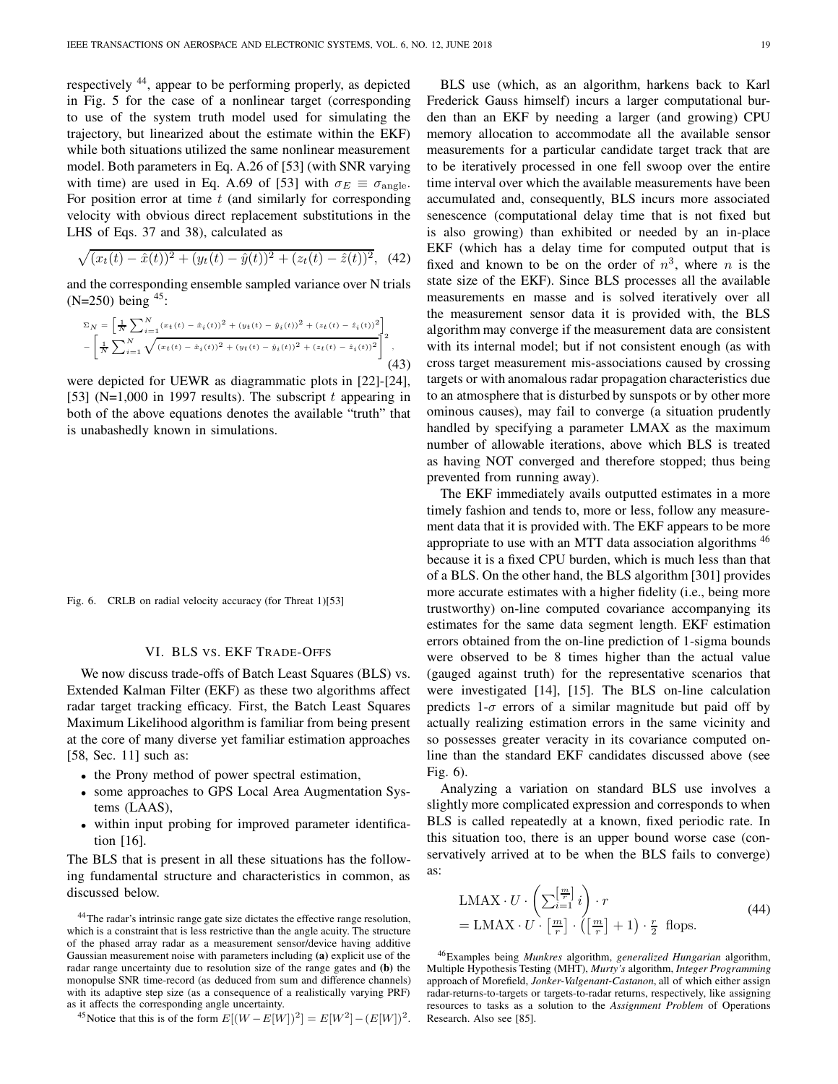respectively <sup>44</sup>, appear to be performing properly, as depicted in Fig. 5 for the case of a nonlinear target (corresponding to use of the system truth model used for simulating the trajectory, but linearized about the estimate within the EKF) while both situations utilized the same nonlinear measurement model. Both parameters in Eq. A.26 of [53] (with SNR varying with time) are used in Eq. A.69 of [53] with  $\sigma_E \equiv \sigma_{\text{angle}}$ . For position error at time  $t$  (and similarly for corresponding velocity with obvious direct replacement substitutions in the LHS of Eqs. 37 and 38), calculated as

$$
\sqrt{(x_t(t) - \hat{x}(t))^2 + (y_t(t) - \hat{y}(t))^2 + (z_t(t) - \hat{z}(t))^2},
$$
 (42)

and the corresponding ensemble sampled variance over N trials (N=250) being  $45$ :

$$
\Sigma_N = \left[ \frac{1}{N} \sum_{i=1}^N (x_t(t) - \hat{x}_i(t))^2 + (y_t(t) - \hat{y}_i(t))^2 + (z_t(t) - \hat{z}_i(t))^2 \right] - \left[ \frac{1}{N} \sum_{i=1}^N \sqrt{(x_t(t) - \hat{x}_i(t))^2 + (y_t(t) - \hat{y}_i(t))^2 + (z_t(t) - \hat{z}_i(t))^2} \right]^2,
$$
\n(43)

were depicted for UEWR as diagrammatic plots in [22]-[24], [53] (N=1,000 in 1997 results). The subscript t appearing in both of the above equations denotes the available "truth" that is unabashedly known in simulations.

Fig. 6. CRLB on radial velocity accuracy (for Threat 1)[53]

# VI. BLS VS. EKF TRADE-OFFS

We now discuss trade-offs of Batch Least Squares (BLS) vs. Extended Kalman Filter (EKF) as these two algorithms affect radar target tracking efficacy. First, the Batch Least Squares Maximum Likelihood algorithm is familiar from being present at the core of many diverse yet familiar estimation approaches [58, Sec. 11] such as:

- the Prony method of power spectral estimation,
- some approaches to GPS Local Area Augmentation Systems (LAAS),
- within input probing for improved parameter identification [16].

The BLS that is present in all these situations has the following fundamental structure and characteristics in common, as discussed below.

<sup>45</sup>Notice that this is of the form  $E[(W - E[W])^2] = E[W^2] - (E[W])^2$ .

BLS use (which, as an algorithm, harkens back to Karl Frederick Gauss himself) incurs a larger computational burden than an EKF by needing a larger (and growing) CPU memory allocation to accommodate all the available sensor measurements for a particular candidate target track that are to be iteratively processed in one fell swoop over the entire time interval over which the available measurements have been accumulated and, consequently, BLS incurs more associated senescence (computational delay time that is not fixed but is also growing) than exhibited or needed by an in-place EKF (which has a delay time for computed output that is fixed and known to be on the order of  $n^3$ , where n is the state size of the EKF). Since BLS processes all the available measurements en masse and is solved iteratively over all the measurement sensor data it is provided with, the BLS algorithm may converge if the measurement data are consistent with its internal model; but if not consistent enough (as with cross target measurement mis-associations caused by crossing targets or with anomalous radar propagation characteristics due to an atmosphere that is disturbed by sunspots or by other more ominous causes), may fail to converge (a situation prudently handled by specifying a parameter LMAX as the maximum number of allowable iterations, above which BLS is treated as having NOT converged and therefore stopped; thus being prevented from running away).

The EKF immediately avails outputted estimates in a more timely fashion and tends to, more or less, follow any measurement data that it is provided with. The EKF appears to be more appropriate to use with an MTT data association algorithms <sup>46</sup> because it is a fixed CPU burden, which is much less than that of a BLS. On the other hand, the BLS algorithm [301] provides more accurate estimates with a higher fidelity (i.e., being more trustworthy) on-line computed covariance accompanying its estimates for the same data segment length. EKF estimation errors obtained from the on-line prediction of 1-sigma bounds were observed to be 8 times higher than the actual value (gauged against truth) for the representative scenarios that were investigated [14], [15]. The BLS on-line calculation predicts  $1-\sigma$  errors of a similar magnitude but paid off by actually realizing estimation errors in the same vicinity and so possesses greater veracity in its covariance computed online than the standard EKF candidates discussed above (see Fig. 6).

Analyzing a variation on standard BLS use involves a slightly more complicated expression and corresponds to when BLS is called repeatedly at a known, fixed periodic rate. In this situation too, there is an upper bound worse case (conservatively arrived at to be when the BLS fails to converge) as:

$$
\text{LMAX} \cdot U \cdot \left( \sum_{i=1}^{\left[\frac{m}{r}\right]} i \right) \cdot r
$$
\n
$$
= \text{LMAX} \cdot U \cdot \left[\frac{m}{r}\right] \cdot \left(\left[\frac{m}{r}\right] + 1\right) \cdot \frac{r}{2} \text{ flops.} \tag{44}
$$

<sup>46</sup>Examples being Munkres algorithm, generalized Hungarian algorithm, Multiple Hypothesis Testing (MHT), Murty's algorithm, Integer Programming approach of Morefield, Jonker-Valgenant-Castanon, all of which either assign radar-returns-to-targets or targets-to-radar returns, respectively, like assigning resources to tasks as a solution to the Assignment Problem of Operations Research. Also see [85].

<sup>44</sup>The radar's intrinsic range gate size dictates the effective range resolution, which is a constraint that is less restrictive than the angle acuity. The structure of the phased array radar as a measurement sensor/device having additive Gaussian measurement noise with parameters including (a) explicit use of the radar range uncertainty due to resolution size of the range gates and (b) the monopulse SNR time-record (as deduced from sum and difference channels) with its adaptive step size (as a consequence of a realistically varying PRF) as it affects the corresponding angle uncertainty.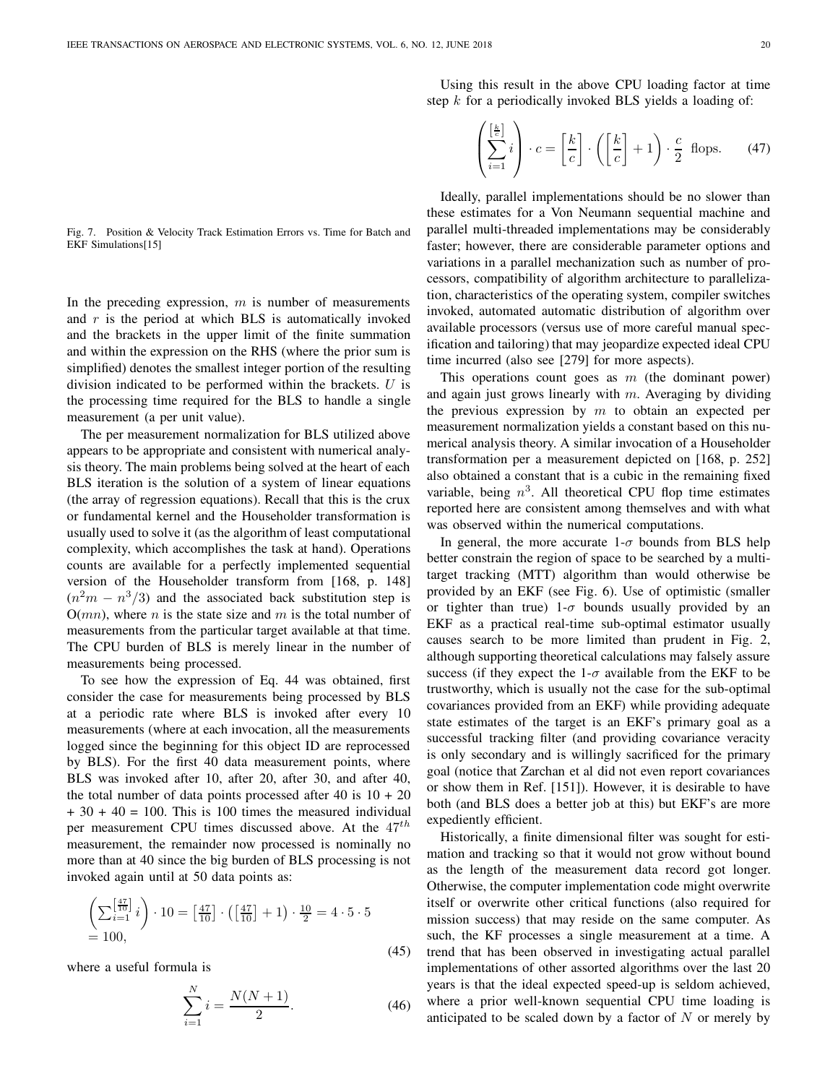Fig. 7. Position & Velocity Track Estimation Errors vs. Time for Batch and EKF Simulations[15]

In the preceding expression,  $m$  is number of measurements and  $r$  is the period at which BLS is automatically invoked and the brackets in the upper limit of the finite summation and within the expression on the RHS (where the prior sum is simplified) denotes the smallest integer portion of the resulting division indicated to be performed within the brackets.  $U$  is the processing time required for the BLS to handle a single measurement (a per unit value).

The per measurement normalization for BLS utilized above appears to be appropriate and consistent with numerical analysis theory. The main problems being solved at the heart of each BLS iteration is the solution of a system of linear equations (the array of regression equations). Recall that this is the crux or fundamental kernel and the Householder transformation is usually used to solve it (as the algorithm of least computational complexity, which accomplishes the task at hand). Operations counts are available for a perfectly implemented sequential version of the Householder transform from [168, p. 148]  $(n<sup>2</sup>m - n<sup>3</sup>/3)$  and the associated back substitution step is  $O(mn)$ , where *n* is the state size and *m* is the total number of measurements from the particular target available at that time. The CPU burden of BLS is merely linear in the number of measurements being processed.

To see how the expression of Eq. 44 was obtained, first consider the case for measurements being processed by BLS at a periodic rate where BLS is invoked after every 10 measurements (where at each invocation, all the measurements logged since the beginning for this object ID are reprocessed by BLS). For the first 40 data measurement points, where BLS was invoked after 10, after 20, after 30, and after 40, the total number of data points processed after  $40$  is  $10 + 20$  $+ 30 + 40 = 100$ . This is 100 times the measured individual per measurement CPU times discussed above. At the  $47<sup>th</sup>$ measurement, the remainder now processed is nominally no more than at 40 since the big burden of BLS processing is not invoked again until at 50 data points as:

$$
\left(\sum_{i=1}^{\left[\frac{47}{10}\right]} i\right) \cdot 10 = \left[\frac{47}{10}\right] \cdot \left(\left[\frac{47}{10}\right] + 1\right) \cdot \frac{10}{2} = 4 \cdot 5 \cdot 5
$$
  
= 100, (45)

where a useful formula is

$$
\sum_{i=1}^{N} i = \frac{N(N+1)}{2}.
$$
\n(46)

Using this result in the above CPU loading factor at time step  $k$  for a periodically invoked BLS yields a loading of:

$$
\left(\sum_{i=1}^{\left[\frac{k}{c}\right]} i\right) \cdot c = \left[\frac{k}{c}\right] \cdot \left(\left[\frac{k}{c}\right] + 1\right) \cdot \frac{c}{2} \text{ flops.} \tag{47}
$$

Ideally, parallel implementations should be no slower than these estimates for a Von Neumann sequential machine and parallel multi-threaded implementations may be considerably faster; however, there are considerable parameter options and variations in a parallel mechanization such as number of processors, compatibility of algorithm architecture to parallelization, characteristics of the operating system, compiler switches invoked, automated automatic distribution of algorithm over available processors (versus use of more careful manual specification and tailoring) that may jeopardize expected ideal CPU time incurred (also see [279] for more aspects).

This operations count goes as  $m$  (the dominant power) and again just grows linearly with  $m$ . Averaging by dividing the previous expression by  $m$  to obtain an expected per measurement normalization yields a constant based on this numerical analysis theory. A similar invocation of a Householder transformation per a measurement depicted on [168, p. 252] also obtained a constant that is a cubic in the remaining fixed variable, being  $n^3$ . All theoretical CPU flop time estimates reported here are consistent among themselves and with what was observed within the numerical computations.

In general, the more accurate  $1-\sigma$  bounds from BLS help better constrain the region of space to be searched by a multitarget tracking (MTT) algorithm than would otherwise be provided by an EKF (see Fig. 6). Use of optimistic (smaller or tighter than true) 1- $\sigma$  bounds usually provided by an EKF as a practical real-time sub-optimal estimator usually causes search to be more limited than prudent in Fig. 2, although supporting theoretical calculations may falsely assure success (if they expect the  $1-\sigma$  available from the EKF to be trustworthy, which is usually not the case for the sub-optimal covariances provided from an EKF) while providing adequate state estimates of the target is an EKF's primary goal as a successful tracking filter (and providing covariance veracity is only secondary and is willingly sacrificed for the primary goal (notice that Zarchan et al did not even report covariances or show them in Ref. [151]). However, it is desirable to have both (and BLS does a better job at this) but EKF's are more expediently efficient.

Historically, a finite dimensional filter was sought for estimation and tracking so that it would not grow without bound as the length of the measurement data record got longer. Otherwise, the computer implementation code might overwrite itself or overwrite other critical functions (also required for mission success) that may reside on the same computer. As such, the KF processes a single measurement at a time. A trend that has been observed in investigating actual parallel implementations of other assorted algorithms over the last 20 years is that the ideal expected speed-up is seldom achieved, where a prior well-known sequential CPU time loading is anticipated to be scaled down by a factor of  $N$  or merely by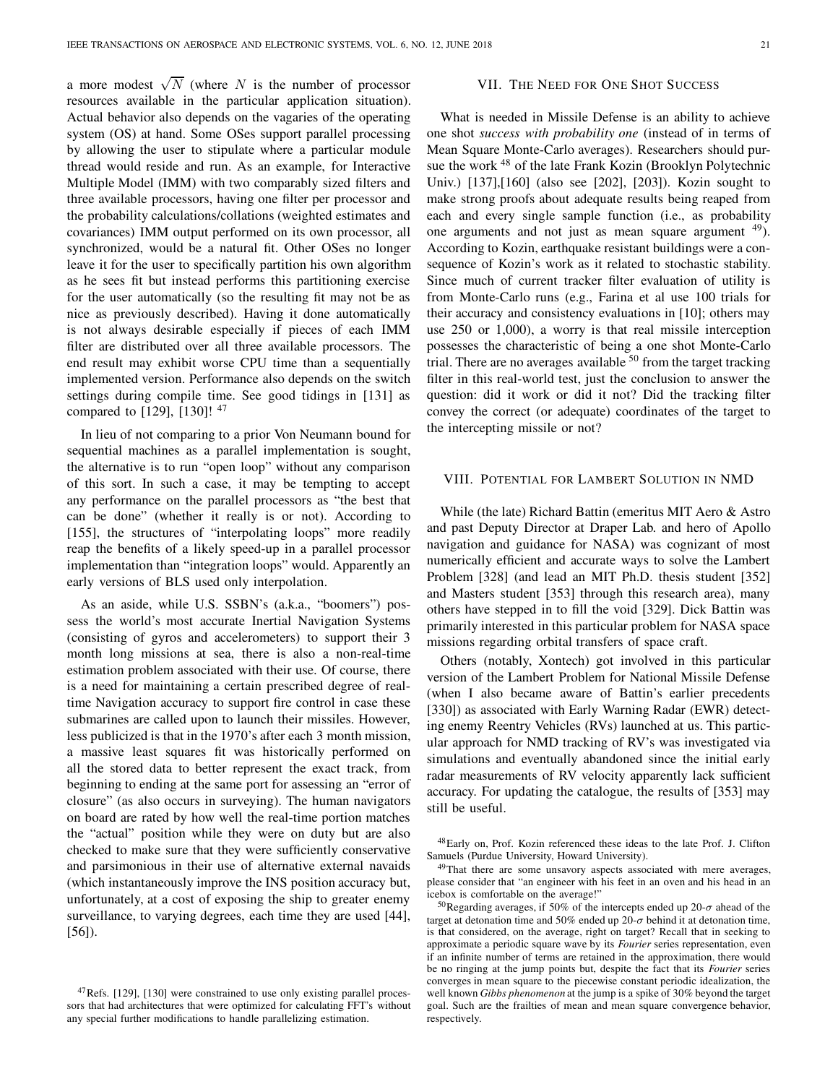a more modest  $\sqrt{N}$  (where N is the number of processor resources available in the particular application situation). Actual behavior also depends on the vagaries of the operating system (OS) at hand. Some OSes support parallel processing by allowing the user to stipulate where a particular module thread would reside and run. As an example, for Interactive Multiple Model (IMM) with two comparably sized filters and three available processors, having one filter per processor and the probability calculations/collations (weighted estimates and covariances) IMM output performed on its own processor, all synchronized, would be a natural fit. Other OSes no longer leave it for the user to specifically partition his own algorithm as he sees fit but instead performs this partitioning exercise for the user automatically (so the resulting fit may not be as nice as previously described). Having it done automatically is not always desirable especially if pieces of each IMM filter are distributed over all three available processors. The end result may exhibit worse CPU time than a sequentially implemented version. Performance also depends on the switch settings during compile time. See good tidings in [131] as compared to [129], [130]!  $47$ 

In lieu of not comparing to a prior Von Neumann bound for sequential machines as a parallel implementation is sought, the alternative is to run "open loop" without any comparison of this sort. In such a case, it may be tempting to accept any performance on the parallel processors as "the best that can be done" (whether it really is or not). According to [155], the structures of "interpolating loops" more readily reap the benefits of a likely speed-up in a parallel processor implementation than "integration loops" would. Apparently an early versions of BLS used only interpolation.

As an aside, while U.S. SSBN's (a.k.a., "boomers") possess the world's most accurate Inertial Navigation Systems (consisting of gyros and accelerometers) to support their 3 month long missions at sea, there is also a non-real-time estimation problem associated with their use. Of course, there is a need for maintaining a certain prescribed degree of realtime Navigation accuracy to support fire control in case these submarines are called upon to launch their missiles. However, less publicized is that in the 1970's after each 3 month mission, a massive least squares fit was historically performed on all the stored data to better represent the exact track, from beginning to ending at the same port for assessing an "error of closure" (as also occurs in surveying). The human navigators on board are rated by how well the real-time portion matches the "actual" position while they were on duty but are also checked to make sure that they were sufficiently conservative and parsimonious in their use of alternative external navaids (which instantaneously improve the INS position accuracy but, unfortunately, at a cost of exposing the ship to greater enemy surveillance, to varying degrees, each time they are used [44], [56]).

# VII. THE NEED FOR ONE SHOT SUCCESS

What is needed in Missile Defense is an ability to achieve one shot success with probability one (instead of in terms of Mean Square Monte-Carlo averages). Researchers should pursue the work <sup>48</sup> of the late Frank Kozin (Brooklyn Polytechnic Univ.) [137],[160] (also see [202], [203]). Kozin sought to make strong proofs about adequate results being reaped from each and every single sample function (i.e., as probability one arguments and not just as mean square argument  $49$ ). According to Kozin, earthquake resistant buildings were a consequence of Kozin's work as it related to stochastic stability. Since much of current tracker filter evaluation of utility is from Monte-Carlo runs (e.g., Farina et al use 100 trials for their accuracy and consistency evaluations in [10]; others may use 250 or 1,000), a worry is that real missile interception possesses the characteristic of being a one shot Monte-Carlo trial. There are no averages available  $50$  from the target tracking filter in this real-world test, just the conclusion to answer the question: did it work or did it not? Did the tracking filter convey the correct (or adequate) coordinates of the target to the intercepting missile or not?

## VIII. POTENTIAL FOR LAMBERT SOLUTION IN NMD

While (the late) Richard Battin (emeritus MIT Aero & Astro and past Deputy Director at Draper Lab. and hero of Apollo navigation and guidance for NASA) was cognizant of most numerically efficient and accurate ways to solve the Lambert Problem [328] (and lead an MIT Ph.D. thesis student [352] and Masters student [353] through this research area), many others have stepped in to fill the void [329]. Dick Battin was primarily interested in this particular problem for NASA space missions regarding orbital transfers of space craft.

Others (notably, Xontech) got involved in this particular version of the Lambert Problem for National Missile Defense (when I also became aware of Battin's earlier precedents [330]) as associated with Early Warning Radar (EWR) detecting enemy Reentry Vehicles (RVs) launched at us. This particular approach for NMD tracking of RV's was investigated via simulations and eventually abandoned since the initial early radar measurements of RV velocity apparently lack sufficient accuracy. For updating the catalogue, the results of [353] may still be useful.

<sup>48</sup>Early on, Prof. Kozin referenced these ideas to the late Prof. J. Clifton Samuels (Purdue University, Howard University).

<sup>49</sup>That there are some unsavory aspects associated with mere averages, please consider that "an engineer with his feet in an oven and his head in an icebox is comfortable on the average!"

<sup>50</sup>Regarding averages, if 50% of the intercepts ended up 20- $\sigma$  ahead of the target at detonation time and 50% ended up 20- $\sigma$  behind it at detonation time, is that considered, on the average, right on target? Recall that in seeking to approximate a periodic square wave by its Fourier series representation, even if an infinite number of terms are retained in the approximation, there would be no ringing at the jump points but, despite the fact that its Fourier series converges in mean square to the piecewise constant periodic idealization, the well known Gibbs phenomenon at the jump is a spike of 30% beyond the target goal. Such are the frailties of mean and mean square convergence behavior, respectively.

 $47$ Refs. [129], [130] were constrained to use only existing parallel processors that had architectures that were optimized for calculating FFT's without any special further modifications to handle parallelizing estimation.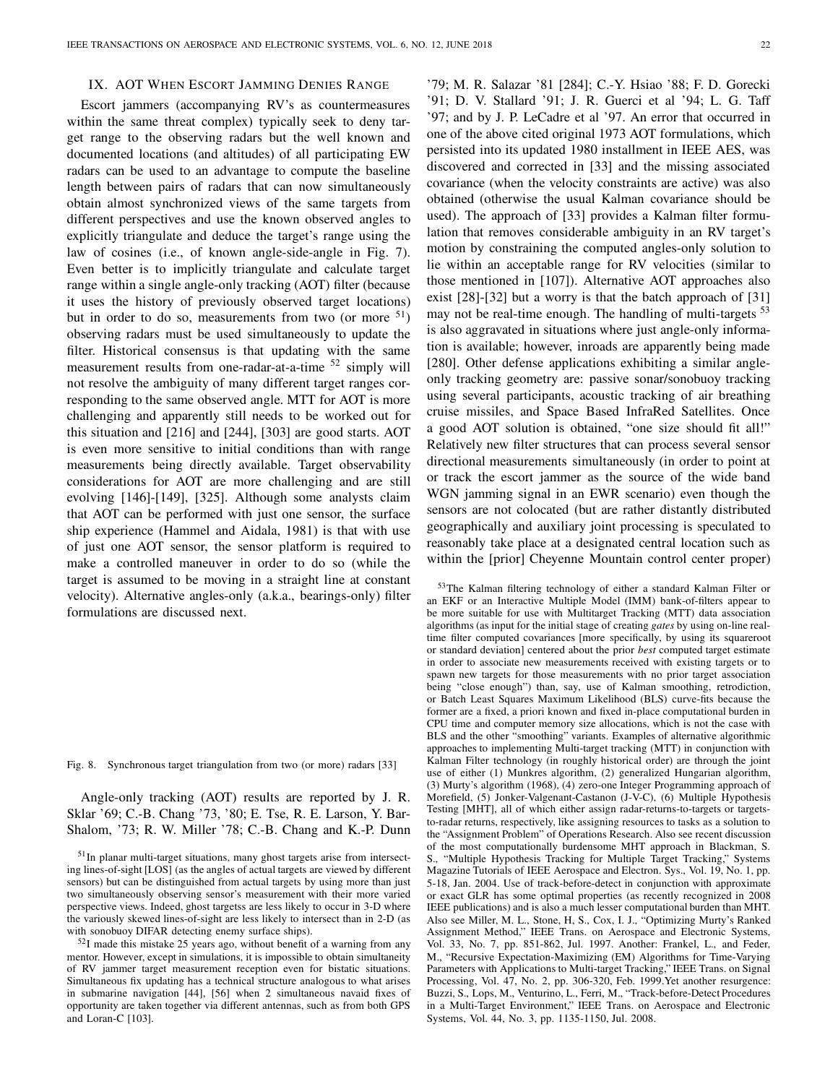## IX. AOT WHEN ESCORT JAMMING DENIES RANGE

Escort jammers (accompanying RV's as countermeasures within the same threat complex) typically seek to deny target range to the observing radars but the well known and documented locations (and altitudes) of all participating EW radars can be used to an advantage to compute the baseline length between pairs of radars that can now simultaneously obtain almost synchronized views of the same targets from different perspectives and use the known observed angles to explicitly triangulate and deduce the target's range using the law of cosines (i.e., of known angle-side-angle in Fig. 7). Even better is to implicitly triangulate and calculate target range within a single angle-only tracking (AOT) filter (because it uses the history of previously observed target locations) but in order to do so, measurements from two (or more  $51$ ) observing radars must be used simultaneously to update the filter. Historical consensus is that updating with the same measurement results from one-radar-at-a-time <sup>52</sup> simply will not resolve the ambiguity of many different target ranges corresponding to the same observed angle. MTT for AOT is more challenging and apparently still needs to be worked out for this situation and [216] and [244], [303] are good starts. AOT is even more sensitive to initial conditions than with range measurements being directly available. Target observability considerations for AOT are more challenging and are still evolving [146]-[149], [325]. Although some analysts claim that AOT can be performed with just one sensor, the surface ship experience (Hammel and Aidala, 1981) is that with use of just one AOT sensor, the sensor platform is required to make a controlled maneuver in order to do so (while the target is assumed to be moving in a straight line at constant velocity). Alternative angles-only (a.k.a., bearings-only) filter formulations are discussed next.

Fig. 8. Synchronous target triangulation from two (or more) radars [33]

Angle-only tracking (AOT) results are reported by J. R. Sklar '69; C.-B. Chang '73, '80; E. Tse, R. E. Larson, Y. Bar-Shalom, '73; R. W. Miller '78; C.-B. Chang and K.-P. Dunn

<sup>52</sup>I made this mistake 25 years ago, without benefit of a warning from any mentor. However, except in simulations, it is impossible to obtain simultaneity of RV jammer target measurement reception even for bistatic situations. Simultaneous fix updating has a technical structure analogous to what arises in submarine navigation [44], [56] when 2 simultaneous navaid fixes of opportunity are taken together via different antennas, such as from both GPS and Loran-C [103].

'79; M. R. Salazar '81 [284]; C.-Y. Hsiao '88; F. D. Gorecki '91; D. V. Stallard '91; J. R. Guerci et al '94; L. G. Taff '97; and by J. P. LeCadre et al '97. An error that occurred in one of the above cited original 1973 AOT formulations, which persisted into its updated 1980 installment in IEEE AES, was discovered and corrected in [33] and the missing associated covariance (when the velocity constraints are active) was also obtained (otherwise the usual Kalman covariance should be used). The approach of [33] provides a Kalman filter formulation that removes considerable ambiguity in an RV target's motion by constraining the computed angles-only solution to lie within an acceptable range for RV velocities (similar to those mentioned in [107]). Alternative AOT approaches also exist [28]-[32] but a worry is that the batch approach of [31] may not be real-time enough. The handling of multi-targets <sup>53</sup> is also aggravated in situations where just angle-only information is available; however, inroads are apparently being made [280]. Other defense applications exhibiting a similar angleonly tracking geometry are: passive sonar/sonobuoy tracking using several participants, acoustic tracking of air breathing cruise missiles, and Space Based InfraRed Satellites. Once a good AOT solution is obtained, "one size should fit all!" Relatively new filter structures that can process several sensor directional measurements simultaneously (in order to point at or track the escort jammer as the source of the wide band WGN jamming signal in an EWR scenario) even though the sensors are not colocated (but are rather distantly distributed geographically and auxiliary joint processing is speculated to reasonably take place at a designated central location such as within the [prior] Cheyenne Mountain control center proper)

53The Kalman filtering technology of either a standard Kalman Filter or an EKF or an Interactive Multiple Model (IMM) bank-of-filters appear to be more suitable for use with Multitarget Tracking (MTT) data association algorithms (as input for the initial stage of creating gates by using on-line realtime filter computed covariances [more specifically, by using its squareroot or standard deviation] centered about the prior best computed target estimate in order to associate new measurements received with existing targets or to spawn new targets for those measurements with no prior target association being "close enough") than, say, use of Kalman smoothing, retrodiction, or Batch Least Squares Maximum Likelihood (BLS) curve-fits because the former are a fixed, a priori known and fixed in-place computational burden in CPU time and computer memory size allocations, which is not the case with BLS and the other "smoothing" variants. Examples of alternative algorithmic approaches to implementing Multi-target tracking (MTT) in conjunction with Kalman Filter technology (in roughly historical order) are through the joint use of either (1) Munkres algorithm, (2) generalized Hungarian algorithm, (3) Murty's algorithm (1968), (4) zero-one Integer Programming approach of Morefield, (5) Jonker-Valgenant-Castanon (J-V-C), (6) Multiple Hypothesis Testing [MHT], all of which either assign radar-returns-to-targets or targetsto-radar returns, respectively, like assigning resources to tasks as a solution to the "Assignment Problem" of Operations Research. Also see recent discussion of the most computationally burdensome MHT approach in Blackman, S. S., "Multiple Hypothesis Tracking for Multiple Target Tracking," Systems Magazine Tutorials of IEEE Aerospace and Electron. Sys., Vol. 19, No. 1, pp. 5-18, Jan. 2004. Use of track-before-detect in conjunction with approximate or exact GLR has some optimal properties (as recently recognized in 2008 IEEE publications) and is also a much lesser computational burden than MHT. Also see Miller, M. L., Stone, H, S., Cox, I. J., "Optimizing Murty's Ranked Assignment Method," IEEE Trans. on Aerospace and Electronic Systems, Vol. 33, No. 7, pp. 851-862, Jul. 1997. Another: Frankel, L., and Feder, M., "Recursive Expectation-Maximizing (EM) Algorithms for Time-Varying Parameters with Applications to Multi-target Tracking," IEEE Trans. on Signal Processing, Vol. 47, No. 2, pp. 306-320, Feb. 1999.Yet another resurgence: Buzzi, S., Lops, M., Venturino, L., Ferri, M., "Track-before-Detect Procedures in a Multi-Target Environment," IEEE Trans. on Aerospace and Electronic Systems, Vol. 44, No. 3, pp. 1135-1150, Jul. 2008.

<sup>51</sup>In planar multi-target situations, many ghost targets arise from intersecting lines-of-sight [LOS] (as the angles of actual targets are viewed by different sensors) but can be distinguished from actual targets by using more than just two simultaneously observing sensor's measurement with their more varied perspective views. Indeed, ghost targetss are less likely to occur in 3-D where the variously skewed lines-of-sight are less likely to intersect than in 2-D (as with sonobuoy DIFAR detecting enemy surface ships).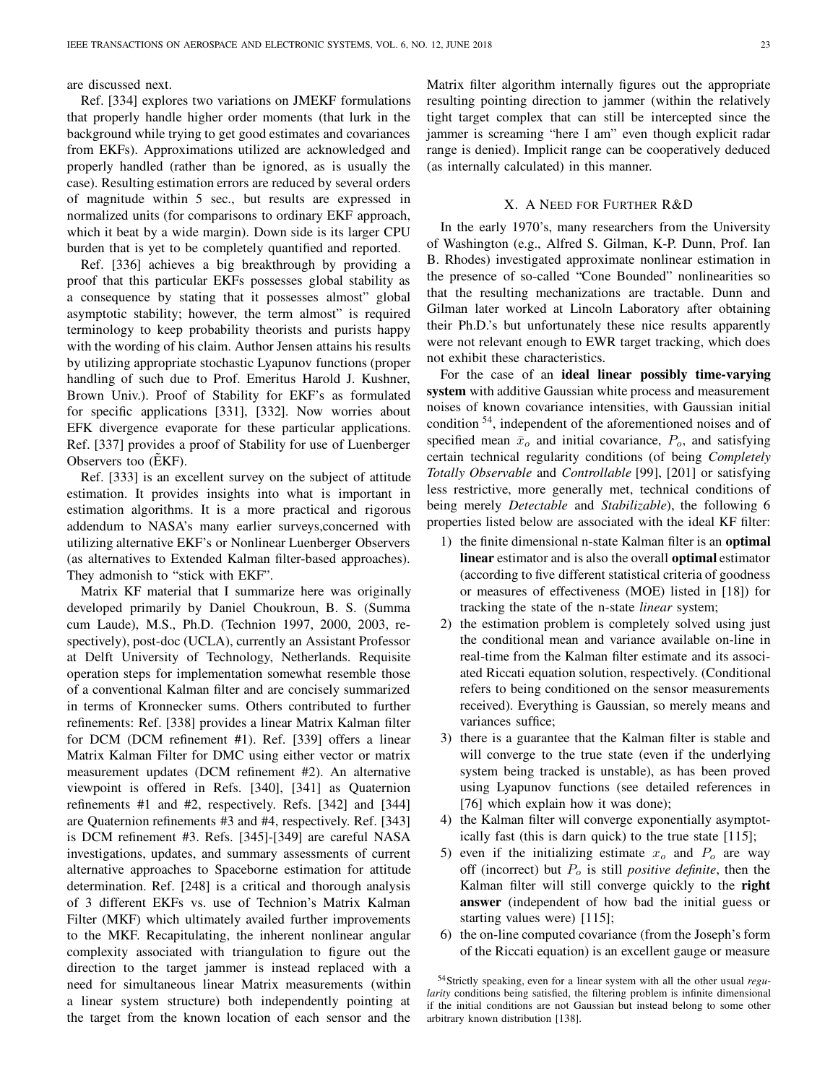are discussed next.

Ref. [334] explores two variations on JMEKF formulations that properly handle higher order moments (that lurk in the background while trying to get good estimates and covariances from EKFs). Approximations utilized are acknowledged and properly handled (rather than be ignored, as is usually the case). Resulting estimation errors are reduced by several orders of magnitude within 5 sec., but results are expressed in normalized units (for comparisons to ordinary EKF approach, which it beat by a wide margin). Down side is its larger CPU burden that is yet to be completely quantified and reported.

Ref. [336] achieves a big breakthrough by providing a proof that this particular EKFs possesses global stability as a consequence by stating that it possesses almost" global asymptotic stability; however, the term almost" is required terminology to keep probability theorists and purists happy with the wording of his claim. Author Jensen attains his results by utilizing appropriate stochastic Lyapunov functions (proper handling of such due to Prof. Emeritus Harold J. Kushner, Brown Univ.). Proof of Stability for EKF's as formulated for specific applications [331], [332]. Now worries about EFK divergence evaporate for these particular applications. Ref. [337] provides a proof of Stability for use of Luenberger Observers too  $(\tilde{E}KF)$ .

Ref. [333] is an excellent survey on the subject of attitude estimation. It provides insights into what is important in estimation algorithms. It is a more practical and rigorous addendum to NASA's many earlier surveys,concerned with utilizing alternative EKF's or Nonlinear Luenberger Observers (as alternatives to Extended Kalman filter-based approaches). They admonish to "stick with EKF".

Matrix KF material that I summarize here was originally developed primarily by Daniel Choukroun, B. S. (Summa cum Laude), M.S., Ph.D. (Technion 1997, 2000, 2003, respectively), post-doc (UCLA), currently an Assistant Professor at Delft University of Technology, Netherlands. Requisite operation steps for implementation somewhat resemble those of a conventional Kalman filter and are concisely summarized in terms of Kronnecker sums. Others contributed to further refinements: Ref. [338] provides a linear Matrix Kalman filter for DCM (DCM refinement #1). Ref. [339] offers a linear Matrix Kalman Filter for DMC using either vector or matrix measurement updates (DCM refinement #2). An alternative viewpoint is offered in Refs. [340], [341] as Quaternion refinements #1 and #2, respectively. Refs. [342] and [344] are Quaternion refinements #3 and #4, respectively. Ref. [343] is DCM refinement #3. Refs. [345]-[349] are careful NASA investigations, updates, and summary assessments of current alternative approaches to Spaceborne estimation for attitude determination. Ref. [248] is a critical and thorough analysis of 3 different EKFs vs. use of Technion's Matrix Kalman Filter (MKF) which ultimately availed further improvements to the MKF. Recapitulating, the inherent nonlinear angular complexity associated with triangulation to figure out the direction to the target jammer is instead replaced with a need for simultaneous linear Matrix measurements (within a linear system structure) both independently pointing at the target from the known location of each sensor and the

Matrix filter algorithm internally figures out the appropriate resulting pointing direction to jammer (within the relatively tight target complex that can still be intercepted since the jammer is screaming "here I am" even though explicit radar range is denied). Implicit range can be cooperatively deduced (as internally calculated) in this manner.

### X. A NEED FOR FURTHER R&D

In the early 1970's, many researchers from the University of Washington (e.g., Alfred S. Gilman, K-P. Dunn, Prof. Ian B. Rhodes) investigated approximate nonlinear estimation in the presence of so-called "Cone Bounded" nonlinearities so that the resulting mechanizations are tractable. Dunn and Gilman later worked at Lincoln Laboratory after obtaining their Ph.D.'s but unfortunately these nice results apparently were not relevant enough to EWR target tracking, which does not exhibit these characteristics.

For the case of an ideal linear possibly time-varying system with additive Gaussian white process and measurement noises of known covariance intensities, with Gaussian initial condition <sup>54</sup>, independent of the aforementioned noises and of specified mean  $\bar{x}_o$  and initial covariance,  $P_o$ , and satisfying certain technical regularity conditions (of being Completely Totally Observable and Controllable [99], [201] or satisfying less restrictive, more generally met, technical conditions of being merely *Detectable* and *Stabilizable*), the following 6 properties listed below are associated with the ideal KF filter:

- 1) the finite dimensional n-state Kalman filter is an optimal linear estimator and is also the overall optimal estimator (according to five different statistical criteria of goodness or measures of effectiveness (MOE) listed in [18]) for tracking the state of the n-state linear system;
- 2) the estimation problem is completely solved using just the conditional mean and variance available on-line in real-time from the Kalman filter estimate and its associated Riccati equation solution, respectively. (Conditional refers to being conditioned on the sensor measurements received). Everything is Gaussian, so merely means and variances suffice;
- 3) there is a guarantee that the Kalman filter is stable and will converge to the true state (even if the underlying system being tracked is unstable), as has been proved using Lyapunov functions (see detailed references in [76] which explain how it was done);
- 4) the Kalman filter will converge exponentially asymptotically fast (this is darn quick) to the true state [115];
- 5) even if the initializing estimate  $x<sub>o</sub>$  and  $P<sub>o</sub>$  are way off (incorrect) but  $P<sub>o</sub>$  is still *positive definite*, then the Kalman filter will still converge quickly to the right answer (independent of how bad the initial guess or starting values were) [115];
- 6) the on-line computed covariance (from the Joseph's form of the Riccati equation) is an excellent gauge or measure

<sup>&</sup>lt;sup>54</sup>Strictly speaking, even for a linear system with all the other usual regularity conditions being satisfied, the filtering problem is infinite dimensional if the initial conditions are not Gaussian but instead belong to some other arbitrary known distribution [138].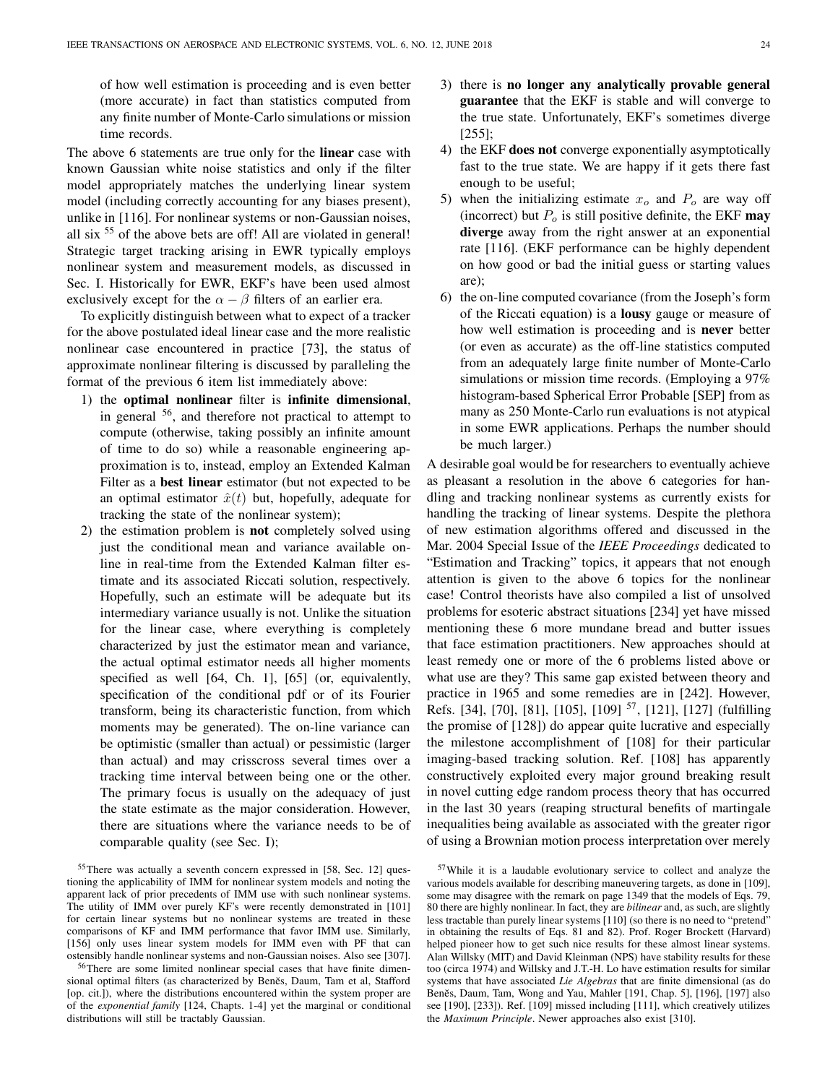of how well estimation is proceeding and is even better (more accurate) in fact than statistics computed from any finite number of Monte-Carlo simulations or mission time records.

The above 6 statements are true only for the **linear** case with known Gaussian white noise statistics and only if the filter model appropriately matches the underlying linear system model (including correctly accounting for any biases present), unlike in [116]. For nonlinear systems or non-Gaussian noises, all six <sup>55</sup> of the above bets are off! All are violated in general! Strategic target tracking arising in EWR typically employs nonlinear system and measurement models, as discussed in Sec. I. Historically for EWR, EKF's have been used almost exclusively except for the  $\alpha - \beta$  filters of an earlier era.

To explicitly distinguish between what to expect of a tracker for the above postulated ideal linear case and the more realistic nonlinear case encountered in practice [73], the status of approximate nonlinear filtering is discussed by paralleling the format of the previous 6 item list immediately above:

- 1) the optimal nonlinear filter is infinite dimensional, in general <sup>56</sup>, and therefore not practical to attempt to compute (otherwise, taking possibly an infinite amount of time to do so) while a reasonable engineering approximation is to, instead, employ an Extended Kalman Filter as a best linear estimator (but not expected to be an optimal estimator  $\hat{x}(t)$  but, hopefully, adequate for tracking the state of the nonlinear system);
- 2) the estimation problem is not completely solved using just the conditional mean and variance available online in real-time from the Extended Kalman filter estimate and its associated Riccati solution, respectively. Hopefully, such an estimate will be adequate but its intermediary variance usually is not. Unlike the situation for the linear case, where everything is completely characterized by just the estimator mean and variance, the actual optimal estimator needs all higher moments specified as well [64, Ch. 1], [65] (or, equivalently, specification of the conditional pdf or of its Fourier transform, being its characteristic function, from which moments may be generated). The on-line variance can be optimistic (smaller than actual) or pessimistic (larger than actual) and may crisscross several times over a tracking time interval between being one or the other. The primary focus is usually on the adequacy of just the state estimate as the major consideration. However, there are situations where the variance needs to be of comparable quality (see Sec. I);

<sup>55</sup>There was actually a seventh concern expressed in [58, Sec. 12] questioning the applicability of IMM for nonlinear system models and noting the apparent lack of prior precedents of IMM use with such nonlinear systems. The utility of IMM over purely KF's were recently demonstrated in [101] for certain linear systems but no nonlinear systems are treated in these comparisons of KF and IMM performance that favor IMM use. Similarly, [156] only uses linear system models for IMM even with PF that can ostensibly handle nonlinear systems and non-Gaussian noises. Also see [307].

<sup>56</sup>There are some limited nonlinear special cases that have finite dimensional optimal filters (as characterized by Beněs, Daum, Tam et al, Stafford [op. cit.]), where the distributions encountered within the system proper are of the exponential family [124, Chapts. 1-4] yet the marginal or conditional distributions will still be tractably Gaussian.

- 3) there is no longer any analytically provable general guarantee that the EKF is stable and will converge to the true state. Unfortunately, EKF's sometimes diverge [255]:
- 4) the EKF does not converge exponentially asymptotically fast to the true state. We are happy if it gets there fast enough to be useful;
- 5) when the initializing estimate  $x<sub>o</sub>$  and  $P<sub>o</sub>$  are way off (incorrect) but  $P<sub>o</sub>$  is still positive definite, the EKF may diverge away from the right answer at an exponential rate [116]. (EKF performance can be highly dependent on how good or bad the initial guess or starting values are);
- 6) the on-line computed covariance (from the Joseph's form of the Riccati equation) is a lousy gauge or measure of how well estimation is proceeding and is never better (or even as accurate) as the off-line statistics computed from an adequately large finite number of Monte-Carlo simulations or mission time records. (Employing a 97% histogram-based Spherical Error Probable [SEP] from as many as 250 Monte-Carlo run evaluations is not atypical in some EWR applications. Perhaps the number should be much larger.)

A desirable goal would be for researchers to eventually achieve as pleasant a resolution in the above 6 categories for handling and tracking nonlinear systems as currently exists for handling the tracking of linear systems. Despite the plethora of new estimation algorithms offered and discussed in the Mar. 2004 Special Issue of the IEEE Proceedings dedicated to "Estimation and Tracking" topics, it appears that not enough attention is given to the above 6 topics for the nonlinear case! Control theorists have also compiled a list of unsolved problems for esoteric abstract situations [234] yet have missed mentioning these 6 more mundane bread and butter issues that face estimation practitioners. New approaches should at least remedy one or more of the 6 problems listed above or what use are they? This same gap existed between theory and practice in 1965 and some remedies are in [242]. However, Refs. [34], [70], [81], [105], [109] <sup>57</sup>, [121], [127] (fulfilling the promise of [128]) do appear quite lucrative and especially the milestone accomplishment of [108] for their particular imaging-based tracking solution. Ref. [108] has apparently constructively exploited every major ground breaking result in novel cutting edge random process theory that has occurred in the last 30 years (reaping structural benefits of martingale inequalities being available as associated with the greater rigor of using a Brownian motion process interpretation over merely

<sup>57</sup>While it is a laudable evolutionary service to collect and analyze the various models available for describing maneuvering targets, as done in [109], some may disagree with the remark on page 1349 that the models of Eqs. 79, 80 there are highly nonlinear. In fact, they are *bilinear* and, as such, are slightly less tractable than purely linear systems [110] (so there is no need to "pretend" in obtaining the results of Eqs. 81 and 82). Prof. Roger Brockett (Harvard) helped pioneer how to get such nice results for these almost linear systems. Alan Willsky (MIT) and David Kleinman (NPS) have stability results for these too (circa 1974) and Willsky and J.T.-H. Lo have estimation results for similar systems that have associated Lie Algebras that are finite dimensional (as do Beněs, Daum, Tam, Wong and Yau, Mahler [191, Chap. 5], [196], [197] also see [190], [233]). Ref. [109] missed including [111], which creatively utilizes the Maximum Principle. Newer approaches also exist [310].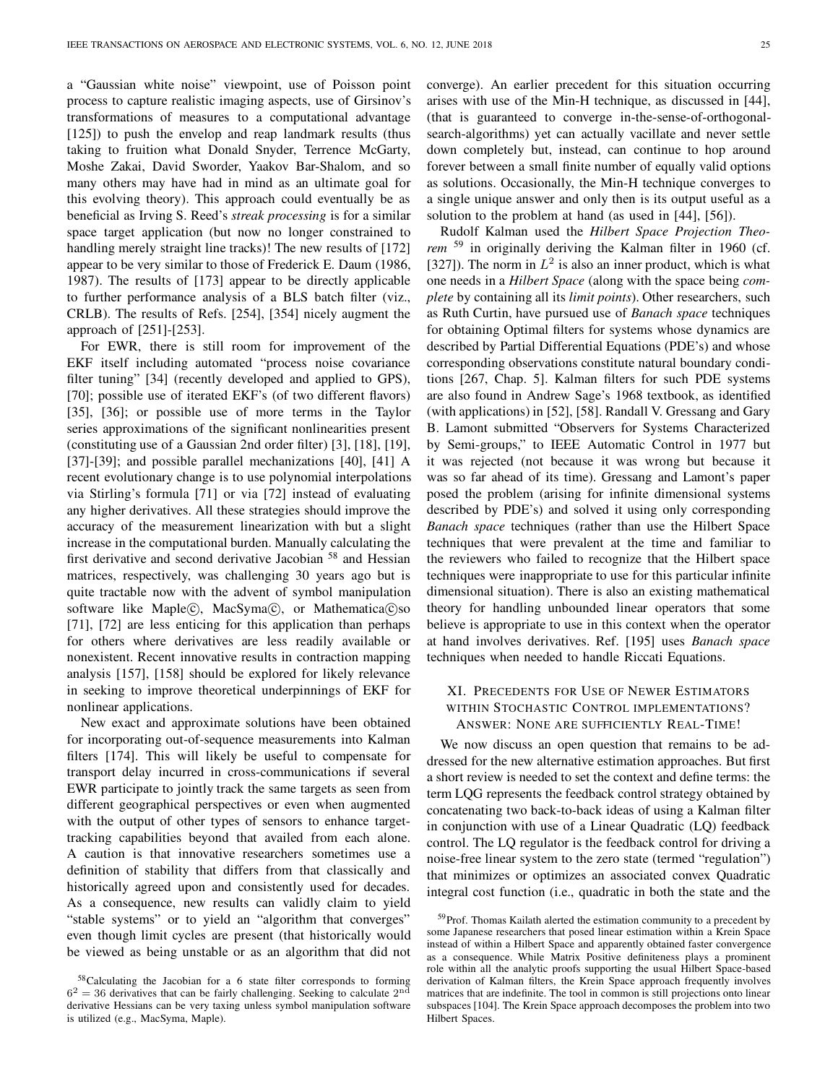a "Gaussian white noise" viewpoint, use of Poisson point process to capture realistic imaging aspects, use of Girsinov's transformations of measures to a computational advantage [125]) to push the envelop and reap landmark results (thus taking to fruition what Donald Snyder, Terrence McGarty, Moshe Zakai, David Sworder, Yaakov Bar-Shalom, and so many others may have had in mind as an ultimate goal for this evolving theory). This approach could eventually be as beneficial as Irving S. Reed's streak processing is for a similar space target application (but now no longer constrained to handling merely straight line tracks)! The new results of [172] appear to be very similar to those of Frederick E. Daum (1986, 1987). The results of [173] appear to be directly applicable to further performance analysis of a BLS batch filter (viz., CRLB). The results of Refs. [254], [354] nicely augment the approach of [251]-[253].

For EWR, there is still room for improvement of the EKF itself including automated "process noise covariance filter tuning" [34] (recently developed and applied to GPS), [70]; possible use of iterated EKF's (of two different flavors) [35], [36]; or possible use of more terms in the Taylor series approximations of the significant nonlinearities present (constituting use of a Gaussian 2nd order filter) [3], [18], [19], [37]-[39]; and possible parallel mechanizations [40], [41] A recent evolutionary change is to use polynomial interpolations via Stirling's formula [71] or via [72] instead of evaluating any higher derivatives. All these strategies should improve the accuracy of the measurement linearization with but a slight increase in the computational burden. Manually calculating the first derivative and second derivative Jacobian <sup>58</sup> and Hessian matrices, respectively, was challenging 30 years ago but is quite tractable now with the advent of symbol manipulation software like Maple(c), MacSyma(c), or Mathematica(c)so [71], [72] are less enticing for this application than perhaps for others where derivatives are less readily available or nonexistent. Recent innovative results in contraction mapping analysis [157], [158] should be explored for likely relevance in seeking to improve theoretical underpinnings of EKF for nonlinear applications.

New exact and approximate solutions have been obtained for incorporating out-of-sequence measurements into Kalman filters [174]. This will likely be useful to compensate for transport delay incurred in cross-communications if several EWR participate to jointly track the same targets as seen from different geographical perspectives or even when augmented with the output of other types of sensors to enhance targettracking capabilities beyond that availed from each alone. A caution is that innovative researchers sometimes use a definition of stability that differs from that classically and historically agreed upon and consistently used for decades. As a consequence, new results can validly claim to yield "stable systems" or to yield an "algorithm that converges" even though limit cycles are present (that historically would be viewed as being unstable or as an algorithm that did not

converge). An earlier precedent for this situation occurring arises with use of the Min-H technique, as discussed in [44], (that is guaranteed to converge in-the-sense-of-orthogonalsearch-algorithms) yet can actually vacillate and never settle down completely but, instead, can continue to hop around forever between a small finite number of equally valid options as solutions. Occasionally, the Min-H technique converges to a single unique answer and only then is its output useful as a solution to the problem at hand (as used in [44], [56]).

Rudolf Kalman used the Hilbert Space Projection Theorem <sup>59</sup> in originally deriving the Kalman filter in 1960 (cf. [327]). The norm in  $L^2$  is also an inner product, which is what one needs in a Hilbert Space (along with the space being complete by containing all its *limit points*). Other researchers, such as Ruth Curtin, have pursued use of Banach space techniques for obtaining Optimal filters for systems whose dynamics are described by Partial Differential Equations (PDE's) and whose corresponding observations constitute natural boundary conditions [267, Chap. 5]. Kalman filters for such PDE systems are also found in Andrew Sage's 1968 textbook, as identified (with applications) in [52], [58]. Randall V. Gressang and Gary B. Lamont submitted "Observers for Systems Characterized by Semi-groups," to IEEE Automatic Control in 1977 but it was rejected (not because it was wrong but because it was so far ahead of its time). Gressang and Lamont's paper posed the problem (arising for infinite dimensional systems described by PDE's) and solved it using only corresponding Banach space techniques (rather than use the Hilbert Space techniques that were prevalent at the time and familiar to the reviewers who failed to recognize that the Hilbert space techniques were inappropriate to use for this particular infinite dimensional situation). There is also an existing mathematical theory for handling unbounded linear operators that some believe is appropriate to use in this context when the operator at hand involves derivatives. Ref. [195] uses Banach space techniques when needed to handle Riccati Equations.

# XI. PRECEDENTS FOR USE OF NEWER ESTIMATORS WITHIN STOCHASTIC CONTROL IMPLEMENTATIONS? ANSWER: NONE ARE SUFFICIENTLY REAL-TIME!

We now discuss an open question that remains to be addressed for the new alternative estimation approaches. But first a short review is needed to set the context and define terms: the term LQG represents the feedback control strategy obtained by concatenating two back-to-back ideas of using a Kalman filter in conjunction with use of a Linear Quadratic (LQ) feedback control. The LQ regulator is the feedback control for driving a noise-free linear system to the zero state (termed "regulation") that minimizes or optimizes an associated convex Quadratic integral cost function (i.e., quadratic in both the state and the

<sup>58</sup>Calculating the Jacobian for a 6 state filter corresponds to forming  $6<sup>2</sup> = 36$  derivatives that can be fairly challenging. Seeking to calculate  $2<sup>nd</sup>$ derivative Hessians can be very taxing unless symbol manipulation software is utilized (e.g., MacSyma, Maple).

<sup>&</sup>lt;sup>59</sup>Prof. Thomas Kailath alerted the estimation community to a precedent by some Japanese researchers that posed linear estimation within a Krein Space instead of within a Hilbert Space and apparently obtained faster convergence as a consequence. While Matrix Positive definiteness plays a prominent role within all the analytic proofs supporting the usual Hilbert Space-based derivation of Kalman filters, the Krein Space approach frequently involves matrices that are indefinite. The tool in common is still projections onto linear subspaces [104]. The Krein Space approach decomposes the problem into two Hilbert Spaces.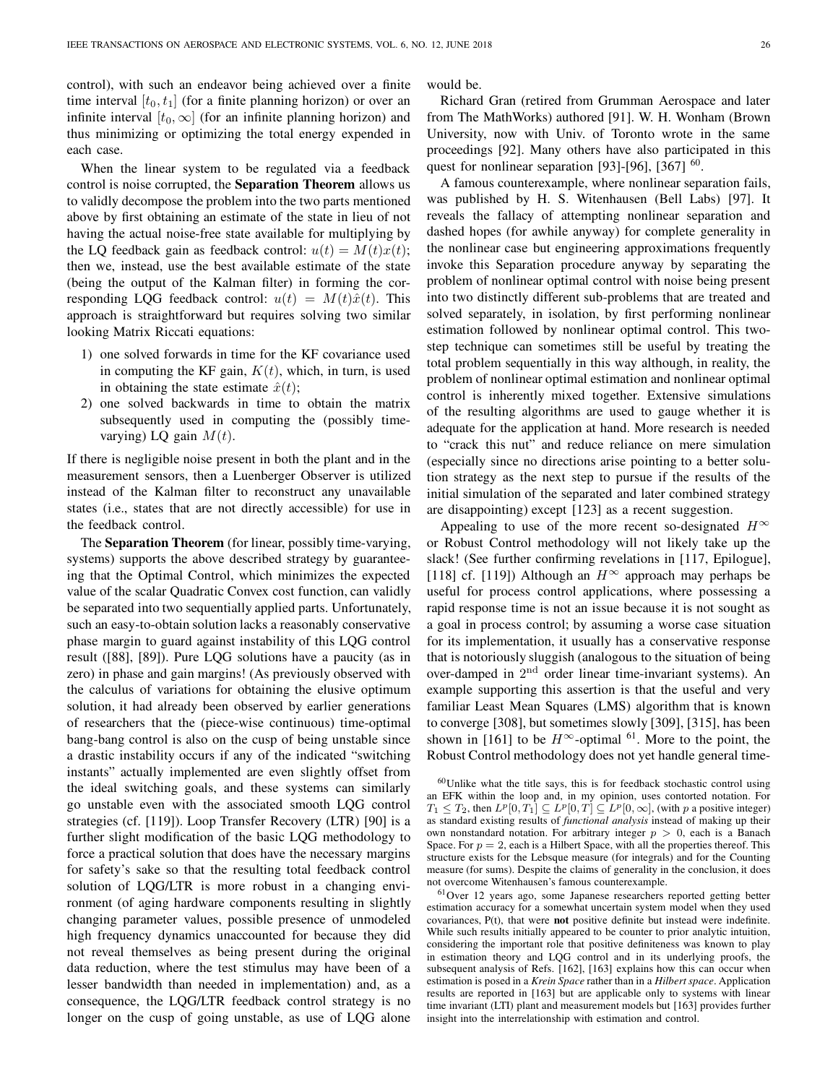control), with such an endeavor being achieved over a finite time interval  $[t_0, t_1]$  (for a finite planning horizon) or over an infinite interval  $[t_0, \infty]$  (for an infinite planning horizon) and thus minimizing or optimizing the total energy expended in each case.

When the linear system to be regulated via a feedback control is noise corrupted, the Separation Theorem allows us to validly decompose the problem into the two parts mentioned above by first obtaining an estimate of the state in lieu of not having the actual noise-free state available for multiplying by the LQ feedback gain as feedback control:  $u(t) = M(t)x(t)$ ; then we, instead, use the best available estimate of the state (being the output of the Kalman filter) in forming the corresponding LQG feedback control:  $u(t) = M(t)\hat{x}(t)$ . This approach is straightforward but requires solving two similar looking Matrix Riccati equations:

- 1) one solved forwards in time for the KF covariance used in computing the KF gain,  $K(t)$ , which, in turn, is used in obtaining the state estimate  $\hat{x}(t)$ ;
- 2) one solved backwards in time to obtain the matrix subsequently used in computing the (possibly timevarying) LQ gain  $M(t)$ .

If there is negligible noise present in both the plant and in the measurement sensors, then a Luenberger Observer is utilized instead of the Kalman filter to reconstruct any unavailable states (i.e., states that are not directly accessible) for use in the feedback control.

The Separation Theorem (for linear, possibly time-varying, systems) supports the above described strategy by guaranteeing that the Optimal Control, which minimizes the expected value of the scalar Quadratic Convex cost function, can validly be separated into two sequentially applied parts. Unfortunately, such an easy-to-obtain solution lacks a reasonably conservative phase margin to guard against instability of this LQG control result ([88], [89]). Pure LQG solutions have a paucity (as in zero) in phase and gain margins! (As previously observed with the calculus of variations for obtaining the elusive optimum solution, it had already been observed by earlier generations of researchers that the (piece-wise continuous) time-optimal bang-bang control is also on the cusp of being unstable since a drastic instability occurs if any of the indicated "switching instants" actually implemented are even slightly offset from the ideal switching goals, and these systems can similarly go unstable even with the associated smooth LQG control strategies (cf. [119]). Loop Transfer Recovery (LTR) [90] is a further slight modification of the basic LQG methodology to force a practical solution that does have the necessary margins for safety's sake so that the resulting total feedback control solution of LQG/LTR is more robust in a changing environment (of aging hardware components resulting in slightly changing parameter values, possible presence of unmodeled high frequency dynamics unaccounted for because they did not reveal themselves as being present during the original data reduction, where the test stimulus may have been of a lesser bandwidth than needed in implementation) and, as a consequence, the LQG/LTR feedback control strategy is no longer on the cusp of going unstable, as use of LQG alone

would be.

Richard Gran (retired from Grumman Aerospace and later from The MathWorks) authored [91]. W. H. Wonham (Brown University, now with Univ. of Toronto wrote in the same proceedings [92]. Many others have also participated in this quest for nonlinear separation [93]-[96], [367]  $^{60}$ .

A famous counterexample, where nonlinear separation fails, was published by H. S. Witenhausen (Bell Labs) [97]. It reveals the fallacy of attempting nonlinear separation and dashed hopes (for awhile anyway) for complete generality in the nonlinear case but engineering approximations frequently invoke this Separation procedure anyway by separating the problem of nonlinear optimal control with noise being present into two distinctly different sub-problems that are treated and solved separately, in isolation, by first performing nonlinear estimation followed by nonlinear optimal control. This twostep technique can sometimes still be useful by treating the total problem sequentially in this way although, in reality, the problem of nonlinear optimal estimation and nonlinear optimal control is inherently mixed together. Extensive simulations of the resulting algorithms are used to gauge whether it is adequate for the application at hand. More research is needed to "crack this nut" and reduce reliance on mere simulation (especially since no directions arise pointing to a better solution strategy as the next step to pursue if the results of the initial simulation of the separated and later combined strategy are disappointing) except [123] as a recent suggestion.

Appealing to use of the more recent so-designated  $H^{\infty}$ or Robust Control methodology will not likely take up the slack! (See further confirming revelations in [117, Epilogue], [118] cf. [119]) Although an  $H^{\infty}$  approach may perhaps be useful for process control applications, where possessing a rapid response time is not an issue because it is not sought as a goal in process control; by assuming a worse case situation for its implementation, it usually has a conservative response that is notoriously sluggish (analogous to the situation of being over-damped in  $2<sup>nd</sup>$  order linear time-invariant systems). An example supporting this assertion is that the useful and very familiar Least Mean Squares (LMS) algorithm that is known to converge [308], but sometimes slowly [309], [315], has been shown in [161] to be  $H^{\infty}$ -optimal <sup>61</sup>. More to the point, the Robust Control methodology does not yet handle general time-

 $60$ Unlike what the title says, this is for feedback stochastic control using an EFK within the loop and, in my opinion, uses contorted notation. For  $T_1 \leq T_2$ , then  $L^p[0,T_1] \subseteq L^p[0,T] \subseteq L^p[0,\infty]$ , (with p a positive integer) as standard existing results of functional analysis instead of making up their own nonstandard notation. For arbitrary integer  $p > 0$ , each is a Banach Space. For  $p = 2$ , each is a Hilbert Space, with all the properties thereof. This structure exists for the Lebsque measure (for integrals) and for the Counting measure (for sums). Despite the claims of generality in the conclusion, it does not overcome Witenhausen's famous counterexample.

<sup>61</sup>Over 12 years ago, some Japanese researchers reported getting better estimation accuracy for a somewhat uncertain system model when they used covariances, P(t), that were not positive definite but instead were indefinite. While such results initially appeared to be counter to prior analytic intuition, considering the important role that positive definiteness was known to play in estimation theory and LQG control and in its underlying proofs, the subsequent analysis of Refs. [162], [163] explains how this can occur when estimation is posed in a Krein Space rather than in a Hilbert space. Application results are reported in [163] but are applicable only to systems with linear time invariant (LTI) plant and measurement models but [163] provides further insight into the interrelationship with estimation and control.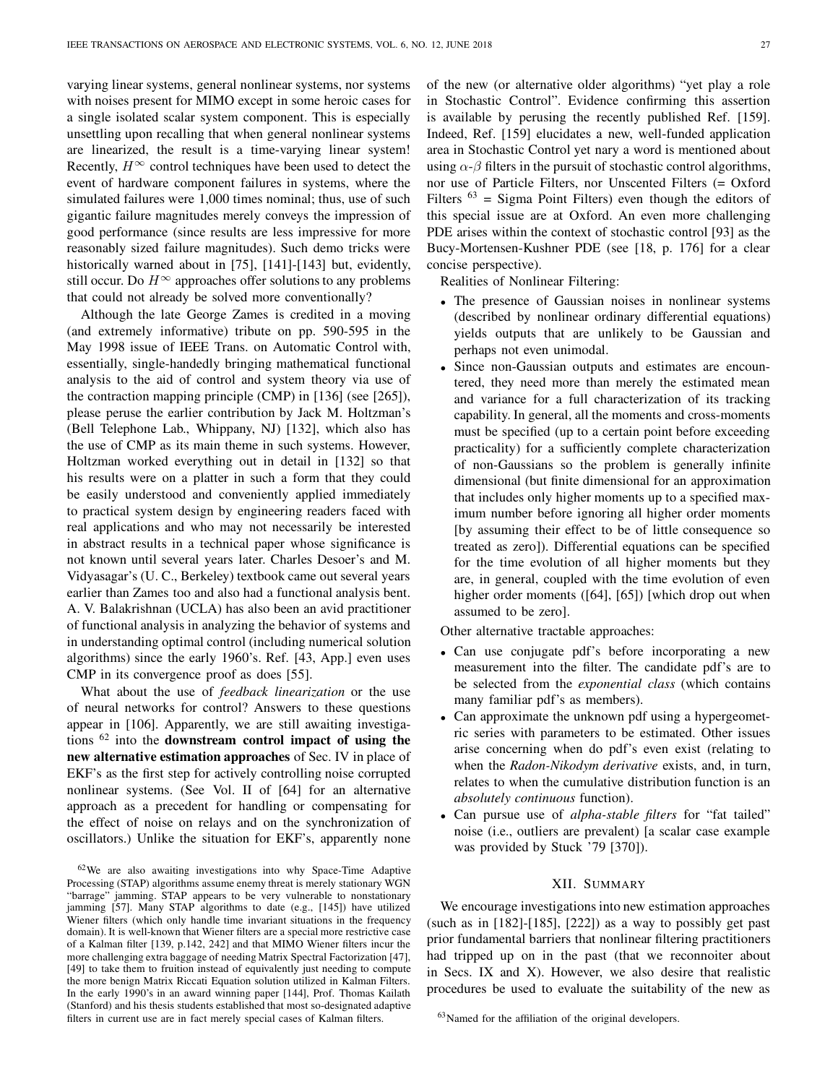varying linear systems, general nonlinear systems, nor systems with noises present for MIMO except in some heroic cases for a single isolated scalar system component. This is especially unsettling upon recalling that when general nonlinear systems are linearized, the result is a time-varying linear system! Recently,  $H^{\infty}$  control techniques have been used to detect the event of hardware component failures in systems, where the simulated failures were 1,000 times nominal; thus, use of such gigantic failure magnitudes merely conveys the impression of good performance (since results are less impressive for more reasonably sized failure magnitudes). Such demo tricks were historically warned about in [75], [141]-[143] but, evidently, still occur. Do  $H^{\infty}$  approaches offer solutions to any problems that could not already be solved more conventionally?

Although the late George Zames is credited in a moving (and extremely informative) tribute on pp. 590-595 in the May 1998 issue of IEEE Trans. on Automatic Control with, essentially, single-handedly bringing mathematical functional analysis to the aid of control and system theory via use of the contraction mapping principle (CMP) in [136] (see [265]), please peruse the earlier contribution by Jack M. Holtzman's (Bell Telephone Lab., Whippany, NJ) [132], which also has the use of CMP as its main theme in such systems. However, Holtzman worked everything out in detail in [132] so that his results were on a platter in such a form that they could be easily understood and conveniently applied immediately to practical system design by engineering readers faced with real applications and who may not necessarily be interested in abstract results in a technical paper whose significance is not known until several years later. Charles Desoer's and M. Vidyasagar's (U. C., Berkeley) textbook came out several years earlier than Zames too and also had a functional analysis bent. A. V. Balakrishnan (UCLA) has also been an avid practitioner of functional analysis in analyzing the behavior of systems and in understanding optimal control (including numerical solution algorithms) since the early 1960's. Ref. [43, App.] even uses CMP in its convergence proof as does [55].

What about the use of feedback linearization or the use of neural networks for control? Answers to these questions appear in [106]. Apparently, we are still awaiting investigations  $62$  into the **downstream** control impact of using the new alternative estimation approaches of Sec. IV in place of EKF's as the first step for actively controlling noise corrupted nonlinear systems. (See Vol. II of [64] for an alternative approach as a precedent for handling or compensating for the effect of noise on relays and on the synchronization of oscillators.) Unlike the situation for EKF's, apparently none of the new (or alternative older algorithms) "yet play a role in Stochastic Control". Evidence confirming this assertion is available by perusing the recently published Ref. [159]. Indeed, Ref. [159] elucidates a new, well-funded application area in Stochastic Control yet nary a word is mentioned about using  $\alpha$ - $\beta$  filters in the pursuit of stochastic control algorithms, nor use of Particle Filters, nor Unscented Filters (= Oxford Filters  $^{63}$  = Sigma Point Filters) even though the editors of this special issue are at Oxford. An even more challenging PDE arises within the context of stochastic control [93] as the Bucy-Mortensen-Kushner PDE (see [18, p. 176] for a clear concise perspective).

Realities of Nonlinear Filtering:

- The presence of Gaussian noises in nonlinear systems (described by nonlinear ordinary differential equations) yields outputs that are unlikely to be Gaussian and perhaps not even unimodal.
- Since non-Gaussian outputs and estimates are encountered, they need more than merely the estimated mean and variance for a full characterization of its tracking capability. In general, all the moments and cross-moments must be specified (up to a certain point before exceeding practicality) for a sufficiently complete characterization of non-Gaussians so the problem is generally infinite dimensional (but finite dimensional for an approximation that includes only higher moments up to a specified maximum number before ignoring all higher order moments [by assuming their effect to be of little consequence so treated as zero]). Differential equations can be specified for the time evolution of all higher moments but they are, in general, coupled with the time evolution of even higher order moments ([64], [65]) [which drop out when assumed to be zero].

Other alternative tractable approaches:

- Can use conjugate pdf's before incorporating a new measurement into the filter. The candidate pdf's are to be selected from the exponential class (which contains many familiar pdf's as members).
- Can approximate the unknown pdf using a hypergeometric series with parameters to be estimated. Other issues arise concerning when do pdf's even exist (relating to when the Radon-Nikodym derivative exists, and, in turn, relates to when the cumulative distribution function is an absolutely continuous function).
- Can pursue use of *alpha-stable filters* for "fat tailed" noise (i.e., outliers are prevalent) [a scalar case example was provided by Stuck '79 [370]).

#### XII. SUMMARY

We encourage investigations into new estimation approaches (such as in  $[182]$ - $[185]$ ,  $[222]$ ) as a way to possibly get past prior fundamental barriers that nonlinear filtering practitioners had tripped up on in the past (that we reconnoiter about in Secs. IX and X). However, we also desire that realistic procedures be used to evaluate the suitability of the new as

<sup>62</sup>We are also awaiting investigations into why Space-Time Adaptive Processing (STAP) algorithms assume enemy threat is merely stationary WGN "barrage" jamming. STAP appears to be very vulnerable to nonstationary jamming [57]. Many STAP algorithms to date (e.g., [145]) have utilized Wiener filters (which only handle time invariant situations in the frequency domain). It is well-known that Wiener filters are a special more restrictive case of a Kalman filter [139, p.142, 242] and that MIMO Wiener filters incur the more challenging extra baggage of needing Matrix Spectral Factorization [47], [49] to take them to fruition instead of equivalently just needing to compute the more benign Matrix Riccati Equation solution utilized in Kalman Filters. In the early 1990's in an award winning paper [144], Prof. Thomas Kailath (Stanford) and his thesis students established that most so-designated adaptive filters in current use are in fact merely special cases of Kalman filters.

<sup>&</sup>lt;sup>63</sup>Named for the affiliation of the original developers.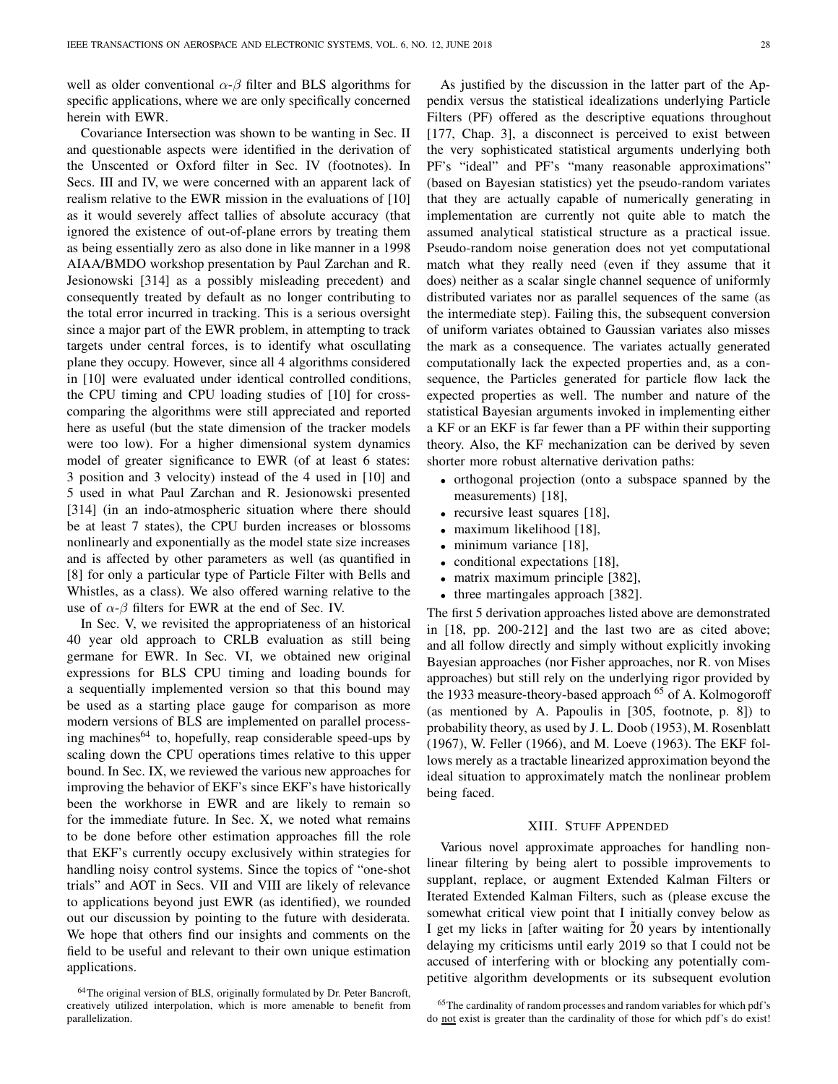well as older conventional  $\alpha$ - $\beta$  filter and BLS algorithms for specific applications, where we are only specifically concerned herein with EWR.

Covariance Intersection was shown to be wanting in Sec. II and questionable aspects were identified in the derivation of the Unscented or Oxford filter in Sec. IV (footnotes). In Secs. III and IV, we were concerned with an apparent lack of realism relative to the EWR mission in the evaluations of [10] as it would severely affect tallies of absolute accuracy (that ignored the existence of out-of-plane errors by treating them as being essentially zero as also done in like manner in a 1998 AIAA/BMDO workshop presentation by Paul Zarchan and R. Jesionowski [314] as a possibly misleading precedent) and consequently treated by default as no longer contributing to the total error incurred in tracking. This is a serious oversight since a major part of the EWR problem, in attempting to track targets under central forces, is to identify what oscullating plane they occupy. However, since all 4 algorithms considered in [10] were evaluated under identical controlled conditions, the CPU timing and CPU loading studies of [10] for crosscomparing the algorithms were still appreciated and reported here as useful (but the state dimension of the tracker models were too low). For a higher dimensional system dynamics model of greater significance to EWR (of at least 6 states: 3 position and 3 velocity) instead of the 4 used in [10] and 5 used in what Paul Zarchan and R. Jesionowski presented [314] (in an indo-atmospheric situation where there should be at least 7 states), the CPU burden increases or blossoms nonlinearly and exponentially as the model state size increases and is affected by other parameters as well (as quantified in [8] for only a particular type of Particle Filter with Bells and Whistles, as a class). We also offered warning relative to the use of  $\alpha$ - $\beta$  filters for EWR at the end of Sec. IV.

In Sec. V, we revisited the appropriateness of an historical 40 year old approach to CRLB evaluation as still being germane for EWR. In Sec. VI, we obtained new original expressions for BLS CPU timing and loading bounds for a sequentially implemented version so that this bound may be used as a starting place gauge for comparison as more modern versions of BLS are implemented on parallel processing machines<sup>64</sup> to, hopefully, reap considerable speed-ups by scaling down the CPU operations times relative to this upper bound. In Sec. IX, we reviewed the various new approaches for improving the behavior of EKF's since EKF's have historically been the workhorse in EWR and are likely to remain so for the immediate future. In Sec. X, we noted what remains to be done before other estimation approaches fill the role that EKF's currently occupy exclusively within strategies for handling noisy control systems. Since the topics of "one-shot trials" and AOT in Secs. VII and VIII are likely of relevance to applications beyond just EWR (as identified), we rounded out our discussion by pointing to the future with desiderata. We hope that others find our insights and comments on the field to be useful and relevant to their own unique estimation applications.

As justified by the discussion in the latter part of the Appendix versus the statistical idealizations underlying Particle Filters (PF) offered as the descriptive equations throughout [177, Chap. 3], a disconnect is perceived to exist between the very sophisticated statistical arguments underlying both PF's "ideal" and PF's "many reasonable approximations" (based on Bayesian statistics) yet the pseudo-random variates that they are actually capable of numerically generating in implementation are currently not quite able to match the assumed analytical statistical structure as a practical issue. Pseudo-random noise generation does not yet computational match what they really need (even if they assume that it does) neither as a scalar single channel sequence of uniformly distributed variates nor as parallel sequences of the same (as the intermediate step). Failing this, the subsequent conversion of uniform variates obtained to Gaussian variates also misses the mark as a consequence. The variates actually generated computationally lack the expected properties and, as a consequence, the Particles generated for particle flow lack the expected properties as well. The number and nature of the statistical Bayesian arguments invoked in implementing either a KF or an EKF is far fewer than a PF within their supporting theory. Also, the KF mechanization can be derived by seven shorter more robust alternative derivation paths:

- orthogonal projection (onto a subspace spanned by the measurements) [18],
- recursive least squares [18],
- maximum likelihood [18],
- minimum variance [18],
- conditional expectations [18],
- matrix maximum principle [382],
- three martingales approach [382].

The first 5 derivation approaches listed above are demonstrated in [18, pp. 200-212] and the last two are as cited above; and all follow directly and simply without explicitly invoking Bayesian approaches (nor Fisher approaches, nor R. von Mises approaches) but still rely on the underlying rigor provided by the 1933 measure-theory-based approach <sup>65</sup> of A. Kolmogoroff (as mentioned by A. Papoulis in [305, footnote, p. 8]) to probability theory, as used by J. L. Doob (1953), M. Rosenblatt (1967), W. Feller (1966), and M. Loeve (1963). The EKF follows merely as a tractable linearized approximation beyond the ideal situation to approximately match the nonlinear problem being faced.

## XIII. STUFF APPENDED

Various novel approximate approaches for handling nonlinear filtering by being alert to possible improvements to supplant, replace, or augment Extended Kalman Filters or Iterated Extended Kalman Filters, such as (please excuse the somewhat critical view point that I initially convey below as I get my licks in [after waiting for  $\tilde{2}0$  years by intentionally delaying my criticisms until early 2019 so that I could not be accused of interfering with or blocking any potentially competitive algorithm developments or its subsequent evolution

<sup>&</sup>lt;sup>64</sup>The original version of BLS, originally formulated by Dr. Peter Bancroft, creatively utilized interpolation, which is more amenable to benefit from parallelization.

<sup>&</sup>lt;sup>65</sup>The cardinality of random processes and random variables for which pdf's do not exist is greater than the cardinality of those for which pdf's do exist!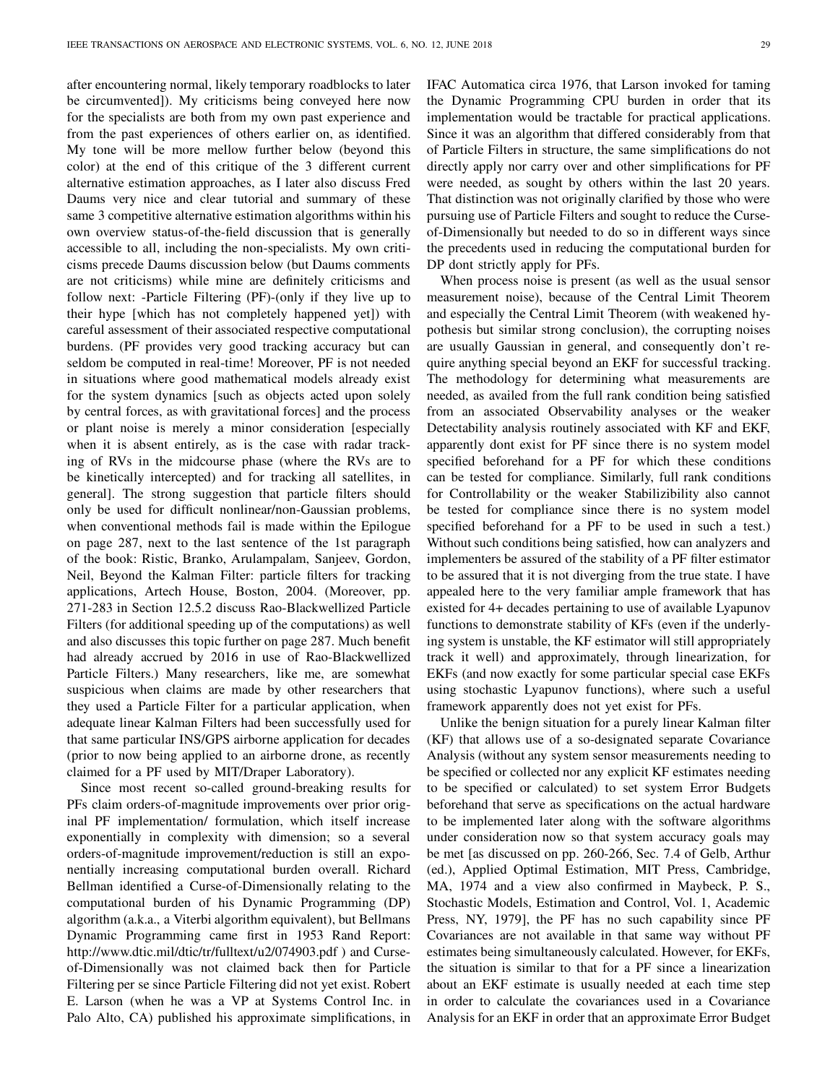after encountering normal, likely temporary roadblocks to later be circumvented]). My criticisms being conveyed here now for the specialists are both from my own past experience and from the past experiences of others earlier on, as identified. My tone will be more mellow further below (beyond this color) at the end of this critique of the 3 different current alternative estimation approaches, as I later also discuss Fred Daums very nice and clear tutorial and summary of these same 3 competitive alternative estimation algorithms within his own overview status-of-the-field discussion that is generally accessible to all, including the non-specialists. My own criticisms precede Daums discussion below (but Daums comments are not criticisms) while mine are definitely criticisms and follow next: -Particle Filtering (PF)-(only if they live up to their hype [which has not completely happened yet]) with careful assessment of their associated respective computational burdens. (PF provides very good tracking accuracy but can seldom be computed in real-time! Moreover, PF is not needed in situations where good mathematical models already exist for the system dynamics [such as objects acted upon solely by central forces, as with gravitational forces] and the process or plant noise is merely a minor consideration [especially when it is absent entirely, as is the case with radar tracking of RVs in the midcourse phase (where the RVs are to be kinetically intercepted) and for tracking all satellites, in general]. The strong suggestion that particle filters should only be used for difficult nonlinear/non-Gaussian problems, when conventional methods fail is made within the Epilogue on page 287, next to the last sentence of the 1st paragraph of the book: Ristic, Branko, Arulampalam, Sanjeev, Gordon, Neil, Beyond the Kalman Filter: particle filters for tracking applications, Artech House, Boston, 2004. (Moreover, pp. 271-283 in Section 12.5.2 discuss Rao-Blackwellized Particle Filters (for additional speeding up of the computations) as well and also discusses this topic further on page 287. Much benefit had already accrued by 2016 in use of Rao-Blackwellized Particle Filters.) Many researchers, like me, are somewhat suspicious when claims are made by other researchers that they used a Particle Filter for a particular application, when adequate linear Kalman Filters had been successfully used for that same particular INS/GPS airborne application for decades (prior to now being applied to an airborne drone, as recently claimed for a PF used by MIT/Draper Laboratory).

Since most recent so-called ground-breaking results for PFs claim orders-of-magnitude improvements over prior original PF implementation/ formulation, which itself increase exponentially in complexity with dimension; so a several orders-of-magnitude improvement/reduction is still an exponentially increasing computational burden overall. Richard Bellman identified a Curse-of-Dimensionally relating to the computational burden of his Dynamic Programming (DP) algorithm (a.k.a., a Viterbi algorithm equivalent), but Bellmans Dynamic Programming came first in 1953 Rand Report: http://www.dtic.mil/dtic/tr/fulltext/u2/074903.pdf ) and Curseof-Dimensionally was not claimed back then for Particle Filtering per se since Particle Filtering did not yet exist. Robert E. Larson (when he was a VP at Systems Control Inc. in Palo Alto, CA) published his approximate simplifications, in IFAC Automatica circa 1976, that Larson invoked for taming the Dynamic Programming CPU burden in order that its implementation would be tractable for practical applications. Since it was an algorithm that differed considerably from that of Particle Filters in structure, the same simplifications do not directly apply nor carry over and other simplifications for PF were needed, as sought by others within the last 20 years. That distinction was not originally clarified by those who were pursuing use of Particle Filters and sought to reduce the Curseof-Dimensionally but needed to do so in different ways since the precedents used in reducing the computational burden for DP dont strictly apply for PFs.

When process noise is present (as well as the usual sensor measurement noise), because of the Central Limit Theorem and especially the Central Limit Theorem (with weakened hypothesis but similar strong conclusion), the corrupting noises are usually Gaussian in general, and consequently don't require anything special beyond an EKF for successful tracking. The methodology for determining what measurements are needed, as availed from the full rank condition being satisfied from an associated Observability analyses or the weaker Detectability analysis routinely associated with KF and EKF, apparently dont exist for PF since there is no system model specified beforehand for a PF for which these conditions can be tested for compliance. Similarly, full rank conditions for Controllability or the weaker Stabilizibility also cannot be tested for compliance since there is no system model specified beforehand for a PF to be used in such a test.) Without such conditions being satisfied, how can analyzers and implementers be assured of the stability of a PF filter estimator to be assured that it is not diverging from the true state. I have appealed here to the very familiar ample framework that has existed for 4+ decades pertaining to use of available Lyapunov functions to demonstrate stability of KFs (even if the underlying system is unstable, the KF estimator will still appropriately track it well) and approximately, through linearization, for EKFs (and now exactly for some particular special case EKFs using stochastic Lyapunov functions), where such a useful framework apparently does not yet exist for PFs.

Unlike the benign situation for a purely linear Kalman filter (KF) that allows use of a so-designated separate Covariance Analysis (without any system sensor measurements needing to be specified or collected nor any explicit KF estimates needing to be specified or calculated) to set system Error Budgets beforehand that serve as specifications on the actual hardware to be implemented later along with the software algorithms under consideration now so that system accuracy goals may be met [as discussed on pp. 260-266, Sec. 7.4 of Gelb, Arthur (ed.), Applied Optimal Estimation, MIT Press, Cambridge, MA, 1974 and a view also confirmed in Maybeck, P. S., Stochastic Models, Estimation and Control, Vol. 1, Academic Press, NY, 1979], the PF has no such capability since PF Covariances are not available in that same way without PF estimates being simultaneously calculated. However, for EKFs, the situation is similar to that for a PF since a linearization about an EKF estimate is usually needed at each time step in order to calculate the covariances used in a Covariance Analysis for an EKF in order that an approximate Error Budget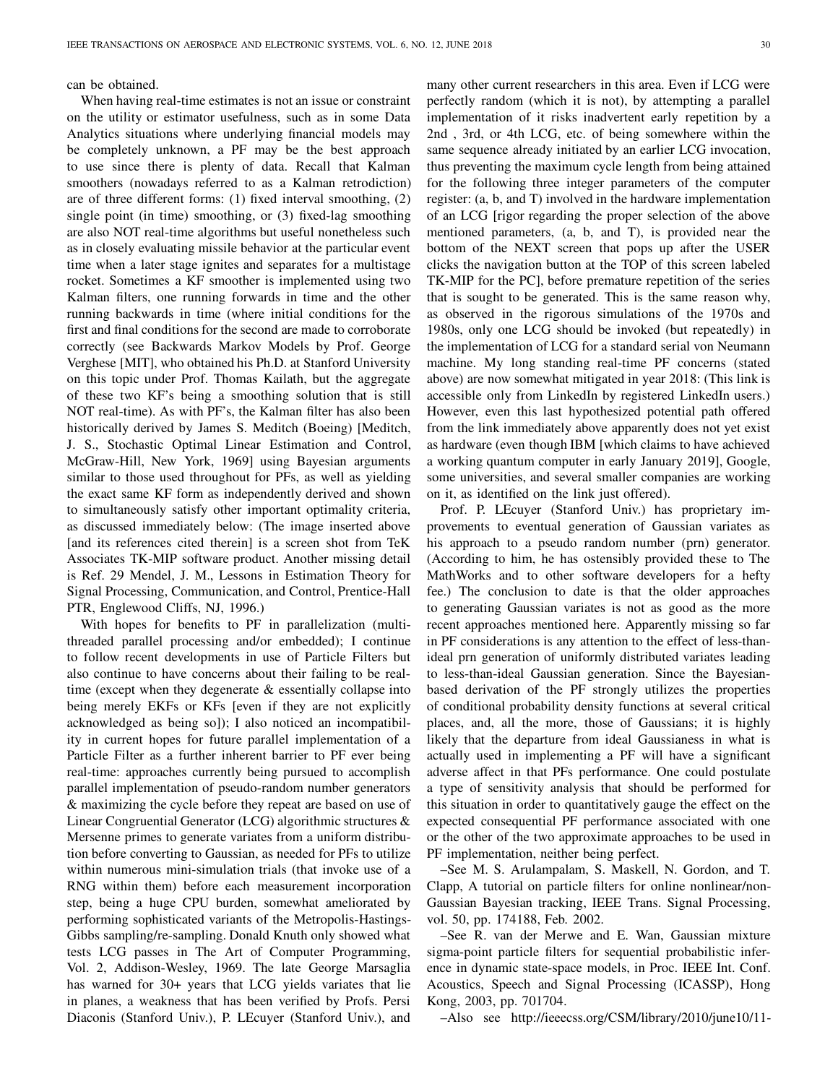can be obtained.

When having real-time estimates is not an issue or constraint on the utility or estimator usefulness, such as in some Data Analytics situations where underlying financial models may be completely unknown, a PF may be the best approach to use since there is plenty of data. Recall that Kalman smoothers (nowadays referred to as a Kalman retrodiction) are of three different forms: (1) fixed interval smoothing, (2) single point (in time) smoothing, or (3) fixed-lag smoothing are also NOT real-time algorithms but useful nonetheless such as in closely evaluating missile behavior at the particular event time when a later stage ignites and separates for a multistage rocket. Sometimes a KF smoother is implemented using two Kalman filters, one running forwards in time and the other running backwards in time (where initial conditions for the first and final conditions for the second are made to corroborate correctly (see Backwards Markov Models by Prof. George Verghese [MIT], who obtained his Ph.D. at Stanford University on this topic under Prof. Thomas Kailath, but the aggregate of these two KF's being a smoothing solution that is still NOT real-time). As with PF's, the Kalman filter has also been historically derived by James S. Meditch (Boeing) [Meditch, J. S., Stochastic Optimal Linear Estimation and Control, McGraw-Hill, New York, 1969] using Bayesian arguments similar to those used throughout for PFs, as well as yielding the exact same KF form as independently derived and shown to simultaneously satisfy other important optimality criteria, as discussed immediately below: (The image inserted above [and its references cited therein] is a screen shot from TeK Associates TK-MIP software product. Another missing detail is Ref. 29 Mendel, J. M., Lessons in Estimation Theory for Signal Processing, Communication, and Control, Prentice-Hall PTR, Englewood Cliffs, NJ, 1996.)

With hopes for benefits to PF in parallelization (multithreaded parallel processing and/or embedded); I continue to follow recent developments in use of Particle Filters but also continue to have concerns about their failing to be realtime (except when they degenerate & essentially collapse into being merely EKFs or KFs [even if they are not explicitly acknowledged as being so]); I also noticed an incompatibility in current hopes for future parallel implementation of a Particle Filter as a further inherent barrier to PF ever being real-time: approaches currently being pursued to accomplish parallel implementation of pseudo-random number generators & maximizing the cycle before they repeat are based on use of Linear Congruential Generator (LCG) algorithmic structures & Mersenne primes to generate variates from a uniform distribution before converting to Gaussian, as needed for PFs to utilize within numerous mini-simulation trials (that invoke use of a RNG within them) before each measurement incorporation step, being a huge CPU burden, somewhat ameliorated by performing sophisticated variants of the Metropolis-Hastings-Gibbs sampling/re-sampling. Donald Knuth only showed what tests LCG passes in The Art of Computer Programming, Vol. 2, Addison-Wesley, 1969. The late George Marsaglia has warned for 30+ years that LCG yields variates that lie in planes, a weakness that has been verified by Profs. Persi Diaconis (Stanford Univ.), P. LEcuyer (Stanford Univ.), and

many other current researchers in this area. Even if LCG were perfectly random (which it is not), by attempting a parallel implementation of it risks inadvertent early repetition by a 2nd , 3rd, or 4th LCG, etc. of being somewhere within the same sequence already initiated by an earlier LCG invocation, thus preventing the maximum cycle length from being attained for the following three integer parameters of the computer register: (a, b, and T) involved in the hardware implementation of an LCG [rigor regarding the proper selection of the above mentioned parameters, (a, b, and T), is provided near the bottom of the NEXT screen that pops up after the USER clicks the navigation button at the TOP of this screen labeled TK-MIP for the PC], before premature repetition of the series that is sought to be generated. This is the same reason why, as observed in the rigorous simulations of the 1970s and 1980s, only one LCG should be invoked (but repeatedly) in the implementation of LCG for a standard serial von Neumann machine. My long standing real-time PF concerns (stated above) are now somewhat mitigated in year 2018: (This link is accessible only from LinkedIn by registered LinkedIn users.) However, even this last hypothesized potential path offered from the link immediately above apparently does not yet exist as hardware (even though IBM [which claims to have achieved a working quantum computer in early January 2019], Google, some universities, and several smaller companies are working on it, as identified on the link just offered).

Prof. P. LEcuyer (Stanford Univ.) has proprietary improvements to eventual generation of Gaussian variates as his approach to a pseudo random number (prn) generator. (According to him, he has ostensibly provided these to The MathWorks and to other software developers for a hefty fee.) The conclusion to date is that the older approaches to generating Gaussian variates is not as good as the more recent approaches mentioned here. Apparently missing so far in PF considerations is any attention to the effect of less-thanideal prn generation of uniformly distributed variates leading to less-than-ideal Gaussian generation. Since the Bayesianbased derivation of the PF strongly utilizes the properties of conditional probability density functions at several critical places, and, all the more, those of Gaussians; it is highly likely that the departure from ideal Gaussianess in what is actually used in implementing a PF will have a significant adverse affect in that PFs performance. One could postulate a type of sensitivity analysis that should be performed for this situation in order to quantitatively gauge the effect on the expected consequential PF performance associated with one or the other of the two approximate approaches to be used in PF implementation, neither being perfect.

–See M. S. Arulampalam, S. Maskell, N. Gordon, and T. Clapp, A tutorial on particle filters for online nonlinear/non-Gaussian Bayesian tracking, IEEE Trans. Signal Processing, vol. 50, pp. 174188, Feb. 2002.

–See R. van der Merwe and E. Wan, Gaussian mixture sigma-point particle filters for sequential probabilistic inference in dynamic state-space models, in Proc. IEEE Int. Conf. Acoustics, Speech and Signal Processing (ICASSP), Hong Kong, 2003, pp. 701704.

–Also see http://ieeecss.org/CSM/library/2010/june10/11-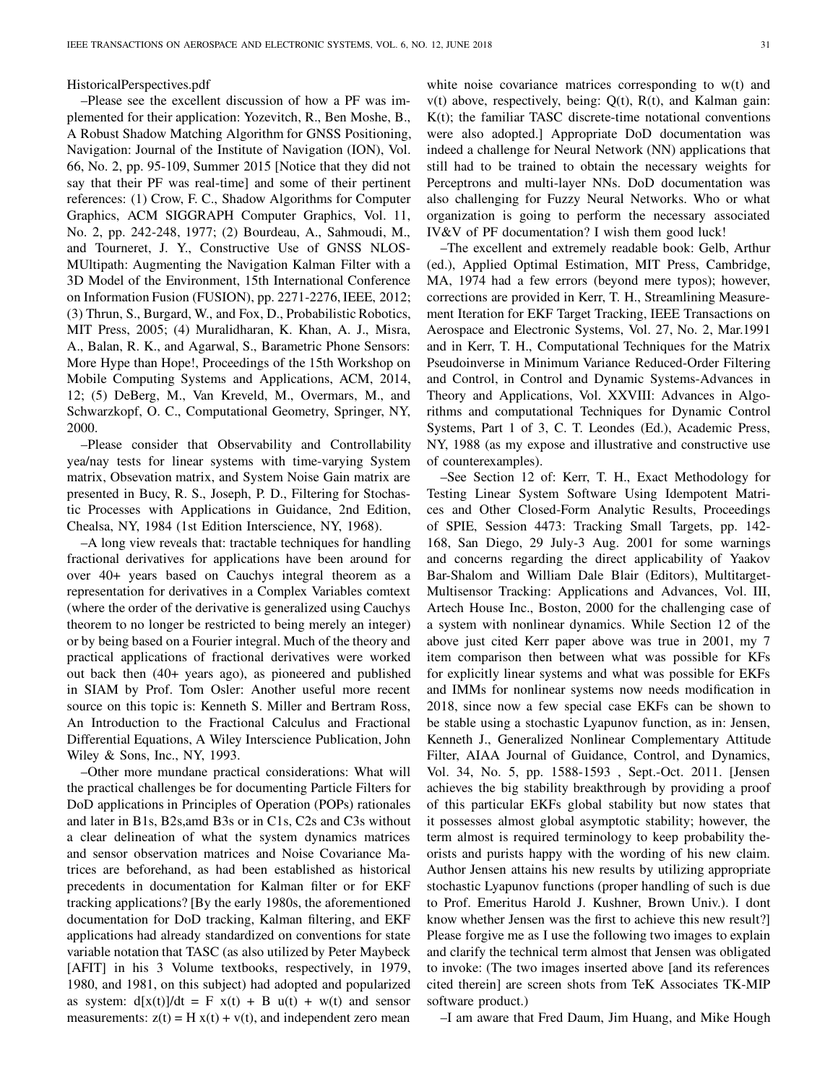HistoricalPerspectives.pdf

–Please see the excellent discussion of how a PF was implemented for their application: Yozevitch, R., Ben Moshe, B., A Robust Shadow Matching Algorithm for GNSS Positioning, Navigation: Journal of the Institute of Navigation (ION), Vol. 66, No. 2, pp. 95-109, Summer 2015 [Notice that they did not say that their PF was real-time] and some of their pertinent references: (1) Crow, F. C., Shadow Algorithms for Computer Graphics, ACM SIGGRAPH Computer Graphics, Vol. 11, No. 2, pp. 242-248, 1977; (2) Bourdeau, A., Sahmoudi, M., and Tourneret, J. Y., Constructive Use of GNSS NLOS-MUltipath: Augmenting the Navigation Kalman Filter with a 3D Model of the Environment, 15th International Conference on Information Fusion (FUSION), pp. 2271-2276, IEEE, 2012; (3) Thrun, S., Burgard, W., and Fox, D., Probabilistic Robotics, MIT Press, 2005; (4) Muralidharan, K. Khan, A. J., Misra, A., Balan, R. K., and Agarwal, S., Barametric Phone Sensors: More Hype than Hope!, Proceedings of the 15th Workshop on Mobile Computing Systems and Applications, ACM, 2014, 12; (5) DeBerg, M., Van Kreveld, M., Overmars, M., and Schwarzkopf, O. C., Computational Geometry, Springer, NY, 2000.

–Please consider that Observability and Controllability yea/nay tests for linear systems with time-varying System matrix, Obsevation matrix, and System Noise Gain matrix are presented in Bucy, R. S., Joseph, P. D., Filtering for Stochastic Processes with Applications in Guidance, 2nd Edition, Chealsa, NY, 1984 (1st Edition Interscience, NY, 1968).

–A long view reveals that: tractable techniques for handling fractional derivatives for applications have been around for over 40+ years based on Cauchys integral theorem as a representation for derivatives in a Complex Variables comtext (where the order of the derivative is generalized using Cauchys theorem to no longer be restricted to being merely an integer) or by being based on a Fourier integral. Much of the theory and practical applications of fractional derivatives were worked out back then (40+ years ago), as pioneered and published in SIAM by Prof. Tom Osler: Another useful more recent source on this topic is: Kenneth S. Miller and Bertram Ross, An Introduction to the Fractional Calculus and Fractional Differential Equations, A Wiley Interscience Publication, John Wiley & Sons, Inc., NY, 1993.

–Other more mundane practical considerations: What will the practical challenges be for documenting Particle Filters for DoD applications in Principles of Operation (POPs) rationales and later in B1s, B2s,amd B3s or in C1s, C2s and C3s without a clear delineation of what the system dynamics matrices and sensor observation matrices and Noise Covariance Matrices are beforehand, as had been established as historical precedents in documentation for Kalman filter or for EKF tracking applications? [By the early 1980s, the aforementioned documentation for DoD tracking, Kalman filtering, and EKF applications had already standardized on conventions for state variable notation that TASC (as also utilized by Peter Maybeck [AFIT] in his 3 Volume textbooks, respectively, in 1979, 1980, and 1981, on this subject) had adopted and popularized as system:  $d[x(t)]/dt = F x(t) + B u(t) + w(t)$  and sensor measurements:  $z(t) = H x(t) + v(t)$ , and independent zero mean

white noise covariance matrices corresponding to w(t) and  $v(t)$  above, respectively, being:  $Q(t)$ ,  $R(t)$ , and Kalman gain: K(t); the familiar TASC discrete-time notational conventions were also adopted.] Appropriate DoD documentation was indeed a challenge for Neural Network (NN) applications that still had to be trained to obtain the necessary weights for Perceptrons and multi-layer NNs. DoD documentation was also challenging for Fuzzy Neural Networks. Who or what organization is going to perform the necessary associated IV&V of PF documentation? I wish them good luck!

–The excellent and extremely readable book: Gelb, Arthur (ed.), Applied Optimal Estimation, MIT Press, Cambridge, MA, 1974 had a few errors (beyond mere typos); however, corrections are provided in Kerr, T. H., Streamlining Measurement Iteration for EKF Target Tracking, IEEE Transactions on Aerospace and Electronic Systems, Vol. 27, No. 2, Mar.1991 and in Kerr, T. H., Computational Techniques for the Matrix Pseudoinverse in Minimum Variance Reduced-Order Filtering and Control, in Control and Dynamic Systems-Advances in Theory and Applications, Vol. XXVIII: Advances in Algorithms and computational Techniques for Dynamic Control Systems, Part 1 of 3, C. T. Leondes (Ed.), Academic Press, NY, 1988 (as my expose and illustrative and constructive use of counterexamples).

–See Section 12 of: Kerr, T. H., Exact Methodology for Testing Linear System Software Using Idempotent Matrices and Other Closed-Form Analytic Results, Proceedings of SPIE, Session 4473: Tracking Small Targets, pp. 142- 168, San Diego, 29 July-3 Aug. 2001 for some warnings and concerns regarding the direct applicability of Yaakov Bar-Shalom and William Dale Blair (Editors), Multitarget-Multisensor Tracking: Applications and Advances, Vol. III, Artech House Inc., Boston, 2000 for the challenging case of a system with nonlinear dynamics. While Section 12 of the above just cited Kerr paper above was true in 2001, my 7 item comparison then between what was possible for KFs for explicitly linear systems and what was possible for EKFs and IMMs for nonlinear systems now needs modification in 2018, since now a few special case EKFs can be shown to be stable using a stochastic Lyapunov function, as in: Jensen, Kenneth J., Generalized Nonlinear Complementary Attitude Filter, AIAA Journal of Guidance, Control, and Dynamics, Vol. 34, No. 5, pp. 1588-1593 , Sept.-Oct. 2011. [Jensen achieves the big stability breakthrough by providing a proof of this particular EKFs global stability but now states that it possesses almost global asymptotic stability; however, the term almost is required terminology to keep probability theorists and purists happy with the wording of his new claim. Author Jensen attains his new results by utilizing appropriate stochastic Lyapunov functions (proper handling of such is due to Prof. Emeritus Harold J. Kushner, Brown Univ.). I dont know whether Jensen was the first to achieve this new result?] Please forgive me as I use the following two images to explain and clarify the technical term almost that Jensen was obligated to invoke: (The two images inserted above [and its references cited therein] are screen shots from TeK Associates TK-MIP software product.)

–I am aware that Fred Daum, Jim Huang, and Mike Hough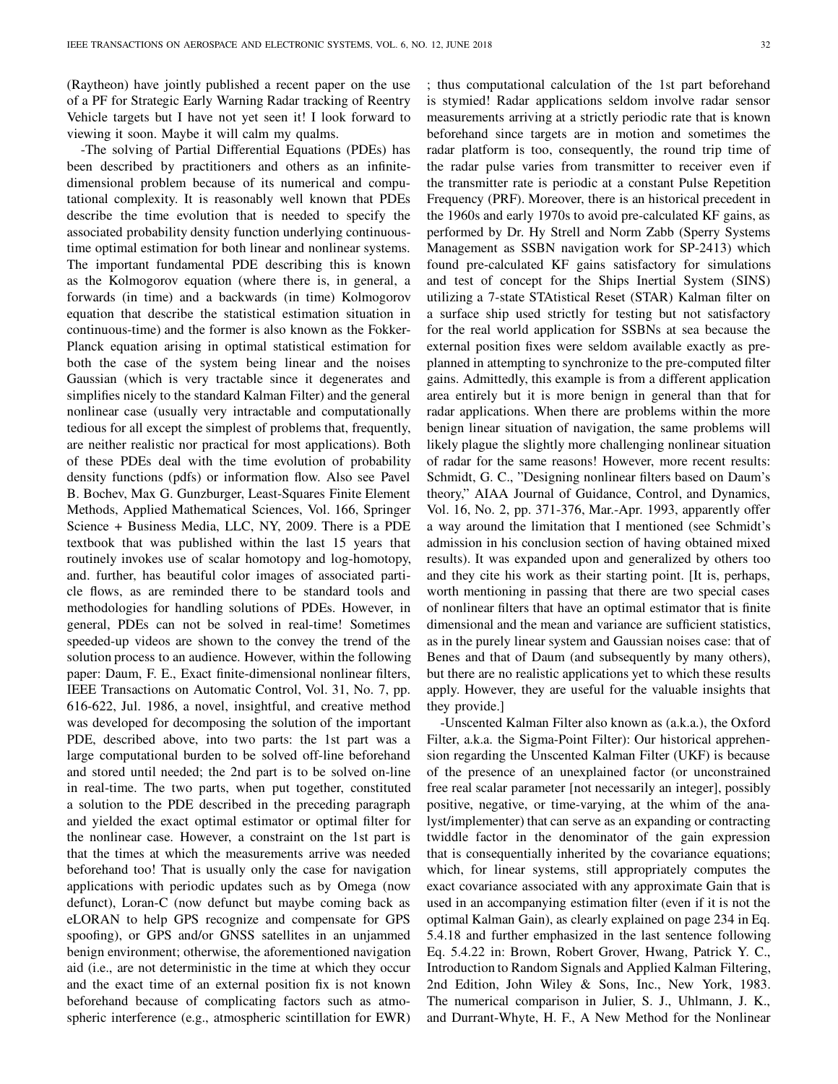(Raytheon) have jointly published a recent paper on the use of a PF for Strategic Early Warning Radar tracking of Reentry Vehicle targets but I have not yet seen it! I look forward to viewing it soon. Maybe it will calm my qualms.

-The solving of Partial Differential Equations (PDEs) has been described by practitioners and others as an infinitedimensional problem because of its numerical and computational complexity. It is reasonably well known that PDEs describe the time evolution that is needed to specify the associated probability density function underlying continuoustime optimal estimation for both linear and nonlinear systems. The important fundamental PDE describing this is known as the Kolmogorov equation (where there is, in general, a forwards (in time) and a backwards (in time) Kolmogorov equation that describe the statistical estimation situation in continuous-time) and the former is also known as the Fokker-Planck equation arising in optimal statistical estimation for both the case of the system being linear and the noises Gaussian (which is very tractable since it degenerates and simplifies nicely to the standard Kalman Filter) and the general nonlinear case (usually very intractable and computationally tedious for all except the simplest of problems that, frequently, are neither realistic nor practical for most applications). Both of these PDEs deal with the time evolution of probability density functions (pdfs) or information flow. Also see Pavel B. Bochev, Max G. Gunzburger, Least-Squares Finite Element Methods, Applied Mathematical Sciences, Vol. 166, Springer Science + Business Media, LLC, NY, 2009. There is a PDE textbook that was published within the last 15 years that routinely invokes use of scalar homotopy and log-homotopy, and. further, has beautiful color images of associated particle flows, as are reminded there to be standard tools and methodologies for handling solutions of PDEs. However, in general, PDEs can not be solved in real-time! Sometimes speeded-up videos are shown to the convey the trend of the solution process to an audience. However, within the following paper: Daum, F. E., Exact finite-dimensional nonlinear filters, IEEE Transactions on Automatic Control, Vol. 31, No. 7, pp. 616-622, Jul. 1986, a novel, insightful, and creative method was developed for decomposing the solution of the important PDE, described above, into two parts: the 1st part was a large computational burden to be solved off-line beforehand and stored until needed; the 2nd part is to be solved on-line in real-time. The two parts, when put together, constituted a solution to the PDE described in the preceding paragraph and yielded the exact optimal estimator or optimal filter for the nonlinear case. However, a constraint on the 1st part is that the times at which the measurements arrive was needed beforehand too! That is usually only the case for navigation applications with periodic updates such as by Omega (now defunct), Loran-C (now defunct but maybe coming back as eLORAN to help GPS recognize and compensate for GPS spoofing), or GPS and/or GNSS satellites in an unjammed benign environment; otherwise, the aforementioned navigation aid (i.e., are not deterministic in the time at which they occur and the exact time of an external position fix is not known beforehand because of complicating factors such as atmospheric interference (e.g., atmospheric scintillation for EWR)

; thus computational calculation of the 1st part beforehand is stymied! Radar applications seldom involve radar sensor measurements arriving at a strictly periodic rate that is known beforehand since targets are in motion and sometimes the radar platform is too, consequently, the round trip time of the radar pulse varies from transmitter to receiver even if the transmitter rate is periodic at a constant Pulse Repetition Frequency (PRF). Moreover, there is an historical precedent in the 1960s and early 1970s to avoid pre-calculated KF gains, as performed by Dr. Hy Strell and Norm Zabb (Sperry Systems Management as SSBN navigation work for SP-2413) which found pre-calculated KF gains satisfactory for simulations and test of concept for the Ships Inertial System (SINS) utilizing a 7-state STAtistical Reset (STAR) Kalman filter on a surface ship used strictly for testing but not satisfactory for the real world application for SSBNs at sea because the external position fixes were seldom available exactly as preplanned in attempting to synchronize to the pre-computed filter gains. Admittedly, this example is from a different application area entirely but it is more benign in general than that for radar applications. When there are problems within the more benign linear situation of navigation, the same problems will likely plague the slightly more challenging nonlinear situation of radar for the same reasons! However, more recent results: Schmidt, G. C., "Designing nonlinear filters based on Daum's theory," AIAA Journal of Guidance, Control, and Dynamics, Vol. 16, No. 2, pp. 371-376, Mar.-Apr. 1993, apparently offer a way around the limitation that I mentioned (see Schmidt's admission in his conclusion section of having obtained mixed results). It was expanded upon and generalized by others too and they cite his work as their starting point. [It is, perhaps, worth mentioning in passing that there are two special cases of nonlinear filters that have an optimal estimator that is finite dimensional and the mean and variance are sufficient statistics, as in the purely linear system and Gaussian noises case: that of Benes and that of Daum (and subsequently by many others), but there are no realistic applications yet to which these results apply. However, they are useful for the valuable insights that they provide.]

-Unscented Kalman Filter also known as (a.k.a.), the Oxford Filter, a.k.a. the Sigma-Point Filter): Our historical apprehension regarding the Unscented Kalman Filter (UKF) is because of the presence of an unexplained factor (or unconstrained free real scalar parameter [not necessarily an integer], possibly positive, negative, or time-varying, at the whim of the analyst/implementer) that can serve as an expanding or contracting twiddle factor in the denominator of the gain expression that is consequentially inherited by the covariance equations; which, for linear systems, still appropriately computes the exact covariance associated with any approximate Gain that is used in an accompanying estimation filter (even if it is not the optimal Kalman Gain), as clearly explained on page 234 in Eq. 5.4.18 and further emphasized in the last sentence following Eq. 5.4.22 in: Brown, Robert Grover, Hwang, Patrick Y. C., Introduction to Random Signals and Applied Kalman Filtering, 2nd Edition, John Wiley & Sons, Inc., New York, 1983. The numerical comparison in Julier, S. J., Uhlmann, J. K., and Durrant-Whyte, H. F., A New Method for the Nonlinear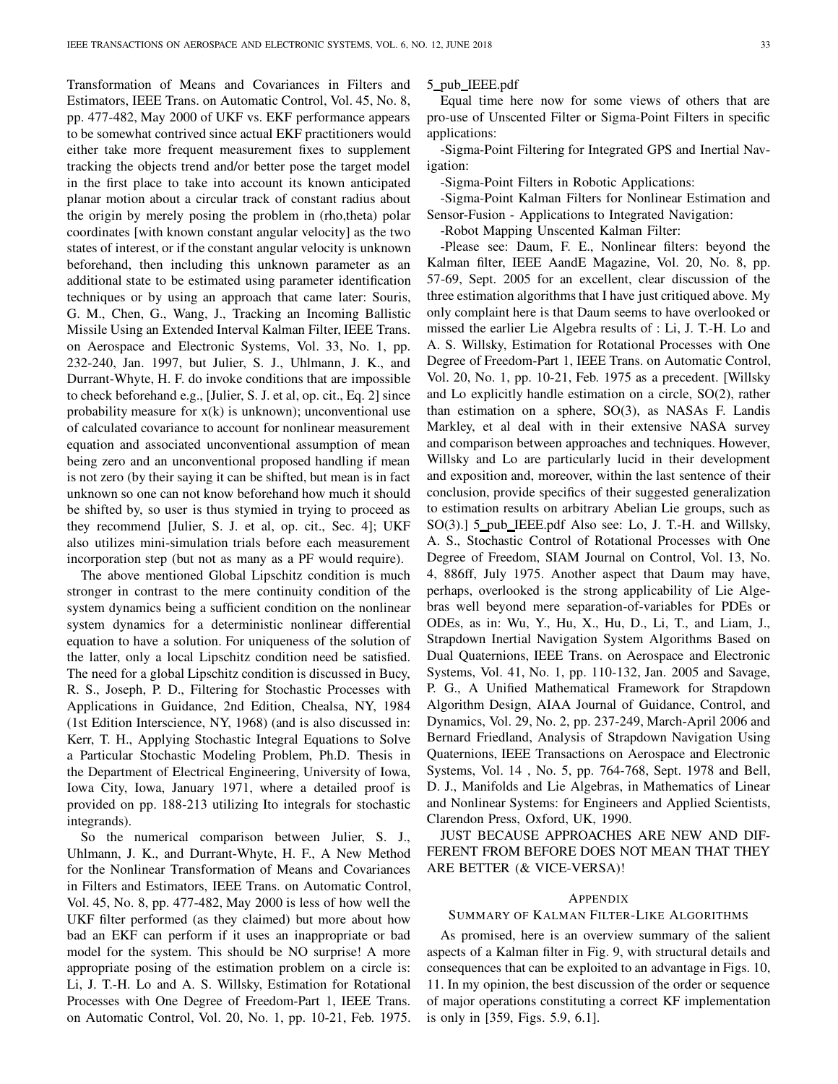Transformation of Means and Covariances in Filters and Estimators, IEEE Trans. on Automatic Control, Vol. 45, No. 8, pp. 477-482, May 2000 of UKF vs. EKF performance appears to be somewhat contrived since actual EKF practitioners would either take more frequent measurement fixes to supplement tracking the objects trend and/or better pose the target model in the first place to take into account its known anticipated planar motion about a circular track of constant radius about the origin by merely posing the problem in (rho,theta) polar coordinates [with known constant angular velocity] as the two states of interest, or if the constant angular velocity is unknown beforehand, then including this unknown parameter as an additional state to be estimated using parameter identification techniques or by using an approach that came later: Souris, G. M., Chen, G., Wang, J., Tracking an Incoming Ballistic Missile Using an Extended Interval Kalman Filter, IEEE Trans. on Aerospace and Electronic Systems, Vol. 33, No. 1, pp. 232-240, Jan. 1997, but Julier, S. J., Uhlmann, J. K., and Durrant-Whyte, H. F. do invoke conditions that are impossible to check beforehand e.g., [Julier, S. J. et al, op. cit., Eq. 2] since probability measure for  $x(k)$  is unknown); unconventional use of calculated covariance to account for nonlinear measurement equation and associated unconventional assumption of mean being zero and an unconventional proposed handling if mean is not zero (by their saying it can be shifted, but mean is in fact unknown so one can not know beforehand how much it should be shifted by, so user is thus stymied in trying to proceed as they recommend [Julier, S. J. et al, op. cit., Sec. 4]; UKF also utilizes mini-simulation trials before each measurement incorporation step (but not as many as a PF would require).

The above mentioned Global Lipschitz condition is much stronger in contrast to the mere continuity condition of the system dynamics being a sufficient condition on the nonlinear system dynamics for a deterministic nonlinear differential equation to have a solution. For uniqueness of the solution of the latter, only a local Lipschitz condition need be satisfied. The need for a global Lipschitz condition is discussed in Bucy, R. S., Joseph, P. D., Filtering for Stochastic Processes with Applications in Guidance, 2nd Edition, Chealsa, NY, 1984 (1st Edition Interscience, NY, 1968) (and is also discussed in: Kerr, T. H., Applying Stochastic Integral Equations to Solve a Particular Stochastic Modeling Problem, Ph.D. Thesis in the Department of Electrical Engineering, University of Iowa, Iowa City, Iowa, January 1971, where a detailed proof is provided on pp. 188-213 utilizing Ito integrals for stochastic integrands).

So the numerical comparison between Julier, S. J., Uhlmann, J. K., and Durrant-Whyte, H. F., A New Method for the Nonlinear Transformation of Means and Covariances in Filters and Estimators, IEEE Trans. on Automatic Control, Vol. 45, No. 8, pp. 477-482, May 2000 is less of how well the UKF filter performed (as they claimed) but more about how bad an EKF can perform if it uses an inappropriate or bad model for the system. This should be NO surprise! A more appropriate posing of the estimation problem on a circle is: Li, J. T.-H. Lo and A. S. Willsky, Estimation for Rotational Processes with One Degree of Freedom-Part 1, IEEE Trans. on Automatic Control, Vol. 20, No. 1, pp. 10-21, Feb. 1975. 5 pub IEEE.pdf

Equal time here now for some views of others that are pro-use of Unscented Filter or Sigma-Point Filters in specific applications:

-Sigma-Point Filtering for Integrated GPS and Inertial Navigation:

-Sigma-Point Filters in Robotic Applications:

-Sigma-Point Kalman Filters for Nonlinear Estimation and Sensor-Fusion - Applications to Integrated Navigation:

-Robot Mapping Unscented Kalman Filter:

-Please see: Daum, F. E., Nonlinear filters: beyond the Kalman filter, IEEE AandE Magazine, Vol. 20, No. 8, pp. 57-69, Sept. 2005 for an excellent, clear discussion of the three estimation algorithms that I have just critiqued above. My only complaint here is that Daum seems to have overlooked or missed the earlier Lie Algebra results of : Li, J. T.-H. Lo and A. S. Willsky, Estimation for Rotational Processes with One Degree of Freedom-Part 1, IEEE Trans. on Automatic Control, Vol. 20, No. 1, pp. 10-21, Feb. 1975 as a precedent. [Willsky and Lo explicitly handle estimation on a circle, SO(2), rather than estimation on a sphere, SO(3), as NASAs F. Landis Markley, et al deal with in their extensive NASA survey and comparison between approaches and techniques. However, Willsky and Lo are particularly lucid in their development and exposition and, moreover, within the last sentence of their conclusion, provide specifics of their suggested generalization to estimation results on arbitrary Abelian Lie groups, such as SO(3).] 5\_pub\_IEEE.pdf Also see: Lo, J. T.-H. and Willsky, A. S., Stochastic Control of Rotational Processes with One Degree of Freedom, SIAM Journal on Control, Vol. 13, No. 4, 886ff, July 1975. Another aspect that Daum may have, perhaps, overlooked is the strong applicability of Lie Algebras well beyond mere separation-of-variables for PDEs or ODEs, as in: Wu, Y., Hu, X., Hu, D., Li, T., and Liam, J., Strapdown Inertial Navigation System Algorithms Based on Dual Quaternions, IEEE Trans. on Aerospace and Electronic Systems, Vol. 41, No. 1, pp. 110-132, Jan. 2005 and Savage, P. G., A Unified Mathematical Framework for Strapdown Algorithm Design, AIAA Journal of Guidance, Control, and Dynamics, Vol. 29, No. 2, pp. 237-249, March-April 2006 and Bernard Friedland, Analysis of Strapdown Navigation Using Quaternions, IEEE Transactions on Aerospace and Electronic Systems, Vol. 14 , No. 5, pp. 764-768, Sept. 1978 and Bell, D. J., Manifolds and Lie Algebras, in Mathematics of Linear and Nonlinear Systems: for Engineers and Applied Scientists, Clarendon Press, Oxford, UK, 1990.

JUST BECAUSE APPROACHES ARE NEW AND DIF-FERENT FROM BEFORE DOES NOT MEAN THAT THEY ARE BETTER (& VICE-VERSA)!

## APPENDIX

#### SUMMARY OF KALMAN FILTER-LIKE ALGORITHMS

As promised, here is an overview summary of the salient aspects of a Kalman filter in Fig. 9, with structural details and consequences that can be exploited to an advantage in Figs. 10, 11. In my opinion, the best discussion of the order or sequence of major operations constituting a correct KF implementation is only in [359, Figs. 5.9, 6.1].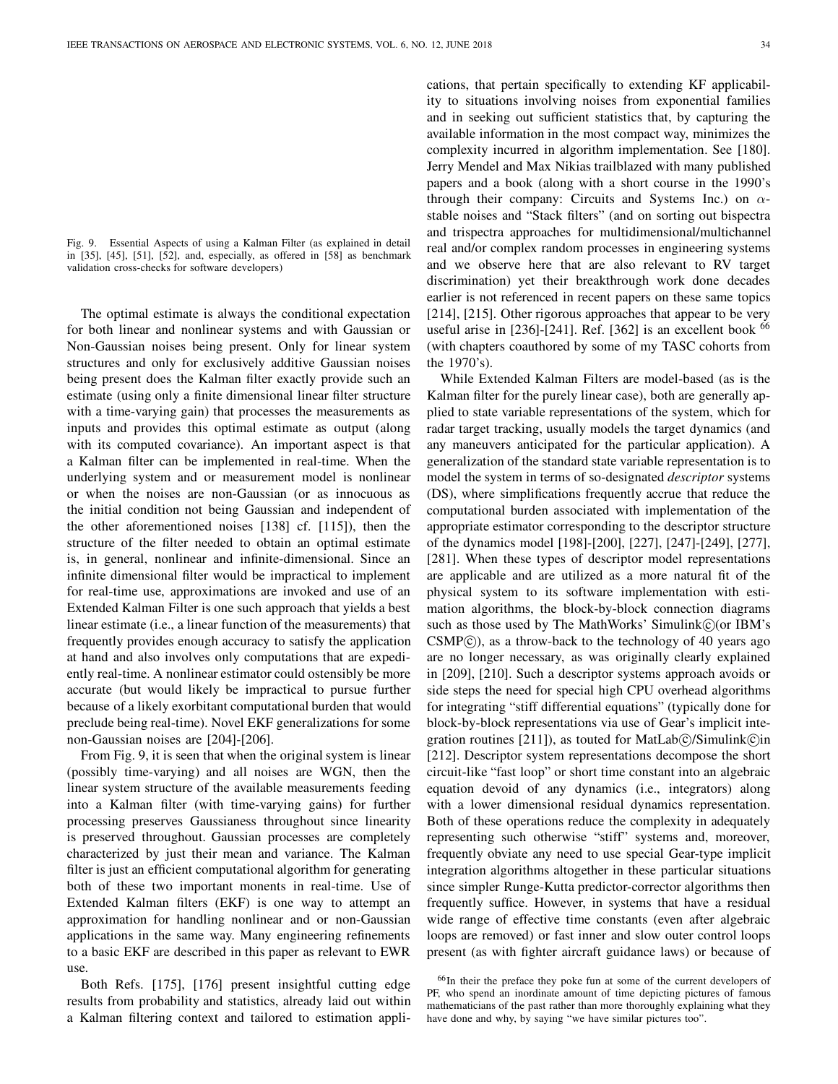Fig. 9. Essential Aspects of using a Kalman Filter (as explained in detail in [35], [45], [51], [52], and, especially, as offered in [58] as benchmark validation cross-checks for software developers)

The optimal estimate is always the conditional expectation for both linear and nonlinear systems and with Gaussian or Non-Gaussian noises being present. Only for linear system structures and only for exclusively additive Gaussian noises being present does the Kalman filter exactly provide such an estimate (using only a finite dimensional linear filter structure with a time-varying gain) that processes the measurements as inputs and provides this optimal estimate as output (along with its computed covariance). An important aspect is that a Kalman filter can be implemented in real-time. When the underlying system and or measurement model is nonlinear or when the noises are non-Gaussian (or as innocuous as the initial condition not being Gaussian and independent of the other aforementioned noises [138] cf. [115]), then the structure of the filter needed to obtain an optimal estimate is, in general, nonlinear and infinite-dimensional. Since an infinite dimensional filter would be impractical to implement for real-time use, approximations are invoked and use of an Extended Kalman Filter is one such approach that yields a best linear estimate (i.e., a linear function of the measurements) that frequently provides enough accuracy to satisfy the application at hand and also involves only computations that are expediently real-time. A nonlinear estimator could ostensibly be more accurate (but would likely be impractical to pursue further because of a likely exorbitant computational burden that would preclude being real-time). Novel EKF generalizations for some non-Gaussian noises are [204]-[206].

From Fig. 9, it is seen that when the original system is linear (possibly time-varying) and all noises are WGN, then the linear system structure of the available measurements feeding into a Kalman filter (with time-varying gains) for further processing preserves Gaussianess throughout since linearity is preserved throughout. Gaussian processes are completely characterized by just their mean and variance. The Kalman filter is just an efficient computational algorithm for generating both of these two important monents in real-time. Use of Extended Kalman filters (EKF) is one way to attempt an approximation for handling nonlinear and or non-Gaussian applications in the same way. Many engineering refinements to a basic EKF are described in this paper as relevant to EWR use.

Both Refs. [175], [176] present insightful cutting edge results from probability and statistics, already laid out within a Kalman filtering context and tailored to estimation applications, that pertain specifically to extending KF applicability to situations involving noises from exponential families and in seeking out sufficient statistics that, by capturing the available information in the most compact way, minimizes the complexity incurred in algorithm implementation. See [180]. Jerry Mendel and Max Nikias trailblazed with many published papers and a book (along with a short course in the 1990's through their company: Circuits and Systems Inc.) on  $\alpha$ stable noises and "Stack filters" (and on sorting out bispectra and trispectra approaches for multidimensional/multichannel real and/or complex random processes in engineering systems and we observe here that are also relevant to RV target discrimination) yet their breakthrough work done decades earlier is not referenced in recent papers on these same topics [214], [215]. Other rigorous approaches that appear to be very useful arise in [236]-[241]. Ref. [362] is an excellent book <sup>66</sup> (with chapters coauthored by some of my TASC cohorts from the 1970's).

While Extended Kalman Filters are model-based (as is the Kalman filter for the purely linear case), both are generally applied to state variable representations of the system, which for radar target tracking, usually models the target dynamics (and any maneuvers anticipated for the particular application). A generalization of the standard state variable representation is to model the system in terms of so-designated *descriptor* systems (DS), where simplifications frequently accrue that reduce the computational burden associated with implementation of the appropriate estimator corresponding to the descriptor structure of the dynamics model [198]-[200], [227], [247]-[249], [277], [281]. When these types of descriptor model representations are applicable and are utilized as a more natural fit of the physical system to its software implementation with estimation algorithms, the block-by-block connection diagrams such as those used by The MathWorks' Simulink $\odot$  (or IBM's  $CSMP(\hat{c})$ , as a throw-back to the technology of 40 years ago are no longer necessary, as was originally clearly explained in [209], [210]. Such a descriptor systems approach avoids or side steps the need for special high CPU overhead algorithms for integrating "stiff differential equations" (typically done for block-by-block representations via use of Gear's implicit integration routines  $[211]$ , as touted for MatLab $\circ$ /Simulink $\circ$ in [212]. Descriptor system representations decompose the short circuit-like "fast loop" or short time constant into an algebraic equation devoid of any dynamics (i.e., integrators) along with a lower dimensional residual dynamics representation. Both of these operations reduce the complexity in adequately representing such otherwise "stiff" systems and, moreover, frequently obviate any need to use special Gear-type implicit integration algorithms altogether in these particular situations since simpler Runge-Kutta predictor-corrector algorithms then frequently suffice. However, in systems that have a residual wide range of effective time constants (even after algebraic loops are removed) or fast inner and slow outer control loops present (as with fighter aircraft guidance laws) or because of

<sup>66</sup>In their the preface they poke fun at some of the current developers of PF, who spend an inordinate amount of time depicting pictures of famous mathematicians of the past rather than more thoroughly explaining what they have done and why, by saying "we have similar pictures too".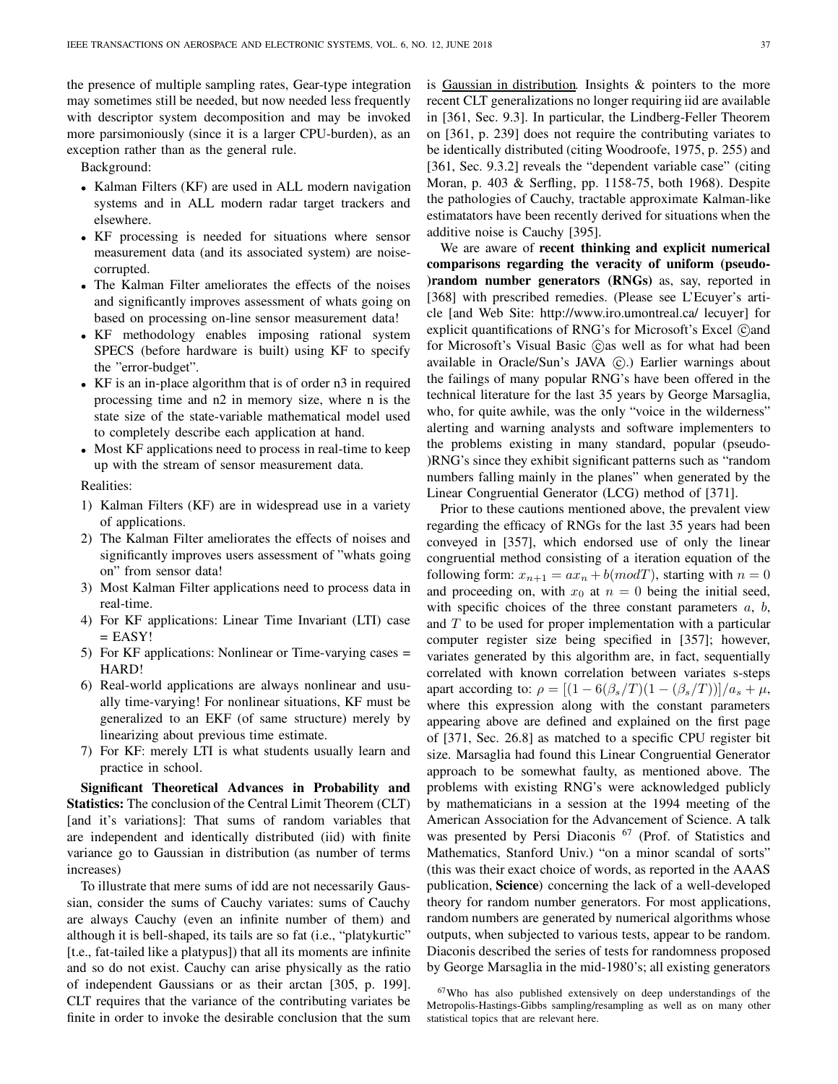the presence of multiple sampling rates, Gear-type integration may sometimes still be needed, but now needed less frequently with descriptor system decomposition and may be invoked more parsimoniously (since it is a larger CPU-burden), as an exception rather than as the general rule.

Background:

- Kalman Filters (KF) are used in ALL modern navigation systems and in ALL modern radar target trackers and elsewhere.
- KF processing is needed for situations where sensor measurement data (and its associated system) are noisecorrupted.
- The Kalman Filter ameliorates the effects of the noises and significantly improves assessment of whats going on based on processing on-line sensor measurement data!
- KF methodology enables imposing rational system SPECS (before hardware is built) using KF to specify the "error-budget".
- KF is an in-place algorithm that is of order n3 in required processing time and n2 in memory size, where n is the state size of the state-variable mathematical model used to completely describe each application at hand.
- Most KF applications need to process in real-time to keep up with the stream of sensor measurement data.

Realities:

- 1) Kalman Filters (KF) are in widespread use in a variety of applications.
- 2) The Kalman Filter ameliorates the effects of noises and significantly improves users assessment of "whats going on" from sensor data!
- 3) Most Kalman Filter applications need to process data in real-time.
- 4) For KF applications: Linear Time Invariant (LTI) case  $=$  EASY!
- 5) For KF applications: Nonlinear or Time-varying cases = HARD!
- 6) Real-world applications are always nonlinear and usually time-varying! For nonlinear situations, KF must be generalized to an EKF (of same structure) merely by linearizing about previous time estimate.
- 7) For KF: merely LTI is what students usually learn and practice in school.

Significant Theoretical Advances in Probability and Statistics: The conclusion of the Central Limit Theorem (CLT) [and it's variations]: That sums of random variables that are independent and identically distributed (iid) with finite variance go to Gaussian in distribution (as number of terms increases)

To illustrate that mere sums of idd are not necessarily Gaussian, consider the sums of Cauchy variates: sums of Cauchy are always Cauchy (even an infinite number of them) and although it is bell-shaped, its tails are so fat (i.e., "platykurtic" [t.e., fat-tailed like a platypus]) that all its moments are infinite and so do not exist. Cauchy can arise physically as the ratio of independent Gaussians or as their arctan [305, p. 199]. CLT requires that the variance of the contributing variates be finite in order to invoke the desirable conclusion that the sum

is Gaussian in distribution. Insights & pointers to the more recent CLT generalizations no longer requiring iid are available in [361, Sec. 9.3]. In particular, the Lindberg-Feller Theorem on [361, p. 239] does not require the contributing variates to be identically distributed (citing Woodroofe, 1975, p. 255) and [361, Sec. 9.3.2] reveals the "dependent variable case" (citing Moran, p. 403 & Serfling, pp. 1158-75, both 1968). Despite the pathologies of Cauchy, tractable approximate Kalman-like estimatators have been recently derived for situations when the additive noise is Cauchy [395].

We are aware of recent thinking and explicit numerical comparisons regarding the veracity of uniform (pseudo- )random number generators (RNGs) as, say, reported in [368] with prescribed remedies. (Please see L'Ecuyer's article [and Web Site: http://www.iro.umontreal.ca/ lecuyer] for explicit quantifications of RNG's for Microsoft's Excel (C)and for Microsoft's Visual Basic  $\hat{c}$  as well as for what had been available in Oracle/Sun's JAVA (C).) Earlier warnings about the failings of many popular RNG's have been offered in the technical literature for the last 35 years by George Marsaglia, who, for quite awhile, was the only "voice in the wilderness" alerting and warning analysts and software implementers to the problems existing in many standard, popular (pseudo- )RNG's since they exhibit significant patterns such as "random numbers falling mainly in the planes" when generated by the Linear Congruential Generator (LCG) method of [371].

Prior to these cautions mentioned above, the prevalent view regarding the efficacy of RNGs for the last 35 years had been conveyed in [357], which endorsed use of only the linear congruential method consisting of a iteration equation of the following form:  $x_{n+1} = ax_n + b(modT)$ , starting with  $n = 0$ and proceeding on, with  $x_0$  at  $n = 0$  being the initial seed, with specific choices of the three constant parameters  $a, b$ , and  $T$  to be used for proper implementation with a particular computer register size being specified in [357]; however, variates generated by this algorithm are, in fact, sequentially correlated with known correlation between variates s-steps apart according to:  $\rho = \frac{(1 - 6(\beta_s/T)(1 - (\beta_s/T))}{a_s + \mu_s}$ where this expression along with the constant parameters appearing above are defined and explained on the first page of [371, Sec. 26.8] as matched to a specific CPU register bit size. Marsaglia had found this Linear Congruential Generator approach to be somewhat faulty, as mentioned above. The problems with existing RNG's were acknowledged publicly by mathematicians in a session at the 1994 meeting of the American Association for the Advancement of Science. A talk was presented by Persi Diaconis <sup>67</sup> (Prof. of Statistics and Mathematics, Stanford Univ.) "on a minor scandal of sorts" (this was their exact choice of words, as reported in the AAAS publication, Science) concerning the lack of a well-developed theory for random number generators. For most applications, random numbers are generated by numerical algorithms whose outputs, when subjected to various tests, appear to be random. Diaconis described the series of tests for randomness proposed by George Marsaglia in the mid-1980's; all existing generators

<sup>67</sup>Who has also published extensively on deep understandings of the Metropolis-Hastings-Gibbs sampling/resampling as well as on many other statistical topics that are relevant here.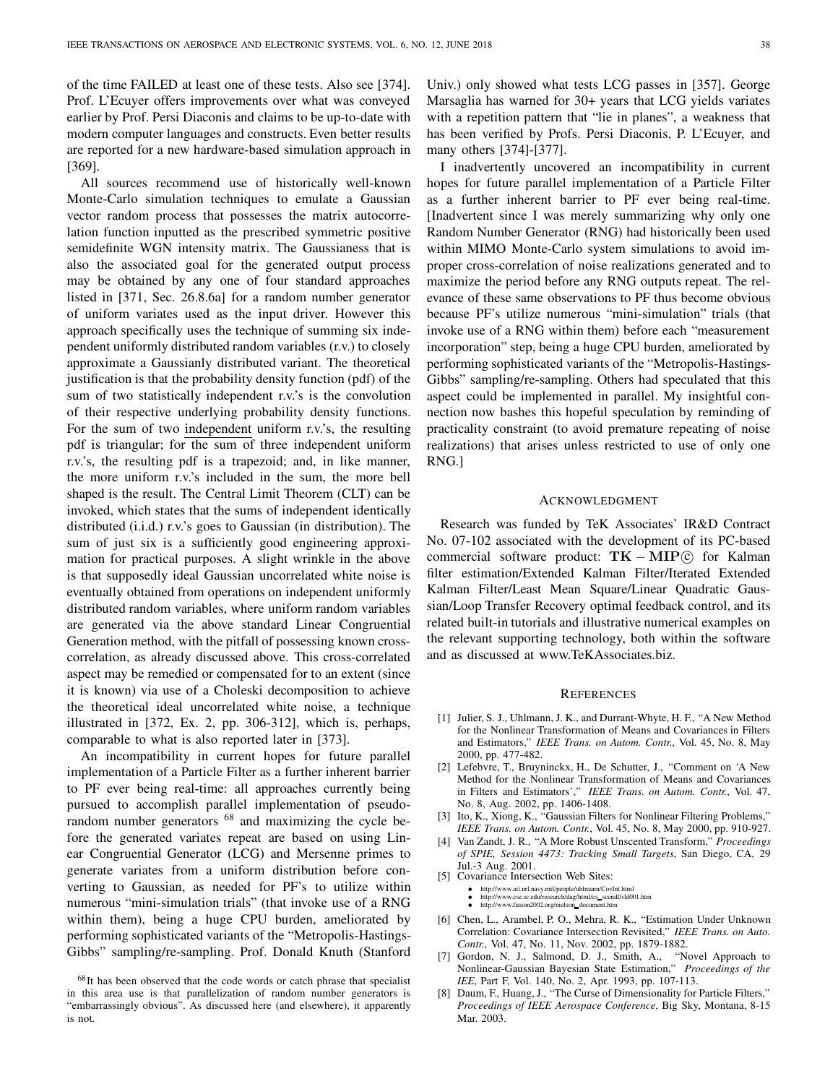of the time FAILED at least one of these tests. Also see [374]. Prof. L'Ecuyer offers improvements over what was conveyed earlier by Prof. Persi Diaconis and claims to be up-to-date with modern computer languages and constructs. Even better results are reported for a new hardware-based simulation approach in [369].

All sources recommend use of historically well-known Monte-Carlo simulation techniques to emulate a Gaussian vector random process that possesses the matrix autocorrelation function inputted as the prescribed symmetric positive semidefinite WGN intensity matrix. The Gaussianess that is also the associated goal for the generated output process may be obtained by any one of four standard approaches listed in [371, Sec. 26.8.6a] for a random number generator of uniform variates used as the input driver. However this approach specifically uses the technique of summing six independent uniformly distributed random variables (r.v.) to closely approximate a Gaussianly distributed variant. The theoretical justification is that the probability density function (pdf) of the sum of two statistically independent r.v.'s is the convolution of their respective underlying probability density functions. For the sum of two independent uniform r.v.'s, the resulting pdf is triangular; for the sum of three independent uniform r.v.'s, the resulting pdf is a trapezoid; and, in like manner, the more uniform r.v.'s included in the sum, the more bell shaped is the result. The Central Limit Theorem (CLT) can be invoked, which states that the sums of independent identically distributed (i.i.d.) r.v.'s goes to Gaussian (in distribution). The sum of just six is a sufficiently good engineering approximation for practical purposes. A slight wrinkle in the above is that supposedly ideal Gaussian uncorrelated white noise is eventually obtained from operations on independent uniformly distributed random variables, where uniform random variables are generated via the above standard Linear Congruential Generation method, with the pitfall of possessing known crosscorrelation, as already discussed above. This cross-correlated aspect may be remedied or compensated for to an extent (since it is known) via use of a Choleski decomposition to achieve the theoretical ideal uncorrelated white noise, a technique illustrated in [372, Ex. 2, pp. 306-312], which is, perhaps, comparable to what is also reported later in [373].

An incompatibility in current hopes for future parallel implementation of a Particle Filter as a further inherent barrier to PF ever being real-time: all approaches currently being pursued to accomplish parallel implementation of pseudorandom number generators  $68$  and maximizing the cycle before the generated variates repeat are based on using Linear Congruential Generator (LCG) and Mersenne primes to generate variates from a uniform distribution before converting to Gaussian, as needed for PF's to utilize within numerous "mini-simulation trials" (that invoke use of a RNG within them), being a huge CPU burden, ameliorated by performing sophisticated variants of the "Metropolis-Hastings-Gibbs" sampling/re-sampling. Prof. Donald Knuth (Stanford

Univ.) only showed what tests LCG passes in [357]. George Marsaglia has warned for 30+ years that LCG yields variates with a repetition pattern that "lie in planes", a weakness that has been verified by Profs. Persi Diaconis, P. L'Ecuyer, and many others [374]-[377].

I inadvertently uncovered an incompatibility in current hopes for future parallel implementation of a Particle Filter as a further inherent barrier to PF ever being real-time. [Inadvertent since I was merely summarizing why only one Random Number Generator (RNG) had historically been used within MIMO Monte-Carlo system simulations to avoid improper cross-correlation of noise realizations generated and to maximize the period before any RNG outputs repeat. The relevance of these same observations to PF thus become obvious because PF's utilize numerous "mini-simulation" trials (that invoke use of a RNG within them) before each "measurement incorporation" step, being a huge CPU burden, ameliorated by performing sophisticated variants of the "Metropolis-Hastings-Gibbs" sampling/re-sampling. Others had speculated that this aspect could be implemented in parallel. My insightful connection now bashes this hopeful speculation by reminding of practicality constraint (to avoid premature repeating of noise realizations) that arises unless restricted to use of only one RNG.]

### ACKNOWLEDGMENT

Research was funded by TeK Associates' IR&D Contract No. 07-102 associated with the development of its PC-based commercial software product:  $TK - MIP$  $©$  for Kalman filter estimation/Extended Kalman Filter/Iterated Extended Kalman Filter/Least Mean Square/Linear Quadratic Gaussian/Loop Transfer Recovery optimal feedback control, and its related built-in tutorials and illustrative numerical examples on the relevant supporting technology, both within the software and as discussed at www.TeKAssociates.biz.

#### **REFERENCES**

- [1] Julier, S. J., Uhlmann, J. K., and Durrant-Whyte, H. F., "A New Method for the Nonlinear Transformation of Means and Covariances in Filters and Estimators," IEEE Trans. on Autom. Contr., Vol. 45, No. 8, May 2000, pp. 477-482.
- [2] Lefebvre, T., Bruyninckx, H., De Schutter, J., "Comment on 'A New Method for the Nonlinear Transformation of Means and Covariances in Filters and Estimators'," IEEE Trans. on Autom. Contr., Vol. 47, No. 8, Aug. 2002, pp. 1406-1408.
- [3] Ito, K., Xiong, K., "Gaussian Filters for Nonlinear Filtering Problems," IEEE Trans. on Autom. Contr., Vol. 45, No. 8, May 2000, pp. 910-927.
- [4] Van Zandt, J. R., "A More Robust Unscented Transform," Proceedings of SPIE, Session 4473: Tracking Small Targets, San Diego, CA, 29 Jul.-3 Aug. 2001.
- [5] Covariance Intersection Web Sites:
	- http://www.ait.nrl.navy.mil/people/uhlmann/CovInt.html
	- http://www.cse.sc.edu/research/dag/html/cs\_scendf/sld001.htm<br>• http://www.fusion2002.org/nielson\_document.htm
- [6] Chen, L., Arambel, P. O., Mehra, R. K., "Estimation Under Unknown Correlation: Covariance Intersection Revisited," IEEE Trans. on Auto. Contr., Vol. 47, No. 11, Nov. 2002, pp. 1879-1882.
- [7] Gordon, N. J., Salmond, D. J., Smith, A., "Novel Approach to Nonlinear-Gaussian Bayesian State Estimation," Proceedings of the IEE, Part F, Vol. 140, No. 2, Apr. 1993, pp. 107-113.
- [8] Daum, F., Huang, J., "The Curse of Dimensionality for Particle Filters," Proceedings of IEEE Aerospace Conference, Big Sky, Montana, 8-15 Mar. 2003.

<sup>68</sup>It has been observed that the code words or catch phrase that specialist in this area use is that parallelization of random number generators is "embarrassingly obvious". As discussed here (and elsewhere), it apparently is not.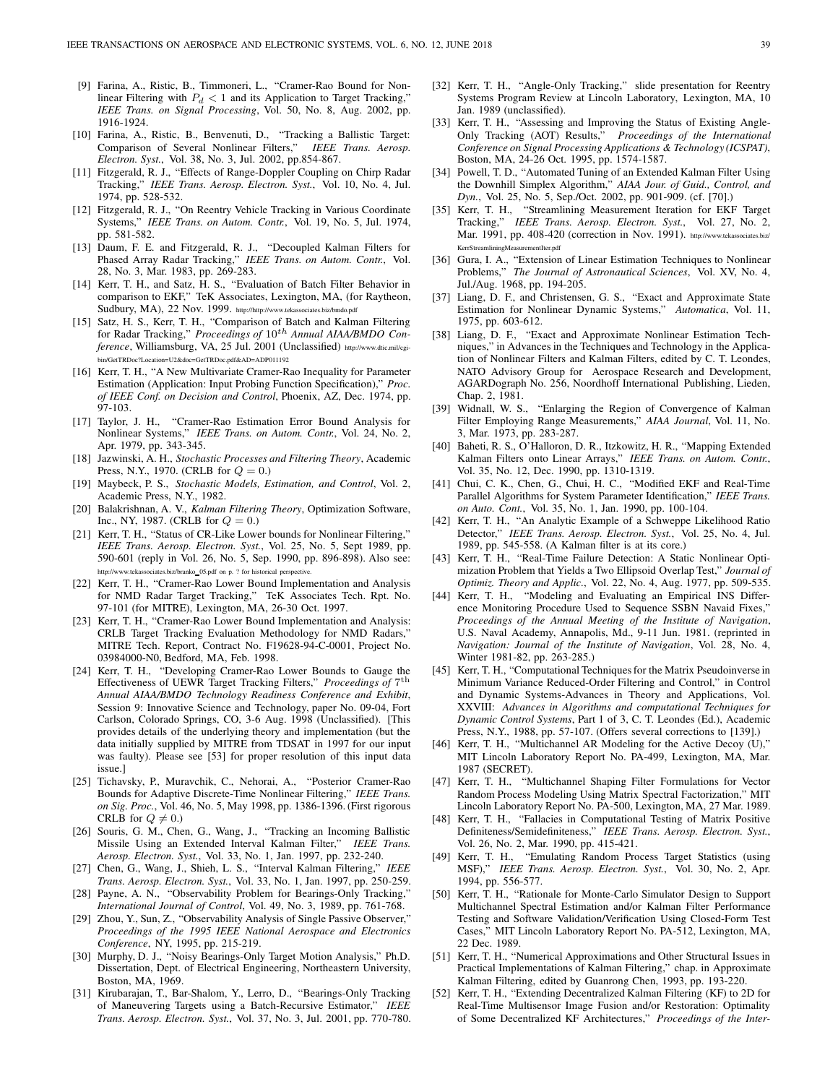- [9] Farina, A., Ristic, B., Timmoneri, L., "Cramer-Rao Bound for Nonlinear Filtering with  $P_d < 1$  and its Application to Target Tracking," IEEE Trans. on Signal Processing, Vol. 50, No. 8, Aug. 2002, pp. 1916-1924.
- [10] Farina, A., Ristic, B., Benvenuti, D., "Tracking a Ballistic Target: Comparison of Several Nonlinear Filters," IEEE Trans. Aerosp. Electron. Syst., Vol. 38, No. 3, Jul. 2002, pp.854-867.
- [11] Fitzgerald, R. J., "Effects of Range-Doppler Coupling on Chirp Radar Tracking," IEEE Trans. Aerosp. Electron. Syst., Vol. 10, No. 4, Jul. 1974, pp. 528-532.
- [12] Fitzgerald, R. J., "On Reentry Vehicle Tracking in Various Coordinate Systems," IEEE Trans. on Autom. Contr., Vol. 19, No. 5, Jul. 1974, pp. 581-582.
- [13] Daum, F. E. and Fitzgerald, R. J., "Decoupled Kalman Filters for Phased Array Radar Tracking," IEEE Trans. on Autom. Contr., Vol. 28, No. 3, Mar. 1983, pp. 269-283.
- [14] Kerr, T. H., and Satz, H. S., "Evaluation of Batch Filter Behavior in comparison to EKF," TeK Associates, Lexington, MA, (for Raytheon, Sudbury, MA), 22 Nov. 1999. http://http://www.tekassociates.biz/bmdo.pdf
- [15] Satz, H. S., Kerr, T. H., "Comparison of Batch and Kalman Filtering for Radar Tracking," Proceedings of  $10^{th}$  Annual AIAA/BMDO Conference, Williamsburg, VA, 25 Jul. 2001 (Unclassified) http://www.dtic.mil/cgibin/GetTRDoc?Location=U2&doc=GetTRDoc.pdf&AD=ADP011192
- [16] Kerr, T. H., "A New Multivariate Cramer-Rao Inequality for Parameter Estimation (Application: Input Probing Function Specification)," Proc. of IEEE Conf. on Decision and Control, Phoenix, AZ, Dec. 1974, pp. 97-103.
- [17] Taylor, J. H., "Cramer-Rao Estimation Error Bound Analysis for Nonlinear Systems," IEEE Trans. on Autom. Contr., Vol. 24, No. 2, Apr. 1979, pp. 343-345.
- [18] Jazwinski, A. H., Stochastic Processes and Filtering Theory, Academic Press, N.Y., 1970. (CRLB for  $Q = 0$ .)
- [19] Maybeck, P. S., Stochastic Models, Estimation, and Control, Vol. 2, Academic Press, N.Y., 1982.
- [20] Balakrishnan, A. V., Kalman Filtering Theory, Optimization Software, Inc., NY, 1987. (CRLB for  $Q = 0$ .)
- [21] Kerr, T. H., "Status of CR-Like Lower bounds for Nonlinear Filtering," IEEE Trans. Aerosp. Electron. Syst., Vol. 25, No. 5, Sept 1989, pp. 590-601 (reply in Vol. 26, No. 5, Sep. 1990, pp. 896-898). Also see: http://www.tekassociates.biz/branko 05.pdf on p. ? for historical perspective.
- [22] Kerr, T. H., "Cramer-Rao Lower Bound Implementation and Analysis for NMD Radar Target Tracking," TeK Associates Tech. Rpt. No. 97-101 (for MITRE), Lexington, MA, 26-30 Oct. 1997.
- [23] Kerr, T. H., "Cramer-Rao Lower Bound Implementation and Analysis: CRLB Target Tracking Evaluation Methodology for NMD Radars," MITRE Tech. Report, Contract No. F19628-94-C-0001, Project No. 03984000-N0, Bedford, MA, Feb. 1998.
- [24] Kerr, T. H., "Developing Cramer-Rao Lower Bounds to Gauge the Effectiveness of UEWR Target Tracking Filters," Proceedings of 7<sup>th</sup> Annual AIAA/BMDO Technology Readiness Conference and Exhibit, Session 9: Innovative Science and Technology, paper No. 09-04, Fort Carlson, Colorado Springs, CO, 3-6 Aug. 1998 (Unclassified). [This provides details of the underlying theory and implementation (but the data initially supplied by MITRE from TDSAT in 1997 for our input was faulty). Please see [53] for proper resolution of this input data issue.]
- [25] Tichavsky, P., Muravchik, C., Nehorai, A., "Posterior Cramer-Rao Bounds for Adaptive Discrete-Time Nonlinear Filtering," IEEE Trans. on Sig. Proc., Vol. 46, No. 5, May 1998, pp. 1386-1396. (First rigorous CRLB for  $Q \neq 0$ .)
- [26] Souris, G. M., Chen, G., Wang, J., "Tracking an Incoming Ballistic Missile Using an Extended Interval Kalman Filter," IEEE Trans. Aerosp. Electron. Syst., Vol. 33, No. 1, Jan. 1997, pp. 232-240.
- [27] Chen, G., Wang, J., Shieh, L. S., "Interval Kalman Filtering," IEEE Trans. Aerosp. Electron. Syst., Vol. 33, No. 1, Jan. 1997, pp. 250-259.
- [28] Payne, A. N., "Observability Problem for Bearings-Only Tracking," International Journal of Control, Vol. 49, No. 3, 1989, pp. 761-768.
- [29] Zhou, Y., Sun, Z., "Observability Analysis of Single Passive Observer," Proceedings of the 1995 IEEE National Aerospace and Electronics Conference, NY, 1995, pp. 215-219.
- [30] Murphy, D. J., "Noisy Bearings-Only Target Motion Analysis," Ph.D. Dissertation, Dept. of Electrical Engineering, Northeastern University, Boston, MA, 1969.
- [31] Kirubarajan, T., Bar-Shalom, Y., Lerro, D., "Bearings-Only Tracking of Maneuvering Targets using a Batch-Recursive Estimator," IEEE Trans. Aerosp. Electron. Syst., Vol. 37, No. 3, Jul. 2001, pp. 770-780.
- [32] Kerr, T. H., "Angle-Only Tracking," slide presentation for Reentry Systems Program Review at Lincoln Laboratory, Lexington, MA, 10 Jan. 1989 (unclassified).
- [33] Kerr, T. H., "Assessing and Improving the Status of Existing Angle-Only Tracking (AOT) Results," Proceedings of the International Conference on Signal Processing Applications & Technology (ICSPAT), Boston, MA, 24-26 Oct. 1995, pp. 1574-1587.
- [34] Powell, T. D., "Automated Tuning of an Extended Kalman Filter Using the Downhill Simplex Algorithm," AIAA Jour. of Guid., Control, and Dyn., Vol. 25, No. 5, Sep./Oct. 2002, pp. 901-909. (cf. [70].)
- [35] Kerr, T. H., "Streamlining Measurement Iteration for EKF Target Tracking," IEEE Trans. Aerosp. Electron. Syst., Vol. 27, No. 2, Mar. 1991, pp. 408-420 (correction in Nov. 1991). http://www.tekassociates.biz/ KerrStreamliningMeasurementIter.pdf
- [36] Gura, I. A., "Extension of Linear Estimation Techniques to Nonlinear Problems," The Journal of Astronautical Sciences, Vol. XV, No. 4, Jul./Aug. 1968, pp. 194-205.
- [37] Liang, D. F., and Christensen, G. S., "Exact and Approximate State Estimation for Nonlinear Dynamic Systems," Automatica, Vol. 11, 1975, pp. 603-612.
- [38] Liang, D. F., "Exact and Approximate Nonlinear Estimation Techniques," in Advances in the Techniques and Technology in the Application of Nonlinear Filters and Kalman Filters, edited by C. T. Leondes, NATO Advisory Group for Aerospace Research and Development, AGARDograph No. 256, Noordhoff International Publishing, Lieden, Chap. 2, 1981.
- [39] Widnall, W. S., "Enlarging the Region of Convergence of Kalman Filter Employing Range Measurements," AIAA Journal, Vol. 11, No. 3, Mar. 1973, pp. 283-287.
- [40] Baheti, R. S., O'Halloron, D. R., Itzkowitz, H. R., "Mapping Extended Kalman Filters onto Linear Arrays," IEEE Trans. on Autom. Contr., Vol. 35, No. 12, Dec. 1990, pp. 1310-1319.
- [41] Chui, C. K., Chen, G., Chui, H. C., "Modified EKF and Real-Time Parallel Algorithms for System Parameter Identification," IEEE Trans. on Auto. Cont., Vol. 35, No. 1, Jan. 1990, pp. 100-104.
- [42] Kerr, T. H., "An Analytic Example of a Schweppe Likelihood Ratio Detector," IEEE Trans. Aerosp. Electron. Syst., Vol. 25, No. 4, Jul. 1989, pp. 545-558. (A Kalman filter is at its core.)
- [43] Kerr, T. H., "Real-Time Failure Detection: A Static Nonlinear Optimization Problem that Yields a Two Ellipsoid Overlap Test," Journal of Optimiz. Theory and Applic., Vol. 22, No. 4, Aug. 1977, pp. 509-535.
- [44] Kerr, T. H., "Modeling and Evaluating an Empirical INS Difference Monitoring Procedure Used to Sequence SSBN Navaid Fixes," Proceedings of the Annual Meeting of the Institute of Navigation, U.S. Naval Academy, Annapolis, Md., 9-11 Jun. 1981. (reprinted in Navigation: Journal of the Institute of Navigation, Vol. 28, No. 4, Winter 1981-82, pp. 263-285.)
- [45] Kerr, T. H., "Computational Techniques for the Matrix Pseudoinverse in Minimum Variance Reduced-Order Filtering and Control," in Control and Dynamic Systems-Advances in Theory and Applications, Vol. XXVIII: Advances in Algorithms and computational Techniques for Dynamic Control Systems, Part 1 of 3, C. T. Leondes (Ed.), Academic Press, N.Y., 1988, pp. 57-107. (Offers several corrections to [139].)
- [46] Kerr, T. H., "Multichannel AR Modeling for the Active Decoy (U)," MIT Lincoln Laboratory Report No. PA-499, Lexington, MA, Mar. 1987 (SECRET).
- [47] Kerr, T. H., "Multichannel Shaping Filter Formulations for Vector Random Process Modeling Using Matrix Spectral Factorization," MIT Lincoln Laboratory Report No. PA-500, Lexington, MA, 27 Mar. 1989.
- [48] Kerr, T. H., "Fallacies in Computational Testing of Matrix Positive Definiteness/Semidefiniteness," IEEE Trans. Aerosp. Electron. Syst., Vol. 26, No. 2, Mar. 1990, pp. 415-421.
- [49] Kerr, T. H., "Emulating Random Process Target Statistics (using MSF)," IEEE Trans. Aerosp. Electron. Syst., Vol. 30, No. 2, Apr. 1994, pp. 556-577.
- [50] Kerr, T. H., "Rationale for Monte-Carlo Simulator Design to Support Multichannel Spectral Estimation and/or Kalman Filter Performance Testing and Software Validation/Verification Using Closed-Form Test Cases," MIT Lincoln Laboratory Report No. PA-512, Lexington, MA, 22 Dec. 1989.
- [51] Kerr, T. H., "Numerical Approximations and Other Structural Issues in Practical Implementations of Kalman Filtering," chap. in Approximate Kalman Filtering, edited by Guanrong Chen, 1993, pp. 193-220.
- [52] Kerr, T. H., "Extending Decentralized Kalman Filtering (KF) to 2D for Real-Time Multisensor Image Fusion and/or Restoration: Optimality of Some Decentralized KF Architectures," Proceedings of the Inter-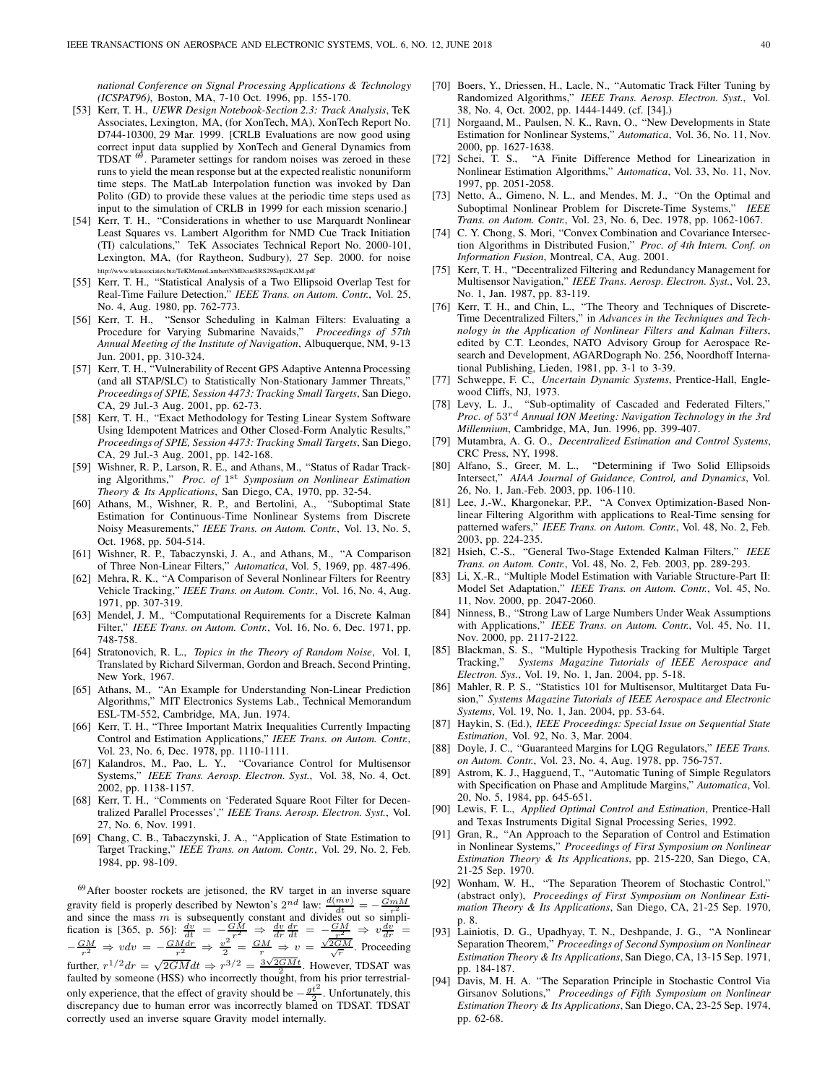national Conference on Signal Processing Applications & Technology (ICSPAT96), Boston, MA, 7-10 Oct. 1996, pp. 155-170.

- [53] Kerr, T. H., UEWR Design Notebook-Section 2.3: Track Analysis, TeK Associates, Lexington, MA, (for XonTech, MA), XonTech Report No. D744-10300, 29 Mar. 1999. [CRLB Evaluations are now good using correct input data supplied by XonTech and General Dynamics from TDSAT <sup>69</sup>. Parameter settings for random noises was zeroed in these runs to yield the mean response but at the expected realistic nonuniform time steps. The MatLab Interpolation function was invoked by Dan Polito (GD) to provide these values at the periodic time steps used as input to the simulation of CRLB in 1999 for each mission scenario.]
- [54] Kerr, T. H., "Considerations in whether to use Marquardt Nonlinear Least Squares vs. Lambert Algorithm for NMD Cue Track Initiation (TI) calculations," TeK Associates Technical Report No. 2000-101, Lexington, MA, (for Raytheon, Sudbury), 27 Sep. 2000. for noise http://www.tekassociates.biz/TeKMemoLambertNMDcueSRS29Sept2KAM.pdf
- [55] Kerr, T. H., "Statistical Analysis of a Two Ellipsoid Overlap Test for Real-Time Failure Detection," IEEE Trans. on Autom. Contr., Vol. 25, No. 4, Aug. 1980, pp. 762-773.
- [56] Kerr, T. H., "Sensor Scheduling in Kalman Filters: Evaluating a Procedure for Varying Submarine Navaids," Proceedings of 57th Annual Meeting of the Institute of Navigation, Albuquerque, NM, 9-13 Jun. 2001, pp. 310-324.
- [57] Kerr, T. H., "Vulnerability of Recent GPS Adaptive Antenna Processing (and all STAP/SLC) to Statistically Non-Stationary Jammer Threats," Proceedings of SPIE, Session 4473: Tracking Small Targets, San Diego, CA, 29 Jul.-3 Aug. 2001, pp. 62-73.
- [58] Kerr, T. H., "Exact Methodology for Testing Linear System Software Using Idempotent Matrices and Other Closed-Form Analytic Results," Proceedings of SPIE, Session 4473: Tracking Small Targets, San Diego, CA, 29 Jul.-3 Aug. 2001, pp. 142-168.
- [59] Wishner, R. P., Larson, R. E., and Athans, M., "Status of Radar Tracking Algorithms," Proc. of 1<sup>st</sup> Symposium on Nonlinear Estimation Theory & Its Applications, San Diego, CA, 1970, pp. 32-54.
- [60] Athans, M., Wishner, R. P., and Bertolini, A., "Suboptimal State Estimation for Continuous-Time Nonlinear Systems from Discrete Noisy Measurements," IEEE Trans. on Autom. Contr., Vol. 13, No. 5, Oct. 1968, pp. 504-514.
- [61] Wishner, R. P., Tabaczynski, J. A., and Athans, M., "A Comparison of Three Non-Linear Filters," Automatica, Vol. 5, 1969, pp. 487-496.
- [62] Mehra, R. K., "A Comparison of Several Nonlinear Filters for Reentry Vehicle Tracking," IEEE Trans. on Autom. Contr., Vol. 16, No. 4, Aug. 1971, pp. 307-319.
- [63] Mendel, J. M., "Computational Requirements for a Discrete Kalman Filter," IEEE Trans. on Autom. Contr., Vol. 16, No. 6, Dec. 1971, pp. 748-758.
- [64] Stratonovich, R. L., Topics in the Theory of Random Noise, Vol. I, Translated by Richard Silverman, Gordon and Breach, Second Printing, New York, 1967.
- [65] Athans, M., "An Example for Understanding Non-Linear Prediction Algorithms," MIT Electronics Systems Lab., Technical Memorandum ESL-TM-552, Cambridge, MA, Jun. 1974.
- [66] Kerr, T. H., "Three Important Matrix Inequalities Currently Impacting Control and Estimation Applications," IEEE Trans. on Autom. Contr., Vol. 23, No. 6, Dec. 1978, pp. 1110-1111.
- [67] Kalandros, M., Pao, L. Y., "Covariance Control for Multisensor Systems," IEEE Trans. Aerosp. Electron. Syst., Vol. 38, No. 4, Oct. 2002, pp. 1138-1157.
- [68] Kerr, T. H., "Comments on 'Federated Square Root Filter for Decentralized Parallel Processes'," IEEE Trans. Aerosp. Electron. Syst., Vol. 27, No. 6, Nov. 1991.
- [69] Chang, C. B., Tabaczynski, J. A., "Application of State Estimation to Target Tracking," IEEE Trans. on Autom. Contr., Vol. 29, No. 2, Feb. 1984, pp. 98-109.

<sup>69</sup>After booster rockets are jetisoned, the RV target in an inverse square gravity field is properly described by Newton's  $2^{nd}$  law:  $\frac{d(mv)}{dt} = -\frac{GmM}{v^2}$ <br>and since the mass m is subsequently constant and divides out so simplification is [365, p. 56]:  $\frac{dv}{dt} = -\frac{GM}{v^2} \Rightarrow \frac{dv}{dr}\frac{dv}{dt} = -\frac$  $-\frac{GM}{r^2} \Rightarrow v dv = -\frac{GMdr}{r^2} \Rightarrow \frac{v^2}{2} = \frac{GM}{r} \Rightarrow v = \frac{\sqrt{2GM}}{\sqrt{r}}$ . Proceeding further,  $r^{1/2}dr = \sqrt{2GM}dt \Rightarrow r^{3/2} = \frac{3\sqrt{2GM}t}{2}$ . However, TDSAT was faulted by someone (HSS) who incorrectly thought, from his prior terrestrialonly experience, that the effect of gravity should be  $-\frac{gt^2}{2}$ . Unfortunately, this discrepancy due to human error was incorrectly blamed on TDSAT. TDSAT correctly used an inverse square Gravity model internally.

- [70] Boers, Y., Driessen, H., Lacle, N., "Automatic Track Filter Tuning by Randomized Algorithms," IEEE Trans. Aerosp. Electron. Syst., Vol. 38, No. 4, Oct. 2002, pp. 1444-1449. (cf. [34].)
- [71] Norgaand, M., Paulsen, N. K., Ravn, O., "New Developments in State Estimation for Nonlinear Systems," Automatica, Vol. 36, No. 11, Nov. 2000, pp. 1627-1638.
- [72] Schei, T. S., "A Finite Difference Method for Linearization in Nonlinear Estimation Algorithms," Automatica, Vol. 33, No. 11, Nov. 1997, pp. 2051-2058.
- [73] Netto, A., Gimeno, N. L., and Mendes, M. J., "On the Optimal and Suboptimal Nonlinear Problem for Discrete-Time Systems," IEEE Trans. on Autom. Contr., Vol. 23, No. 6, Dec. 1978, pp. 1062-1067.
- [74] C. Y. Chong, S. Mori, "Convex Combination and Covariance Intersection Algorithms in Distributed Fusion," Proc. of 4th Intern. Conf. on Information Fusion, Montreal, CA, Aug. 2001.
- [75] Kerr, T. H., "Decentralized Filtering and Redundancy Management for Multisensor Navigation," IEEE Trans. Aerosp. Electron. Syst., Vol. 23, No. 1, Jan. 1987, pp. 83-119.
- [76] Kerr, T. H., and Chin, L., "The Theory and Techniques of Discrete-Time Decentralized Filters," in Advances in the Techniques and Technology in the Application of Nonlinear Filters and Kalman Filters, edited by C.T. Leondes, NATO Advisory Group for Aerospace Research and Development, AGARDograph No. 256, Noordhoff International Publishing, Lieden, 1981, pp. 3-1 to 3-39.
- [77] Schweppe, F. C., Uncertain Dynamic Systems, Prentice-Hall, Englewood Cliffs, NJ, 1973.
- [78] Levy, L. J., "Sub-optimality of Cascaded and Federated Filters," *Proc. of*  $53^{rd}$  *Annual ION Meeting: Navigation Technology in the 3rd* Millennium, Cambridge, MA, Jun. 1996, pp. 399-407.
- [79] Mutambra, A. G. O., Decentralized Estimation and Control Systems, CRC Press, NY, 1998.
- [80] Alfano, S., Greer, M. L., "Determining if Two Solid Ellipsoids Intersect," AIAA Journal of Guidance, Control, and Dynamics, Vol. 26, No. 1, Jan.-Feb. 2003, pp. 106-110.
- [81] Lee, J.-W., Khargonekar, P.P., "A Convex Optimization-Based Nonlinear Filtering Algorithm with applications to Real-Time sensing for patterned wafers," IEEE Trans. on Autom. Contr., Vol. 48, No. 2, Feb. 2003, pp. 224-235.
- [82] Hsieh, C.-S., "General Two-Stage Extended Kalman Filters," IEEE Trans. on Autom. Contr., Vol. 48, No. 2, Feb. 2003, pp. 289-293.
- [83] Li, X.-R., "Multiple Model Estimation with Variable Structure-Part II: Model Set Adaptation," IEEE Trans. on Autom. Contr., Vol. 45, No. 11, Nov. 2000, pp. 2047-2060.
- [84] Ninness, B., "Strong Law of Large Numbers Under Weak Assumptions with Applications," IEEE Trans. on Autom. Contr., Vol. 45, No. 11, Nov. 2000, pp. 2117-2122.
- [85] Blackman, S. S., "Multiple Hypothesis Tracking for Multiple Target Tracking," Systems Magazine Tutorials of IEEE Aerospace and Systems Magazine Tutorials of IEEE Aerospace and Electron. Sys., Vol. 19, No. 1, Jan. 2004, pp. 5-18.
- [86] Mahler, R. P. S., "Statistics 101 for Multisensor, Multitarget Data Fusion," Systems Magazine Tutorials of IEEE Aerospace and Electronic Systems, Vol. 19, No. 1, Jan. 2004, pp. 53-64.
- [87] Haykin, S. (Ed.), IEEE Proceedings: Special Issue on Sequential State Estimation, Vol. 92, No. 3, Mar. 2004.
- [88] Doyle, J. C., "Guaranteed Margins for LOG Regulators," IEEE Trans. on Autom. Contr., Vol. 23, No. 4, Aug. 1978, pp. 756-757.
- [89] Astrom, K. J., Hagguend, T., "Automatic Tuning of Simple Regulators with Specification on Phase and Amplitude Margins," Automatica, Vol. 20, No. 5, 1984, pp. 645-651.
- [90] Lewis, F. L., Applied Optimal Control and Estimation, Prentice-Hall and Texas Instruments Digital Signal Processing Series, 1992.
- [91] Gran, R., "An Approach to the Separation of Control and Estimation in Nonlinear Systems," Proceedings of First Symposium on Nonlinear Estimation Theory & Its Applications, pp. 215-220, San Diego, CA, 21-25 Sep. 1970.
- [92] Wonham, W. H., "The Separation Theorem of Stochastic Control," (abstract only), Proceedings of First Symposium on Nonlinear Estimation Theory & Its Applications, San Diego, CA, 21-25 Sep. 1970, p. 8.
- [93] Lainiotis, D. G., Upadhyay, T. N., Deshpande, J. G., "A Nonlinear Separation Theorem," Proceedings of Second Symposium on Nonlinear Estimation Theory & Its Applications, San Diego, CA, 13-15 Sep. 1971, pp. 184-187.
- [94] Davis, M. H. A. "The Separation Principle in Stochastic Control Via Girsanov Solutions," Proceedings of Fifth Symposium on Nonlinear Estimation Theory & Its Applications, San Diego, CA, 23-25 Sep. 1974, pp. 62-68.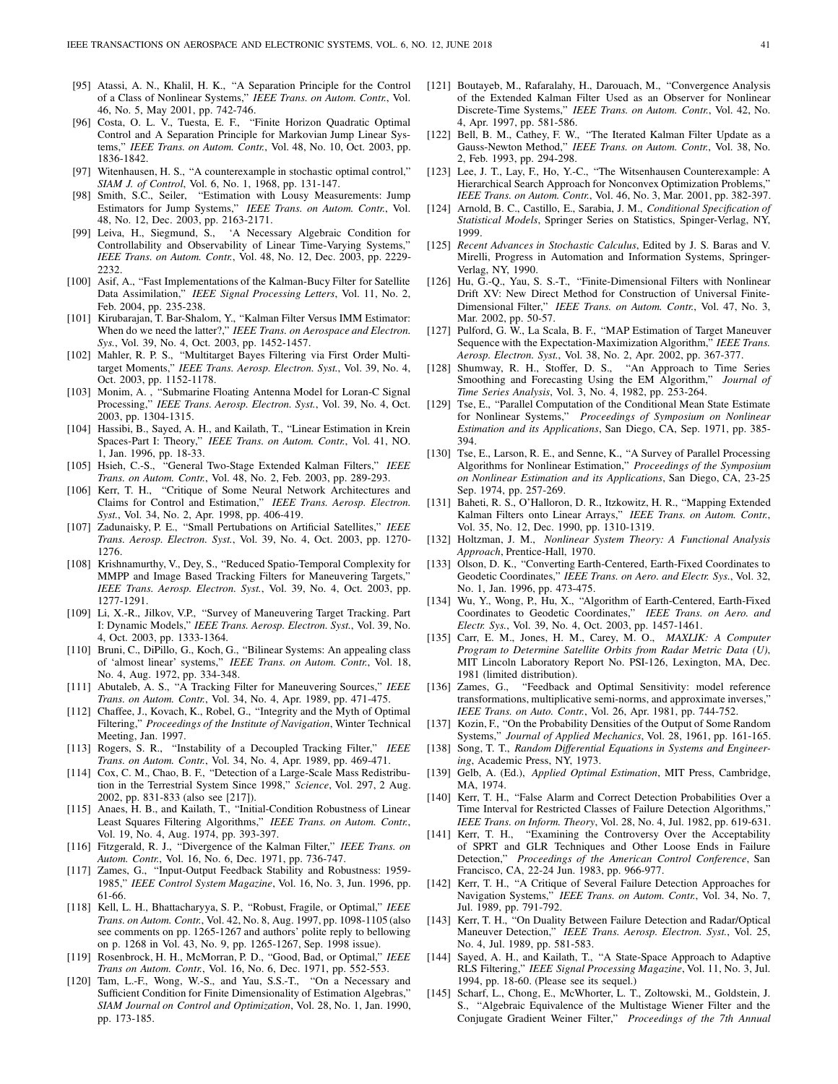- [95] Atassi, A. N., Khalil, H. K., "A Separation Principle for the Control of a Class of Nonlinear Systems," IEEE Trans. on Autom. Contr., Vol. 46, No. 5, May 2001, pp. 742-746.
- [96] Costa, O. L. V., Tuesta, E. F., "Finite Horizon Quadratic Optimal Control and A Separation Principle for Markovian Jump Linear Systems," IEEE Trans. on Autom. Contr., Vol. 48, No. 10, Oct. 2003, pp. 1836-1842.
- [97] Witenhausen, H. S., "A counterexample in stochastic optimal control," SIAM J. of Control, Vol. 6, No. 1, 1968, pp. 131-147.
- [98] Smith, S.C., Seiler, "Estimation with Lousy Measurements: Jump Estimators for Jump Systems," IEEE Trans. on Autom. Contr., Vol. 48, No. 12, Dec. 2003, pp. 2163-2171.
- [99] Leiva, H., Siegmund, S., 'A Necessary Algebraic Condition for Controllability and Observability of Linear Time-Varying Systems," IEEE Trans. on Autom. Contr., Vol. 48, No. 12, Dec. 2003, pp. 2229- 2232.
- [100] Asif, A., "Fast Implementations of the Kalman-Bucy Filter for Satellite Data Assimilation," IEEE Signal Processing Letters, Vol. 11, No. 2, Feb. 2004, pp. 235-238.
- [101] Kirubarajan, T. Bar-Shalom, Y., "Kalman Filter Versus IMM Estimator: When do we need the latter?," IEEE Trans. on Aerospace and Electron. Sys., Vol. 39, No. 4, Oct. 2003, pp. 1452-1457.
- [102] Mahler, R. P. S., "Multitarget Bayes Filtering via First Order Multitarget Moments," IEEE Trans. Aerosp. Electron. Syst., Vol. 39, No. 4, Oct. 2003, pp. 1152-1178.
- [103] Monim, A. , "Submarine Floating Antenna Model for Loran-C Signal Processing," IEEE Trans. Aerosp. Electron. Syst., Vol. 39, No. 4, Oct. 2003, pp. 1304-1315.
- [104] Hassibi, B., Sayed, A. H., and Kailath, T., "Linear Estimation in Krein Spaces-Part I: Theory," IEEE Trans. on Autom. Contr., Vol. 41, NO. 1, Jan. 1996, pp. 18-33.
- [105] Hsieh, C.-S., "General Two-Stage Extended Kalman Filters," IEEE Trans. on Autom. Contr., Vol. 48, No. 2, Feb. 2003, pp. 289-293.
- [106] Kerr, T. H., "Critique of Some Neural Network Architectures and Claims for Control and Estimation," IEEE Trans. Aerosp. Electron. Syst., Vol. 34, No. 2, Apr. 1998, pp. 406-419.
- [107] Zadunaisky, P. E., "Small Pertubations on Artificial Satellites," IEEE Trans. Aerosp. Electron. Syst., Vol. 39, No. 4, Oct. 2003, pp. 1270- 1276.
- [108] Krishnamurthy, V., Dey, S., "Reduced Spatio-Temporal Complexity for MMPP and Image Based Tracking Filters for Maneuvering Targets," IEEE Trans. Aerosp. Electron. Syst., Vol. 39, No. 4, Oct. 2003, pp. 1277-1291.
- [109] Li, X.-R., Jilkov, V.P., "Survey of Maneuvering Target Tracking. Part I: Dynamic Models," IEEE Trans. Aerosp. Electron. Syst., Vol. 39, No. 4, Oct. 2003, pp. 1333-1364.
- [110] Bruni, C., DiPillo, G., Koch, G., "Bilinear Systems: An appealing class of 'almost linear' systems," IEEE Trans. on Autom. Contr., Vol. 18, No. 4, Aug. 1972, pp. 334-348.
- [111] Abutaleb, A. S., "A Tracking Filter for Maneuvering Sources," IEEE Trans. on Autom. Contr., Vol. 34, No. 4, Apr. 1989, pp. 471-475.
- [112] Chaffee, J., Kovach, K., Robel, G., "Integrity and the Myth of Optimal Filtering," Proceedings of the Institute of Navigation, Winter Technical Meeting, Jan. 1997.
- [113] Rogers, S. R., "Instability of a Decoupled Tracking Filter," IEEE Trans. on Autom. Contr., Vol. 34, No. 4, Apr. 1989, pp. 469-471.
- [114] Cox, C. M., Chao, B. F., "Detection of a Large-Scale Mass Redistribution in the Terrestrial System Since 1998," Science, Vol. 297, 2 Aug. 2002, pp. 831-833 (also see [217]).
- [115] Anaes, H. B., and Kailath, T., "Initial-Condition Robustness of Linear Least Squares Filtering Algorithms," IEEE Trans. on Autom. Contr., Vol. 19, No. 4, Aug. 1974, pp. 393-397.
- [116] Fitzgerald, R. J., "Divergence of the Kalman Filter," IEEE Trans. on Autom. Contr., Vol. 16, No. 6, Dec. 1971, pp. 736-747.
- [117] Zames, G., "Input-Output Feedback Stability and Robustness: 1959-1985," IEEE Control System Magazine, Vol. 16, No. 3, Jun. 1996, pp. 61-66.
- [118] Kell, L. H., Bhattacharyya, S. P., "Robust, Fragile, or Optimal," IEEE Trans. on Autom. Contr., Vol. 42, No. 8, Aug. 1997, pp. 1098-1105 (also see comments on pp. 1265-1267 and authors' polite reply to bellowing on p. 1268 in Vol. 43, No. 9, pp. 1265-1267, Sep. 1998 issue).
- [119] Rosenbrock, H. H., McMorran, P. D., "Good, Bad, or Optimal," IEEE Trans on Autom. Contr., Vol. 16, No. 6, Dec. 1971, pp. 552-553.
- [120] Tam, L.-F., Wong, W.-S., and Yau, S.S.-T., "On a Necessary and Sufficient Condition for Finite Dimensionality of Estimation Algebras," SIAM Journal on Control and Optimization, Vol. 28, No. 1, Jan. 1990, pp. 173-185.
- [121] Boutayeb, M., Rafaralahy, H., Darouach, M., "Convergence Analysis of the Extended Kalman Filter Used as an Observer for Nonlinear Discrete-Time Systems," IEEE Trans. on Autom. Contr., Vol. 42, No. 4, Apr. 1997, pp. 581-586.
- [122] Bell, B. M., Cathey, F. W., "The Iterated Kalman Filter Update as a Gauss-Newton Method," IEEE Trans. on Autom. Contr., Vol. 38, No. 2, Feb. 1993, pp. 294-298.
- [123] Lee, J. T., Lay, F., Ho, Y.-C., "The Witsenhausen Counterexample: A Hierarchical Search Approach for Nonconvex Optimization Problems," IEEE Trans. on Autom. Contr., Vol. 46, No. 3, Mar. 2001, pp. 382-397.
- [124] Arnold, B. C., Castillo, E., Sarabia, J. M., Conditional Specification of Statistical Models, Springer Series on Statistics, Spinger-Verlag, NY, 1999.
- [125] Recent Advances in Stochastic Calculus, Edited by J. S. Baras and V. Mirelli, Progress in Automation and Information Systems, Springer-Verlag, NY, 1990.
- [126] Hu, G.-Q., Yau, S. S.-T., "Finite-Dimensional Filters with Nonlinear Drift XV: New Direct Method for Construction of Universal Finite-Dimensional Filter," IEEE Trans. on Autom. Contr., Vol. 47, No. 3, Mar. 2002, pp. 50-57.
- [127] Pulford, G. W., La Scala, B. F., "MAP Estimation of Target Maneuver Sequence with the Expectation-Maximization Algorithm," IEEE Trans. Aerosp. Electron. Syst., Vol. 38, No. 2, Apr. 2002, pp. 367-377.
- [128] Shumway, R. H., Stoffer, D. S., "An Approach to Time Series Smoothing and Forecasting Using the EM Algorithm," Journal of Time Series Analysis, Vol. 3, No. 4, 1982, pp. 253-264.
- [129] Tse, E., "Parallel Computation of the Conditional Mean State Estimate for Nonlinear Systems," Proceedings of Symposium on Nonlinear Estimation and its Applications, San Diego, CA, Sep. 1971, pp. 385- 394.
- [130] Tse, E., Larson, R. E., and Senne, K., "A Survey of Parallel Processing Algorithms for Nonlinear Estimation," Proceedings of the Symposium on Nonlinear Estimation and its Applications, San Diego, CA, 23-25 Sep. 1974, pp. 257-269.
- [131] Baheti, R. S., O'Halloron, D. R., Itzkowitz, H. R., "Mapping Extended Kalman Filters onto Linear Arrays," IEEE Trans. on Autom. Contr., Vol. 35, No. 12, Dec. 1990, pp. 1310-1319.
- [132] Holtzman, J. M., Nonlinear System Theory: A Functional Analysis Approach, Prentice-Hall, 1970.
- [133] Olson, D. K., "Converting Earth-Centered, Earth-Fixed Coordinates to Geodetic Coordinates," IEEE Trans. on Aero. and Electr. Sys., Vol. 32, No. 1, Jan. 1996, pp. 473-475.
- [134] Wu, Y., Wong, P., Hu, X., "Algorithm of Earth-Centered, Earth-Fixed Coordinates to Geodetic Coordinates," IEEE Trans. on Aero. and Electr. Sys., Vol. 39, No. 4, Oct. 2003, pp. 1457-1461.
- [135] Carr, E. M., Jones, H. M., Carey, M. O., MAXLIK: A Computer Program to Determine Satellite Orbits from Radar Metric Data (U), MIT Lincoln Laboratory Report No. PSI-126, Lexington, MA, Dec. 1981 (limited distribution).
- [136] Zames, G., "Feedback and Optimal Sensitivity: model reference transformations, multiplicative semi-norms, and approximate inverses, IEEE Trans. on Auto. Contr., Vol. 26, Apr. 1981, pp. 744-752.
- [137] Kozin, F., "On the Probability Densities of the Output of Some Random Systems," Journal of Applied Mechanics, Vol. 28, 1961, pp. 161-165.
- [138] Song, T. T., Random Differential Equations in Systems and Engineering, Academic Press, NY, 1973.
- [139] Gelb, A. (Ed.), Applied Optimal Estimation, MIT Press, Cambridge, MA, 1974.
- [140] Kerr, T. H., "False Alarm and Correct Detection Probabilities Over a Time Interval for Restricted Classes of Failure Detection Algorithms," IEEE Trans. on Inform. Theory, Vol. 28, No. 4, Jul. 1982, pp. 619-631.
- [141] Kerr, T. H., "Examining the Controversy Over the Acceptability of SPRT and GLR Techniques and Other Loose Ends in Failure Detection," Proceedings of the American Control Conference, San Francisco, CA, 22-24 Jun. 1983, pp. 966-977.
- [142] Kerr, T. H., "A Critique of Several Failure Detection Approaches for Navigation Systems," IEEE Trans. on Autom. Contr., Vol. 34, No. 7, Jul. 1989, pp. 791-792.
- [143] Kerr, T. H., "On Duality Between Failure Detection and Radar/Optical Maneuver Detection," IEEE Trans. Aerosp. Electron. Syst., Vol. 25, No. 4, Jul. 1989, pp. 581-583.
- [144] Sayed, A. H., and Kailath, T., "A State-Space Approach to Adaptive RLS Filtering," IEEE Signal Processing Magazine, Vol. 11, No. 3, Jul. 1994, pp. 18-60. (Please see its sequel.)
- [145] Scharf, L., Chong, E., McWhorter, L. T., Zoltowski, M., Goldstein, J. S., "Algebraic Equivalence of the Multistage Wiener Filter and the Conjugate Gradient Weiner Filter," Proceedings of the 7th Annual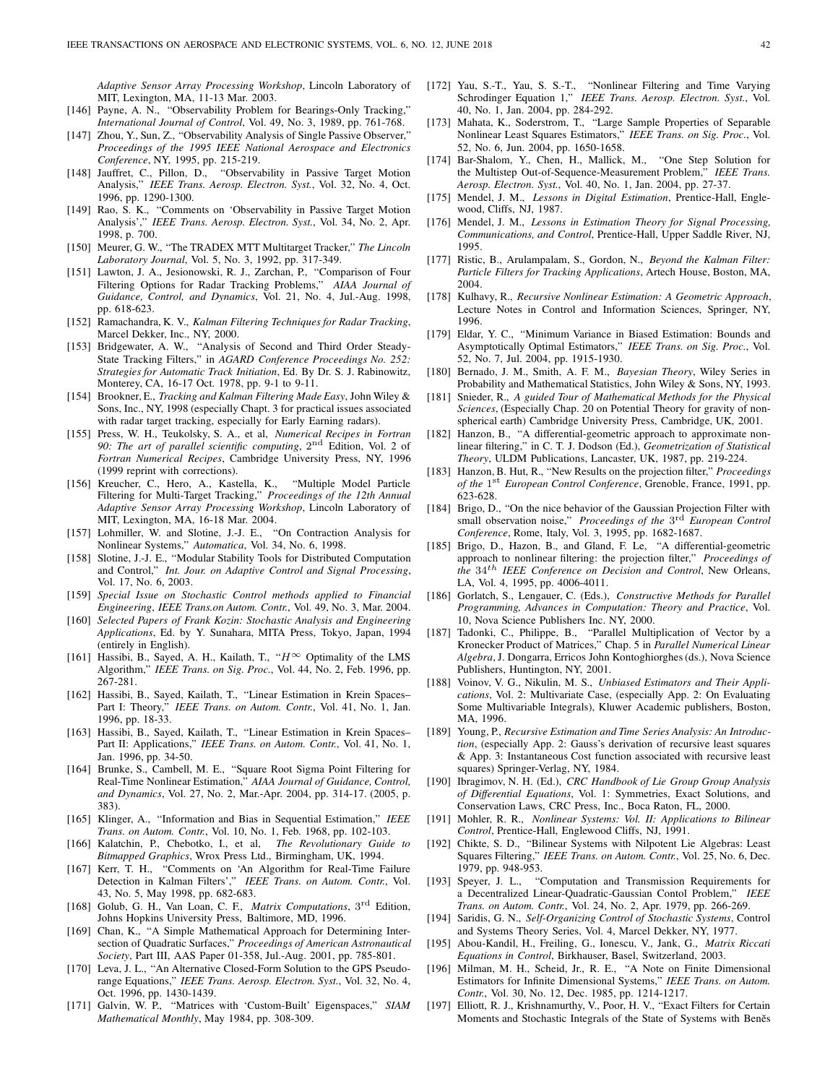Adaptive Sensor Array Processing Workshop, Lincoln Laboratory of MIT, Lexington, MA, 11-13 Mar. 2003.

- [146] Payne, A. N., "Observability Problem for Bearings-Only Tracking," International Journal of Control, Vol. 49, No. 3, 1989, pp. 761-768.
- [147] Zhou, Y., Sun, Z., "Observability Analysis of Single Passive Observer," Proceedings of the 1995 IEEE National Aerospace and Electronics Conference, NY, 1995, pp. 215-219.
- [148] Jauffret, C., Pillon, D., "Observability in Passive Target Motion Analysis," IEEE Trans. Aerosp. Electron. Syst., Vol. 32, No. 4, Oct. 1996, pp. 1290-1300.
- [149] Rao, S. K., "Comments on 'Observability in Passive Target Motion Analysis'," IEEE Trans. Aerosp. Electron. Syst., Vol. 34, No. 2, Apr. 1998, p. 700.
- [150] Meurer, G. W., "The TRADEX MTT Multitarget Tracker," The Lincoln Laboratory Journal, Vol. 5, No. 3, 1992, pp. 317-349.
- [151] Lawton, J. A., Jesionowski, R. J., Zarchan, P., "Comparison of Four Filtering Options for Radar Tracking Problems," AIAA Journal of Guidance, Control, and Dynamics, Vol. 21, No. 4, Jul.-Aug. 1998, pp. 618-623.
- [152] Ramachandra, K. V., Kalman Filtering Techniques for Radar Tracking, Marcel Dekker, Inc., NY, 2000.
- [153] Bridgewater, A. W., "Analysis of Second and Third Order Steady-State Tracking Filters," in AGARD Conference Proceedings No. 252: Strategies for Automatic Track Initiation, Ed. By Dr. S. J. Rabinowitz, Monterey, CA, 16-17 Oct. 1978, pp. 9-1 to 9-11.
- [154] Brookner, E., Tracking and Kalman Filtering Made Easy, John Wiley & Sons, Inc., NY, 1998 (especially Chapt. 3 for practical issues associated with radar target tracking, especially for Early Earning radars).
- [155] Press, W. H., Teukolsky, S. A., et al, Numerical Recipes in Fortran 90: The art of parallel scientific computing,  $2<sup>nd</sup>$  Edition, Vol. 2 of Fortran Numerical Recipes, Cambridge University Press, NY, 1996 (1999 reprint with corrections).
- [156] Kreucher, C., Hero, A., Kastella, K., "Multiple Model Particle Filtering for Multi-Target Tracking," Proceedings of the 12th Annual Adaptive Sensor Array Processing Workshop, Lincoln Laboratory of MIT, Lexington, MA, 16-18 Mar. 2004.
- [157] Lohmiller, W. and Slotine, J.-J. E., "On Contraction Analysis for Nonlinear Systems," Automatica, Vol. 34, No. 6, 1998.
- [158] Slotine, J.-J. E., "Modular Stability Tools for Distributed Computation and Control," Int. Jour. on Adaptive Control and Signal Processing, Vol. 17, No. 6, 2003.
- [159] Special Issue on Stochastic Control methods applied to Financial Engineering, IEEE Trans.on Autom. Contr., Vol. 49, No. 3, Mar. 2004.
- [160] Selected Papers of Frank Kozin: Stochastic Analysis and Engineering Applications, Ed. by Y. Sunahara, MITA Press, Tokyo, Japan, 1994 (entirely in English).
- [161] Hassibi, B., Sayed, A. H., Kailath, T., " $H^{\infty}$  Optimality of the LMS Algorithm," IEEE Trans. on Sig. Proc., Vol. 44, No. 2, Feb. 1996, pp. 267-281.
- [162] Hassibi, B., Sayed, Kailath, T., "Linear Estimation in Krein Spaces– Part I: Theory," IEEE Trans. on Autom. Contr., Vol. 41, No. 1, Jan. 1996, pp. 18-33.
- [163] Hassibi, B., Sayed, Kailath, T., "Linear Estimation in Krein Spaces– Part II: Applications," IEEE Trans. on Autom. Contr., Vol. 41, No. 1, Jan. 1996, pp. 34-50.
- [164] Brunke, S., Cambell, M. E., "Square Root Sigma Point Filtering for Real-Time Nonlinear Estimation," AIAA Journal of Guidance, Control, and Dynamics, Vol. 27, No. 2, Mar.-Apr. 2004, pp. 314-17. (2005, p. 383).
- [165] Klinger, A., "Information and Bias in Sequential Estimation," IEEE Trans. on Autom. Contr., Vol. 10, No. 1, Feb. 1968, pp. 102-103.
- [166] Kalatchin, P., Chebotko, I., et al, The Revolutionary Guide to Bitmapped Graphics, Wrox Press Ltd., Birmingham, UK, 1994.
- [167] Kerr, T. H., "Comments on 'An Algorithm for Real-Time Failure Detection in Kalman Filters'," IEEE Trans. on Autom. Contr., Vol. 43, No. 5, May 1998, pp. 682-683.
- [168] Golub, G. H., Van Loan, C. F., Matrix Computations, 3<sup>rd</sup> Edition, Johns Hopkins University Press, Baltimore, MD, 1996.
- [169] Chan, K., "A Simple Mathematical Approach for Determining Intersection of Quadratic Surfaces," Proceedings of American Astronautical Society, Part III, AAS Paper 01-358, Jul.-Aug. 2001, pp. 785-801.
- [170] Leva, J. L., "An Alternative Closed-Form Solution to the GPS Pseudorange Equations," IEEE Trans. Aerosp. Electron. Syst., Vol. 32, No. 4, Oct. 1996, pp. 1430-1439.
- [171] Galvin, W. P., "Matrices with 'Custom-Built' Eigenspaces," SIAM Mathematical Monthly, May 1984, pp. 308-309.
- [172] Yau, S.-T., Yau, S. S.-T., "Nonlinear Filtering and Time Varying Schrodinger Equation 1," IEEE Trans. Aerosp. Electron. Syst., Vol. 40, No. 1, Jan. 2004, pp. 284-292.
- [173] Mahata, K., Soderstrom, T., "Large Sample Properties of Separable Nonlinear Least Squares Estimators," IEEE Trans. on Sig. Proc., Vol. 52, No. 6, Jun. 2004, pp. 1650-1658.
- [174] Bar-Shalom, Y., Chen, H., Mallick, M., "One Step Solution for the Multistep Out-of-Sequence-Measurement Problem," IEEE Trans. Aerosp. Electron. Syst., Vol. 40, No. 1, Jan. 2004, pp. 27-37.
- [175] Mendel, J. M., Lessons in Digital Estimation, Prentice-Hall, Englewood, Cliffs, NJ, 1987.
- [176] Mendel, J. M., Lessons in Estimation Theory for Signal Processing, Communications, and Control, Prentice-Hall, Upper Saddle River, NJ, 1995.
- [177] Ristic, B., Arulampalam, S., Gordon, N., Beyond the Kalman Filter: Particle Filters for Tracking Applications, Artech House, Boston, MA, 2004.
- [178] Kulhavy, R., Recursive Nonlinear Estimation: A Geometric Approach, Lecture Notes in Control and Information Sciences, Springer, NY, 1996.
- [179] Eldar, Y. C., "Minimum Variance in Biased Estimation: Bounds and Asymptotically Optimal Estimators," IEEE Trans. on Sig. Proc., Vol. 52, No. 7, Jul. 2004, pp. 1915-1930.
- [180] Bernado, J. M., Smith, A. F. M., Bayesian Theory, Wiley Series in Probability and Mathematical Statistics, John Wiley & Sons, NY, 1993.
- [181] Snieder, R., A guided Tour of Mathematical Methods for the Physical Sciences, (Especially Chap. 20 on Potential Theory for gravity of nonspherical earth) Cambridge University Press, Cambridge, UK, 2001.
- [182] Hanzon, B., "A differential-geometric approach to approximate nonlinear filtering," in C. T. J. Dodson (Ed.), Geometrization of Statistical Theory, ULDM Publications, Lancaster, UK, 1987, pp. 219-224.
- [183] Hanzon, B. Hut, R., "New Results on the projection filter," Proceedings of the 1<sup>st</sup> European Control Conference, Grenoble, France, 1991, pp. 623-628.
- [184] Brigo, D., "On the nice behavior of the Gaussian Projection Filter with small observation noise," Proceedings of the 3<sup>rd</sup> European Control Conference, Rome, Italy, Vol. 3, 1995, pp. 1682-1687.
- [185] Brigo, D., Hazon, B., and Gland, F. Le, "A differential-geometric approach to nonlinear filtering: the projection filter," Proceedings of the 34<sup>th</sup> IEEE Conference on Decision and Control, New Orleans, LA, Vol. 4, 1995, pp. 4006-4011.
- [186] Gorlatch, S., Lengauer, C. (Eds.), Constructive Methods for Parallel Programming, Advances in Computation: Theory and Practice, Vol. 10, Nova Science Publishers Inc. NY, 2000.
- [187] Tadonki, C., Philippe, B., "Parallel Multiplication of Vector by a Kronecker Product of Matrices," Chap. 5 in Parallel Numerical Linear Algebra, J. Dongarra, Erricos John Kontoghiorghes (ds.), Nova Science Publishers, Huntington, NY, 2001.
- [188] Voinov, V. G., Nikulin, M. S., Unbiased Estimators and Their Applications, Vol. 2: Multivariate Case, (especially App. 2: On Evaluating Some Multivariable Integrals), Kluwer Academic publishers, Boston, MA, 1996.
- [189] Young, P., Recursive Estimation and Time Series Analysis: An Introduction, (especially App. 2: Gauss's derivation of recursive least squares & App. 3: Instantaneous Cost function associated with recursive least squares) Springer-Verlag, NY, 1984.
- [190] Ibragimov, N. H. (Ed.), CRC Handbook of Lie Group Group Analysis of Differential Equations, Vol. 1: Symmetries, Exact Solutions, and Conservation Laws, CRC Press, Inc., Boca Raton, FL, 2000.
- [191] Mohler, R. R., Nonlinear Systems: Vol. II: Applications to Bilinear Control, Prentice-Hall, Englewood Cliffs, NJ, 1991.
- [192] Chikte, S. D., "Bilinear Systems with Nilpotent Lie Algebras: Least Squares Filtering," IEEE Trans. on Autom. Contr., Vol. 25, No. 6, Dec. 1979, pp. 948-953.
- [193] Speyer, J. L., "Computation and Transmission Requirements for a Decentralized Linear-Quadratic-Gaussian Contol Problem," IEEE Trans. on Autom. Contr., Vol. 24, No. 2, Apr. 1979, pp. 266-269.
- [194] Saridis, G. N., Self-Organizing Control of Stochastic Systems, Control and Systems Theory Series, Vol. 4, Marcel Dekker, NY, 1977.
- [195] Abou-Kandil, H., Freiling, G., Ionescu, V., Jank, G., *Matrix Riccati* Equations in Control, Birkhauser, Basel, Switzerland, 2003.
- [196] Milman, M. H., Scheid, Jr., R. E., "A Note on Finite Dimensional Estimators for Infinite Dimensional Systems," IEEE Trans. on Autom. Contr., Vol. 30, No. 12, Dec. 1985, pp. 1214-1217.
- [197] Elliott, R. J., Krishnamurthy, V., Poor, H. V., "Exact Filters for Certain Moments and Stochastic Integrals of the State of Systems with Benĕs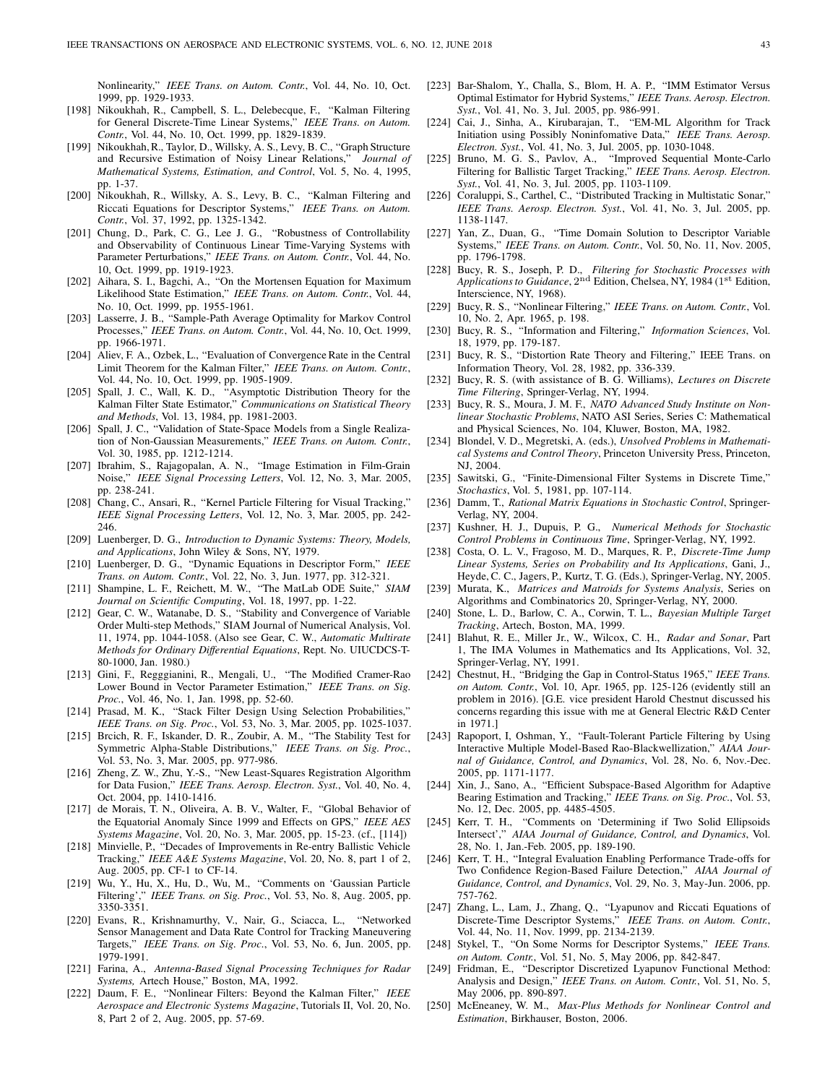Nonlinearity," IEEE Trans. on Autom. Contr., Vol. 44, No. 10, Oct. 1999, pp. 1929-1933.

- [198] Nikoukhah, R., Campbell, S. L., Delebecque, F., "Kalman Filtering for General Discrete-Time Linear Systems," IEEE Trans. on Autom. Contr., Vol. 44, No. 10, Oct. 1999, pp. 1829-1839.
- [199] Nikoukhah, R., Taylor, D., Willsky, A. S., Levy, B. C., "Graph Structure<br>and Recursive Estimation of Noisy Linear Relations." *Journal of* and Recursive Estimation of Noisy Linear Relations," Mathematical Systems, Estimation, and Control, Vol. 5, No. 4, 1995, pp. 1-37.
- [200] Nikoukhah, R., Willsky, A. S., Levy, B. C., "Kalman Filtering and Riccati Equations for Descriptor Systems," IEEE Trans. on Autom. Contr., Vol. 37, 1992, pp. 1325-1342.
- [201] Chung, D., Park, C. G., Lee J. G., "Robustness of Controllability and Observability of Continuous Linear Time-Varying Systems with Parameter Perturbations," IEEE Trans. on Autom. Contr., Vol. 44, No. 10, Oct. 1999, pp. 1919-1923.
- [202] Aihara, S. I., Bagchi, A., "On the Mortensen Equation for Maximum Likelihood State Estimation," IEEE Trans. on Autom. Contr., Vol. 44, No. 10, Oct. 1999, pp. 1955-1961.
- [203] Lasserre, J. B., "Sample-Path Average Optimality for Markov Control Processes," IEEE Trans. on Autom. Contr., Vol. 44, No. 10, Oct. 1999, pp. 1966-1971.
- [204] Aliev, F. A., Ozbek, L., "Evaluation of Convergence Rate in the Central Limit Theorem for the Kalman Filter," IEEE Trans. on Autom. Contr., Vol. 44, No. 10, Oct. 1999, pp. 1905-1909.
- [205] Spall, J. C., Wall, K. D., "Asymptotic Distribution Theory for the Kalman Filter State Estimator," Communications on Statistical Theory and Methods, Vol. 13, 1984, pp. 1981-2003.
- [206] Spall, J. C., "Validation of State-Space Models from a Single Realization of Non-Gaussian Measurements," IEEE Trans. on Autom. Contr., Vol. 30, 1985, pp. 1212-1214.
- [207] Ibrahim, S., Rajagopalan, A. N., "Image Estimation in Film-Grain Noise," IEEE Signal Processing Letters, Vol. 12, No. 3, Mar. 2005, pp. 238-241.
- [208] Chang, C., Ansari, R., "Kernel Particle Filtering for Visual Tracking," IEEE Signal Processing Letters, Vol. 12, No. 3, Mar. 2005, pp. 242- 246.
- [209] Luenberger, D. G., *Introduction to Dynamic Systems: Theory, Models*, and Applications, John Wiley & Sons, NY, 1979.
- [210] Luenberger, D. G., "Dynamic Equations in Descriptor Form," IEEE Trans. on Autom. Contr., Vol. 22, No. 3, Jun. 1977, pp. 312-321.
- [211] Shampine, L. F., Reichett, M. W., "The MatLab ODE Suite," SIAM Journal on Scientific Computing, Vol. 18, 1997, pp. 1-22.
- [212] Gear, C. W., Watanabe, D. S., "Stability and Convergence of Variable Order Multi-step Methods," SIAM Journal of Numerical Analysis, Vol. 11, 1974, pp. 1044-1058. (Also see Gear, C. W., Automatic Multirate Methods for Ordinary Differential Equations, Rept. No. UIUCDCS-T-80-1000, Jan. 1980.)
- [213] Gini, F., Regggianini, R., Mengali, U., "The Modified Cramer-Rao Lower Bound in Vector Parameter Estimation," IEEE Trans. on Sig. Proc., Vol. 46, No. 1, Jan. 1998, pp. 52-60.
- [214] Prasad, M. K., "Stack Filter Design Using Selection Probabilities," IEEE Trans. on Sig. Proc., Vol. 53, No. 3, Mar. 2005, pp. 1025-1037.
- [215] Brcich, R. F., Iskander, D. R., Zoubir, A. M., "The Stability Test for Symmetric Alpha-Stable Distributions," IEEE Trans. on Sig. Proc., Vol. 53, No. 3, Mar. 2005, pp. 977-986.
- [216] Zheng, Z. W., Zhu, Y.-S., "New Least-Squares Registration Algorithm for Data Fusion," IEEE Trans. Aerosp. Electron. Syst., Vol. 40, No. 4, Oct. 2004, pp. 1410-1416.
- [217] de Morais, T. N., Oliveira, A. B. V., Walter, F., "Global Behavior of the Equatorial Anomaly Since 1999 and Effects on GPS," IEEE AES Systems Magazine, Vol. 20, No. 3, Mar. 2005, pp. 15-23. (cf., [114])
- [218] Minvielle, P., "Decades of Improvements in Re-entry Ballistic Vehicle Tracking," IEEE A&E Systems Magazine, Vol. 20, No. 8, part 1 of 2, Aug. 2005, pp. CF-1 to CF-14.
- [219] Wu, Y., Hu, X., Hu, D., Wu, M., "Comments on 'Gaussian Particle Filtering'," IEEE Trans. on Sig. Proc., Vol. 53, No. 8, Aug. 2005, pp. 3350-3351.
- [220] Evans, R., Krishnamurthy, V., Nair, G., Sciacca, L., "Networked Sensor Management and Data Rate Control for Tracking Maneuvering Targets," IEEE Trans. on Sig. Proc., Vol. 53, No. 6, Jun. 2005, pp. 1979-1991.
- [221] Farina, A., Antenna-Based Signal Processing Techniques for Radar Systems, Artech House," Boston, MA, 1992.
- [222] Daum, F. E., "Nonlinear Filters: Beyond the Kalman Filter," IEEE Aerospace and Electronic Systems Magazine, Tutorials II, Vol. 20, No. 8, Part 2 of 2, Aug. 2005, pp. 57-69.
- [223] Bar-Shalom, Y., Challa, S., Blom, H. A. P., "IMM Estimator Versus Optimal Estimator for Hybrid Systems," IEEE Trans. Aerosp. Electron. Syst., Vol. 41, No. 3, Jul. 2005, pp. 986-991.
- [224] Cai, J., Sinha, A., Kirubarajan, T., "EM-ML Algorithm for Track Initiation using Possibly Noninfomative Data," IEEE Trans. Aerosp. Electron. Syst., Vol. 41, No. 3, Jul. 2005, pp. 1030-1048.
- [225] Bruno, M. G. S., Pavlov, A., "Improved Sequential Monte-Carlo Filtering for Ballistic Target Tracking," IEEE Trans. Aerosp. Electron. Syst., Vol. 41, No. 3, Jul. 2005, pp. 1103-1109.
- [226] Coraluppi, S., Carthel, C., "Distributed Tracking in Multistatic Sonar," IEEE Trans. Aerosp. Electron. Syst., Vol. 41, No. 3, Jul. 2005, pp. 1138-1147.
- [227] Yan, Z., Duan, G., "Time Domain Solution to Descriptor Variable Systems," IEEE Trans. on Autom. Contr., Vol. 50, No. 11, Nov. 2005, pp. 1796-1798.
- [228] Bucy, R. S., Joseph, P. D., Filtering for Stochastic Processes with Applications to Guidance, 2<sup>nd</sup> Edition, Chelsea, NY, 1984 (1<sup>st</sup> Edition, Interscience, NY, 1968).
- [229] Bucy, R. S., "Nonlinear Filtering," IEEE Trans. on Autom. Contr., Vol. 10, No. 2, Apr. 1965, p. 198.
- [230] Bucy, R. S., "Information and Filtering," Information Sciences, Vol. 18, 1979, pp. 179-187.
- [231] Bucy, R. S., "Distortion Rate Theory and Filtering," IEEE Trans. on Information Theory, Vol. 28, 1982, pp. 336-339.
- [232] Bucy, R. S. (with assistance of B. G. Williams), Lectures on Discrete Time Filtering, Springer-Verlag, NY, 1994.
- [233] Bucy, R. S., Moura, J. M. F., NATO Advanced Study Institute on Nonlinear Stochastic Problems, NATO ASI Series, Series C: Mathematical and Physical Sciences, No. 104, Kluwer, Boston, MA, 1982.
- [234] Blondel, V. D., Megretski, A. (eds.), Unsolved Problems in Mathematical Systems and Control Theory, Princeton University Press, Princeton, NJ, 2004.
- [235] Sawitski, G., "Finite-Dimensional Filter Systems in Discrete Time," Stochastics, Vol. 5, 1981, pp. 107-114.
- [236] Damm, T., Rational Matrix Equations in Stochastic Control, Springer-Verlag, NY, 2004.
- [237] Kushner, H. J., Dupuis, P. G., Numerical Methods for Stochastic Control Problems in Continuous Time, Springer-Verlag, NY, 1992.
- [238] Costa, O. L. V., Fragoso, M. D., Marques, R. P., Discrete-Time Jump Linear Systems, Series on Probability and Its Applications, Gani, J., Heyde, C. C., Jagers, P., Kurtz, T. G. (Eds.), Springer-Verlag, NY, 2005.
- [239] Murata, K., Matrices and Matroids for Systems Analysis, Series on Algorithms and Combinatorics 20, Springer-Verlag, NY, 2000.
- [240] Stone, L. D., Barlow, C. A., Corwin, T. L., Bayesian Multiple Target Tracking, Artech, Boston, MA, 1999.
- [241] Blahut, R. E., Miller Jr., W., Wilcox, C. H., Radar and Sonar, Part 1, The IMA Volumes in Mathematics and Its Applications, Vol. 32, Springer-Verlag, NY, 1991.
- [242] Chestnut, H., "Bridging the Gap in Control-Status 1965," IEEE Trans. on Autom. Contr., Vol. 10, Apr. 1965, pp. 125-126 (evidently still an problem in 2016). [G.E. vice president Harold Chestnut discussed his concerns regarding this issue with me at General Electric R&D Center in 1971.]
- [243] Rapoport, I, Oshman, Y., "Fault-Tolerant Particle Filtering by Using Interactive Multiple Model-Based Rao-Blackwellization," AIAA Journal of Guidance, Control, and Dynamics, Vol. 28, No. 6, Nov.-Dec. 2005, pp. 1171-1177.
- [244] Xin, J., Sano, A., "Efficient Subspace-Based Algorithm for Adaptive Bearing Estimation and Tracking," IEEE Trans. on Sig. Proc., Vol. 53, No. 12, Dec. 2005, pp. 4485-4505.
- [245] Kerr, T. H., "Comments on 'Determining if Two Solid Ellipsoids Intersect'," AIAA Journal of Guidance, Control, and Dynamics, Vol. 28, No. 1, Jan.-Feb. 2005, pp. 189-190.
- [246] Kerr, T. H., "Integral Evaluation Enabling Performance Trade-offs for Two Confidence Region-Based Failure Detection," AIAA Journal of Guidance, Control, and Dynamics, Vol. 29, No. 3, May-Jun. 2006, pp. 757-762.
- [247] Zhang, L., Lam, J., Zhang, Q., "Lyapunov and Riccati Equations of Discrete-Time Descriptor Systems," IEEE Trans. on Autom. Contr., Vol. 44, No. 11, Nov. 1999, pp. 2134-2139.
- [248] Stykel, T., "On Some Norms for Descriptor Systems," IEEE Trans. on Autom. Contr., Vol. 51, No. 5, May 2006, pp. 842-847.
- [249] Fridman, E., "Descriptor Discretized Lyapunov Functional Method: Analysis and Design," IEEE Trans. on Autom. Contr., Vol. 51, No. 5, May 2006, pp. 890-897.
- [250] McEneaney, W. M., Max-Plus Methods for Nonlinear Control and Estimation, Birkhauser, Boston, 2006.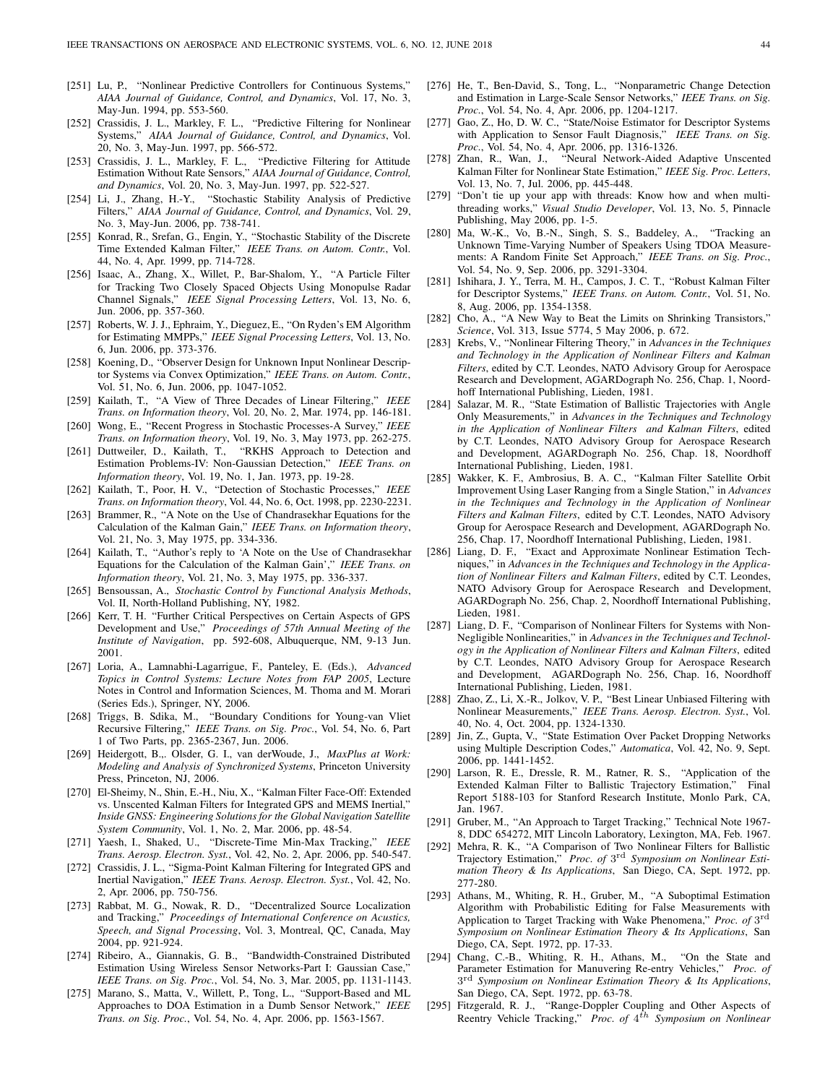- [251] Lu, P., "Nonlinear Predictive Controllers for Continuous Systems," AIAA Journal of Guidance, Control, and Dynamics, Vol. 17, No. 3, May-Jun. 1994, pp. 553-560.
- [252] Crassidis, J. L., Markley, F. L., "Predictive Filtering for Nonlinear Systems," AIAA Journal of Guidance, Control, and Dynamics, Vol. 20, No. 3, May-Jun. 1997, pp. 566-572.
- [253] Crassidis, J. L., Markley, F. L., "Predictive Filtering for Attitude Estimation Without Rate Sensors," AIAA Journal of Guidance, Control, and Dynamics, Vol. 20, No. 3, May-Jun. 1997, pp. 522-527.
- [254] Li, J., Zhang, H.-Y., "Stochastic Stability Analysis of Predictive Filters," AIAA Journal of Guidance, Control, and Dynamics, Vol. 29, No. 3, May-Jun. 2006, pp. 738-741.
- [255] Konrad, R., Srefan, G., Engin, Y., "Stochastic Stability of the Discrete Time Extended Kalman Filter," IEEE Trans. on Autom. Contr., Vol. 44, No. 4, Apr. 1999, pp. 714-728.
- [256] Isaac, A., Zhang, X., Willet, P., Bar-Shalom, Y., "A Particle Filter for Tracking Two Closely Spaced Objects Using Monopulse Radar Channel Signals," IEEE Signal Processing Letters, Vol. 13, No. 6, Jun. 2006, pp. 357-360.
- [257] Roberts, W. J. J., Ephraim, Y., Dieguez, E., "On Ryden's EM Algorithm for Estimating MMPPs," IEEE Signal Processing Letters, Vol. 13, No. 6, Jun. 2006, pp. 373-376.
- [258] Koening, D., "Observer Design for Unknown Input Nonlinear Descriptor Systems via Convex Optimization," IEEE Trans. on Autom. Contr., Vol. 51, No. 6, Jun. 2006, pp. 1047-1052.
- [259] Kailath, T., "A View of Three Decades of Linear Filtering," IEEE Trans. on Information theory, Vol. 20, No. 2, Mar. 1974, pp. 146-181.
- [260] Wong, E., "Recent Progress in Stochastic Processes-A Survey," IEEE Trans. on Information theory, Vol. 19, No. 3, May 1973, pp. 262-275.
- [261] Duttweiler, D., Kailath, T., "RKHS Approach to Detection and Estimation Problems-IV: Non-Gaussian Detection," IEEE Trans. on Information theory, Vol. 19, No. 1, Jan. 1973, pp. 19-28.
- [262] Kailath, T., Poor, H. V., "Detection of Stochastic Processes," IEEE Trans. on Information theory, Vol. 44, No. 6, Oct. 1998, pp. 2230-2231.
- [263] Brammer, R., "A Note on the Use of Chandrasekhar Equations for the Calculation of the Kalman Gain," IEEE Trans. on Information theory, Vol. 21, No. 3, May 1975, pp. 334-336.
- [264] Kailath, T., "Author's reply to 'A Note on the Use of Chandrasekhar Equations for the Calculation of the Kalman Gain'," IEEE Trans. on Information theory, Vol. 21, No. 3, May 1975, pp. 336-337.
- [265] Bensoussan, A., Stochastic Control by Functional Analysis Methods, Vol. II, North-Holland Publishing, NY, 1982.
- [266] Kerr, T. H. "Further Critical Perspectives on Certain Aspects of GPS Development and Use," Proceedings of 57th Annual Meeting of the Institute of Navigation, pp. 592-608, Albuquerque, NM, 9-13 Jun. 2001.
- [267] Loria, A., Lamnabhi-Lagarrigue, F., Panteley, E. (Eds.), Advanced Topics in Control Systems: Lecture Notes from FAP 2005, Lecture Notes in Control and Information Sciences, M. Thoma and M. Morari (Series Eds.), Springer, NY, 2006.
- [268] Triggs, B. Sdika, M., "Boundary Conditions for Young-van Vliet Recursive Filtering," IEEE Trans. on Sig. Proc., Vol. 54, No. 6, Part 1 of Two Parts, pp. 2365-2367, Jun. 2006.
- [269] Heidergott, B.,. Olsder, G. I., van derWoude, J., MaxPlus at Work: Modeling and Analysis of Synchronized Systems, Princeton University Press, Princeton, NJ, 2006.
- [270] El-Sheimy, N., Shin, E.-H., Niu, X., "Kalman Filter Face-Off: Extended vs. Unscented Kalman Filters for Integrated GPS and MEMS Inertial," Inside GNSS: Engineering Solutions for the Global Navigation Satellite System Community, Vol. 1, No. 2, Mar. 2006, pp. 48-54.
- [271] Yaesh, I., Shaked, U., "Discrete-Time Min-Max Tracking," IEEE Trans. Aerosp. Electron. Syst., Vol. 42, No. 2, Apr. 2006, pp. 540-547.
- [272] Crassidis, J. L., "Sigma-Point Kalman Filtering for Integrated GPS and Inertial Navigation," IEEE Trans. Aerosp. Electron. Syst., Vol. 42, No. 2, Apr. 2006, pp. 750-756.
- [273] Rabbat, M. G., Nowak, R. D., "Decentralized Source Localization and Tracking," Proceedings of International Conference on Acustics, Speech, and Signal Processing, Vol. 3, Montreal, QC, Canada, May 2004, pp. 921-924.
- [274] Ribeiro, A., Giannakis, G. B., "Bandwidth-Constrained Distributed Estimation Using Wireless Sensor Networks-Part I: Gaussian Case,' IEEE Trans. on Sig. Proc., Vol. 54, No. 3, Mar. 2005, pp. 1131-1143.
- [275] Marano, S., Matta, V., Willett, P., Tong, L., "Support-Based and ML Approaches to DOA Estimation in a Dumb Sensor Network," IEEE Trans. on Sig. Proc., Vol. 54, No. 4, Apr. 2006, pp. 1563-1567.
- [276] He, T., Ben-David, S., Tong, L., "Nonparametric Change Detection and Estimation in Large-Scale Sensor Networks," IEEE Trans. on Sig. Proc., Vol. 54, No. 4, Apr. 2006, pp. 1204-1217.
- [277] Gao, Z., Ho, D. W. C., "State/Noise Estimator for Descriptor Systems with Application to Sensor Fault Diagnosis," IEEE Trans. on Sig. Proc., Vol. 54, No. 4, Apr. 2006, pp. 1316-1326.
- [278] Zhan, R., Wan, J., "Neural Network-Aided Adaptive Unscented Kalman Filter for Nonlinear State Estimation," IEEE Sig. Proc. Letters, Vol. 13, No. 7, Jul. 2006, pp. 445-448.
- [279] "Don't tie up your app with threads: Know how and when multithreading works," Visual Studio Developer, Vol. 13, No. 5, Pinnacle Publishing, May 2006, pp. 1-5.
- [280] Ma, W.-K., Vo, B.-N., Singh, S. S., Baddeley, A., "Tracking an Unknown Time-Varying Number of Speakers Using TDOA Measurements: A Random Finite Set Approach," IEEE Trans. on Sig. Proc., Vol. 54, No. 9, Sep. 2006, pp. 3291-3304.
- [281] Ishihara, J. Y., Terra, M. H., Campos, J. C. T., "Robust Kalman Filter for Descriptor Systems," IEEE Trans. on Autom. Contr., Vol. 51, No. 8, Aug. 2006, pp. 1354-1358.
- [282] Cho, A., "A New Way to Beat the Limits on Shrinking Transistors," Science, Vol. 313, Issue 5774, 5 May 2006, p. 672.
- [283] Krebs, V., "Nonlinear Filtering Theory," in Advances in the Techniques and Technology in the Application of Nonlinear Filters and Kalman Filters, edited by C.T. Leondes, NATO Advisory Group for Aerospace Research and Development, AGARDograph No. 256, Chap. 1, Noordhoff International Publishing, Lieden, 1981.
- [284] Salazar, M. R., "State Estimation of Ballistic Trajectories with Angle Only Measurements," in Advances in the Techniques and Technology in the Application of Nonlinear Filters and Kalman Filters, edited by C.T. Leondes, NATO Advisory Group for Aerospace Research and Development, AGARDograph No. 256, Chap. 18, Noordhoff International Publishing, Lieden, 1981.
- [285] Wakker, K. F., Ambrosius, B. A. C., "Kalman Filter Satellite Orbit Improvement Using Laser Ranging from a Single Station," in Advances in the Techniques and Technology in the Application of Nonlinear Filters and Kalman Filters, edited by C.T. Leondes, NATO Advisory Group for Aerospace Research and Development, AGARDograph No. 256, Chap. 17, Noordhoff International Publishing, Lieden, 1981.
- [286] Liang, D. F., "Exact and Approximate Nonlinear Estimation Techniques," in Advances in the Techniques and Technology in the Application of Nonlinear Filters and Kalman Filters, edited by C.T. Leondes, NATO Advisory Group for Aerospace Research and Development, AGARDograph No. 256, Chap. 2, Noordhoff International Publishing, Lieden, 1981.
- [287] Liang, D. F., "Comparison of Nonlinear Filters for Systems with Non-Negligible Nonlinearities," in Advances in the Techniques and Technology in the Application of Nonlinear Filters and Kalman Filters, edited by C.T. Leondes, NATO Advisory Group for Aerospace Research and Development, AGARDograph No. 256, Chap. 16, Noordhoff International Publishing, Lieden, 1981.
- [288] Zhao, Z., Li, X.-R., Jolkov, V. P., "Best Linear Unbiased Filtering with Nonlinear Measurements," IEEE Trans. Aerosp. Electron. Syst., Vol. 40, No. 4, Oct. 2004, pp. 1324-1330.
- [289] Jin, Z., Gupta, V., "State Estimation Over Packet Dropping Networks using Multiple Description Codes," Automatica, Vol. 42, No. 9, Sept. 2006, pp. 1441-1452.
- [290] Larson, R. E., Dressle, R. M., Ratner, R. S., "Application of the Extended Kalman Filter to Ballistic Trajectory Estimation," Final Report 5188-103 for Stanford Research Institute, Monlo Park, CA, Jan. 1967.
- [291] Gruber, M., "An Approach to Target Tracking," Technical Note 1967- 8, DDC 654272, MIT Lincoln Laboratory, Lexington, MA, Feb. 1967.
- [292] Mehra, R. K., "A Comparison of Two Nonlinear Filters for Ballistic Trajectory Estimation," Proc. of 3<sup>rd</sup> Symposium on Nonlinear Estimation Theory & Its Applications, San Diego, CA, Sept. 1972, pp. 277-280.
- [293] Athans, M., Whiting, R. H., Gruber, M., "A Suboptimal Estimation Algorithm with Probabilistic Editing for False Measurements with Application to Target Tracking with Wake Phenomena," Proc. of 3<sup>rd</sup> Symposium on Nonlinear Estimation Theory & Its Applications, San Diego, CA, Sept. 1972, pp. 17-33.
- [294] Chang, C.-B., Whiting, R. H., Athans, M., "On the State and Parameter Estimation for Manuvering Re-entry Vehicles," Proc. of 3<sup>rd</sup> Symposium on Nonlinear Estimation Theory & Its Applications, San Diego, CA, Sept. 1972, pp. 63-78.
- [295] Fitzgerald, R. J., "Range-Doppler Coupling and Other Aspects of Reentry Vehicle Tracking," Proc. of  $4^{th}$  Symposium on Nonlinear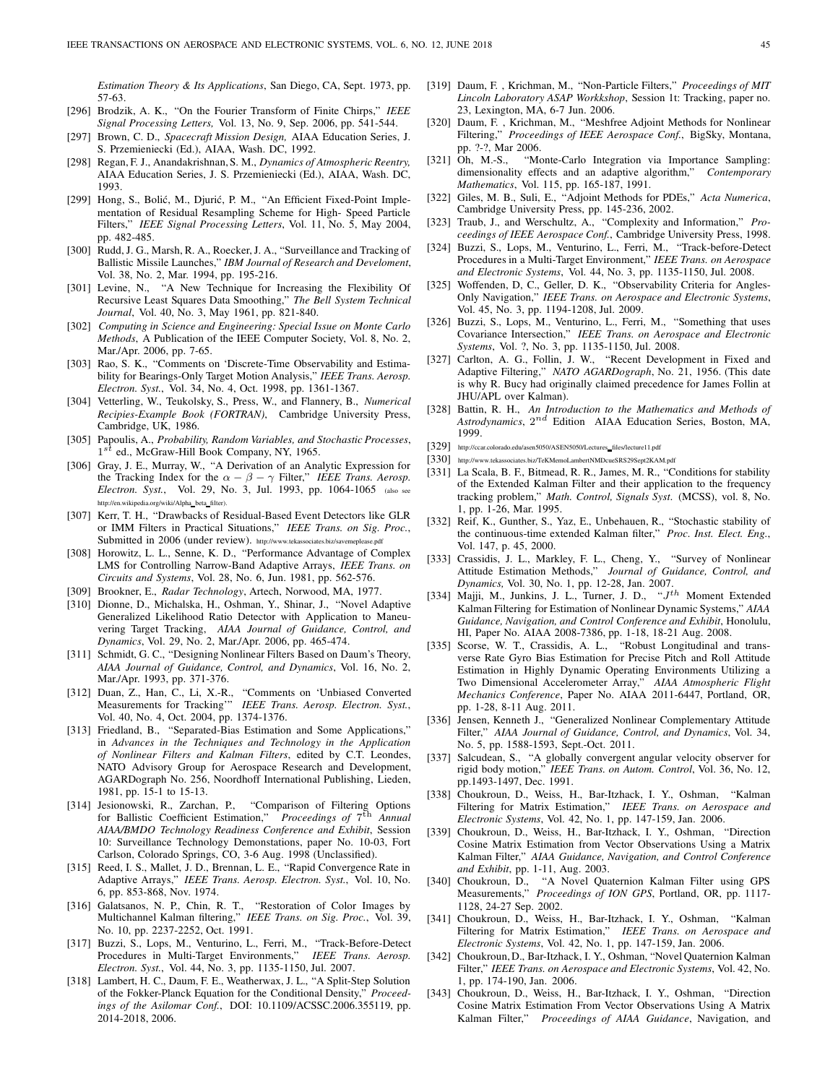Estimation Theory & Its Applications, San Diego, CA, Sept. 1973, pp. 57-63.

- [296] Brodzik, A. K., "On the Fourier Transform of Finite Chirps," IEEE Signal Processing Letters, Vol. 13, No. 9, Sep. 2006, pp. 541-544.
- [297] Brown, C. D., Spacecraft Mission Design, AIAA Education Series, J. S. Przemieniecki (Ed.), AIAA, Wash. DC, 1992.
- [298] Regan, F. J., Anandakrishnan, S. M., Dynamics of Atmospheric Reentry, AIAA Education Series, J. S. Przemieniecki (Ed.), AIAA, Wash. DC, 1993.
- [299] Hong, S., Bolić, M., Djurić, P. M., "An Efficient Fixed-Point Implementation of Residual Resampling Scheme for High- Speed Particle Filters," IEEE Signal Processing Letters, Vol. 11, No. 5, May 2004, pp. 482-485.
- [300] Rudd, J. G., Marsh, R. A., Roecker, J. A., "Surveillance and Tracking of Ballistic Missile Launches," IBM Journal of Research and Develoment, Vol. 38, No. 2, Mar. 1994, pp. 195-216.
- [301] Levine, N., "A New Technique for Increasing the Flexibility Of Recursive Least Squares Data Smoothing," The Bell System Technical Journal, Vol. 40, No. 3, May 1961, pp. 821-840.
- [302] Computing in Science and Engineering: Special Issue on Monte Carlo Methods, A Publication of the IEEE Computer Society, Vol. 8, No. 2, Mar./Apr. 2006, pp. 7-65.
- [303] Rao, S. K., "Comments on 'Discrete-Time Observability and Estimability for Bearings-Only Target Motion Analysis," IEEE Trans. Aerosp. Electron. Syst., Vol. 34, No. 4, Oct. 1998, pp. 1361-1367.
- [304] Vetterling, W., Teukolsky, S., Press, W., and Flannery, B., Numerical Recipies-Example Book (FORTRAN), Cambridge University Press, Cambridge, UK, 1986.
- [305] Papoulis, A., Probability, Random Variables, and Stochastic Processes,  $1^{s\bar{t}}$  ed., McGraw-Hill Book Company, NY, 1965.
- [306] Gray, J. E., Murray, W., "A Derivation of an Analytic Expression for the Tracking Index for the  $\alpha - \beta - \gamma$  Filter," IEEE Trans. Aerosp. Electron. Syst., Vol. 29, No. 3, Jul. 1993, pp. 1064-1065 (also see http://en.wikipedia.org/wiki/Alpha\_beta\_filter).
- [307] Kerr, T. H., "Drawbacks of Residual-Based Event Detectors like GLR or IMM Filters in Practical Situations," IEEE Trans. on Sig. Proc., Submitted in 2006 (under review). http://www.tekassociates.biz/savemeplease.pdf
- [308] Horowitz, L. L., Senne, K. D., "Performance Advantage of Complex LMS for Controlling Narrow-Band Adaptive Arrays, IEEE Trans. on Circuits and Systems, Vol. 28, No. 6, Jun. 1981, pp. 562-576.
- [309] Brookner, E., Radar Technology, Artech, Norwood, MA, 1977.
- [310] Dionne, D., Michalska, H., Oshman, Y., Shinar, J., "Novel Adaptive Generalized Likelihood Ratio Detector with Application to Maneuvering Target Tracking, AIAA Journal of Guidance, Control, and Dynamics, Vol. 29, No. 2, Mar./Apr. 2006, pp. 465-474.
- [311] Schmidt, G. C., "Designing Nonlinear Filters Based on Daum's Theory, AIAA Journal of Guidance, Control, and Dynamics, Vol. 16, No. 2, Mar./Apr. 1993, pp. 371-376.
- [312] Duan, Z., Han, C., Li, X.-R., "Comments on 'Unbiased Converted Measurements for Tracking"" IEEE Trans. Aerosp. Electron. Syst., Vol. 40, No. 4, Oct. 2004, pp. 1374-1376.
- [313] Friedland, B., "Separated-Bias Estimation and Some Applications," in Advances in the Techniques and Technology in the Application of Nonlinear Filters and Kalman Filters, edited by C.T. Leondes, NATO Advisory Group for Aerospace Research and Development, AGARDograph No. 256, Noordhoff International Publishing, Lieden, 1981, pp. 15-1 to 15-13.
- [314] Jesionowski, R., Zarchan, P., "Comparison of Filtering Options for Ballistic Coefficient Estimation," Proceedings of 7<sup>th</sup> Annual AIAA/BMDO Technology Readiness Conference and Exhibit, Session 10: Surveillance Technology Demonstations, paper No. 10-03, Fort Carlson, Colorado Springs, CO, 3-6 Aug. 1998 (Unclassified).
- [315] Reed, I. S., Mallet, J. D., Brennan, L. E., "Rapid Convergence Rate in Adaptive Arrays," IEEE Trans. Aerosp. Electron. Syst., Vol. 10, No. 6, pp. 853-868, Nov. 1974.
- [316] Galatsanos, N. P., Chin, R. T., "Restoration of Color Images by Multichannel Kalman filtering," IEEE Trans. on Sig. Proc., Vol. 39, No. 10, pp. 2237-2252, Oct. 1991.
- [317] Buzzi, S., Lops, M., Venturino, L., Ferri, M., "Track-Before-Detect Procedures in Multi-Target Environments," IEEE Trans. Aerosp. Electron. Syst., Vol. 44, No. 3, pp. 1135-1150, Jul. 2007.
- [318] Lambert, H. C., Daum, F. E., Weatherwax, J. L., "A Split-Step Solution of the Fokker-Planck Equation for the Conditional Density," Proceedings of the Asilomar Conf., DOI: 10.1109/ACSSC.2006.355119, pp. 2014-2018, 2006.
- [319] Daum, F., Krichman, M., "Non-Particle Filters," Proceedings of MIT Lincoln Laboratory ASAP Workkshop, Session 1t: Tracking, paper no. 23, Lexington, MA, 6-7 Jun. 2006.
- [320] Daum, F., Krichman, M., "Meshfree Adjoint Methods for Nonlinear Filtering," Proceedings of IEEE Aerospace Conf., BigSky, Montana, pp. ?-?, Mar 2006.
- [321] Oh, M.-S., "Monte-Carlo Integration via Importance Sampling: dimensionality effects and an adaptive algorithm," Contemporary Mathematics, Vol. 115, pp. 165-187, 1991.
- [322] Giles, M. B., Suli, E., "Adjoint Methods for PDEs," Acta Numerica, Cambridge University Press, pp. 145-236, 2002.
- [323] Traub, J., and Werschultz, A., "Complexity and Information," Proceedings of IEEE Aerospace Conf., Cambridge University Press, 1998.
- [324] Buzzi, S., Lops, M., Venturino, L., Ferri, M., "Track-before-Detect Procedures in a Multi-Target Environment," IEEE Trans. on Aerospace and Electronic Systems, Vol. 44, No. 3, pp. 1135-1150, Jul. 2008.
- [325] Woffenden, D, C., Geller, D. K., "Observability Criteria for Angles-Only Navigation," IEEE Trans. on Aerospace and Electronic Systems, Vol. 45, No. 3, pp. 1194-1208, Jul. 2009.
- [326] Buzzi, S., Lops, M., Venturino, L., Ferri, M., "Something that uses Covariance Intersection," IEEE Trans. on Aerospace and Electronic Systems, Vol. ?, No. 3, pp. 1135-1150, Jul. 2008.
- [327] Carlton, A. G., Follin, J. W., "Recent Development in Fixed and Adaptive Filtering," NATO AGARDograph, No. 21, 1956. (This date is why R. Bucy had originally claimed precedence for James Follin at JHU/APL over Kalman).
- [328] Battin, R. H., An Introduction to the Mathematics and Methods of Astrodynamics,  $2^{nd}$  Edition AIAA Education Series, Boston, MA, 1999.
- [329] http://ccar.colorado.edu/asen5050/ASEN5050/Lectures\_files/lecture11.pdf
- [330] http://www.tekassociates.biz/TeKMemoLambertNMDcueSRS29Sept2KAM.pdf
- [331] La Scala, B. F., Bitmead, R. R., James, M. R., "Conditions for stability of the Extended Kalman Filter and their application to the frequency tracking problem," Math. Control, Signals Syst. (MCSS), vol. 8, No. 1, pp. 1-26, Mar. 1995.
- [332] Reif, K., Gunther, S., Yaz, E., Unbehauen, R., "Stochastic stability of the continuous-time extended Kalman filter," Proc. Inst. Elect. Eng., Vol. 147, p. 45, 2000.
- [333] Crassidis, J. L., Markley, F. L., Cheng, Y., "Survey of Nonlinear Attitude Estimation Methods," Journal of Guidance, Control, and Dynamics, Vol. 30, No. 1, pp. 12-28, Jan. 2007.
- [334] Majji, M., Junkins, J. L., Turner, J. D., "J<sup>th</sup> Moment Extended Kalman Filtering for Estimation of Nonlinear Dynamic Systems," AIAA Guidance, Navigation, and Control Conference and Exhibit, Honolulu, HI, Paper No. AIAA 2008-7386, pp. 1-18, 18-21 Aug. 2008.
- [335] Scorse, W. T., Crassidis, A. L., "Robust Longitudinal and transverse Rate Gyro Bias Estimation for Precise Pitch and Roll Attitude Estimation in Highly Dynamic Operating Environments Utilizing a Two Dimensional Accelerometer Array," AIAA Atmospheric Flight Mechanics Conference, Paper No. AIAA 2011-6447, Portland, OR, pp. 1-28, 8-11 Aug. 2011.
- [336] Jensen, Kenneth J., "Generalized Nonlinear Complementary Attitude Filter," AIAA Journal of Guidance, Control, and Dynamics, Vol. 34, No. 5, pp. 1588-1593, Sept.-Oct. 2011.
- [337] Salcudean, S., "A globally convergent angular velocity observer for rigid body motion," IEEE Trans. on Autom. Control, Vol. 36, No. 12, pp.1493-1497, Dec. 1991.
- [338] Choukroun, D., Weiss, H., Bar-Itzhack, I. Y., Oshman, "Kalman Filtering for Matrix Estimation," IEEE Trans. on Aerospace and Electronic Systems, Vol. 42, No. 1, pp. 147-159, Jan. 2006.
- [339] Choukroun, D., Weiss, H., Bar-Itzhack, I. Y., Oshman, "Direction Cosine Matrix Estimation from Vector Observations Using a Matrix Kalman Filter," AIAA Guidance, Navigation, and Control Conference and Exhibit, pp. 1-11, Aug. 2003.
- [340] Choukroun, D., "A Novel Quaternion Kalman Filter using GPS Measurements," Proceedings of ION GPS, Portland, OR, pp. 1117-1128, 24-27 Sep. 2002.
- [341] Choukroun, D., Weiss, H., Bar-Itzhack, I. Y., Oshman, "Kalman Filtering for Matrix Estimation," IEEE Trans. on Aerospace and Electronic Systems, Vol. 42, No. 1, pp. 147-159, Jan. 2006.
- [342] Choukroun, D., Bar-Itzhack, I. Y., Oshman, "Novel Quaternion Kalman Filter," IEEE Trans. on Aerospace and Electronic Systems, Vol. 42, No. 1, pp. 174-190, Jan. 2006.
- [343] Choukroun, D., Weiss, H., Bar-Itzhack, I. Y., Oshman, "Direction Cosine Matrix Estimation From Vector Observations Using A Matrix Kalman Filter," Proceedings of AIAA Guidance, Navigation, and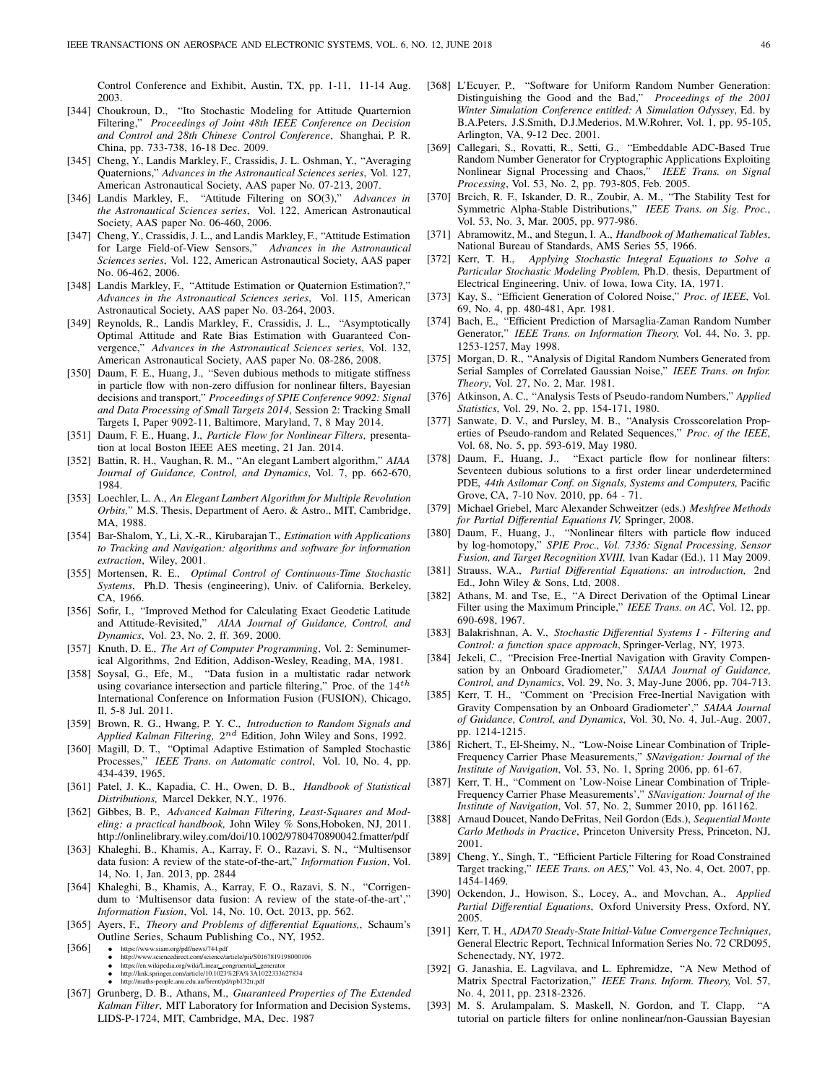Control Conference and Exhibit, Austin, TX, pp. 1-11, 11-14 Aug. 2003.

- [344] Choukroun, D., "Ito Stochastic Modeling for Attitude Quarternion Filtering," Proceedings of Joint 48th IEEE Conference on Decision and Control and 28th Chinese Control Conference, Shanghai, P. R. China, pp. 733-738, 16-18 Dec. 2009.
- [345] Cheng, Y., Landis Markley, F., Crassidis, J. L. Oshman, Y., "Averaging Quaternions," Advances in the Astronautical Sciences series, Vol. 127, American Astronautical Society, AAS paper No. 07-213, 2007.
- [346] Landis Markley, F., "Attitude Filtering on SO(3)," Advances in the Astronautical Sciences series, Vol. 122, American Astronautical Society, AAS paper No. 06-460, 2006.
- [347] Cheng, Y., Crassidis, J. L., and Landis Markley, F., "Attitude Estimation for Large Field-of-View Sensors," Advances in the Astronautical Sciences series, Vol. 122, American Astronautical Society, AAS paper No. 06-462, 2006.
- [348] Landis Markley, F., "Attitude Estimation or Quaternion Estimation?," Advances in the Astronautical Sciences series, Vol. 115, American Astronautical Society, AAS paper No. 03-264, 2003.
- [349] Reynolds, R., Landis Markley, F., Crassidis, J. L., "Asymptotically Optimal Attitude and Rate Bias Estimation with Guaranteed Convergence," Advances in the Astronautical Sciences series, Vol. 132, American Astronautical Society, AAS paper No. 08-286, 2008.
- [350] Daum, F. E., Huang, J., "Seven dubious methods to mitigate stiffness in particle flow with non-zero diffusion for nonlinear filters, Bayesian decisions and transport," Proceedings of SPIE Conference 9092: Signal and Data Processing of Small Targets 2014, Session 2: Tracking Small Targets I, Paper 9092-11, Baltimore, Maryland, 7, 8 May 2014.
- [351] Daum, F. E., Huang, J., Particle Flow for Nonlinear Filters, presentation at local Boston IEEE AES meeting, 21 Jan. 2014.
- [352] Battin, R. H., Vaughan, R. M., "An elegant Lambert algorithm," AIAA Journal of Guidance, Control, and Dynamics, Vol. 7, pp. 662-670, 1984.
- [353] Loechler, L. A., An Elegant Lambert Algorithm for Multiple Revolution Orbits," M.S. Thesis, Department of Aero. & Astro., MIT, Cambridge, MA, 1988.
- [354] Bar-Shalom, Y., Li, X.-R., Kirubarajan T., Estimation with Applications to Tracking and Navigation: algorithms and software for information extraction, Wiley, 2001.
- [355] Mortensen, R. E., Optimal Control of Continuous-Time Stochastic Systems, Ph.D. Thesis (engineering), Univ. of California, Berkeley, CA, 1966.
- [356] Sofir, I., "Improved Method for Calculating Exact Geodetic Latitude and Attitude-Revisited," AIAA Journal of Guidance, Control, and Dynamics, Vol. 23, No. 2, ff. 369, 2000.
- [357] Knuth, D. E., The Art of Computer Programming, Vol. 2: Seminumerical Algorithms, 2nd Edition, Addison-Wesley, Reading, MA, 1981.
- [358] Soysal, G., Efe, M., "Data fusion in a multistatic radar network using covariance intersection and particle filtering," Proc. of the  $14^{th}$ International Conference on Information Fusion (FUSION), Chicago, Il, 5-8 Jul. 2011.
- [359] Brown, R. G., Hwang, P. Y. C., Introduction to Random Signals and Applied Kalman Filtering,  $2^{nd}$  Edition, John Wiley and Sons, 1992.
- [360] Magill, D. T., "Optimal Adaptive Estimation of Sampled Stochastic Processes," IEEE Trans. on Automatic control, Vol. 10, No. 4, pp. 434-439, 1965.
- [361] Patel, J. K., Kapadia, C. H., Owen, D. B., Handbook of Statistical Distributions, Marcel Dekker, N.Y., 1976.
- [362] Gibbes, B. P., Advanced Kalman Filtering, Least-Squares and Modeling: a practical handbook, John Wiley % Sons,Hoboken, NJ, 2011. http://onlinelibrary.wiley.com/doi/10.1002/9780470890042.fmatter/pdf
- [363] Khaleghi, B., Khamis, A., Karray, F. O., Razavi, S. N., "Multisensor data fusion: A review of the state-of-the-art," Information Fusion, Vol. 14, No. 1, Jan. 2013, pp. 2844
- [364] Khaleghi, B., Khamis, A., Karray, F. O., Razavi, S. N., "Corrigendum to 'Multisensor data fusion: A review of the state-of-the-art'," Information Fusion, Vol. 14, No. 10, Oct. 2013, pp. 562.
- [365] Ayers, F., Theory and Problems of differential Equations,, Schaum's Outline Series, Schaum Publishing Co., NY, 1952.
- [366] https://www.siam.org/pdf/news/744.pdf http://www.sciencedirect.com/science/article/pii/S0167819198000106
	-
	- https://en.wikipedia.org/wiki/Linear\_congruential\_generator<br>• http://link.springer.com/article/10.1023%2FA%3A1022333627834<br>• http://maths-people.anu.edu.au/brent/pd/rpb132tr.pdf
	-
- [367] Grunberg, D. B., Athans, M., Guaranteed Properties of The Extended Kalman Filter, MIT Laboratory for Information and Decision Systems, LIDS-P-1724, MIT, Cambridge, MA, Dec. 1987
- [368] L'Ecuyer, P., "Software for Uniform Random Number Generation: Distinguishing the Good and the Bad," Proceedings of the 2001 Winter Simulation Conference entitled: A Simulation Odyssey, Ed. by B.A.Peters, J.S.Smith, D.J.Mederios, M.W.Rohrer, Vol. 1, pp. 95-105, Arlington, VA, 9-12 Dec. 2001.
- [369] Callegari, S., Rovatti, R., Setti, G., "Embeddable ADC-Based True Random Number Generator for Cryptographic Applications Exploiting Nonlinear Signal Processing and Chaos," IEEE Trans. on Signal Processing, Vol. 53, No. 2, pp. 793-805, Feb. 2005.
- [370] Brcich, R. F., Iskander, D. R., Zoubir, A. M., "The Stability Test for Symmetric Alpha-Stable Distributions," IEEE Trans. on Sig. Proc., Vol. 53, No. 3, Mar. 2005, pp. 977-986.
- [371] Abramowitz, M., and Stegun, I. A., Handbook of Mathematical Tables, National Bureau of Standards, AMS Series 55, 1966.
- [372] Kerr, T. H., Applying Stochastic Integral Equations to Solve a Particular Stochastic Modeling Problem, Ph.D. thesis, Department of Electrical Engineering, Univ. of Iowa, Iowa City, IA, 1971.
- [373] Kay, S., "Efficient Generation of Colored Noise," Proc. of IEEE, Vol. 69, No. 4, pp. 480-481, Apr. 1981.
- [374] Bach, E., "Efficient Prediction of Marsaglia-Zaman Random Number Generator," IEEE Trans. on Information Theory, Vol. 44, No. 3, pp. 1253-1257, May 1998.
- [375] Morgan, D. R., "Analysis of Digital Random Numbers Generated from Serial Samples of Correlated Gaussian Noise," IEEE Trans. on Infor. Theory, Vol. 27, No. 2, Mar. 1981.
- [376] Atkinson, A. C., "Analysis Tests of Pseudo-random Numbers," Applied Statistics, Vol. 29, No. 2, pp. 154-171, 1980.
- [377] Sanwate, D. V., and Pursley, M. B., "Analysis Crosscorelation Properties of Pseudo-random and Related Sequences," Proc. of the IEEE, Vol. 68, No. 5, pp. 593-619, May 1980.
- [378] Daum, F., Huang, J., "Exact particle flow for nonlinear filters: Seventeen dubious solutions to a first order linear underdetermined PDE, 44th Asilomar Conf. on Signals, Systems and Computers, Pacific Grove, CA, 7-10 Nov. 2010, pp. 64 - 71.
- [379] Michael Griebel, Marc Alexander Schweitzer (eds.) Meshfree Methods for Partial Differential Equations IV, Springer, 2008.
- [380] Daum, F., Huang, J., "Nonlinear filters with particle flow induced by log-homotopy," SPIE Proc., Vol. 7336: Signal Processing, Sensor Fusion, and Target Recognition XVIII, Ivan Kadar (Ed.), 11 May 2009.
- [381] Strauss, W.A., Partial Differential Equations: an introduction, 2nd Ed., John Wiley & Sons, Ltd, 2008.
- [382] Athans, M. and Tse, E., "A Direct Derivation of the Optimal Linear Filter using the Maximum Principle," IEEE Trans. on AC, Vol. 12, pp. 690-698, 1967.
- [383] Balakrishnan, A. V., Stochastic Differential Systems I Filtering and Control: a function space approach, Springer-Verlag, NY, 1973.
- [384] Jekeli, C., "Precision Free-Inertial Navigation with Gravity Compensation by an Onboard Gradiometer," SAIAA Journal of Guidance, Control, and Dynamics, Vol. 29, No. 3, May-June 2006, pp. 704-713.
- [385] Kerr, T. H., "Comment on 'Precision Free-Inertial Navigation with Gravity Compensation by an Onboard Gradiometer'," SAIAA Journal of Guidance, Control, and Dynamics, Vol. 30, No. 4, Jul.-Aug. 2007, pp. 1214-1215.
- [386] Richert, T., El-Sheimy, N., "Low-Noise Linear Combination of Triple-Frequency Carrier Phase Measurements," SNavigation: Journal of the Institute of Navigation, Vol. 53, No. 1, Spring 2006, pp. 61-67.
- [387] Kerr, T. H., "Comment on 'Low-Noise Linear Combination of Triple-Frequency Carrier Phase Measurements'," SNavigation: Journal of the Institute of Navigation, Vol. 57, No. 2, Summer 2010, pp. 161162.
- [388] Arnaud Doucet, Nando DeFritas, Neil Gordon (Eds.), Sequential Monte Carlo Methods in Practice, Princeton University Press, Princeton, NJ, 2001.
- [389] Cheng, Y., Singh, T., "Efficient Particle Filtering for Road Constrained Target tracking," IEEE Trans. on AES," Vol. 43, No. 4, Oct. 2007, pp. 1454-1469.
- [390] Ockendon, J., Howison, S., Locey, A., and Movchan, A., Applied Partial Differential Equations, Oxford University Press, Oxford, NY, 2005.
- [391] Kerr, T. H., ADA70 Steady-State Initial-Value Convergence Techniques, General Electric Report, Technical Information Series No. 72 CRD095, Schenectady, NY, 1972.
- [392] G. Janashia, E. Lagvilava, and L. Ephremidze, "A New Method of Matrix Spectral Factorization," IEEE Trans. Inform. Theory, Vol. 57, No. 4, 2011, pp. 2318-2326.
- [393] M. S. Arulampalam, S. Maskell, N. Gordon, and T. Clapp, "A tutorial on particle filters for online nonlinear/non-Gaussian Bayesian